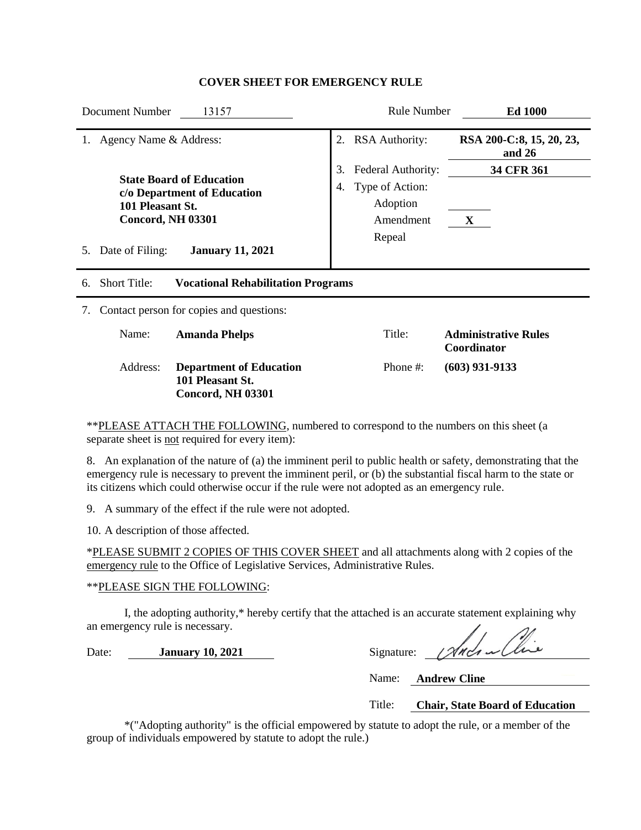### **COVER SHEET FOR EMERGENCY RULE**

| Document Number<br>13157                                                                                       | <b>Ed 1000</b><br><b>Rule Number</b>                                                          |
|----------------------------------------------------------------------------------------------------------------|-----------------------------------------------------------------------------------------------|
| Agency Name & Address:<br>1.                                                                                   | 2. RSA Authority:<br>RSA 200-C:8, 15, 20, 23,<br>and $26$                                     |
| <b>State Board of Education</b><br>c/o Department of Education<br>101 Pleasant St.<br><b>Concord, NH 03301</b> | 34 CFR 361<br>Federal Authority:<br>3.<br>Type of Action:<br>4.<br>Adoption<br>Amendment<br>X |
| <b>January 11, 2021</b><br>Date of Filing:<br>5.                                                               | Repeal                                                                                        |
| <b>Short Title:</b><br><b>Vocational Rehabilitation Programs</b><br>6.                                         |                                                                                               |
| Contact person for copies and questions:<br>7.                                                                 |                                                                                               |
| Name:<br><b>Amanda Phelps</b>                                                                                  | Title:<br><b>Administrative Rules</b><br>Coordinator                                          |
| Address:<br><b>Department of Education</b><br>101 Pleasant St.<br><b>Concord, NH 03301</b>                     | Phone #:<br>$(603)$ 931-9133                                                                  |

\*\*PLEASE ATTACH THE FOLLOWING, numbered to correspond to the numbers on this sheet (a separate sheet is not required for every item):

8. An explanation of the nature of (a) the imminent peril to public health or safety, demonstrating that the emergency rule is necessary to prevent the imminent peril, or (b) the substantial fiscal harm to the state or its citizens which could otherwise occur if the rule were not adopted as an emergency rule.

9. A summary of the effect if the rule were not adopted.

10. A description of those affected.

\*PLEASE SUBMIT 2 COPIES OF THIS COVER SHEET and all attachments along with 2 copies of the emergency rule to the Office of Legislative Services, Administrative Rules.

## \*\*PLEASE SIGN THE FOLLOWING:

I, the adopting authority,\* hereby certify that the attached is an accurate statement explaining why an emergency rule is necessary.

Date: **January 10, 2021** S

| Signature: | $M_{\nu}$ |
|------------|-----------|

Name: **Andrew Cline**

Title: **Chair, State Board of Education**

\*("Adopting authority" is the official empowered by statute to adopt the rule, or a member of the group of individuals empowered by statute to adopt the rule.)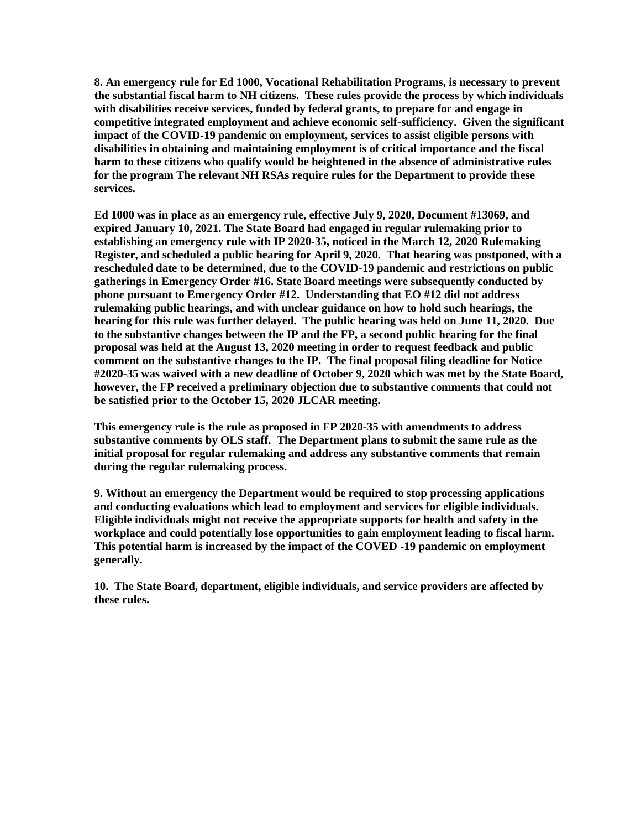**8. An emergency rule for Ed 1000, Vocational Rehabilitation Programs, is necessary to prevent the substantial fiscal harm to NH citizens. These rules provide the process by which individuals with disabilities receive services, funded by federal grants, to prepare for and engage in competitive integrated employment and achieve economic self-sufficiency. Given the significant impact of the COVID-19 pandemic on employment, services to assist eligible persons with disabilities in obtaining and maintaining employment is of critical importance and the fiscal harm to these citizens who qualify would be heightened in the absence of administrative rules for the program The relevant NH RSAs require rules for the Department to provide these services.** 

**Ed 1000 was in place as an emergency rule, effective July 9, 2020, Document #13069, and expired January 10, 2021. The State Board had engaged in regular rulemaking prior to establishing an emergency rule with IP 2020-35, noticed in the March 12, 2020 Rulemaking Register, and scheduled a public hearing for April 9, 2020. That hearing was postponed, with a rescheduled date to be determined, due to the COVID-19 pandemic and restrictions on public gatherings in Emergency Order #16. State Board meetings were subsequently conducted by phone pursuant to Emergency Order #12. Understanding that EO #12 did not address rulemaking public hearings, and with unclear guidance on how to hold such hearings, the hearing for this rule was further delayed. The public hearing was held on June 11, 2020. Due to the substantive changes between the IP and the FP, a second public hearing for the final proposal was held at the August 13, 2020 meeting in order to request feedback and public comment on the substantive changes to the IP. The final proposal filing deadline for Notice #2020-35 was waived with a new deadline of October 9, 2020 which was met by the State Board, however, the FP received a preliminary objection due to substantive comments that could not be satisfied prior to the October 15, 2020 JLCAR meeting.** 

**This emergency rule is the rule as proposed in FP 2020-35 with amendments to address substantive comments by OLS staff. The Department plans to submit the same rule as the initial proposal for regular rulemaking and address any substantive comments that remain during the regular rulemaking process.**

**9. Without an emergency the Department would be required to stop processing applications and conducting evaluations which lead to employment and services for eligible individuals. Eligible individuals might not receive the appropriate supports for health and safety in the workplace and could potentially lose opportunities to gain employment leading to fiscal harm. This potential harm is increased by the impact of the COVED -19 pandemic on employment generally.**

**10. The State Board, department, eligible individuals, and service providers are affected by these rules.**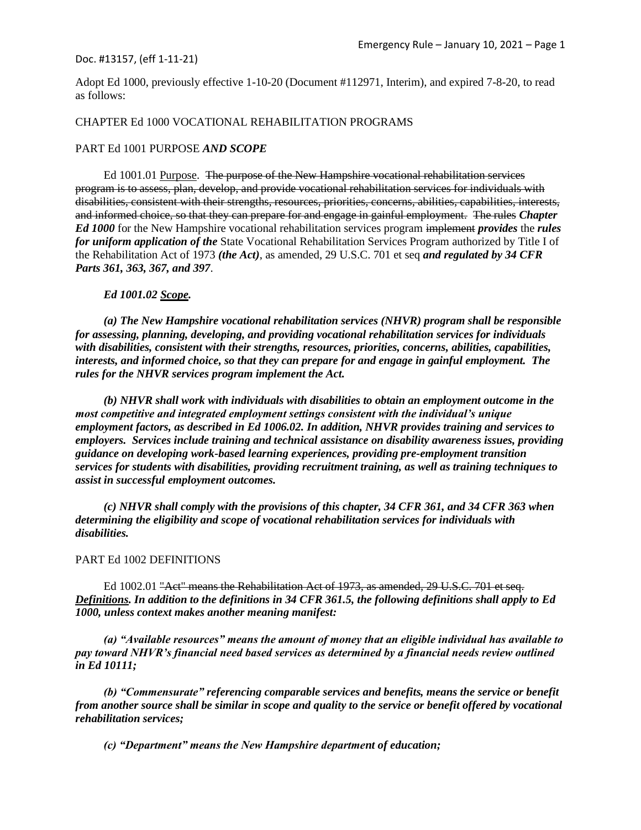Adopt Ed 1000, previously effective 1-10-20 (Document #112971, Interim), and expired 7-8-20, to read as follows:

# CHAPTER Ed 1000 VOCATIONAL REHABILITATION PROGRAMS

### PART Ed 1001 PURPOSE *AND SCOPE*

Ed 1001.01 Purpose. The purpose of the New Hampshire vocational rehabilitation services program is to assess, plan, develop, and provide vocational rehabilitation services for individuals with disabilities, consistent with their strengths, resources, priorities, concerns, abilities, capabilities, interests, and informed choice, so that they can prepare for and engage in gainful employment. The rules *Chapter Ed 1000* for the New Hampshire vocational rehabilitation services program implement *provides* the *rules for uniform application of the* State Vocational Rehabilitation Services Program authorized by Title I of the Rehabilitation Act of 1973 *(the Act)*, as amended, 29 U.S.C. 701 et seq *and regulated by 34 CFR Parts 361, 363, 367, and 397*.

## *Ed 1001.02 Scope.*

*(a) The New Hampshire vocational rehabilitation services (NHVR) program shall be responsible for assessing, planning, developing, and providing vocational rehabilitation services for individuals with disabilities, consistent with their strengths, resources, priorities, concerns, abilities, capabilities, interests, and informed choice, so that they can prepare for and engage in gainful employment. The rules for the NHVR services program implement the Act.*

*(b) NHVR shall work with individuals with disabilities to obtain an employment outcome in the most competitive and integrated employment settings consistent with the individual's unique employment factors, as described in Ed 1006.02. In addition, NHVR provides training and services to employers. Services include training and technical assistance on disability awareness issues, providing guidance on developing work-based learning experiences, providing pre-employment transition services for students with disabilities, providing recruitment training, as well as training techniques to assist in successful employment outcomes.*

*(c) NHVR shall comply with the provisions of this chapter, 34 CFR 361, and 34 CFR 363 when determining the eligibility and scope of vocational rehabilitation services for individuals with disabilities.*

# PART Ed 1002 DEFINITIONS

Ed 1002.01 "Act" means the Rehabilitation Act of 1973, as amended, 29 U.S.C. 701 et seq. *Definitions. In addition to the definitions in 34 CFR 361.5, the following definitions shall apply to Ed 1000, unless context makes another meaning manifest:*

*(a) "Available resources" means the amount of money that an eligible individual has available to pay toward NHVR's financial need based services as determined by a financial needs review outlined in Ed 10111;*

*(b) "Commensurate" referencing comparable services and benefits, means the service or benefit from another source shall be similar in scope and quality to the service or benefit offered by vocational rehabilitation services;*

*(c) "Department" means the New Hampshire department of education;*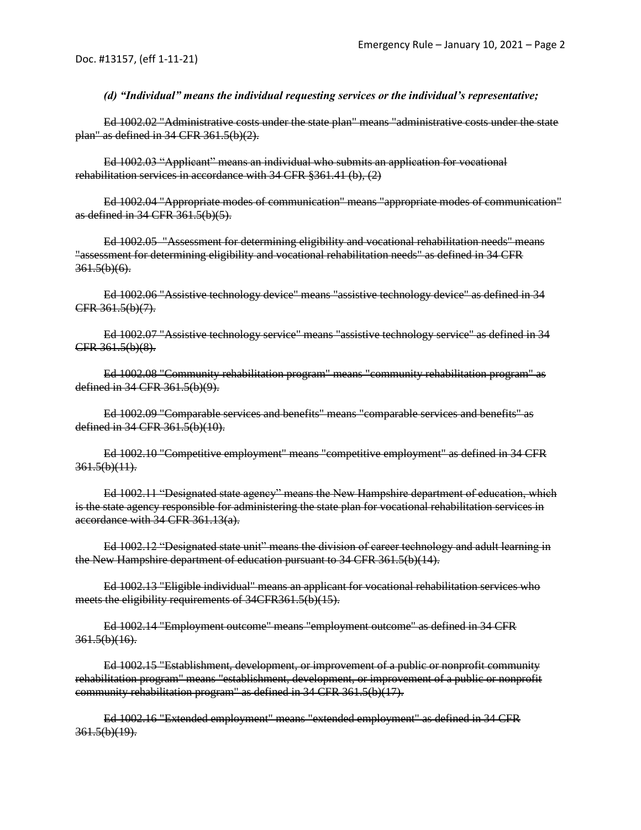*(d) "Individual" means the individual requesting services or the individual's representative;*

Ed 1002.02 "Administrative costs under the state plan" means "administrative costs under the state plan" as defined in 34 CFR 361.5(b)(2).

Ed 1002.03 "Applicant" means an individual who submits an application for vocational rehabilitation services in accordance with 34 CFR §361.41 (b), (2)

Ed 1002.04 "Appropriate modes of communication" means "appropriate modes of communication" as defined in 34 CFR 361.5(b)(5).

Ed 1002.05 "Assessment for determining eligibility and vocational rehabilitation needs" means "assessment for determining eligibility and vocational rehabilitation needs" as defined in 34 CFR  $361.5(b)(6)$ .

Ed 1002.06 "Assistive technology device" means "assistive technology device" as defined in 34 CFR 361.5(b)(7).

Ed 1002.07 "Assistive technology service" means "assistive technology service" as defined in 34 CFR 361.5(b)(8).

Ed 1002.08 "Community rehabilitation program" means "community rehabilitation program" as defined in 34 CFR 361.5(b)(9).

Ed 1002.09 "Comparable services and benefits" means "comparable services and benefits" as defined in 34 CFR 361.5(b)(10).

Ed 1002.10 "Competitive employment" means "competitive employment" as defined in 34 CFR  $361.5(b)(11)$ .

Ed 1002.11 "Designated state agency" means the New Hampshire department of education, which is the state agency responsible for administering the state plan for vocational rehabilitation services in accordance with 34 CFR 361.13(a).

Ed 1002.12 "Designated state unit" means the division of career technology and adult learning in the New Hampshire department of education pursuant to 34 CFR 361.5(b)(14).

Ed 1002.13 "Eligible individual" means an applicant for vocational rehabilitation services who meets the eligibility requirements of 34CFR361.5(b)(15).

Ed 1002.14 "Employment outcome" means "employment outcome" as defined in 34 CFR  $361.5(b)(16)$ .

Ed 1002.15 "Establishment, development, or improvement of a public or nonprofit community rehabilitation program" means "establishment, development, or improvement of a public or nonprofit community rehabilitation program" as defined in 34 CFR 361.5(b)(17).

Ed 1002.16 "Extended employment" means "extended employment" as defined in 34 CFR  $361.5(b)(19)$ .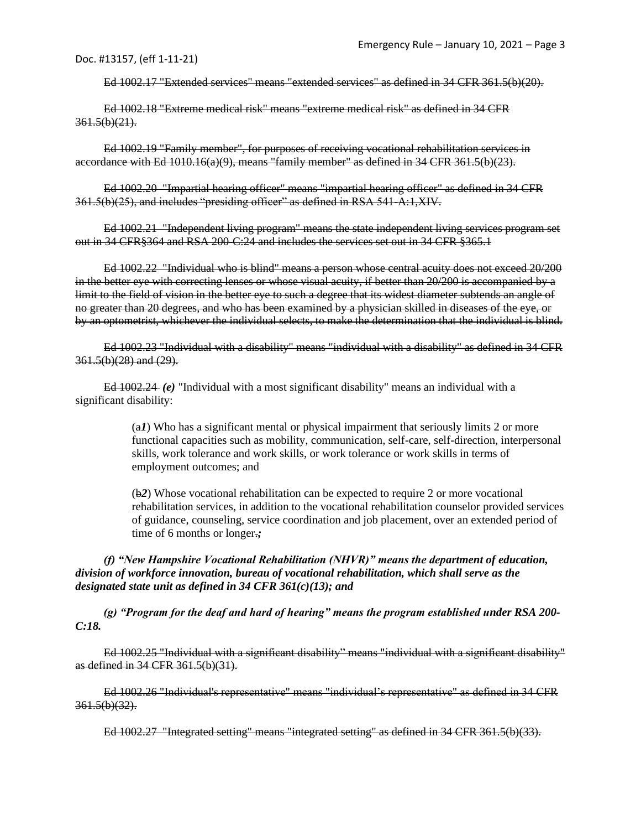Ed 1002.17 "Extended services" means "extended services" as defined in 34 CFR 361.5(b)(20).

Ed 1002.18 "Extreme medical risk" means "extreme medical risk" as defined in 34 CFR  $361.5(b)(21)$ .

Ed 1002.19 "Family member", for purposes of receiving vocational rehabilitation services in accordance with Ed 1010.16(a)(9), means "family member" as defined in 34 CFR 361.5(b)(23).

Ed 1002.20 "Impartial hearing officer" means "impartial hearing officer" as defined in 34 CFR 361.5(b)(25), and includes "presiding officer" as defined in RSA 541-A:1,XIV.

Ed 1002.21 "Independent living program" means the state independent living services program set out in 34 CFR§364 and RSA 200-C:24 and includes the services set out in 34 CFR §365.1

Ed 1002.22 "Individual who is blind" means a person whose central acuity does not exceed 20/200 in the better eye with correcting lenses or whose visual acuity, if better than 20/200 is accompanied by a limit to the field of vision in the better eye to such a degree that its widest diameter subtends an angle of no greater than 20 degrees, and who has been examined by a physician skilled in diseases of the eye, or by an optometrist, whichever the individual selects, to make the determination that the individual is blind.

Ed 1002.23 "Individual with a disability" means "individual with a disability" as defined in 34 CFR 361.5(b)(28) and (29).

Ed 1002.24 *(e)* "Individual with a most significant disability" means an individual with a significant disability:

> (a*1*) Who has a significant mental or physical impairment that seriously limits 2 or more functional capacities such as mobility, communication, self-care, self-direction, interpersonal skills, work tolerance and work skills, or work tolerance or work skills in terms of employment outcomes; and

> (b*2*) Whose vocational rehabilitation can be expected to require 2 or more vocational rehabilitation services, in addition to the vocational rehabilitation counselor provided services of guidance, counseling, service coordination and job placement, over an extended period of time of 6 months or longer.*;*

*(f) "New Hampshire Vocational Rehabilitation (NHVR)" means the department of education, division of workforce innovation, bureau of vocational rehabilitation, which shall serve as the designated state unit as defined in 34 CFR 361(c)(13); and*

*(g) "Program for the deaf and hard of hearing" means the program established under RSA 200- C:18.*

Ed 1002.25 "Individual with a significant disability" means "individual with a significant disability" as defined in 34 CFR 361.5(b)(31).

Ed 1002.26 "Individual's representative" means "individual's representative" as defined in 34 CFR  $361.5(b)(32)$ .

Ed 1002.27 "Integrated setting" means "integrated setting" as defined in 34 CFR 361.5(b)(33).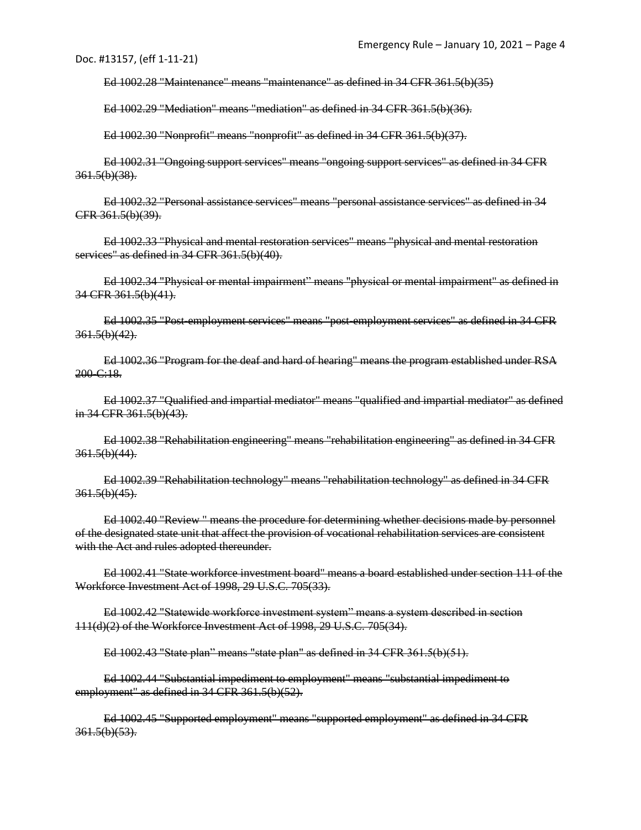Ed 1002.28 "Maintenance" means "maintenance" as defined in 34 CFR 361.5(b)(35)

Ed 1002.29 "Mediation" means "mediation" as defined in 34 CFR 361.5(b)(36).

Ed 1002.30 "Nonprofit" means "nonprofit" as defined in 34 CFR 361.5(b)(37).

Ed 1002.31 "Ongoing support services" means "ongoing support services" as defined in 34 CFR  $361.5(b)(38)$ .

Ed 1002.32 "Personal assistance services" means "personal assistance services" as defined in 34 CFR 361.5(b)(39).

Ed 1002.33 "Physical and mental restoration services" means "physical and mental restoration services" as defined in 34 CFR 361.5(b)(40).

Ed 1002.34 "Physical or mental impairment" means "physical or mental impairment" as defined in 34 CFR 361.5(b)(41).

Ed 1002.35 "Post-employment services" means "post-employment services" as defined in 34 CFR  $361.5(b)(42)$ .

Ed 1002.36 "Program for the deaf and hard of hearing" means the program established under RSA 200-C:18.

Ed 1002.37 "Qualified and impartial mediator" means "qualified and impartial mediator" as defined in 34 CFR 361.5(b)(43).

Ed 1002.38 "Rehabilitation engineering" means "rehabilitation engineering" as defined in 34 CFR  $361.5(b)(44)$ .

Ed 1002.39 "Rehabilitation technology" means "rehabilitation technology" as defined in 34 CFR  $361.5(b)(45)$ .

Ed 1002.40 "Review " means the procedure for determining whether decisions made by personnel of the designated state unit that affect the provision of vocational rehabilitation services are consistent with the Act and rules adopted thereunder.

Ed 1002.41 "State workforce investment board" means a board established under section 111 of the Workforce Investment Act of 1998, 29 U.S.C. 705(33).

Ed 1002.42 "Statewide workforce investment system" means a system described in section 111(d)(2) of the Workforce Investment Act of 1998, 29 U.S.C. 705(34).

Ed 1002.43 "State plan" means "state plan" as defined in 34 CFR 361.5(b)(51).

Ed 1002.44 "Substantial impediment to employment" means "substantial impediment to employment" as defined in 34 CFR 361.5(b)(52).

Ed 1002.45 "Supported employment" means "supported employment" as defined in 34 CFR  $361.5(b)(53)$ .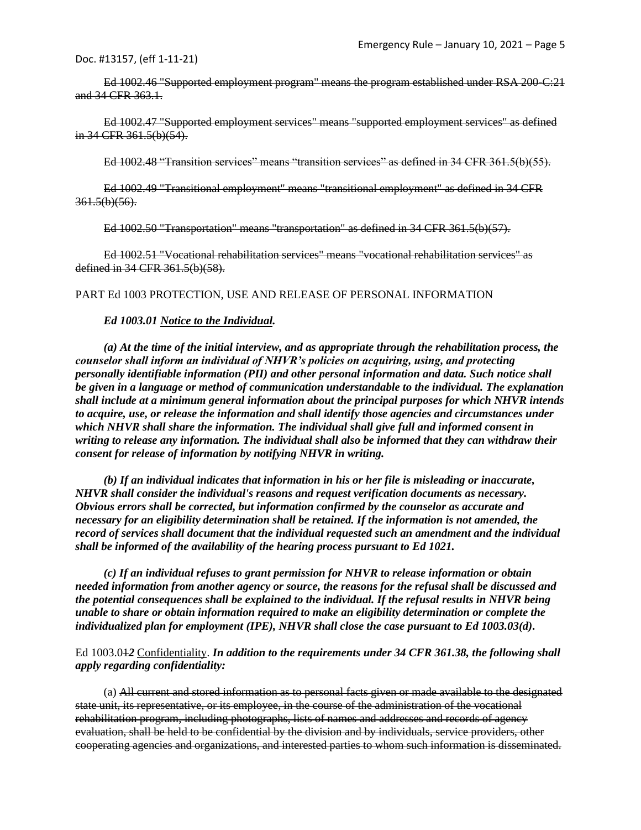Ed 1002.46 "Supported employment program" means the program established under RSA 200-C:21 and 34 CFR 363.1.

Ed 1002.47 "Supported employment services" means "supported employment services" as defined in 34 CFR 361.5(b)(54).

Ed 1002.48 "Transition services" means "transition services" as defined in 34 CFR 361.5(b)(55).

Ed 1002.49 "Transitional employment" means "transitional employment" as defined in 34 CFR  $361.5(b)(56)$ .

Ed 1002.50 "Transportation" means "transportation" as defined in 34 CFR 361.5(b)(57).

Ed 1002.51 "Vocational rehabilitation services" means "vocational rehabilitation services" as defined in 34 CFR 361.5(b)(58).

#### PART Ed 1003 PROTECTION, USE AND RELEASE OF PERSONAL INFORMATION

#### *Ed 1003.01 Notice to the Individual.*

*(a) At the time of the initial interview, and as appropriate through the rehabilitation process, the counselor shall inform an individual of NHVR's policies on acquiring, using, and protecting personally identifiable information (PII) and other personal information and data. Such notice shall be given in a language or method of communication understandable to the individual. The explanation shall include at a minimum general information about the principal purposes for which NHVR intends to acquire, use, or release the information and shall identify those agencies and circumstances under which NHVR shall share the information. The individual shall give full and informed consent in writing to release any information. The individual shall also be informed that they can withdraw their consent for release of information by notifying NHVR in writing.*

*(b) If an individual indicates that information in his or her file is misleading or inaccurate, NHVR shall consider the individual's reasons and request verification documents as necessary. Obvious errors shall be corrected, but information confirmed by the counselor as accurate and necessary for an eligibility determination shall be retained. If the information is not amended, the record of services shall document that the individual requested such an amendment and the individual shall be informed of the availability of the hearing process pursuant to Ed 1021.*

*(c) If an individual refuses to grant permission for NHVR to release information or obtain needed information from another agency or source, the reasons for the refusal shall be discussed and the potential consequences shall be explained to the individual. If the refusal results in NHVR being unable to share or obtain information required to make an eligibility determination or complete the individualized plan for employment (IPE), NHVR shall close the case pursuant to Ed 1003.03(d).*

Ed 1003.01*2* Confidentiality. *In addition to the requirements under 34 CFR 361.38, the following shall apply regarding confidentiality:*

(a) All current and stored information as to personal facts given or made available to the designated state unit, its representative, or its employee, in the course of the administration of the vocational rehabilitation program, including photographs, lists of names and addresses and records of agency evaluation, shall be held to be confidential by the division and by individuals, service providers, other cooperating agencies and organizations, and interested parties to whom such information is disseminated.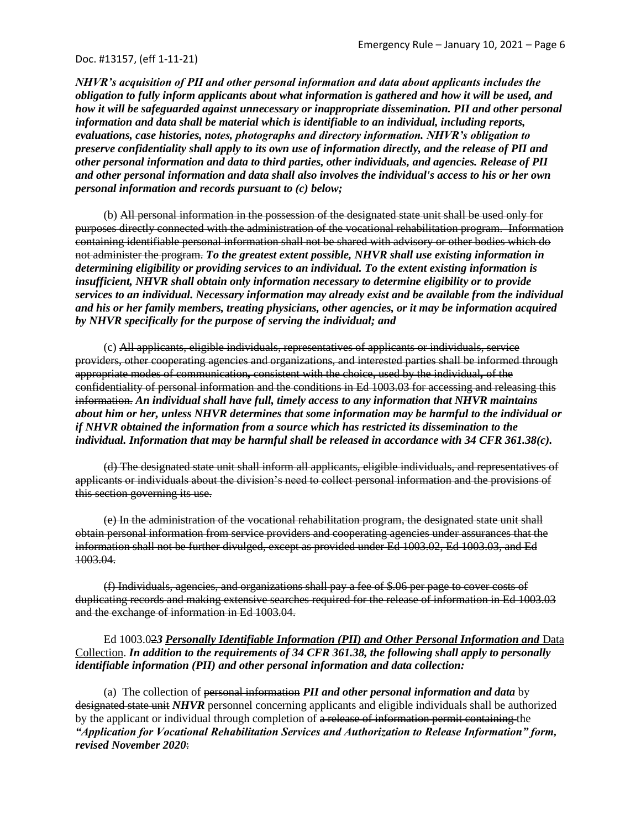*NHVR's acquisition of PII and other personal information and data about applicants includes the obligation to fully inform applicants about what information is gathered and how it will be used, and how it will be safeguarded against unnecessary or inappropriate dissemination. PII and other personal information and data shall be material which is identifiable to an individual, including reports, evaluations, case histories, notes, photographs and directory information. NHVR's obligation to preserve confidentiality shall apply to its own use of information directly, and the release of PII and other personal information and data to third parties, other individuals, and agencies. Release of PII and other personal information and data shall also involves the individual's access to his or her own personal information and records pursuant to (c) below;*

(b) All personal information in the possession of the designated state unit shall be used only for purposes directly connected with the administration of the vocational rehabilitation program. Information containing identifiable personal information shall not be shared with advisory or other bodies which do not administer the program. *To the greatest extent possible, NHVR shall use existing information in determining eligibility or providing services to an individual. To the extent existing information is insufficient, NHVR shall obtain only information necessary to determine eligibility or to provide services to an individual. Necessary information may already exist and be available from the individual and his or her family members, treating physicians, other agencies, or it may be information acquired by NHVR specifically for the purpose of serving the individual; and*

(c) All applicants, eligible individuals, representatives of applicants or individuals, service providers, other cooperating agencies and organizations, and interested parties shall be informed through appropriate modes of communication*,* consistent with the choice, used by the individual*,* of the confidentiality of personal information and the conditions in Ed 1003.03 for accessing and releasing this information. *An individual shall have full, timely access to any information that NHVR maintains about him or her, unless NHVR determines that some information may be harmful to the individual or if NHVR obtained the information from a source which has restricted its dissemination to the individual. Information that may be harmful shall be released in accordance with 34 CFR 361.38(c).*

(d) The designated state unit shall inform all applicants, eligible individuals, and representatives of applicants or individuals about the division's need to collect personal information and the provisions of this section governing its use.

(e) In the administration of the vocational rehabilitation program, the designated state unit shall obtain personal information from service providers and cooperating agencies under assurances that the information shall not be further divulged, except as provided under Ed 1003.02, Ed 1003.03, and Ed 1003.04.

(f) Individuals, agencies, and organizations shall pay a fee of \$.06 per page to cover costs of duplicating records and making extensive searches required for the release of information in Ed 1003.03 and the exchange of information in Ed 1003.04.

Ed 1003.02*3 Personally Identifiable Information (PII) and Other Personal Information and* Data Collection. *In addition to the requirements of 34 CFR 361.38, the following shall apply to personally identifiable information (PII) and other personal information and data collection:*

(a) The collection of personal information *PII and other personal information and data* by designated state unit *NHVR* personnel concerning applicants and eligible individuals shall be authorized by the applicant or individual through completion of a release of information permit containing the *"Application for Vocational Rehabilitation Services and Authorization to Release Information" form, revised November 2020*: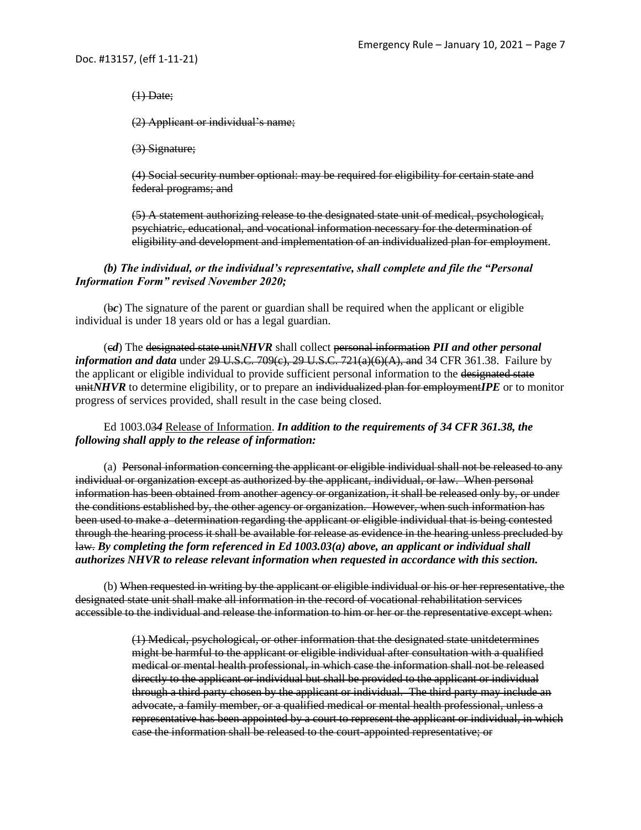(1) Date;

(2) Applicant or individual's name;

(3) Signature;

(4) Social security number optional: may be required for eligibility for certain state and federal programs; and

(5) A statement authorizing release to the designated state unit of medical, psychological, psychiatric, educational, and vocational information necessary for the determination of eligibility and development and implementation of an individualized plan for employment.

# *(b) The individual, or the individual's representative, shall complete and file the "Personal Information Form" revised November 2020;*

(b*c*) The signature of the parent or guardian shall be required when the applicant or eligible individual is under 18 years old or has a legal guardian.

(c*d*) The designated state unit*NHVR* shall collect personal information *PII and other personal information and data* under  $29 \text{ U.S.C. } 709(e)$ ,  $29 \text{ U.S.C. } 721(a)(6)(A)$ , and 34 CFR 361.38. Failure by the applicant or eligible individual to provide sufficient personal information to the designated state unit*NHVR* to determine eligibility, or to prepare an individualized plan for employment*IPE* or to monitor progress of services provided, shall result in the case being closed.

Ed 1003.03*4* Release of Information. *In addition to the requirements of 34 CFR 361.38, the following shall apply to the release of information:*

(a) Personal information concerning the applicant or eligible individual shall not be released to any individual or organization except as authorized by the applicant, individual, or law. When personal information has been obtained from another agency or organization, it shall be released only by, or under the conditions established by, the other agency or organization. However, when such information has been used to make a determination regarding the applicant or eligible individual that is being contested through the hearing process it shall be available for release as evidence in the hearing unless precluded by law. *By completing the form referenced in Ed 1003.03(a) above, an applicant or individual shall authorizes NHVR to release relevant information when requested in accordance with this section.*

(b) When requested in writing by the applicant or eligible individual or his or her representative, the designated state unit shall make all information in the record of vocational rehabilitation services accessible to the individual and release the information to him or her or the representative except when:

> (1) Medical, psychological, or other information that the designated state unitdetermines might be harmful to the applicant or eligible individual after consultation with a qualified medical or mental health professional, in which case the information shall not be released directly to the applicant or individual but shall be provided to the applicant or individual through a third party chosen by the applicant or individual. The third party may include an advocate, a family member, or a qualified medical or mental health professional, unless a representative has been appointed by a court to represent the applicant or individual, in which case the information shall be released to the court-appointed representative; or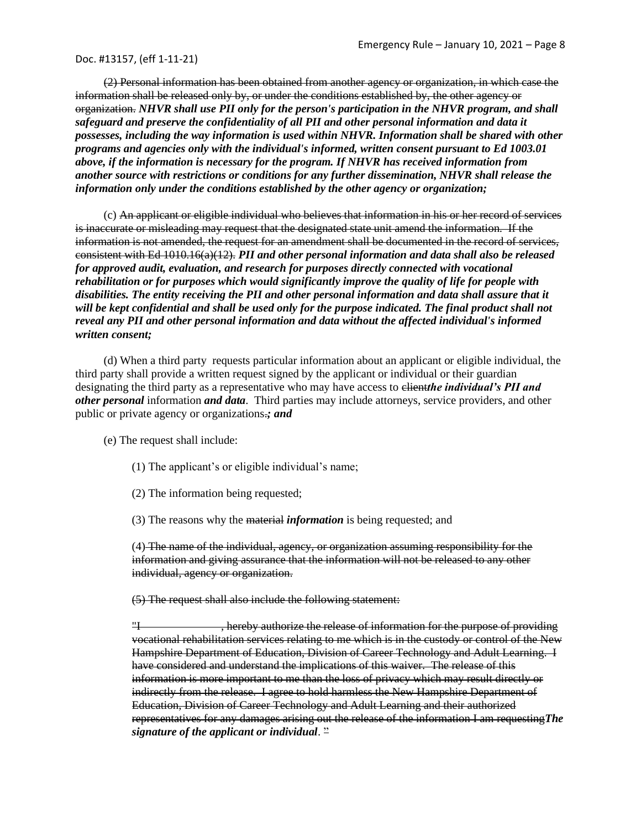(2) Personal information has been obtained from another agency or organization, in which case the information shall be released only by, or under the conditions established by, the other agency or organization. *NHVR shall use PII only for the person's participation in the NHVR program, and shall safeguard and preserve the confidentiality of all PII and other personal information and data it possesses, including the way information is used within NHVR. Information shall be shared with other programs and agencies only with the individual's informed, written consent pursuant to Ed 1003.01 above, if the information is necessary for the program. If NHVR has received information from another source with restrictions or conditions for any further dissemination, NHVR shall release the information only under the conditions established by the other agency or organization;*

(c) An applicant or eligible individual who believes that information in his or her record of services is inaccurate or misleading may request that the designated state unit amend the information. If the information is not amended, the request for an amendment shall be documented in the record of services, consistent with Ed 1010.16(a)(12). *PII and other personal information and data shall also be released for approved audit, evaluation, and research for purposes directly connected with vocational rehabilitation or for purposes which would significantly improve the quality of life for people with disabilities. The entity receiving the PII and other personal information and data shall assure that it will be kept confidential and shall be used only for the purpose indicated. The final product shall not reveal any PII and other personal information and data without the affected individual's informed written consent;*

(d) When a third party requests particular information about an applicant or eligible individual, the third party shall provide a written request signed by the applicant or individual or their guardian designating the third party as a representative who may have access to client*the individual's PII and other personal* information *and data*. Third parties may include attorneys, service providers, and other public or private agency or organizations.*; and*

(e) The request shall include:

- (1) The applicant's or eligible individual's name;
- (2) The information being requested;
- (3) The reasons why the material *information* is being requested; and

(4) The name of the individual, agency, or organization assuming responsibility for the information and giving assurance that the information will not be released to any other individual, agency or organization.

(5) The request shall also include the following statement:

"I hereby authorize the release of information for the purpose of providing vocational rehabilitation services relating to me which is in the custody or control of the New Hampshire Department of Education, Division of Career Technology and Adult Learning. I have considered and understand the implications of this waiver. The release of this information is more important to me than the loss of privacy which may result directly or indirectly from the release. I agree to hold harmless the New Hampshire Department of Education, Division of Career Technology and Adult Learning and their authorized representatives for any damages arising out the release of the information I am requesting*The signature of the applicant or individual*. "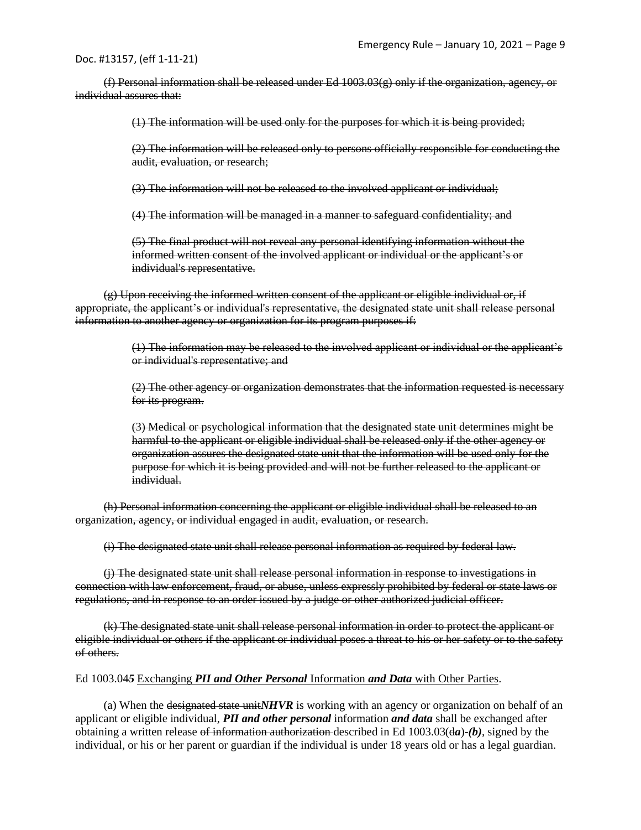(f) Personal information shall be released under Ed  $1003.03(g)$  only if the organization, agency, or individual assures that:

(1) The information will be used only for the purposes for which it is being provided;

(2) The information will be released only to persons officially responsible for conducting the audit, evaluation, or research;

(3) The information will not be released to the involved applicant or individual;

(4) The information will be managed in a manner to safeguard confidentiality; and

(5) The final product will not reveal any personal identifying information without the informed written consent of the involved applicant or individual or the applicant's or individual's representative.

 $(g)$  Upon receiving the informed written consent of the applicant or eligible individual or, if appropriate, the applicant's or individual's representative, the designated state unit shall release personal information to another agency or organization for its program purposes if:

> (1) The information may be released to the involved applicant or individual or the applicant's or individual's representative; and

> (2) The other agency or organization demonstrates that the information requested is necessary for its program.

(3) Medical or psychological information that the designated state unit determines might be harmful to the applicant or eligible individual shall be released only if the other agency or organization assures the designated state unit that the information will be used only for the purpose for which it is being provided and will not be further released to the applicant or individual.

(h) Personal information concerning the applicant or eligible individual shall be released to an organization, agency, or individual engaged in audit, evaluation, or research.

(i) The designated state unit shall release personal information as required by federal law.

(j) The designated state unit shall release personal information in response to investigations in connection with law enforcement, fraud, or abuse, unless expressly prohibited by federal or state laws or regulations, and in response to an order issued by a judge or other authorized judicial officer.

(k) The designated state unit shall release personal information in order to protect the applicant or eligible individual or others if the applicant or individual poses a threat to his or her safety or to the safety of others.

#### Ed 1003.04*5* Exchanging *PII and Other Personal* Information *and Data* with Other Parties.

(a) When the designated state unit*NHVR* is working with an agency or organization on behalf of an applicant or eligible individual, *PII and other personal* information *and data* shall be exchanged after obtaining a written release of information authorization described in Ed 1003.03(d*a*)*-(b)*, signed by the individual, or his or her parent or guardian if the individual is under 18 years old or has a legal guardian.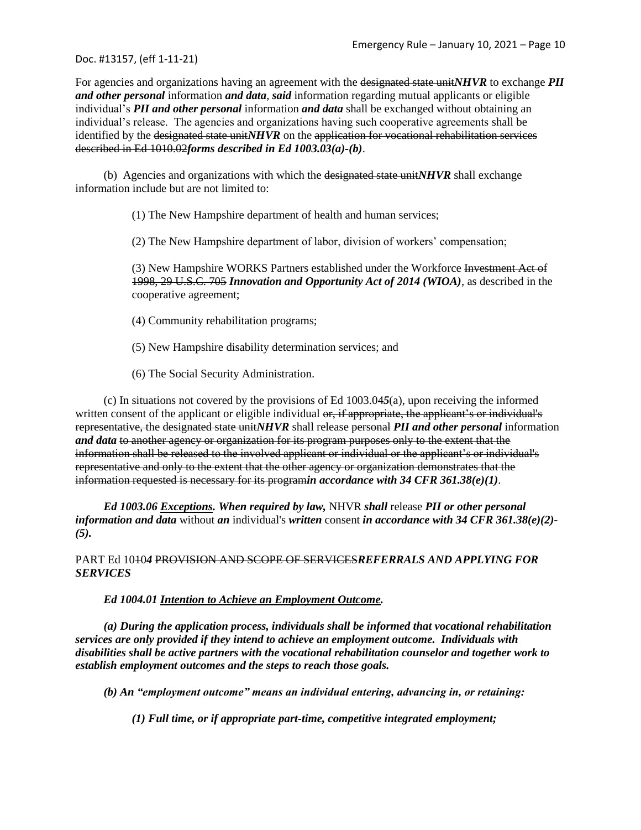For agencies and organizations having an agreement with the designated state unit*NHVR* to exchange *PII and other personal* information *and data*, *said* information regarding mutual applicants or eligible individual's *PII and other personal* information *and data* shall be exchanged without obtaining an individual's release. The agencies and organizations having such cooperative agreements shall be identified by the designated state unit*NHVR* on the application for vocational rehabilitation services described in Ed 1010.02*forms described in Ed 1003.03(a)-(b)*.

(b) Agencies and organizations with which the designated state unit*NHVR* shall exchange information include but are not limited to:

(1) The New Hampshire department of health and human services;

(2) The New Hampshire department of labor, division of workers' compensation;

(3) New Hampshire WORKS Partners established under the Workforce Investment Act of 1998, 29 U.S.C. 705 *Innovation and Opportunity Act of 2014 (WIOA)*, as described in the cooperative agreement;

- (4) Community rehabilitation programs;
- (5) New Hampshire disability determination services; and
- (6) The Social Security Administration.

(c) In situations not covered by the provisions of Ed 1003.04*5*(a), upon receiving the informed written consent of the applicant or eligible individual or, if appropriate, the applicant's or individual's representative, the designated state unit*NHVR* shall release personal *PII and other personal* information *and data* to another agency or organization for its program purposes only to the extent that the information shall be released to the involved applicant or individual or the applicant's or individual's representative and only to the extent that the other agency or organization demonstrates that the information requested is necessary for its program*in accordance with 34 CFR 361.38(e)(1)*.

*Ed 1003.06 Exceptions. When required by law,* NHVR *shall* release *PII or other personal information and data* without *an* individual's *written* consent *in accordance with 34 CFR 361.38(e)(2)- (5).*

PART Ed 1010*4* PROVISION AND SCOPE OF SERVICES*REFERRALS AND APPLYING FOR SERVICES*

## *Ed 1004.01 Intention to Achieve an Employment Outcome.*

*(a) During the application process, individuals shall be informed that vocational rehabilitation services are only provided if they intend to achieve an employment outcome. Individuals with disabilities shall be active partners with the vocational rehabilitation counselor and together work to establish employment outcomes and the steps to reach those goals.*

*(b) An "employment outcome" means an individual entering, advancing in, or retaining:*

*(1) Full time, or if appropriate part-time, competitive integrated employment;*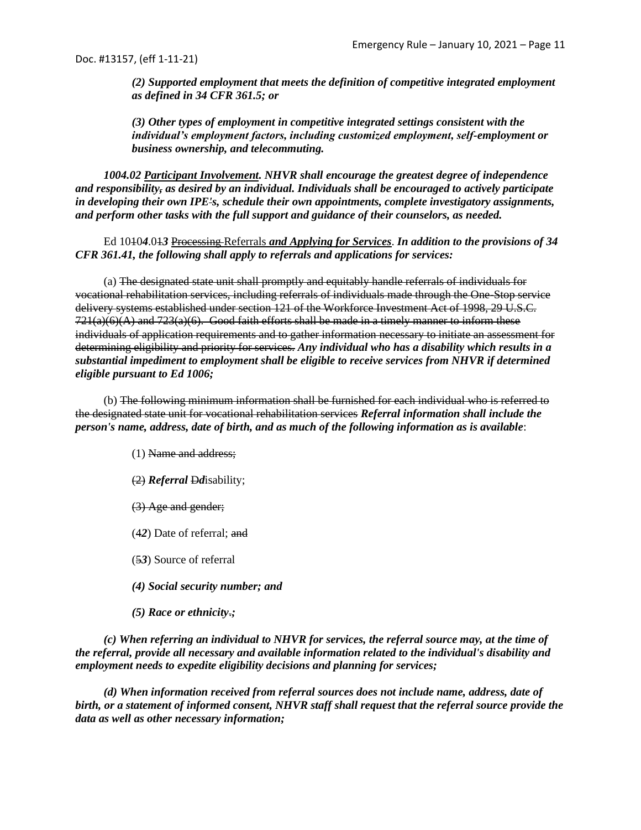*(2) Supported employment that meets the definition of competitive integrated employment as defined in 34 CFR 361.5; or*

*(3) Other types of employment in competitive integrated settings consistent with the individual's employment factors, including customized employment, self-employment or business ownership, and telecommuting.*

*1004.02 Participant Involvement. NHVR shall encourage the greatest degree of independence and responsibility, as desired by an individual. Individuals shall be encouraged to actively participate in developing their own IPE's, schedule their own appointments, complete investigatory assignments, and perform other tasks with the full support and guidance of their counselors, as needed.*

Ed 1010*4*.01*3* Processing Referrals *and Applying for Services*. *In addition to the provisions of 34 CFR 361.41, the following shall apply to referrals and applications for services:*

(a) The designated state unit shall promptly and equitably handle referrals of individuals for vocational rehabilitation services, including referrals of individuals made through the One-Stop service delivery systems established under section 121 of the Workforce Investment Act of 1998, 29 U.S.C.  $721(a)(6)(A)$  and  $723(a)(6)$ . Good faith efforts shall be made in a timely manner to inform these individuals of application requirements and to gather information necessary to initiate an assessment for determining eligibility and priority for services. *Any individual who has a disability which results in a substantial impediment to employment shall be eligible to receive services from NHVR if determined eligible pursuant to Ed 1006;*

(b) The following minimum information shall be furnished for each individual who is referred to the designated state unit for vocational rehabilitation services *Referral information shall include the person's name, address, date of birth, and as much of the following information as is available*:

- (1) Name and address;
- (2) *Referral* D*d*isability;
- (3) Age and gender;
- (4*2*) Date of referral; and
- (5*3*) Source of referral
- *(4) Social security number; and*
- *(5) Race or ethnicity*.*;*

*(c) When referring an individual to NHVR for services, the referral source may, at the time of the referral, provide all necessary and available information related to the individual's disability and employment needs to expedite eligibility decisions and planning for services;*

*(d) When information received from referral sources does not include name, address, date of birth, or a statement of informed consent, NHVR staff shall request that the referral source provide the data as well as other necessary information;*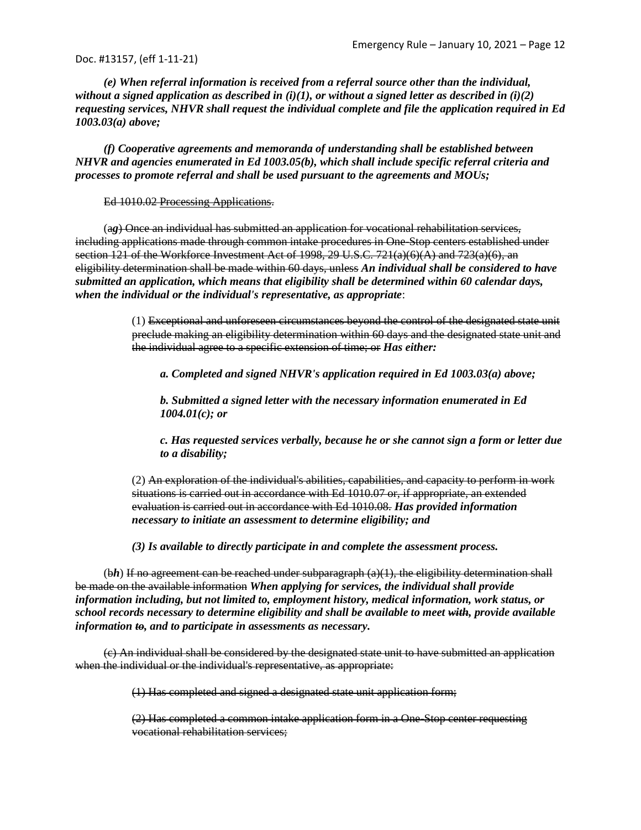*(e) When referral information is received from a referral source other than the individual,*  without a signed application as described in  $(i)(1)$ , or without a signed letter as described in  $(i)(2)$ *requesting services, NHVR shall request the individual complete and file the application required in Ed 1003.03(a) above;*

*(f) Cooperative agreements and memoranda of understanding shall be established between NHVR and agencies enumerated in Ed 1003.05(b), which shall include specific referral criteria and processes to promote referral and shall be used pursuant to the agreements and MOUs;*

Ed 1010.02 Processing Applications.

(a*g*) Once an individual has submitted an application for vocational rehabilitation services, including applications made through common intake procedures in One-Stop centers established under section 121 of the Workforce Investment Act of 1998, 29 U.S.C.  $721(a)(6)(A)$  and  $723(a)(6)$ , an eligibility determination shall be made within 60 days, unless *An individual shall be considered to have submitted an application, which means that eligibility shall be determined within 60 calendar days, when the individual or the individual's representative, as appropriate*:

> (1) Exceptional and unforeseen circumstances beyond the control of the designated state unit preclude making an eligibility determination within 60 days and the designated state unit and the individual agree to a specific extension of time; or *Has either:*

*a. Completed and signed NHVR's application required in Ed 1003.03(a) above;*

*b. Submitted a signed letter with the necessary information enumerated in Ed 1004.01(c); or* 

*c. Has requested services verbally, because he or she cannot sign a form or letter due to a disability;* 

 $(2)$  An exploration of the individual's abilities, capabilities, and capacity to perform in work situations is carried out in accordance with Ed 1010.07 or, if appropriate, an extended evaluation is carried out in accordance with Ed 1010.08. *Has provided information necessary to initiate an assessment to determine eligibility; and*

*(3) Is available to directly participate in and complete the assessment process.*

 $(bh)$  If no agreement can be reached under subparagraph  $(a)(1)$ , the eligibility determination shall be made on the available information *When applying for services, the individual shall provide information including, but not limited to, employment history, medical information, work status, or school records necessary to determine eligibility and shall be available to meet with, provide available information to, and to participate in assessments as necessary.*

(c) An individual shall be considered by the designated state unit to have submitted an application when the individual or the individual's representative, as appropriate:

(1) Has completed and signed a designated state unit application form;

(2) Has completed a common intake application form in a One-Stop center requesting vocational rehabilitation services;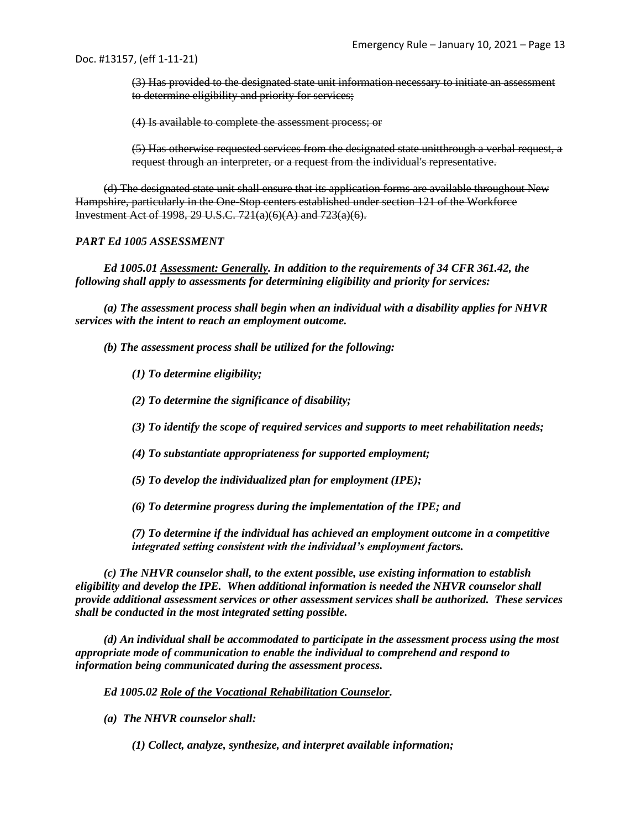(3) Has provided to the designated state unit information necessary to initiate an assessment to determine eligibility and priority for services;

(4) Is available to complete the assessment process; or

(5) Has otherwise requested services from the designated state unitthrough a verbal request, a request through an interpreter, or a request from the individual's representative.

(d) The designated state unit shall ensure that its application forms are available throughout New Hampshire, particularly in the One-Stop centers established under section 121 of the Workforce Investment Act of 1998, 29 U.S.C. 721(a)(6)(A) and 723(a)(6).

*PART Ed 1005 ASSESSMENT*

*Ed 1005.01 Assessment: Generally. In addition to the requirements of 34 CFR 361.42, the following shall apply to assessments for determining eligibility and priority for services:*

*(a) The assessment process shall begin when an individual with a disability applies for NHVR services with the intent to reach an employment outcome.*

*(b) The assessment process shall be utilized for the following:*

*(1) To determine eligibility;*

*(2) To determine the significance of disability;*

*(3) To identify the scope of required services and supports to meet rehabilitation needs;*

*(4) To substantiate appropriateness for supported employment;*

*(5) To develop the individualized plan for employment (IPE);*

*(6) To determine progress during the implementation of the IPE; and*

*(7) To determine if the individual has achieved an employment outcome in a competitive integrated setting consistent with the individual's employment factors.*

*(c) The NHVR counselor shall, to the extent possible, use existing information to establish eligibility and develop the IPE. When additional information is needed the NHVR counselor shall provide additional assessment services or other assessment services shall be authorized. These services shall be conducted in the most integrated setting possible.* 

*(d) An individual shall be accommodated to participate in the assessment process using the most appropriate mode of communication to enable the individual to comprehend and respond to information being communicated during the assessment process.*

*Ed 1005.02 Role of the Vocational Rehabilitation Counselor.*

*(a) The NHVR counselor shall:*

*(1) Collect, analyze, synthesize, and interpret available information;*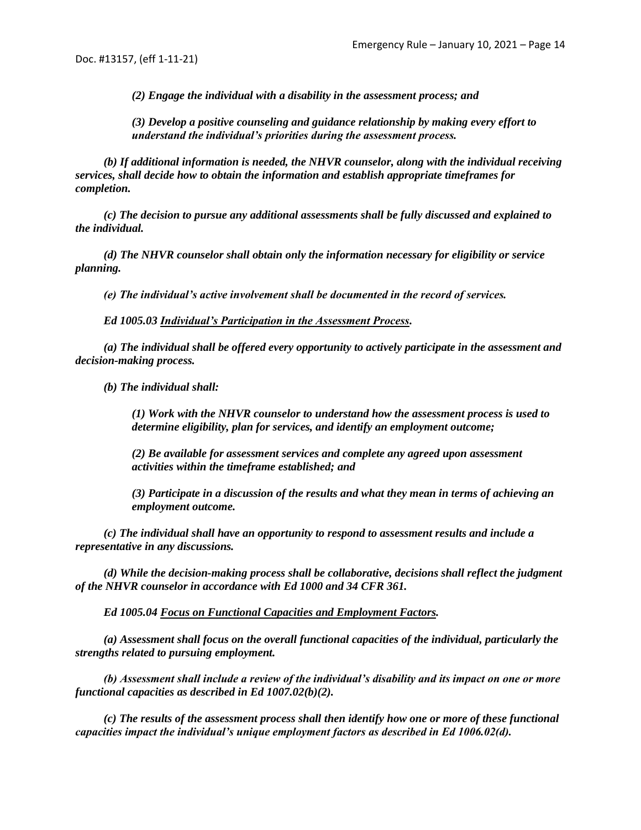*(2) Engage the individual with a disability in the assessment process; and*

*(3) Develop a positive counseling and guidance relationship by making every effort to understand the individual's priorities during the assessment process.*

*(b) If additional information is needed, the NHVR counselor, along with the individual receiving services, shall decide how to obtain the information and establish appropriate timeframes for completion.* 

*(c) The decision to pursue any additional assessments shall be fully discussed and explained to the individual.* 

*(d) The NHVR counselor shall obtain only the information necessary for eligibility or service planning.*

*(e) The individual's active involvement shall be documented in the record of services.*

*Ed 1005.03 Individual's Participation in the Assessment Process.*

*(a) The individual shall be offered every opportunity to actively participate in the assessment and decision-making process.*

*(b) The individual shall:*

*(1) Work with the NHVR counselor to understand how the assessment process is used to determine eligibility, plan for services, and identify an employment outcome;*

*(2) Be available for assessment services and complete any agreed upon assessment activities within the timeframe established; and*

*(3) Participate in a discussion of the results and what they mean in terms of achieving an employment outcome.*

*(c) The individual shall have an opportunity to respond to assessment results and include a representative in any discussions.* 

*(d) While the decision-making process shall be collaborative, decisions shall reflect the judgment of the NHVR counselor in accordance with Ed 1000 and 34 CFR 361.* 

*Ed 1005.04 Focus on Functional Capacities and Employment Factors.*

*(a) Assessment shall focus on the overall functional capacities of the individual, particularly the strengths related to pursuing employment.*

*(b) Assessment shall include a review of the individual's disability and its impact on one or more functional capacities as described in Ed 1007.02(b)(2).* 

*(c) The results of the assessment process shall then identify how one or more of these functional capacities impact the individual's unique employment factors as described in Ed 1006.02(d).*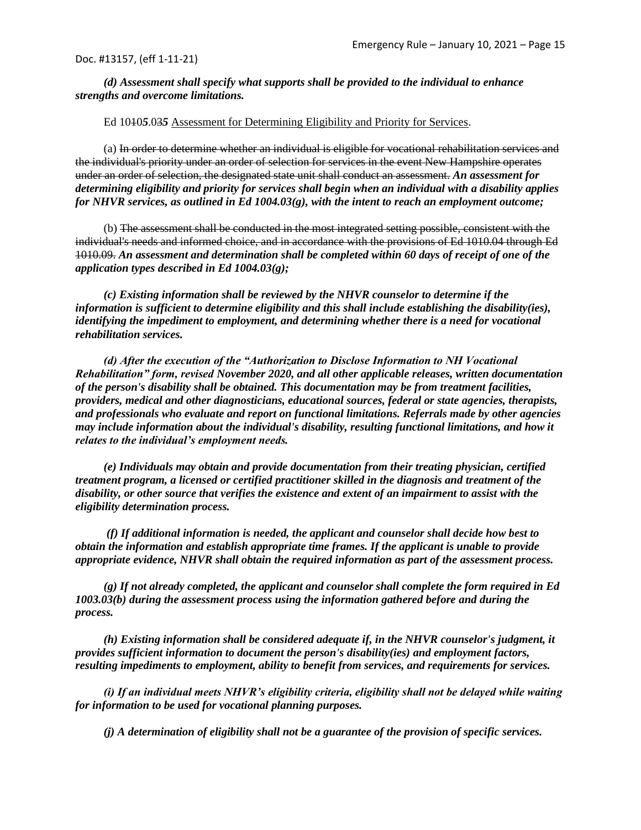*(d) Assessment shall specify what supports shall be provided to the individual to enhance strengths and overcome limitations.* 

#### Ed 1010*5*.03*5* Assessment for Determining Eligibility and Priority for Services.

(a) In order to determine whether an individual is eligible for vocational rehabilitation services and the individual's priority under an order of selection for services in the event New Hampshire operates under an order of selection, the designated state unit shall conduct an assessment. *An assessment for determining eligibility and priority for services shall begin when an individual with a disability applies for NHVR services, as outlined in Ed 1004.03(g), with the intent to reach an employment outcome;*

(b) The assessment shall be conducted in the most integrated setting possible, consistent with the individual's needs and informed choice, and in accordance with the provisions of Ed 1010.04 through Ed 1010.09. *An assessment and determination shall be completed within 60 days of receipt of one of the application types described in Ed 1004.03(g);*

*(c) Existing information shall be reviewed by the NHVR counselor to determine if the information is sufficient to determine eligibility and this shall include establishing the disability(ies), identifying the impediment to employment, and determining whether there is a need for vocational rehabilitation services.* 

*(d) After the execution of the "Authorization to Disclose Information to NH Vocational Rehabilitation" form, revised November 2020, and all other applicable releases, written documentation of the person's disability shall be obtained. This documentation may be from treatment facilities, providers, medical and other diagnosticians, educational sources, federal or state agencies, therapists, and professionals who evaluate and report on functional limitations. Referrals made by other agencies may include information about the individual's disability, resulting functional limitations, and how it relates to the individual's employment needs.*

*(e) Individuals may obtain and provide documentation from their treating physician, certified treatment program, a licensed or certified practitioner skilled in the diagnosis and treatment of the disability, or other source that verifies the existence and extent of an impairment to assist with the eligibility determination process.*

*(f) If additional information is needed, the applicant and counselor shall decide how best to obtain the information and establish appropriate time frames. If the applicant is unable to provide appropriate evidence, NHVR shall obtain the required information as part of the assessment process.*

*(g) If not already completed, the applicant and counselor shall complete the form required in Ed 1003.03(b) during the assessment process using the information gathered before and during the process.*

*(h) Existing information shall be considered adequate if, in the NHVR counselor's judgment, it provides sufficient information to document the person's disability(ies) and employment factors, resulting impediments to employment, ability to benefit from services, and requirements for services.*

*(i) If an individual meets NHVR's eligibility criteria, eligibility shall not be delayed while waiting for information to be used for vocational planning purposes.* 

*(j) A determination of eligibility shall not be a guarantee of the provision of specific services.*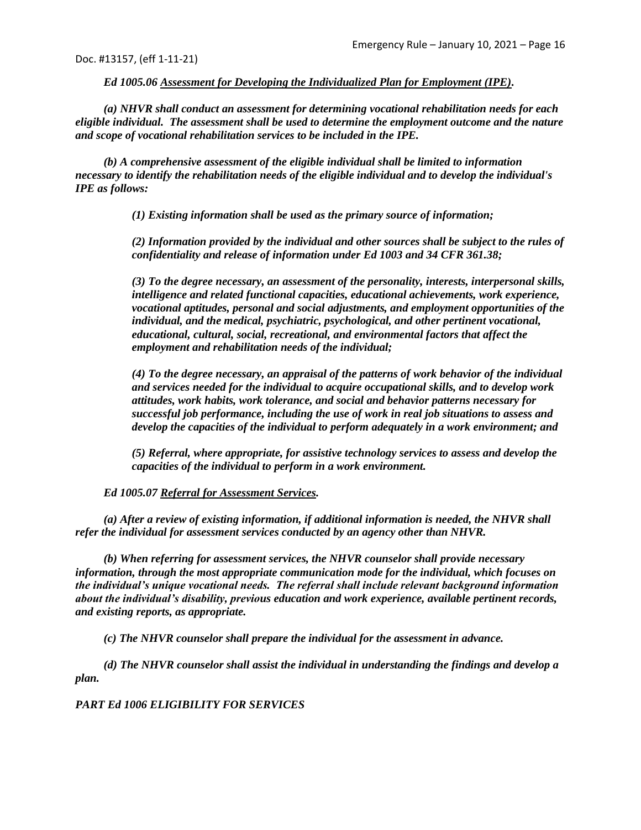*Ed 1005.06 Assessment for Developing the Individualized Plan for Employment (IPE).* 

*(a) NHVR shall conduct an assessment for determining vocational rehabilitation needs for each eligible individual. The assessment shall be used to determine the employment outcome and the nature and scope of vocational rehabilitation services to be included in the IPE.*

*(b) A comprehensive assessment of the eligible individual shall be limited to information necessary to identify the rehabilitation needs of the eligible individual and to develop the individual's IPE as follows:*

*(1) Existing information shall be used as the primary source of information;*

*(2) Information provided by the individual and other sources shall be subject to the rules of confidentiality and release of information under Ed 1003 and 34 CFR 361.38;*

*(3) To the degree necessary, an assessment of the personality, interests, interpersonal skills, intelligence and related functional capacities, educational achievements, work experience, vocational aptitudes, personal and social adjustments, and employment opportunities of the individual, and the medical, psychiatric, psychological, and other pertinent vocational, educational, cultural, social, recreational, and environmental factors that affect the employment and rehabilitation needs of the individual;*

*(4) To the degree necessary, an appraisal of the patterns of work behavior of the individual and services needed for the individual to acquire occupational skills, and to develop work attitudes, work habits, work tolerance, and social and behavior patterns necessary for successful job performance, including the use of work in real job situations to assess and develop the capacities of the individual to perform adequately in a work environment; and*

*(5) Referral, where appropriate, for assistive technology services to assess and develop the capacities of the individual to perform in a work environment.*

*Ed 1005.07 Referral for Assessment Services.*

*(a) After a review of existing information, if additional information is needed, the NHVR shall refer the individual for assessment services conducted by an agency other than NHVR.* 

*(b) When referring for assessment services, the NHVR counselor shall provide necessary information, through the most appropriate communication mode for the individual, which focuses on the individual's unique vocational needs. The referral shall include relevant background information about the individual's disability, previous education and work experience, available pertinent records, and existing reports, as appropriate.*

*(c) The NHVR counselor shall prepare the individual for the assessment in advance.*

*(d) The NHVR counselor shall assist the individual in understanding the findings and develop a plan.*

*PART Ed 1006 ELIGIBILITY FOR SERVICES*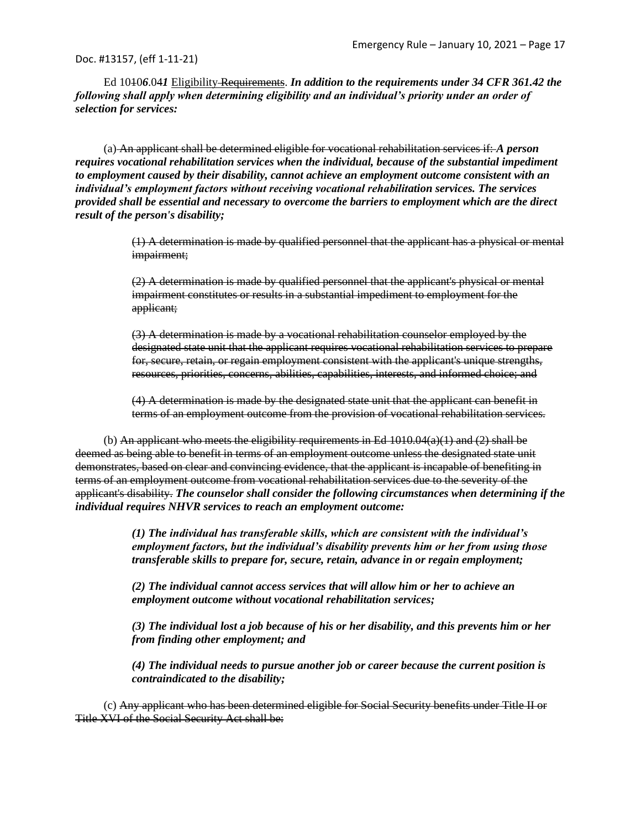Ed 1010*6*.04*1* Eligibility Requirements. *In addition to the requirements under 34 CFR 361.42 the following shall apply when determining eligibility and an individual's priority under an order of selection for services:*

(a) An applicant shall be determined eligible for vocational rehabilitation services if: *A person requires vocational rehabilitation services when the individual, because of the substantial impediment to employment caused by their disability, cannot achieve an employment outcome consistent with an individual's employment factors without receiving vocational rehabilitation services. The services provided shall be essential and necessary to overcome the barriers to employment which are the direct result of the person's disability;*

> (1) A determination is made by qualified personnel that the applicant has a physical or mental impairment;

(2) A determination is made by qualified personnel that the applicant's physical or mental impairment constitutes or results in a substantial impediment to employment for the applicant;

(3) A determination is made by a vocational rehabilitation counselor employed by the designated state unit that the applicant requires vocational rehabilitation services to prepare for, secure, retain, or regain employment consistent with the applicant's unique strengths, resources, priorities, concerns, abilities, capabilities, interests, and informed choice; and

(4) A determination is made by the designated state unit that the applicant can benefit in terms of an employment outcome from the provision of vocational rehabilitation services.

(b) An applicant who meets the eligibility requirements in Ed  $1010.04(a)(1)$  and (2) shall be deemed as being able to benefit in terms of an employment outcome unless the designated state unit demonstrates, based on clear and convincing evidence, that the applicant is incapable of benefiting in terms of an employment outcome from vocational rehabilitation services due to the severity of the applicant's disability. *The counselor shall consider the following circumstances when determining if the individual requires NHVR services to reach an employment outcome:*

> *(1) The individual has transferable skills, which are consistent with the individual's employment factors, but the individual's disability prevents him or her from using those transferable skills to prepare for, secure, retain, advance in or regain employment;*

*(2) The individual cannot access services that will allow him or her to achieve an employment outcome without vocational rehabilitation services;*

*(3) The individual lost a job because of his or her disability, and this prevents him or her from finding other employment; and*

*(4) The individual needs to pursue another job or career because the current position is contraindicated to the disability;*

(c) Any applicant who has been determined eligible for Social Security benefits under Title II or Title XVI of the Social Security Act shall be: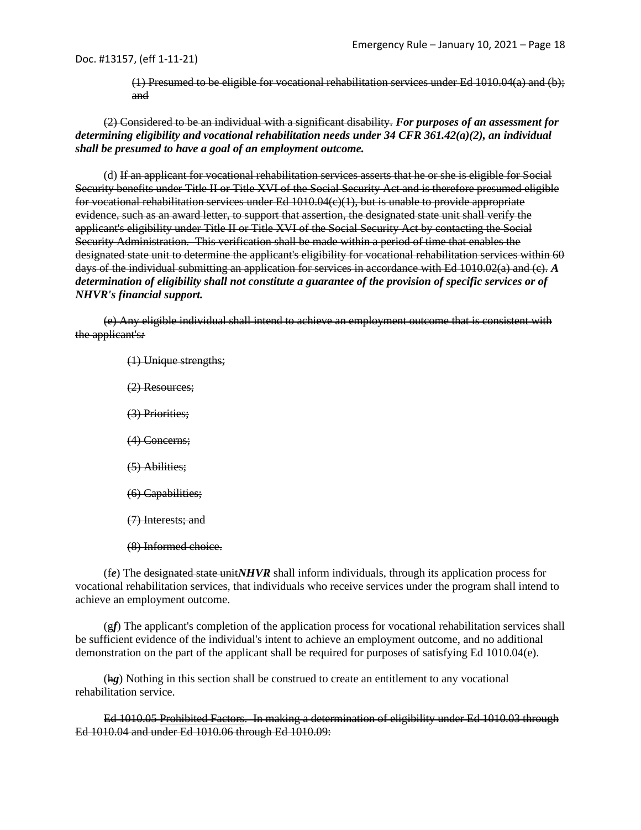$(1)$  Presumed to be eligible for vocational rehabilitation services under Ed 1010.04(a) and (b); and

(2) Considered to be an individual with a significant disability. *For purposes of an assessment for determining eligibility and vocational rehabilitation needs under 34 CFR 361.42(a)(2), an individual shall be presumed to have a goal of an employment outcome.*

(d) If an applicant for vocational rehabilitation services asserts that he or she is eligible for Social Security benefits under Title II or Title XVI of the Social Security Act and is therefore presumed eligible for vocational rehabilitation services under Ed 1010.04(c)(1), but is unable to provide appropriate evidence, such as an award letter, to support that assertion, the designated state unit shall verify the applicant's eligibility under Title II or Title XVI of the Social Security Act by contacting the Social Security Administration. This verification shall be made within a period of time that enables the designated state unit to determine the applicant's eligibility for vocational rehabilitation services within 60 days of the individual submitting an application for services in accordance with Ed 1010.02(a) and (c). *A determination of eligibility shall not constitute a guarantee of the provision of specific services or of NHVR's financial support.*

(e) Any eligible individual shall intend to achieve an employment outcome that is consistent with the applicant's*:*

- (1) Unique strengths;
- (2) Resources;
- (3) Priorities;
- (4) Concerns;
- (5) Abilities;
- (6) Capabilities;
- (7) Interests; and
- (8) Informed choice.

(f*e*) The designated state unit*NHVR* shall inform individuals, through its application process for vocational rehabilitation services, that individuals who receive services under the program shall intend to achieve an employment outcome.

(g*f*) The applicant's completion of the application process for vocational rehabilitation services shall be sufficient evidence of the individual's intent to achieve an employment outcome, and no additional demonstration on the part of the applicant shall be required for purposes of satisfying Ed 1010.04(e).

(h*g*) Nothing in this section shall be construed to create an entitlement to any vocational rehabilitation service.

Ed 1010.05 Prohibited Factors. In making a determination of eligibility under Ed 1010.03 through Ed 1010.04 and under Ed 1010.06 through Ed 1010.09: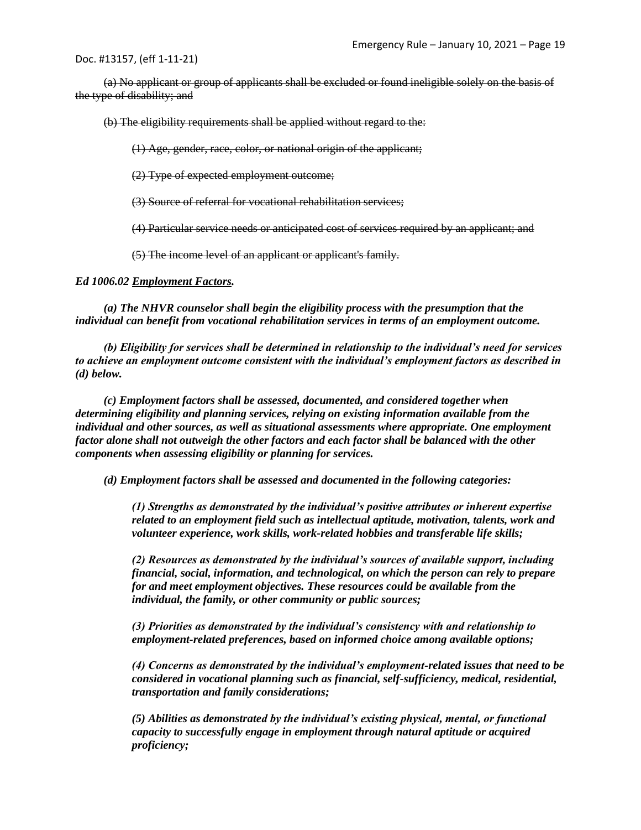(a) No applicant or group of applicants shall be excluded or found ineligible solely on the basis of the type of disability; and

(b) The eligibility requirements shall be applied without regard to the:

(1) Age, gender, race, color, or national origin of the applicant;

(2) Type of expected employment outcome;

(3) Source of referral for vocational rehabilitation services;

(4) Particular service needs or anticipated cost of services required by an applicant; and

(5) The income level of an applicant or applicant's family.

*Ed 1006.02 Employment Factors.*

*(a) The NHVR counselor shall begin the eligibility process with the presumption that the individual can benefit from vocational rehabilitation services in terms of an employment outcome.*

*(b) Eligibility for services shall be determined in relationship to the individual's need for services to achieve an employment outcome consistent with the individual's employment factors as described in (d) below.*

*(c) Employment factors shall be assessed, documented, and considered together when determining eligibility and planning services, relying on existing information available from the individual and other sources, as well as situational assessments where appropriate. One employment factor alone shall not outweigh the other factors and each factor shall be balanced with the other components when assessing eligibility or planning for services.* 

*(d) Employment factors shall be assessed and documented in the following categories:*

*(1) Strengths as demonstrated by the individual's positive attributes or inherent expertise related to an employment field such as intellectual aptitude, motivation, talents, work and volunteer experience, work skills, work-related hobbies and transferable life skills;*

*(2) Resources as demonstrated by the individual's sources of available support, including financial, social, information, and technological, on which the person can rely to prepare for and meet employment objectives. These resources could be available from the individual, the family, or other community or public sources;*

*(3) Priorities as demonstrated by the individual's consistency with and relationship to employment-related preferences, based on informed choice among available options;*

*(4) Concerns as demonstrated by the individual's employment-related issues that need to be considered in vocational planning such as financial, self-sufficiency, medical, residential, transportation and family considerations;*

*(5) Abilities as demonstrated by the individual's existing physical, mental, or functional capacity to successfully engage in employment through natural aptitude or acquired proficiency;*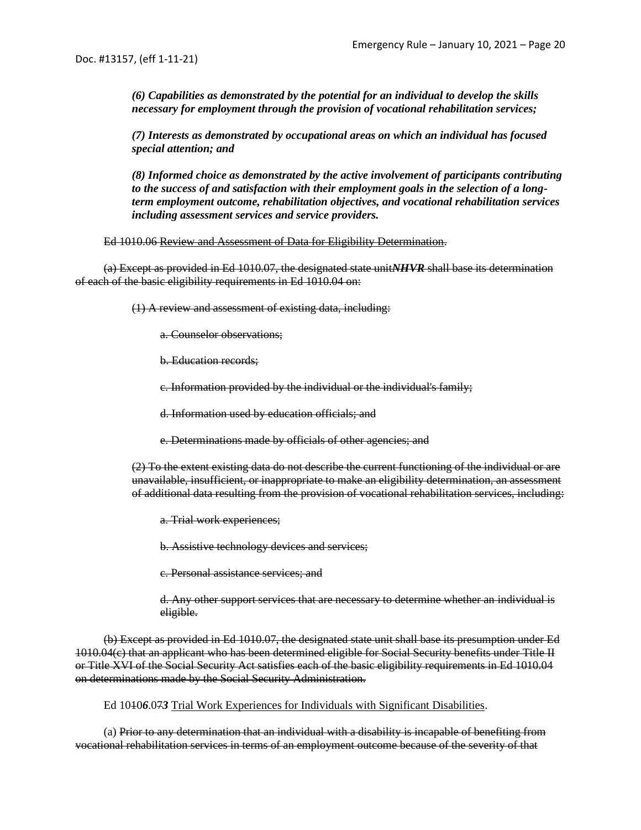*(6) Capabilities as demonstrated by the potential for an individual to develop the skills necessary for employment through the provision of vocational rehabilitation services;*

*(7) Interests as demonstrated by occupational areas on which an individual has focused special attention; and*

*(8) Informed choice as demonstrated by the active involvement of participants contributing to the success of and satisfaction with their employment goals in the selection of a longterm employment outcome, rehabilitation objectives, and vocational rehabilitation services including assessment services and service providers.*

Ed 1010.06 Review and Assessment of Data for Eligibility Determination.

(a) Except as provided in Ed 1010.07, the designated state unit*NHVR* shall base its determination of each of the basic eligibility requirements in Ed 1010.04 on:

(1) A review and assessment of existing data, including:

a. Counselor observations;

b. Education records;

c. Information provided by the individual or the individual's family;

d. Information used by education officials; and

e. Determinations made by officials of other agencies; and

 $(2)$  To the extent existing data do not describe the current functioning of the individual or are unavailable, insufficient, or inappropriate to make an eligibility determination, an assessment of additional data resulting from the provision of vocational rehabilitation services, including:

a. Trial work experiences;

b. Assistive technology devices and services;

c. Personal assistance services; and

d. Any other support services that are necessary to determine whether an individual is eligible.

(b) Except as provided in Ed 1010.07, the designated state unit shall base its presumption under Ed 1010.04(c) that an applicant who has been determined eligible for Social Security benefits under Title II or Title XVI of the Social Security Act satisfies each of the basic eligibility requirements in Ed 1010.04 on determinations made by the Social Security Administration.

Ed 1010*6*.07*3* Trial Work Experiences for Individuals with Significant Disabilities.

(a) Prior to any determination that an individual with a disability is incapable of benefiting from vocational rehabilitation services in terms of an employment outcome because of the severity of that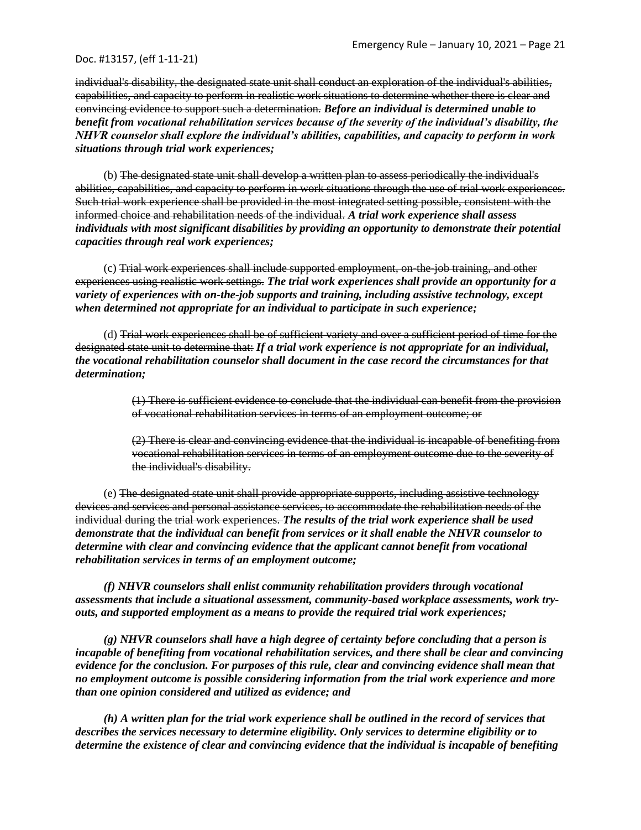individual's disability, the designated state unit shall conduct an exploration of the individual's abilities, capabilities, and capacity to perform in realistic work situations to determine whether there is clear and convincing evidence to support such a determination. *Before an individual is determined unable to benefit from vocational rehabilitation services because of the severity of the individual's disability, the NHVR counselor shall explore the individual's abilities, capabilities, and capacity to perform in work situations through trial work experiences;*

(b) The designated state unit shall develop a written plan to assess periodically the individual's abilities, capabilities, and capacity to perform in work situations through the use of trial work experiences. Such trial work experience shall be provided in the most integrated setting possible, consistent with the informed choice and rehabilitation needs of the individual. *A trial work experience shall assess individuals with most significant disabilities by providing an opportunity to demonstrate their potential capacities through real work experiences;*

(c) Trial work experiences shall include supported employment, on-the-job training, and other experiences using realistic work settings. *The trial work experiences shall provide an opportunity for a variety of experiences with on-the-job supports and training, including assistive technology, except when determined not appropriate for an individual to participate in such experience;*

(d) Trial work experiences shall be of sufficient variety and over a sufficient period of time for the designated state unit to determine that: *If a trial work experience is not appropriate for an individual, the vocational rehabilitation counselor shall document in the case record the circumstances for that determination;*

> (1) There is sufficient evidence to conclude that the individual can benefit from the provision of vocational rehabilitation services in terms of an employment outcome; or

> (2) There is clear and convincing evidence that the individual is incapable of benefiting from vocational rehabilitation services in terms of an employment outcome due to the severity of the individual's disability.

(e) The designated state unit shall provide appropriate supports, including assistive technology devices and services and personal assistance services, to accommodate the rehabilitation needs of the individual during the trial work experiences. *The results of the trial work experience shall be used demonstrate that the individual can benefit from services or it shall enable the NHVR counselor to determine with clear and convincing evidence that the applicant cannot benefit from vocational rehabilitation services in terms of an employment outcome;*

*(f) NHVR counselors shall enlist community rehabilitation providers through vocational assessments that include a situational assessment, community-based workplace assessments, work tryouts, and supported employment as a means to provide the required trial work experiences;* 

*(g) NHVR counselors shall have a high degree of certainty before concluding that a person is incapable of benefiting from vocational rehabilitation services, and there shall be clear and convincing evidence for the conclusion. For purposes of this rule, clear and convincing evidence shall mean that no employment outcome is possible considering information from the trial work experience and more than one opinion considered and utilized as evidence; and*

*(h) A written plan for the trial work experience shall be outlined in the record of services that describes the services necessary to determine eligibility. Only services to determine eligibility or to determine the existence of clear and convincing evidence that the individual is incapable of benefiting*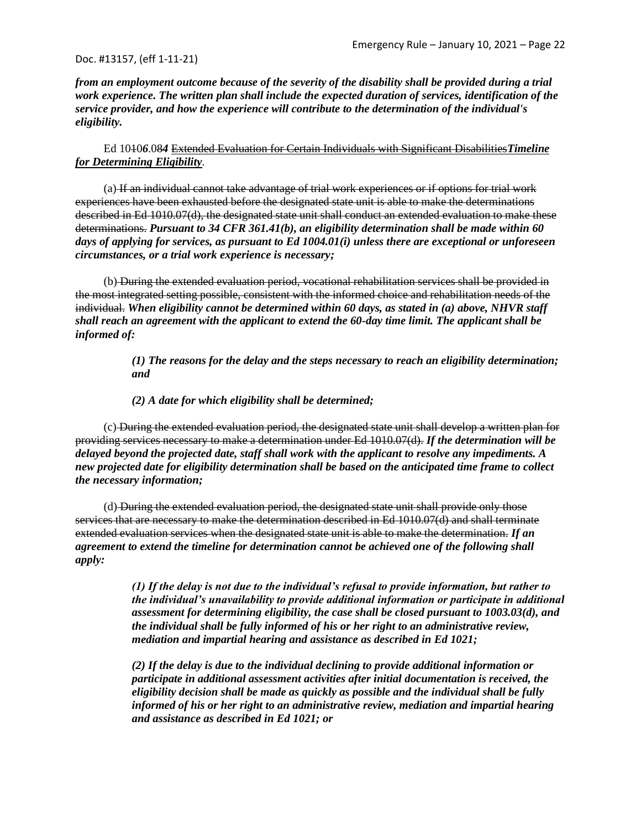*from an employment outcome because of the severity of the disability shall be provided during a trial work experience. The written plan shall include the expected duration of services, identification of the service provider, and how the experience will contribute to the determination of the individual's eligibility.* 

Ed 1010*6*.08*4* Extended Evaluation for Certain Individuals with Significant Disabilities*Timeline for Determining Eligibility*.

(a) If an individual cannot take advantage of trial work experiences or if options for trial work experiences have been exhausted before the designated state unit is able to make the determinations described in Ed 1010.07(d), the designated state unit shall conduct an extended evaluation to make these determinations. *Pursuant to 34 CFR 361.41(b), an eligibility determination shall be made within 60 days of applying for services, as pursuant to Ed 1004.01(i) unless there are exceptional or unforeseen circumstances, or a trial work experience is necessary;*

(b) During the extended evaluation period, vocational rehabilitation services shall be provided in the most integrated setting possible, consistent with the informed choice and rehabilitation needs of the individual. *When eligibility cannot be determined within 60 days, as stated in (a) above, NHVR staff shall reach an agreement with the applicant to extend the 60-day time limit. The applicant shall be informed of:*

> *(1) The reasons for the delay and the steps necessary to reach an eligibility determination; and*

*(2) A date for which eligibility shall be determined;*

(c) During the extended evaluation period, the designated state unit shall develop a written plan for providing services necessary to make a determination under Ed 1010.07(d). *If the determination will be delayed beyond the projected date, staff shall work with the applicant to resolve any impediments. A new projected date for eligibility determination shall be based on the anticipated time frame to collect the necessary information;*

(d) During the extended evaluation period, the designated state unit shall provide only those services that are necessary to make the determination described in Ed 1010.07(d) and shall terminate extended evaluation services when the designated state unit is able to make the determination. *If an agreement to extend the timeline for determination cannot be achieved one of the following shall apply:*

> *(1) If the delay is not due to the individual's refusal to provide information, but rather to the individual's unavailability to provide additional information or participate in additional assessment for determining eligibility, the case shall be closed pursuant to 1003.03(d), and the individual shall be fully informed of his or her right to an administrative review, mediation and impartial hearing and assistance as described in Ed 1021;*

*(2) If the delay is due to the individual declining to provide additional information or participate in additional assessment activities after initial documentation is received, the eligibility decision shall be made as quickly as possible and the individual shall be fully informed of his or her right to an administrative review, mediation and impartial hearing and assistance as described in Ed 1021; or*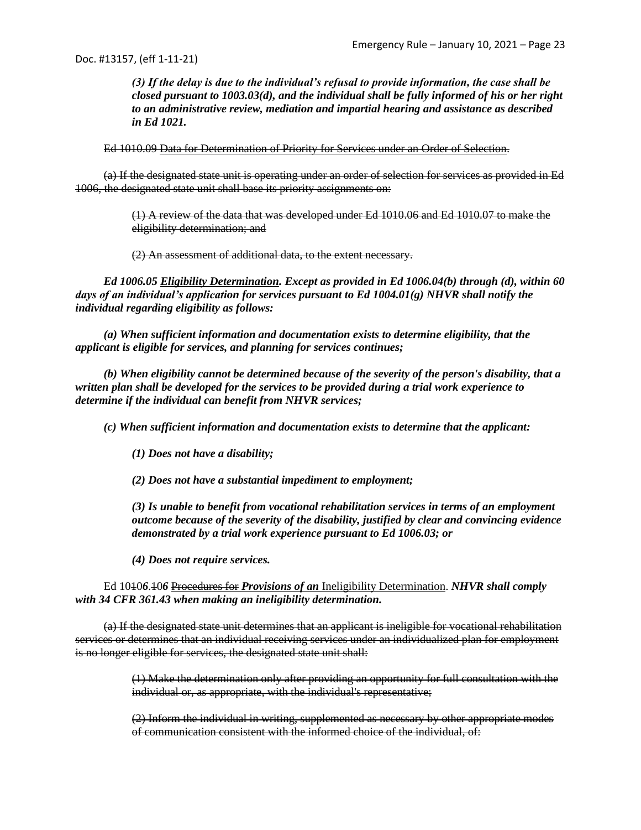*(3) If the delay is due to the individual's refusal to provide information, the case shall be closed pursuant to 1003.03(d), and the individual shall be fully informed of his or her right to an administrative review, mediation and impartial hearing and assistance as described in Ed 1021.*

Ed 1010.09 Data for Determination of Priority for Services under an Order of Selection.

(a) If the designated state unit is operating under an order of selection for services as provided in Ed 1006, the designated state unit shall base its priority assignments on:

> (1) A review of the data that was developed under Ed 1010.06 and Ed 1010.07 to make the eligibility determination; and

(2) An assessment of additional data, to the extent necessary.

*Ed 1006.05 Eligibility Determination. Except as provided in Ed 1006.04(b) through (d), within 60 days of an individual's application for services pursuant to Ed 1004.01(g) NHVR shall notify the individual regarding eligibility as follows:*

*(a) When sufficient information and documentation exists to determine eligibility, that the applicant is eligible for services, and planning for services continues;*

*(b) When eligibility cannot be determined because of the severity of the person's disability, that a written plan shall be developed for the services to be provided during a trial work experience to determine if the individual can benefit from NHVR services;*

*(c) When sufficient information and documentation exists to determine that the applicant:*

*(1) Does not have a disability;* 

*(2) Does not have a substantial impediment to employment;*

*(3) Is unable to benefit from vocational rehabilitation services in terms of an employment outcome because of the severity of the disability, justified by clear and convincing evidence demonstrated by a trial work experience pursuant to Ed 1006.03; or*

*(4) Does not require services.*

Ed 1010*6*.10*6* Procedures for *Provisions of an* Ineligibility Determination. *NHVR shall comply with 34 CFR 361.43 when making an ineligibility determination.*

(a) If the designated state unit determines that an applicant is ineligible for vocational rehabilitation services or determines that an individual receiving services under an individualized plan for employment is no longer eligible for services, the designated state unit shall:

> (1) Make the determination only after providing an opportunity for full consultation with the individual or, as appropriate, with the individual's representative;

(2) Inform the individual in writing, supplemented as necessary by other appropriate modes of communication consistent with the informed choice of the individual, of: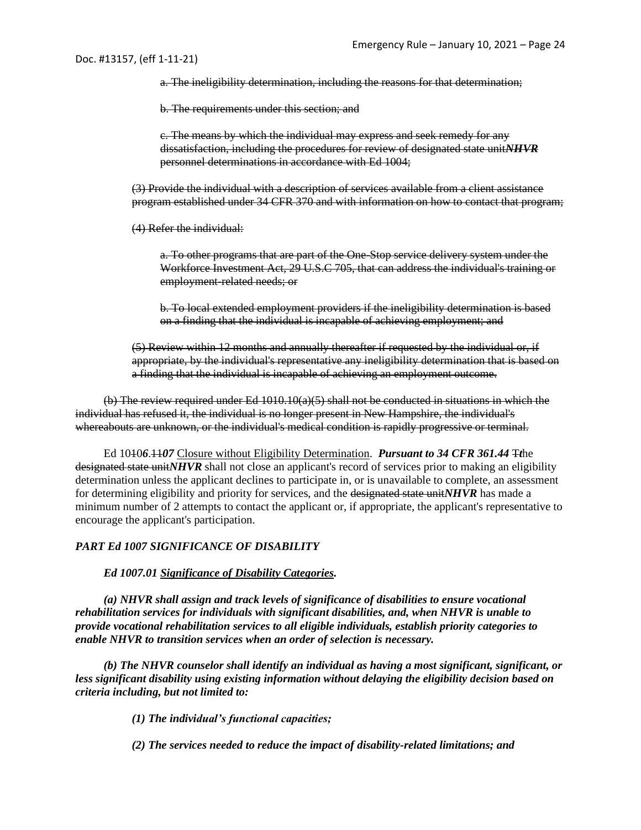a. The ineligibility determination, including the reasons for that determination;

b. The requirements under this section; and

c. The means by which the individual may express and seek remedy for any dissatisfaction, including the procedures for review of designated state unit*NHVR* personnel determinations in accordance with Ed 1004;

(3) Provide the individual with a description of services available from a client assistance program established under 34 CFR 370 and with information on how to contact that program;

(4) Refer the individual:

a. To other programs that are part of the One-Stop service delivery system under the Workforce Investment Act, 29 U.S.C 705, that can address the individual's training or employment-related needs; or

b. To local extended employment providers if the ineligibility determination is based on a finding that the individual is incapable of achieving employment; and

(5) Review within 12 months and annually thereafter if requested by the individual or, if appropriate, by the individual's representative any ineligibility determination that is based on a finding that the individual is incapable of achieving an employment outcome.

(b) The review required under Ed 1010.10(a)(5) shall not be conducted in situations in which the individual has refused it, the individual is no longer present in New Hampshire, the individual's whereabouts are unknown, or the individual's medical condition is rapidly progressive or terminal.

Ed 1010*6*.11*07* Closure without Eligibility Determination. *Pursuant to 34 CFR 361.44* T*t*he designated state unit*NHVR* shall not close an applicant's record of services prior to making an eligibility determination unless the applicant declines to participate in, or is unavailable to complete, an assessment for determining eligibility and priority for services, and the designated state unit*NHVR* has made a minimum number of 2 attempts to contact the applicant or, if appropriate, the applicant's representative to encourage the applicant's participation.

### *PART Ed 1007 SIGNIFICANCE OF DISABILITY*

*Ed 1007.01 Significance of Disability Categories.*

*(a) NHVR shall assign and track levels of significance of disabilities to ensure vocational rehabilitation services for individuals with significant disabilities, and, when NHVR is unable to provide vocational rehabilitation services to all eligible individuals, establish priority categories to enable NHVR to transition services when an order of selection is necessary.*

*(b) The NHVR counselor shall identify an individual as having a most significant, significant, or less significant disability using existing information without delaying the eligibility decision based on criteria including, but not limited to:*

*(1) The individual's functional capacities;*

*(2) The services needed to reduce the impact of disability-related limitations; and*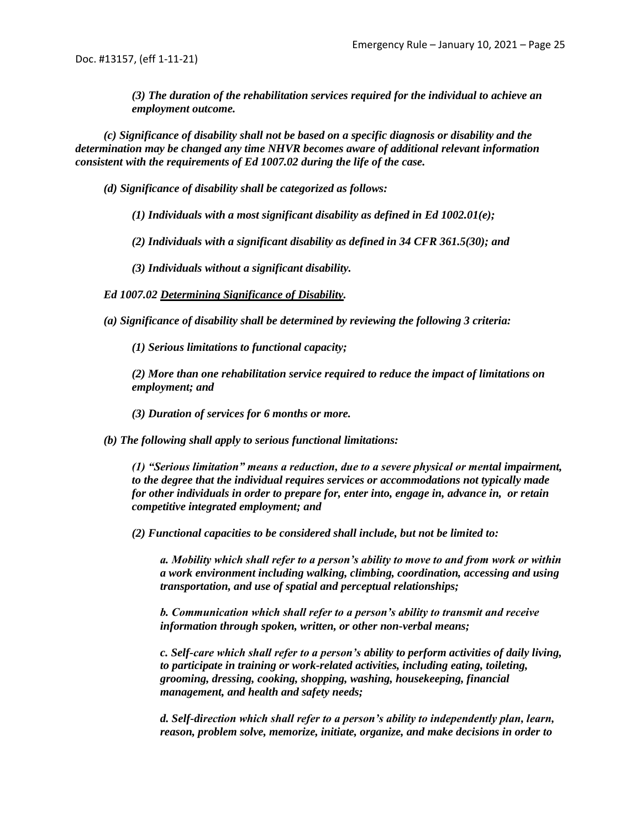*(3) The duration of the rehabilitation services required for the individual to achieve an employment outcome.* 

*(c) Significance of disability shall not be based on a specific diagnosis or disability and the determination may be changed any time NHVR becomes aware of additional relevant information consistent with the requirements of Ed 1007.02 during the life of the case.* 

*(d) Significance of disability shall be categorized as follows:*

*(1) Individuals with a most significant disability as defined in Ed 1002.01(e);*

*(2) Individuals with a significant disability as defined in 34 CFR 361.5(30); and*

*(3) Individuals without a significant disability.*

*Ed 1007.02 Determining Significance of Disability.*

*(a) Significance of disability shall be determined by reviewing the following 3 criteria:*

*(1) Serious limitations to functional capacity;*

*(2) More than one rehabilitation service required to reduce the impact of limitations on employment; and*

*(3) Duration of services for 6 months or more.*

*(b) The following shall apply to serious functional limitations:*

*(1) "Serious limitation" means a reduction, due to a severe physical or mental impairment, to the degree that the individual requires services or accommodations not typically made for other individuals in order to prepare for, enter into, engage in, advance in, or retain competitive integrated employment; and*

*(2) Functional capacities to be considered shall include, but not be limited to:*

*a. Mobility which shall refer to a person's ability to move to and from work or within a work environment including walking, climbing, coordination, accessing and using transportation, and use of spatial and perceptual relationships;*

*b. Communication which shall refer to a person's ability to transmit and receive information through spoken, written, or other non-verbal means;*

*c. Self-care which shall refer to a person's ability to perform activities of daily living, to participate in training or work-related activities, including eating, toileting, grooming, dressing, cooking, shopping, washing, housekeeping, financial management, and health and safety needs;*

*d. Self-direction which shall refer to a person's ability to independently plan, learn, reason, problem solve, memorize, initiate, organize, and make decisions in order to*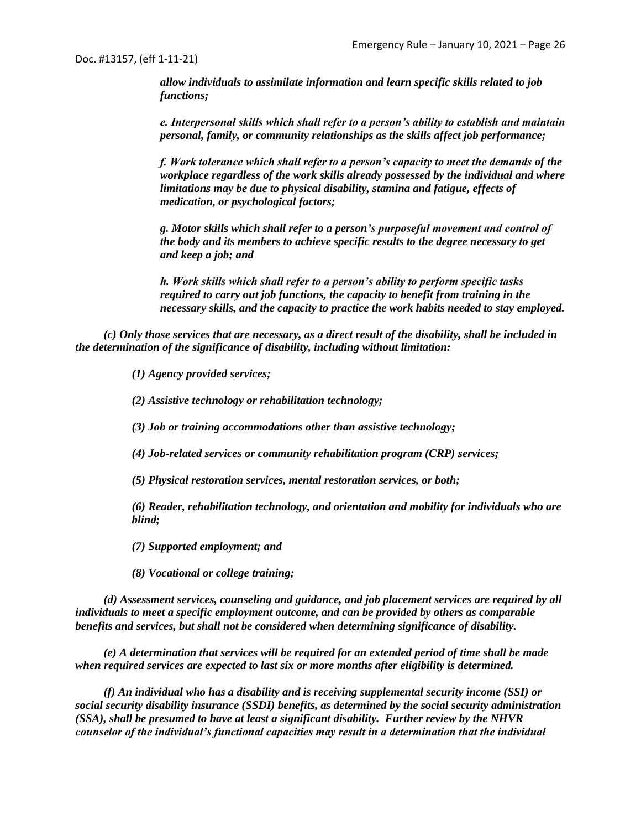*allow individuals to assimilate information and learn specific skills related to job functions;*

*e. Interpersonal skills which shall refer to a person's ability to establish and maintain personal, family, or community relationships as the skills affect job performance;*

*f. Work tolerance which shall refer to a person's capacity to meet the demands of the workplace regardless of the work skills already possessed by the individual and where limitations may be due to physical disability, stamina and fatigue, effects of medication, or psychological factors;*

*g. Motor skills which shall refer to a person's purposeful movement and control of the body and its members to achieve specific results to the degree necessary to get and keep a job; and*

*h. Work skills which shall refer to a person's ability to perform specific tasks required to carry out job functions, the capacity to benefit from training in the necessary skills, and the capacity to practice the work habits needed to stay employed.*

*(c) Only those services that are necessary, as a direct result of the disability, shall be included in the determination of the significance of disability, including without limitation:*

*(1) Agency provided services;*

*(2) Assistive technology or rehabilitation technology;*

*(3) Job or training accommodations other than assistive technology;*

*(4) Job-related services or community rehabilitation program (CRP) services;* 

*(5) Physical restoration services, mental restoration services, or both;* 

*(6) Reader, rehabilitation technology, and orientation and mobility for individuals who are blind;*

*(7) Supported employment; and*

*(8) Vocational or college training;* 

*(d) Assessment services, counseling and guidance, and job placement services are required by all individuals to meet a specific employment outcome, and can be provided by others as comparable benefits and services, but shall not be considered when determining significance of disability.*

*(e) A determination that services will be required for an extended period of time shall be made when required services are expected to last six or more months after eligibility is determined.*

*(f) An individual who has a disability and is receiving supplemental security income (SSI) or social security disability insurance (SSDI) benefits, as determined by the social security administration (SSA), shall be presumed to have at least a significant disability. Further review by the NHVR counselor of the individual's functional capacities may result in a determination that the individual*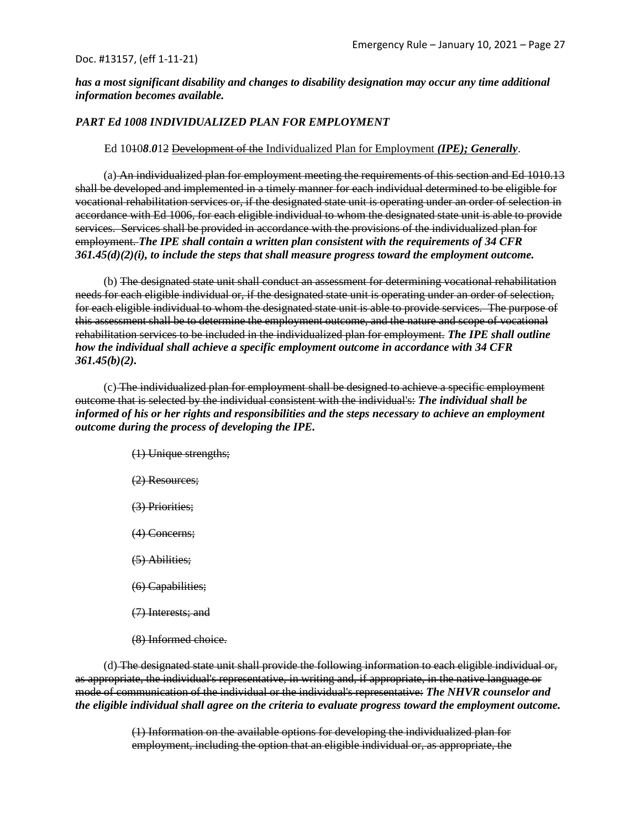*has a most significant disability and changes to disability designation may occur any time additional information becomes available.*

## *PART Ed 1008 INDIVIDUALIZED PLAN FOR EMPLOYMENT*

### Ed 1010*8*.*0*12 Development of the Individualized Plan for Employment *(IPE); Generally*.

(a) An individualized plan for employment meeting the requirements of this section and Ed 1010.13 shall be developed and implemented in a timely manner for each individual determined to be eligible for vocational rehabilitation services or, if the designated state unit is operating under an order of selection in accordance with Ed 1006, for each eligible individual to whom the designated state unit is able to provide services. Services shall be provided in accordance with the provisions of the individualized plan for employment. *The IPE shall contain a written plan consistent with the requirements of 34 CFR 361.45(d)(2)(i), to include the steps that shall measure progress toward the employment outcome.*

(b) The designated state unit shall conduct an assessment for determining vocational rehabilitation needs for each eligible individual or, if the designated state unit is operating under an order of selection, for each eligible individual to whom the designated state unit is able to provide services. The purpose of this assessment shall be to determine the employment outcome, and the nature and scope of vocational rehabilitation services to be included in the individualized plan for employment. *The IPE shall outline how the individual shall achieve a specific employment outcome in accordance with 34 CFR 361.45(b)(2).*

(c) The individualized plan for employment shall be designed to achieve a specific employment outcome that is selected by the individual consistent with the individual's: *The individual shall be informed of his or her rights and responsibilities and the steps necessary to achieve an employment outcome during the process of developing the IPE.*

(1) Unique strengths;

- (2) Resources;
- (3) Priorities;
- (4) Concerns;
- (5) Abilities;
- (6) Capabilities;
- (7) Interests; and
- (8) Informed choice.

(d) The designated state unit shall provide the following information to each eligible individual or, as appropriate, the individual's representative, in writing and, if appropriate, in the native language or mode of communication of the individual or the individual's representative: *The NHVR counselor and the eligible individual shall agree on the criteria to evaluate progress toward the employment outcome.*

> (1) Information on the available options for developing the individualized plan for employment, including the option that an eligible individual or, as appropriate, the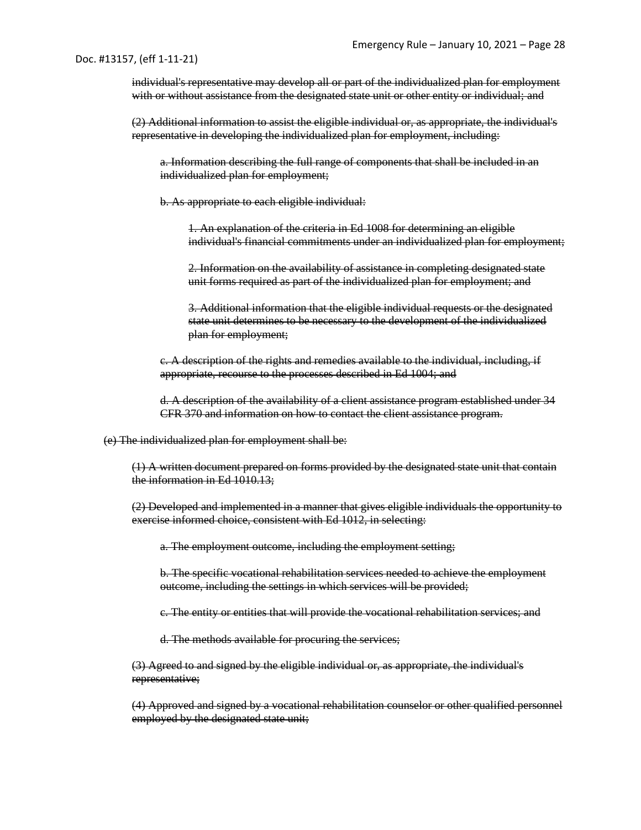individual's representative may develop all or part of the individualized plan for employment with or without assistance from the designated state unit or other entity or individual; and

(2) Additional information to assist the eligible individual or, as appropriate, the individual's representative in developing the individualized plan for employment, including:

a. Information describing the full range of components that shall be included in an individualized plan for employment;

b. As appropriate to each eligible individual:

1. An explanation of the criteria in Ed 1008 for determining an eligible individual's financial commitments under an individualized plan for employment;

2. Information on the availability of assistance in completing designated state unit forms required as part of the individualized plan for employment; and

3. Additional information that the eligible individual requests or the designated state unit determines to be necessary to the development of the individualized plan for employment;

c. A description of the rights and remedies available to the individual, including, if appropriate, recourse to the processes described in Ed 1004; and

d. A description of the availability of a client assistance program established under 34 CFR 370 and information on how to contact the client assistance program.

(e) The individualized plan for employment shall be:

(1) A written document prepared on forms provided by the designated state unit that contain the information in Ed 1010.13;

(2) Developed and implemented in a manner that gives eligible individuals the opportunity to exercise informed choice, consistent with Ed 1012, in selecting:

a. The employment outcome, including the employment setting;

b. The specific vocational rehabilitation services needed to achieve the employment outcome, including the settings in which services will be provided;

c. The entity or entities that will provide the vocational rehabilitation services; and

d. The methods available for procuring the services;

(3) Agreed to and signed by the eligible individual or, as appropriate, the individual's representative;

(4) Approved and signed by a vocational rehabilitation counselor or other qualified personnel employed by the designated state unit;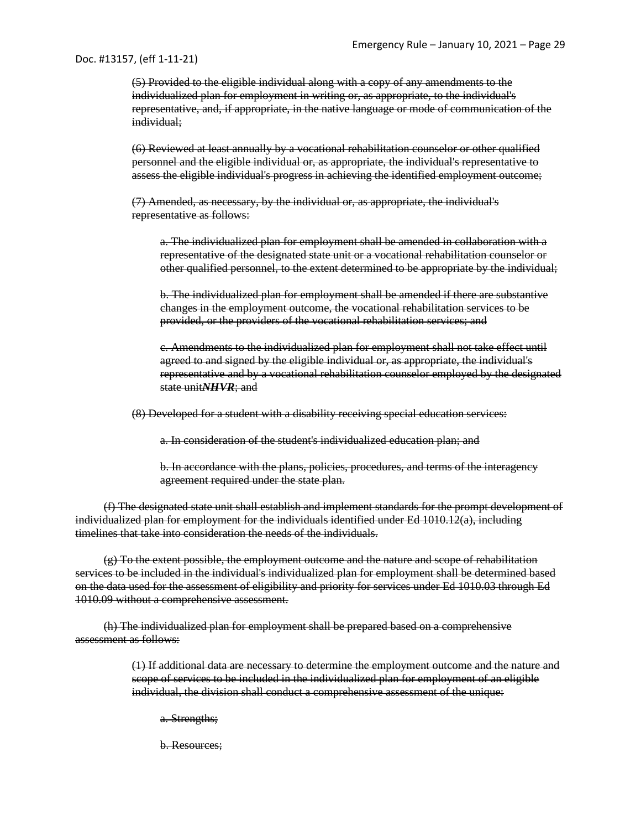(5) Provided to the eligible individual along with a copy of any amendments to the individualized plan for employment in writing or, as appropriate, to the individual's representative, and, if appropriate, in the native language or mode of communication of the individual;

(6) Reviewed at least annually by a vocational rehabilitation counselor or other qualified personnel and the eligible individual or, as appropriate, the individual's representative to assess the eligible individual's progress in achieving the identified employment outcome;

(7) Amended, as necessary, by the individual or, as appropriate, the individual's representative as follows:

a. The individualized plan for employment shall be amended in collaboration with a representative of the designated state unit or a vocational rehabilitation counselor or other qualified personnel, to the extent determined to be appropriate by the individual;

b. The individualized plan for employment shall be amended if there are substantive changes in the employment outcome, the vocational rehabilitation services to be provided, or the providers of the vocational rehabilitation services; and

c. Amendments to the individualized plan for employment shall not take effect until agreed to and signed by the eligible individual or, as appropriate, the individual's representative and by a vocational rehabilitation counselor employed by the designated state unit*NHVR*; and

(8) Developed for a student with a disability receiving special education services:

a. In consideration of the student's individualized education plan; and

b. In accordance with the plans, policies, procedures, and terms of the interagency agreement required under the state plan.

(f) The designated state unit shall establish and implement standards for the prompt development of individualized plan for employment for the individuals identified under Ed 1010.12(a), including timelines that take into consideration the needs of the individuals.

 $(g)$  To the extent possible, the employment outcome and the nature and scope of rehabilitation services to be included in the individual's individualized plan for employment shall be determined based on the data used for the assessment of eligibility and priority for services under Ed 1010.03 through Ed 1010.09 without a comprehensive assessment.

(h) The individualized plan for employment shall be prepared based on a comprehensive assessment as follows:

> (1) If additional data are necessary to determine the employment outcome and the nature and scope of services to be included in the individualized plan for employment of an eligible individual, the division shall conduct a comprehensive assessment of the unique:

a. Strengths;

b. Resources;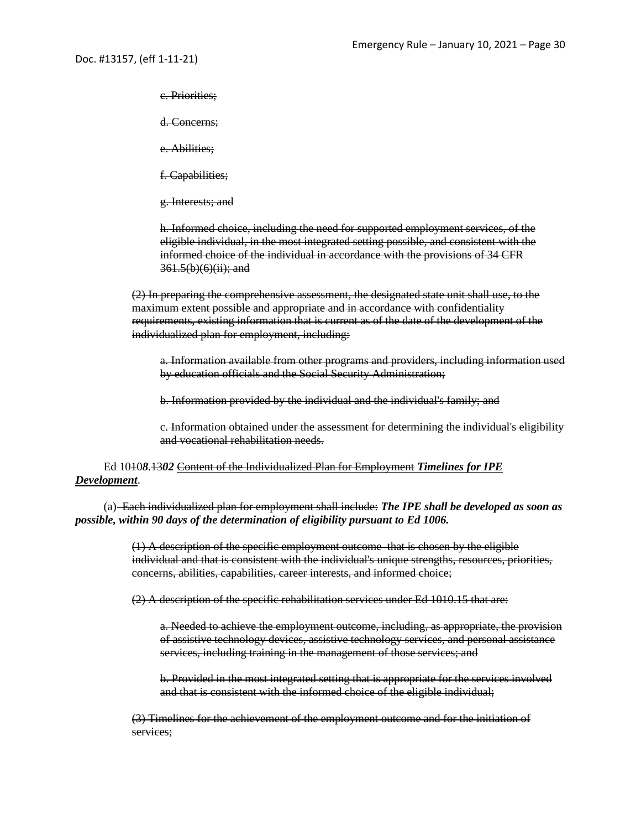#### c. Priorities;

d. Concerns;

e. Abilities;

f. Capabilities;

g. Interests; and

h. Informed choice, including the need for supported employment services, of the eligible individual, in the most integrated setting possible, and consistent with the informed choice of the individual in accordance with the provisions of 34 CFR  $361.5(b)(6)(ii);$  and

 $(2)$  In preparing the comprehensive assessment, the designated state unit shall use, to the maximum extent possible and appropriate and in accordance with confidentiality requirements, existing information that is current as of the date of the development of the individualized plan for employment, including:

a. Information available from other programs and providers, including information used by education officials and the Social Security Administration;

b. Information provided by the individual and the individual's family; and

c. Information obtained under the assessment for determining the individual's eligibility and vocational rehabilitation needs.

Ed 1010*8*.13*02* Content of the Individualized Plan for Employment *Timelines for IPE Development*.

(a) Each individualized plan for employment shall include: *The IPE shall be developed as soon as possible, within 90 days of the determination of eligibility pursuant to Ed 1006.*

> (1) A description of the specific employment outcome that is chosen by the eligible individual and that is consistent with the individual's unique strengths, resources, priorities, concerns, abilities, capabilities, career interests, and informed choice;

(2) A description of the specific rehabilitation services under Ed 1010.15 that are:

a. Needed to achieve the employment outcome, including, as appropriate, the provision of assistive technology devices, assistive technology services, and personal assistance services, including training in the management of those services; and

b. Provided in the most integrated setting that is appropriate for the services involved and that is consistent with the informed choice of the eligible individual;

(3) Timelines for the achievement of the employment outcome and for the initiation of services;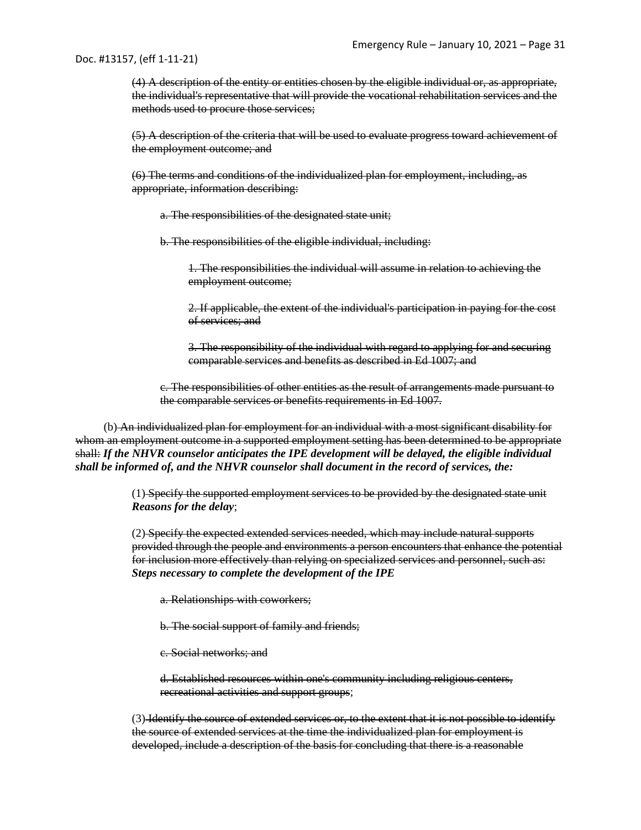(4) A description of the entity or entities chosen by the eligible individual or, as appropriate, the individual's representative that will provide the vocational rehabilitation services and the methods used to procure those services;

(5) A description of the criteria that will be used to evaluate progress toward achievement of the employment outcome; and

(6) The terms and conditions of the individualized plan for employment, including, as appropriate, information describing:

a. The responsibilities of the designated state unit;

b. The responsibilities of the eligible individual, including:

1. The responsibilities the individual will assume in relation to achieving the employment outcome;

2. If applicable, the extent of the individual's participation in paying for the cost of services; and

3. The responsibility of the individual with regard to applying for and securing comparable services and benefits as described in Ed 1007; and

c. The responsibilities of other entities as the result of arrangements made pursuant to the comparable services or benefits requirements in Ed 1007.

(b) An individualized plan for employment for an individual with a most significant disability for whom an employment outcome in a supported employment setting has been determined to be appropriate shall: *If the NHVR counselor anticipates the IPE development will be delayed, the eligible individual shall be informed of, and the NHVR counselor shall document in the record of services, the:* 

> (1) Specify the supported employment services to be provided by the designated state unit *Reasons for the delay*;

(2) Specify the expected extended services needed, which may include natural supports provided through the people and environments a person encounters that enhance the potential for inclusion more effectively than relying on specialized services and personnel, such as: *Steps necessary to complete the development of the IPE*

a. Relationships with coworkers;

b. The social support of family and friends;

c. Social networks; and

d. Established resources within one's community including religious centers, recreational activities and support groups;

(3) Identify the source of extended services or, to the extent that it is not possible to identify the source of extended services at the time the individualized plan for employment is developed, include a description of the basis for concluding that there is a reasonable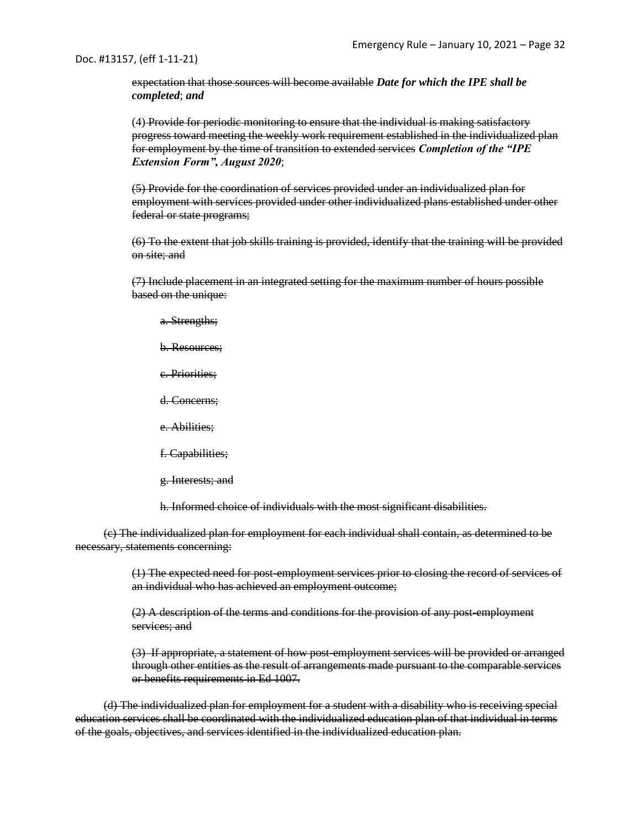expectation that those sources will become available *Date for which the IPE shall be completed*; *and*

(4) Provide for periodic monitoring to ensure that the individual is making satisfactory progress toward meeting the weekly work requirement established in the individualized plan for employment by the time of transition to extended services *Completion of the "IPE Extension Form", August 2020*;

(5) Provide for the coordination of services provided under an individualized plan for employment with services provided under other individualized plans established under other federal or state programs;

(6) To the extent that job skills training is provided, identify that the training will be provided on site; and

(7) Include placement in an integrated setting for the maximum number of hours possible based on the unique:

- a. Strengths;
- b. Resources;
- c. Priorities;
- d. Concerns;
- e. Abilities;
- f. Capabilities;
- g. Interests; and

h. Informed choice of individuals with the most significant disabilities.

(c) The individualized plan for employment for each individual shall contain, as determined to be necessary, statements concerning:

> (1) The expected need for post-employment services prior to closing the record of services of an individual who has achieved an employment outcome;

 $(2)$  A description of the terms and conditions for the provision of any post-employment services; and

(3) If appropriate, a statement of how post-employment services will be provided or arranged through other entities as the result of arrangements made pursuant to the comparable services or benefits requirements in Ed 1007.

(d) The individualized plan for employment for a student with a disability who is receiving special education services shall be coordinated with the individualized education plan of that individual in terms of the goals, objectives, and services identified in the individualized education plan.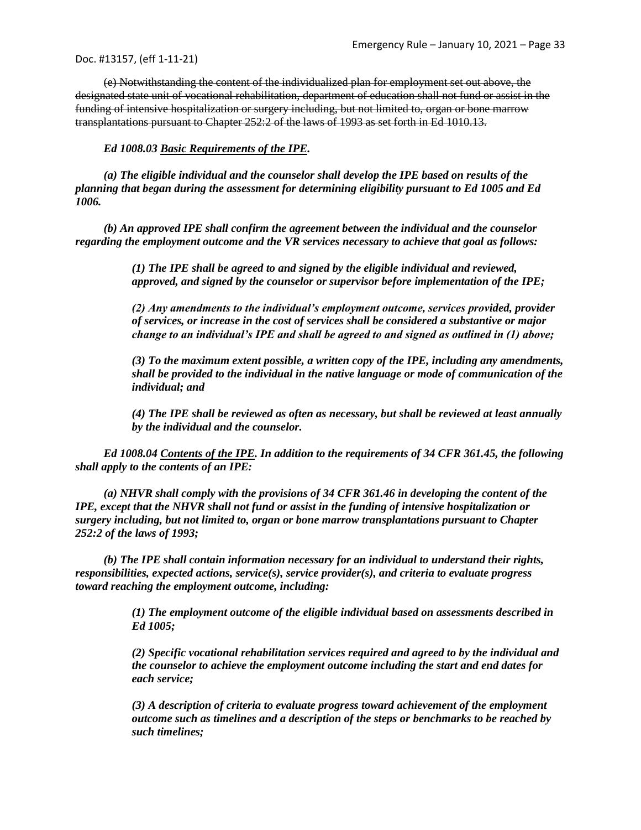(e) Notwithstanding the content of the individualized plan for employment set out above, the designated state unit of vocational rehabilitation, department of education shall not fund or assist in the funding of intensive hospitalization or surgery including, but not limited to, organ or bone marrow transplantations pursuant to Chapter 252:2 of the laws of 1993 as set forth in Ed 1010.13.

*Ed 1008.03 Basic Requirements of the IPE.*

*(a) The eligible individual and the counselor shall develop the IPE based on results of the planning that began during the assessment for determining eligibility pursuant to Ed 1005 and Ed 1006.*

*(b) An approved IPE shall confirm the agreement between the individual and the counselor regarding the employment outcome and the VR services necessary to achieve that goal as follows:*

> *(1) The IPE shall be agreed to and signed by the eligible individual and reviewed, approved, and signed by the counselor or supervisor before implementation of the IPE;*

*(2) Any amendments to the individual's employment outcome, services provided, provider of services, or increase in the cost of services shall be considered a substantive or major change to an individual's IPE and shall be agreed to and signed as outlined in (1) above;*

*(3) To the maximum extent possible, a written copy of the IPE, including any amendments, shall be provided to the individual in the native language or mode of communication of the individual; and*

*(4) The IPE shall be reviewed as often as necessary, but shall be reviewed at least annually by the individual and the counselor.*

*Ed 1008.04 Contents of the IPE. In addition to the requirements of 34 CFR 361.45, the following shall apply to the contents of an IPE:*

*(a) NHVR shall comply with the provisions of 34 CFR 361.46 in developing the content of the IPE, except that the NHVR shall not fund or assist in the funding of intensive hospitalization or surgery including, but not limited to, organ or bone marrow transplantations pursuant to Chapter 252:2 of the laws of 1993;*

*(b) The IPE shall contain information necessary for an individual to understand their rights, responsibilities, expected actions, service(s), service provider(s), and criteria to evaluate progress toward reaching the employment outcome, including:*

> *(1) The employment outcome of the eligible individual based on assessments described in Ed 1005;*

*(2) Specific vocational rehabilitation services required and agreed to by the individual and the counselor to achieve the employment outcome including the start and end dates for each service;*

*(3) A description of criteria to evaluate progress toward achievement of the employment outcome such as timelines and a description of the steps or benchmarks to be reached by such timelines;*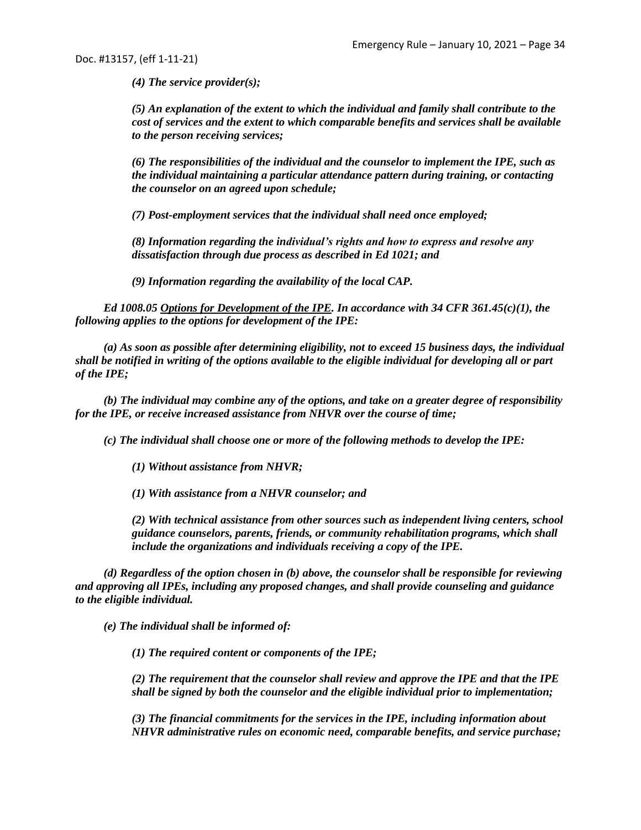*(4) The service provider(s);*

*(5) An explanation of the extent to which the individual and family shall contribute to the cost of services and the extent to which comparable benefits and services shall be available to the person receiving services;*

*(6) The responsibilities of the individual and the counselor to implement the IPE, such as the individual maintaining a particular attendance pattern during training, or contacting the counselor on an agreed upon schedule;*

*(7) Post-employment services that the individual shall need once employed;*

*(8) Information regarding the individual's rights and how to express and resolve any dissatisfaction through due process as described in Ed 1021; and*

*(9) Information regarding the availability of the local CAP.*

*Ed 1008.05 Options for Development of the IPE. In accordance with 34 CFR 361.45(c)(1), the following applies to the options for development of the IPE:*

*(a) As soon as possible after determining eligibility, not to exceed 15 business days, the individual shall be notified in writing of the options available to the eligible individual for developing all or part of the IPE;*

*(b) The individual may combine any of the options, and take on a greater degree of responsibility for the IPE, or receive increased assistance from NHVR over the course of time;*

*(c) The individual shall choose one or more of the following methods to develop the IPE:*

*(1) Without assistance from NHVR;*

*(1) With assistance from a NHVR counselor; and*

*(2) With technical assistance from other sources such as independent living centers, school guidance counselors, parents, friends, or community rehabilitation programs, which shall include the organizations and individuals receiving a copy of the IPE.*

*(d) Regardless of the option chosen in (b) above, the counselor shall be responsible for reviewing and approving all IPEs, including any proposed changes, and shall provide counseling and guidance to the eligible individual.*

*(e) The individual shall be informed of:*

*(1) The required content or components of the IPE;*

*(2) The requirement that the counselor shall review and approve the IPE and that the IPE shall be signed by both the counselor and the eligible individual prior to implementation;*

*(3) The financial commitments for the services in the IPE, including information about NHVR administrative rules on economic need, comparable benefits, and service purchase;*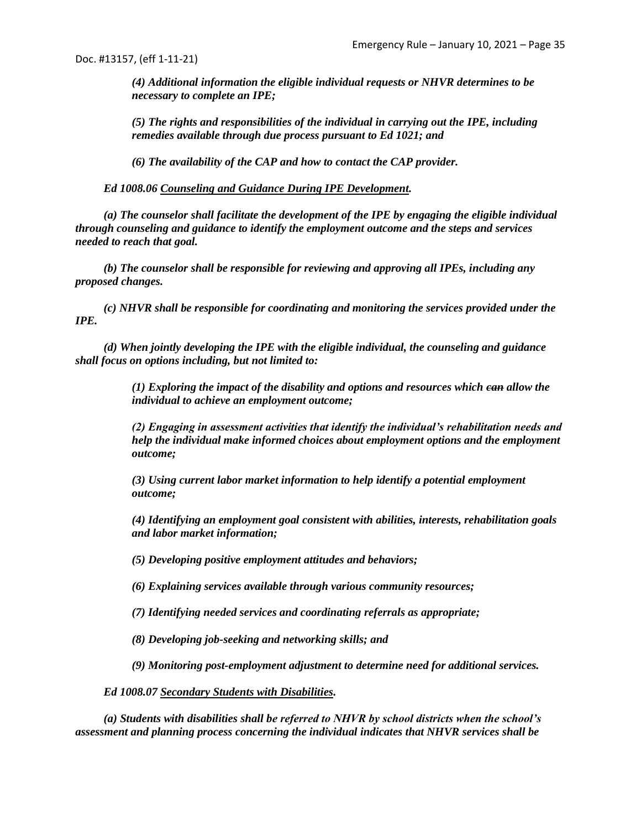*(4) Additional information the eligible individual requests or NHVR determines to be necessary to complete an IPE;*

*(5) The rights and responsibilities of the individual in carrying out the IPE, including remedies available through due process pursuant to Ed 1021; and*

*(6) The availability of the CAP and how to contact the CAP provider.*

*Ed 1008.06 Counseling and Guidance During IPE Development.*

*(a) The counselor shall facilitate the development of the IPE by engaging the eligible individual through counseling and guidance to identify the employment outcome and the steps and services needed to reach that goal.* 

*(b) The counselor shall be responsible for reviewing and approving all IPEs, including any proposed changes.* 

*(c) NHVR shall be responsible for coordinating and monitoring the services provided under the IPE.*

*(d) When jointly developing the IPE with the eligible individual, the counseling and guidance shall focus on options including, but not limited to:*

> *(1) Exploring the impact of the disability and options and resources which can allow the individual to achieve an employment outcome;*

*(2) Engaging in assessment activities that identify the individual's rehabilitation needs and help the individual make informed choices about employment options and the employment outcome;*

*(3) Using current labor market information to help identify a potential employment outcome;*

*(4) Identifying an employment goal consistent with abilities, interests, rehabilitation goals and labor market information;*

*(5) Developing positive employment attitudes and behaviors;*

*(6) Explaining services available through various community resources;*

*(7) Identifying needed services and coordinating referrals as appropriate;*

*(8) Developing job-seeking and networking skills; and*

*(9) Monitoring post-employment adjustment to determine need for additional services.*

*Ed 1008.07 Secondary Students with Disabilities.*

*(a) Students with disabilities shall be referred to NHVR by school districts when the school's assessment and planning process concerning the individual indicates that NHVR services shall be*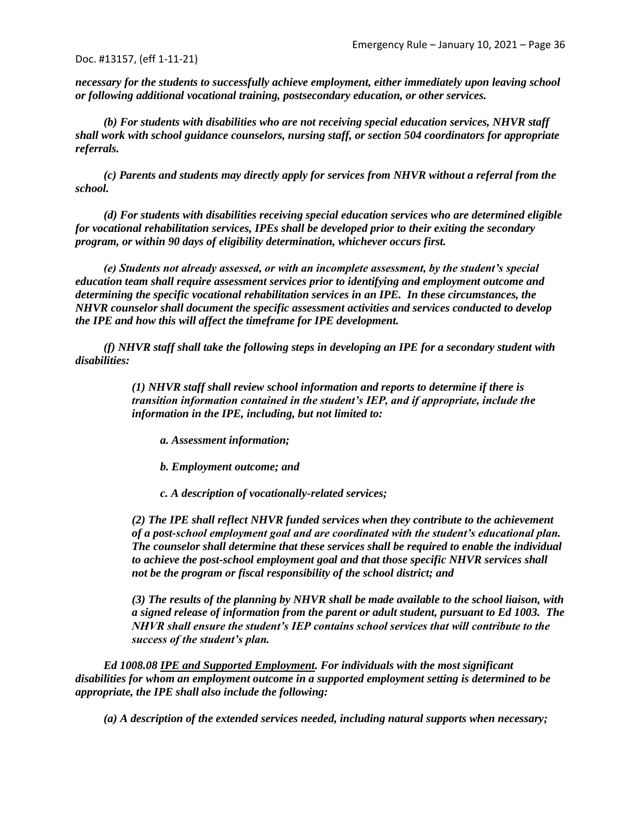*necessary for the students to successfully achieve employment, either immediately upon leaving school or following additional vocational training, postsecondary education, or other services.*

*(b) For students with disabilities who are not receiving special education services, NHVR staff shall work with school guidance counselors, nursing staff, or section 504 coordinators for appropriate referrals.*

*(c) Parents and students may directly apply for services from NHVR without a referral from the school.*

*(d) For students with disabilities receiving special education services who are determined eligible for vocational rehabilitation services, IPEs shall be developed prior to their exiting the secondary program, or within 90 days of eligibility determination, whichever occurs first.* 

*(e) Students not already assessed, or with an incomplete assessment, by the student's special education team shall require assessment services prior to identifying and employment outcome and determining the specific vocational rehabilitation services in an IPE. In these circumstances, the NHVR counselor shall document the specific assessment activities and services conducted to develop the IPE and how this will affect the timeframe for IPE development.*

*(f) NHVR staff shall take the following steps in developing an IPE for a secondary student with disabilities:*

> *(1) NHVR staff shall review school information and reports to determine if there is transition information contained in the student's IEP, and if appropriate, include the information in the IPE, including, but not limited to:*

*a. Assessment information;*

*b. Employment outcome; and*

*c. A description of vocationally-related services;*

*(2) The IPE shall reflect NHVR funded services when they contribute to the achievement of a post-school employment goal and are coordinated with the student's educational plan. The counselor shall determine that these services shall be required to enable the individual to achieve the post-school employment goal and that those specific NHVR services shall not be the program or fiscal responsibility of the school district; and*

*(3) The results of the planning by NHVR shall be made available to the school liaison, with a signed release of information from the parent or adult student, pursuant to Ed 1003. The NHVR shall ensure the student's IEP contains school services that will contribute to the success of the student's plan.*

*Ed 1008.08 IPE and Supported Employment. For individuals with the most significant disabilities for whom an employment outcome in a supported employment setting is determined to be appropriate, the IPE shall also include the following:*

*(a) A description of the extended services needed, including natural supports when necessary;*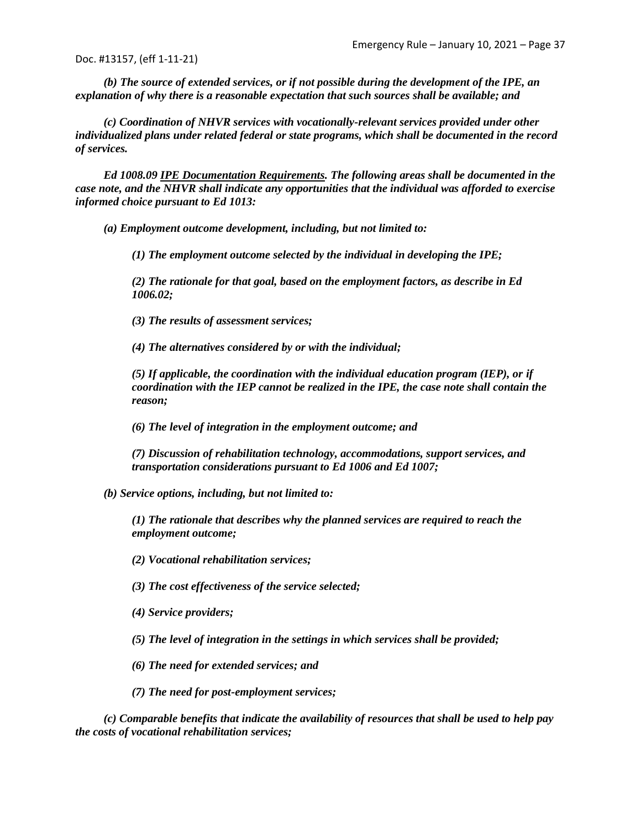*(b) The source of extended services, or if not possible during the development of the IPE, an explanation of why there is a reasonable expectation that such sources shall be available; and*

*(c) Coordination of NHVR services with vocationally-relevant services provided under other individualized plans under related federal or state programs, which shall be documented in the record of services.*

*Ed 1008.09 IPE Documentation Requirements. The following areas shall be documented in the case note, and the NHVR shall indicate any opportunities that the individual was afforded to exercise informed choice pursuant to Ed 1013:*

*(a) Employment outcome development, including, but not limited to:*

*(1) The employment outcome selected by the individual in developing the IPE;*

*(2) The rationale for that goal, based on the employment factors, as describe in Ed 1006.02;*

*(3) The results of assessment services;*

*(4) The alternatives considered by or with the individual;*

*(5) If applicable, the coordination with the individual education program (IEP), or if coordination with the IEP cannot be realized in the IPE, the case note shall contain the reason;*

*(6) The level of integration in the employment outcome; and*

*(7) Discussion of rehabilitation technology, accommodations, support services, and transportation considerations pursuant to Ed 1006 and Ed 1007;*

*(b) Service options, including, but not limited to:*

*(1) The rationale that describes why the planned services are required to reach the employment outcome;*

*(2) Vocational rehabilitation services;*

*(3) The cost effectiveness of the service selected;*

*(4) Service providers;*

*(5) The level of integration in the settings in which services shall be provided;*

*(6) The need for extended services; and*

*(7) The need for post-employment services;*

*(c) Comparable benefits that indicate the availability of resources that shall be used to help pay the costs of vocational rehabilitation services;*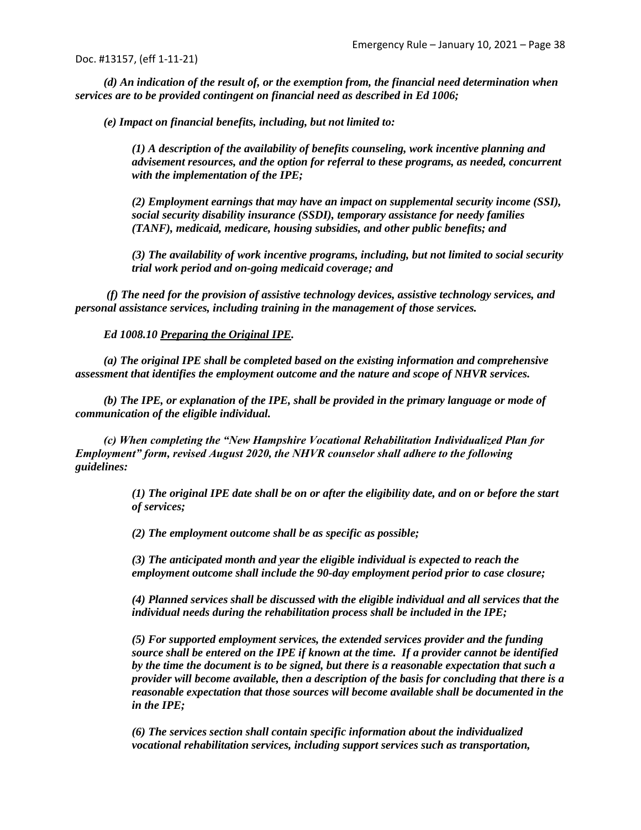*(d) An indication of the result of, or the exemption from, the financial need determination when services are to be provided contingent on financial need as described in Ed 1006;*

*(e) Impact on financial benefits, including, but not limited to:*

*(1) A description of the availability of benefits counseling, work incentive planning and advisement resources, and the option for referral to these programs, as needed, concurrent with the implementation of the IPE;*

*(2) Employment earnings that may have an impact on supplemental security income (SSI), social security disability insurance (SSDI), temporary assistance for needy families (TANF), medicaid, medicare, housing subsidies, and other public benefits; and*

*(3) The availability of work incentive programs, including, but not limited to social security trial work period and on-going medicaid coverage; and*

*(f) The need for the provision of assistive technology devices, assistive technology services, and personal assistance services, including training in the management of those services.*

*Ed 1008.10 Preparing the Original IPE.*

*(a) The original IPE shall be completed based on the existing information and comprehensive assessment that identifies the employment outcome and the nature and scope of NHVR services.*

*(b) The IPE, or explanation of the IPE, shall be provided in the primary language or mode of communication of the eligible individual.*

*(c) When completing the "New Hampshire Vocational Rehabilitation Individualized Plan for Employment" form, revised August 2020, the NHVR counselor shall adhere to the following guidelines:*

> *(1) The original IPE date shall be on or after the eligibility date, and on or before the start of services;*

*(2) The employment outcome shall be as specific as possible;*

*(3) The anticipated month and year the eligible individual is expected to reach the employment outcome shall include the 90-day employment period prior to case closure;*

*(4) Planned services shall be discussed with the eligible individual and all services that the individual needs during the rehabilitation process shall be included in the IPE;*

*(5) For supported employment services, the extended services provider and the funding source shall be entered on the IPE if known at the time. If a provider cannot be identified by the time the document is to be signed, but there is a reasonable expectation that such a provider will become available, then a description of the basis for concluding that there is a reasonable expectation that those sources will become available shall be documented in the in the IPE;*

*(6) The services section shall contain specific information about the individualized vocational rehabilitation services, including support services such as transportation,*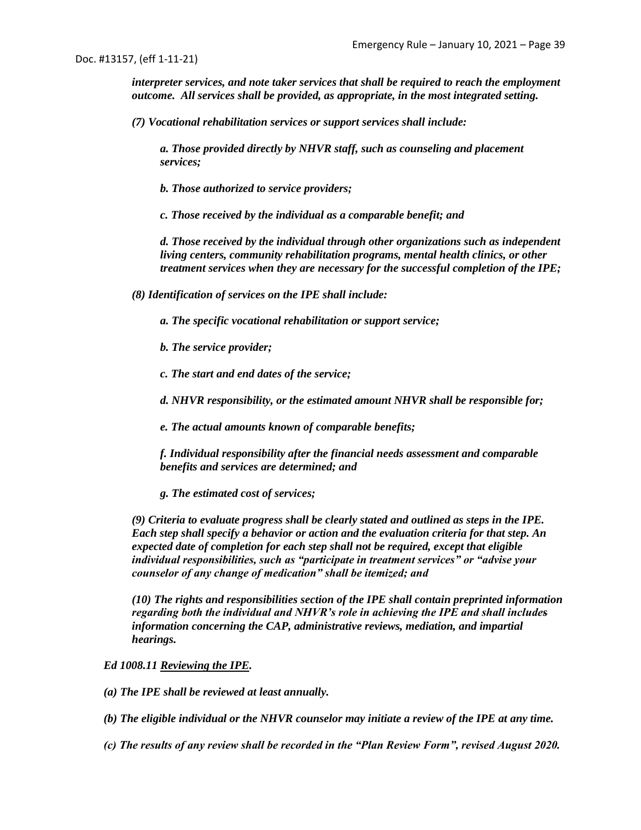*interpreter services, and note taker services that shall be required to reach the employment outcome. All services shall be provided, as appropriate, in the most integrated setting.* 

*(7) Vocational rehabilitation services or support services shall include:*

*a. Those provided directly by NHVR staff, such as counseling and placement services;*

*b. Those authorized to service providers;*

*c. Those received by the individual as a comparable benefit; and*

*d. Those received by the individual through other organizations such as independent living centers, community rehabilitation programs, mental health clinics, or other treatment services when they are necessary for the successful completion of the IPE;*

*(8) Identification of services on the IPE shall include:*

*a. The specific vocational rehabilitation or support service;*

*b. The service provider;*

*c. The start and end dates of the service;*

*d. NHVR responsibility, or the estimated amount NHVR shall be responsible for;*

*e. The actual amounts known of comparable benefits;*

*f. Individual responsibility after the financial needs assessment and comparable benefits and services are determined; and*

*g. The estimated cost of services;*

*(9) Criteria to evaluate progress shall be clearly stated and outlined as steps in the IPE. Each step shall specify a behavior or action and the evaluation criteria for that step. An expected date of completion for each step shall not be required, except that eligible individual responsibilities, such as "participate in treatment services" or "advise your counselor of any change of medication" shall be itemized; and*

*(10) The rights and responsibilities section of the IPE shall contain preprinted information regarding both the individual and NHVR's role in achieving the IPE and shall includes information concerning the CAP, administrative reviews, mediation, and impartial hearings.*

*Ed 1008.11 Reviewing the IPE.*

*(a) The IPE shall be reviewed at least annually.*

*(b) The eligible individual or the NHVR counselor may initiate a review of the IPE at any time.*

*(c) The results of any review shall be recorded in the "Plan Review Form", revised August 2020.*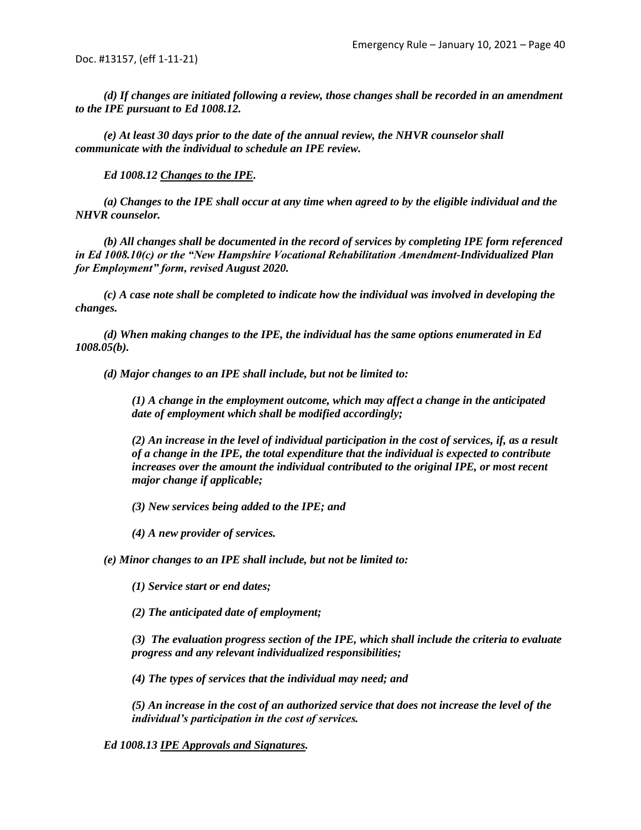*(d) If changes are initiated following a review, those changes shall be recorded in an amendment to the IPE pursuant to Ed 1008.12.*

*(e) At least 30 days prior to the date of the annual review, the NHVR counselor shall communicate with the individual to schedule an IPE review.* 

*Ed 1008.12 Changes to the IPE.*

(a) Changes to the IPE shall occur at any time when agreed to by the eligible *individual and the NHVR counselor.*

*(b) All changes shall be documented in the record of services by completing IPE form referenced in Ed 1008.10(c) or the "New Hampshire Vocational Rehabilitation Amendment-Individualized Plan for Employment" form, revised August 2020.*

*(c) A case note shall be completed to indicate how the individual was involved in developing the changes.*

*(d) When making changes to the IPE, the individual has the same options enumerated in Ed 1008.05(b).*

*(d) Major changes to an IPE shall include, but not be limited to:*

*(1) A change in the employment outcome, which may affect a change in the anticipated date of employment which shall be modified accordingly;*

*(2) An increase in the level of individual participation in the cost of services, if, as a result of a change in the IPE, the total expenditure that the individual is expected to contribute increases over the amount the individual contributed to the original IPE, or most recent major change if applicable;* 

*(3) New services being added to the IPE; and*

*(4) A new provider of services.*

*(e) Minor changes to an IPE shall include, but not be limited to:*

*(1) Service start or end dates;*

*(2) The anticipated date of employment;*

*(3) The evaluation progress section of the IPE, which shall include the criteria to evaluate progress and any relevant individualized responsibilities;*

*(4) The types of services that the individual may need; and* 

*(5) An increase in the cost of an authorized service that does not increase the level of the individual's participation in the cost of services.*

*Ed 1008.13 IPE Approvals and Signatures.*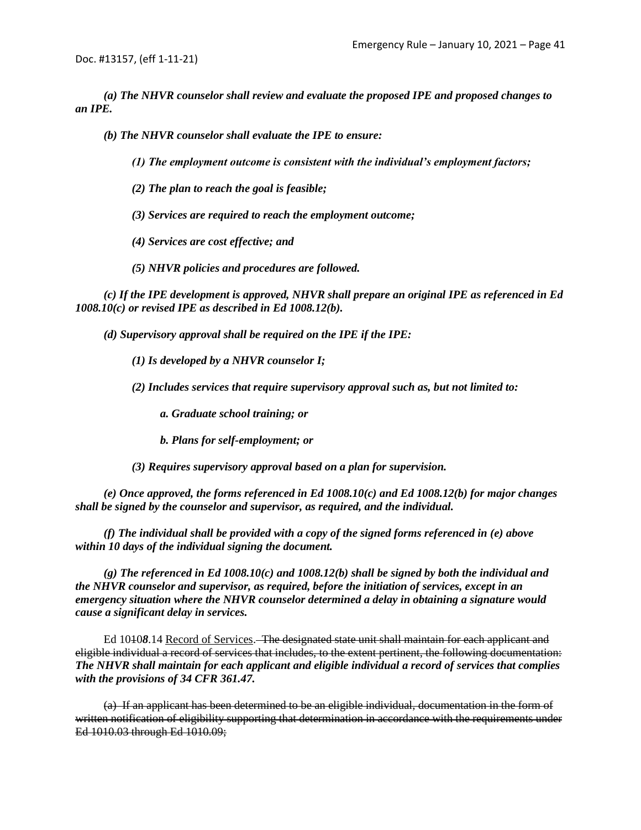*(a) The NHVR counselor shall review and evaluate the proposed IPE and proposed changes to an IPE.*

*(b) The NHVR counselor shall evaluate the IPE to ensure:*

*(1) The employment outcome is consistent with the individual's employment factors;*

- *(2) The plan to reach the goal is feasible;*
- *(3) Services are required to reach the employment outcome;*
- *(4) Services are cost effective; and*
- *(5) NHVR policies and procedures are followed.*

*(c) If the IPE development is approved, NHVR shall prepare an original IPE as referenced in Ed 1008.10(c) or revised IPE as described in Ed 1008.12(b).*

*(d) Supervisory approval shall be required on the IPE if the IPE:*

- *(1) Is developed by a NHVR counselor I;*
- *(2) Includes services that require supervisory approval such as, but not limited to:*
	- *a. Graduate school training; or*
	- *b. Plans for self-employment; or*
- *(3) Requires supervisory approval based on a plan for supervision.*

*(e) Once approved, the forms referenced in Ed 1008.10(c) and Ed 1008.12(b) for major changes shall be signed by the counselor and supervisor, as required, and the individual.*

*(f) The individual shall be provided with a copy of the signed forms referenced in (e) above within 10 days of the individual signing the document.*

*(g) The referenced in Ed 1008.10(c) and 1008.12(b) shall be signed by both the individual and the NHVR counselor and supervisor, as required, before the initiation of services, except in an emergency situation where the NHVR counselor determined a delay in obtaining a signature would cause a significant delay in services.*

Ed 1010*8*.14 Record of Services. The designated state unit shall maintain for each applicant and eligible individual a record of services that includes, to the extent pertinent, the following documentation: *The NHVR shall maintain for each applicant and eligible individual a record of services that complies with the provisions of 34 CFR 361.47.*

(a) If an applicant has been determined to be an eligible individual, documentation in the form of written notification of eligibility supporting that determination in accordance with the requirements under Ed 1010.03 through Ed 1010.09;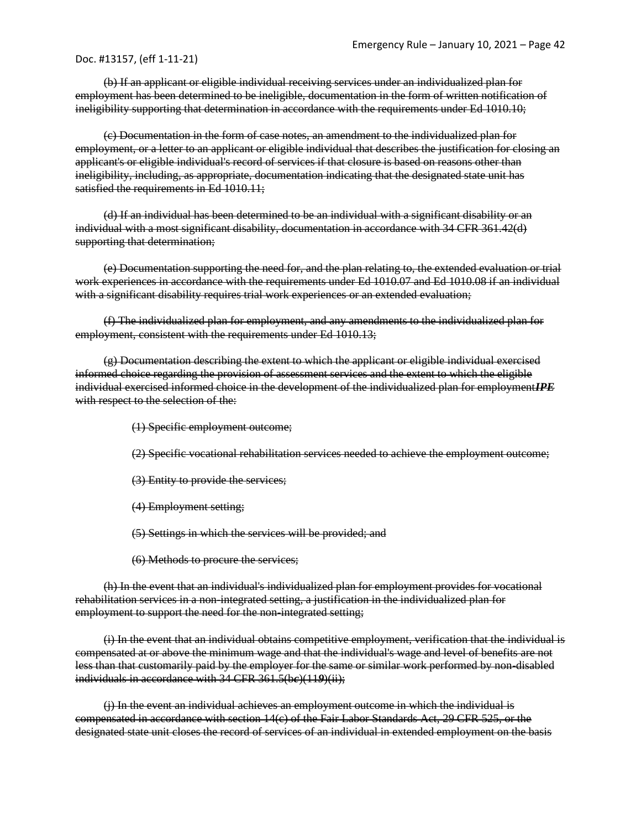(b) If an applicant or eligible individual receiving services under an individualized plan for employment has been determined to be ineligible, documentation in the form of written notification of ineligibility supporting that determination in accordance with the requirements under Ed 1010.10;

(c) Documentation in the form of case notes, an amendment to the individualized plan for employment, or a letter to an applicant or eligible individual that describes the justification for closing an applicant's or eligible individual's record of services if that closure is based on reasons other than ineligibility, including, as appropriate, documentation indicating that the designated state unit has satisfied the requirements in Ed 1010.11;

(d) If an individual has been determined to be an individual with a significant disability or an individual with a most significant disability, documentation in accordance with 34 CFR 361.42(d) supporting that determination;

(e) Documentation supporting the need for, and the plan relating to, the extended evaluation or trial work experiences in accordance with the requirements under Ed 1010.07 and Ed 1010.08 if an individual with a significant disability requires trial work experiences or an extended evaluation;

(f) The individualized plan for employment, and any amendments to the individualized plan for employment, consistent with the requirements under Ed 1010.13;

(g) Documentation describing the extent to which the applicant or eligible individual exercised informed choice regarding the provision of assessment services and the extent to which the eligible individual exercised informed choice in the development of the individualized plan for employment*IPE* with respect to the selection of the:

- (1) Specific employment outcome;
- (2) Specific vocational rehabilitation services needed to achieve the employment outcome;
- (3) Entity to provide the services;
- (4) Employment setting;
- (5) Settings in which the services will be provided; and
- (6) Methods to procure the services;

(h) In the event that an individual's individualized plan for employment provides for vocational rehabilitation services in a non-integrated setting, a justification in the individualized plan for employment to support the need for the non-integrated setting;

(i) In the event that an individual obtains competitive employment, verification that the individual is compensated at or above the minimum wage and that the individual's wage and level of benefits are not less than that customarily paid by the employer for the same or similar work performed by non-disabled individuals in accordance with 34 CFR 361.5(b*c*)(11*9*)(ii);

(j) In the event an individual achieves an employment outcome in which the individual is compensated in accordance with section 14(c) of the Fair Labor Standards Act, 29 CFR 525, or the designated state unit closes the record of services of an individual in extended employment on the basis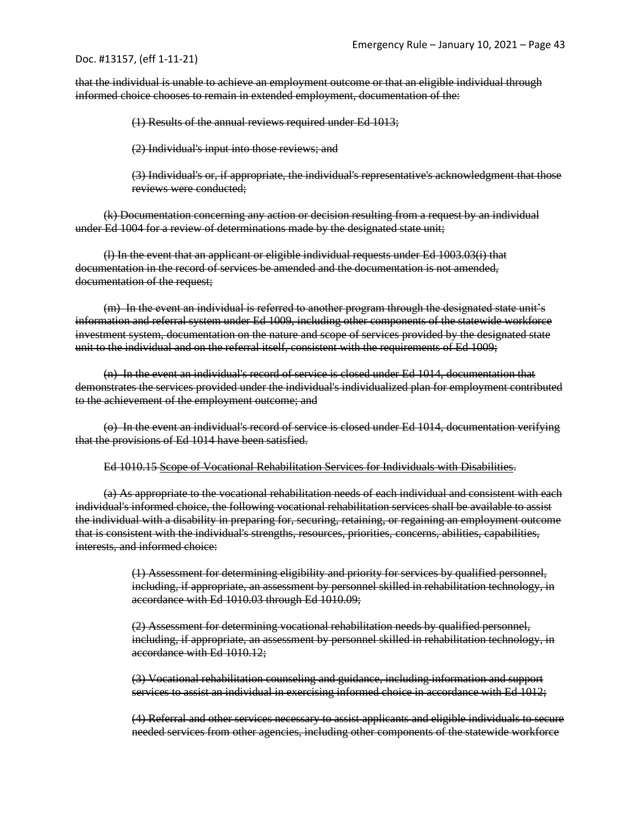that the individual is unable to achieve an employment outcome or that an eligible individual through informed choice chooses to remain in extended employment, documentation of the:

(1) Results of the annual reviews required under Ed 1013;

(2) Individual's input into those reviews; and

(3) Individual's or, if appropriate, the individual's representative's acknowledgment that those reviews were conducted;

(k) Documentation concerning any action or decision resulting from a request by an individual under Ed 1004 for a review of determinations made by the designated state unit;

(l) In the event that an applicant or eligible individual requests under Ed 1003.03(i) that documentation in the record of services be amended and the documentation is not amended, documentation of the request;

(m) In the event an individual is referred to another program through the designated state unit's information and referral system under Ed 1009, including other components of the statewide workforce investment system, documentation on the nature and scope of services provided by the designated state unit to the individual and on the referral itself, consistent with the requirements of Ed 1009;

(n) In the event an individual's record of service is closed under Ed 1014, documentation that demonstrates the services provided under the individual's individualized plan for employment contributed to the achievement of the employment outcome; and

(o) In the event an individual's record of service is closed under Ed 1014, documentation verifying that the provisions of Ed 1014 have been satisfied.

### Ed 1010.15 Scope of Vocational Rehabilitation Services for Individuals with Disabilities.

(a) As appropriate to the vocational rehabilitation needs of each individual and consistent with each individual's informed choice, the following vocational rehabilitation services shall be available to assist the individual with a disability in preparing for, securing, retaining, or regaining an employment outcome that is consistent with the individual's strengths, resources, priorities, concerns, abilities, capabilities, interests, and informed choice:

> (1) Assessment for determining eligibility and priority for services by qualified personnel, including, if appropriate, an assessment by personnel skilled in rehabilitation technology, in accordance with Ed 1010.03 through Ed 1010.09;

> (2) Assessment for determining vocational rehabilitation needs by qualified personnel, including, if appropriate, an assessment by personnel skilled in rehabilitation technology, in accordance with Ed 1010.12;

(3) Vocational rehabilitation counseling and guidance, including information and support services to assist an individual in exercising informed choice in accordance with Ed 1012;

(4) Referral and other services necessary to assist applicants and eligible individuals to secure needed services from other agencies, including other components of the statewide workforce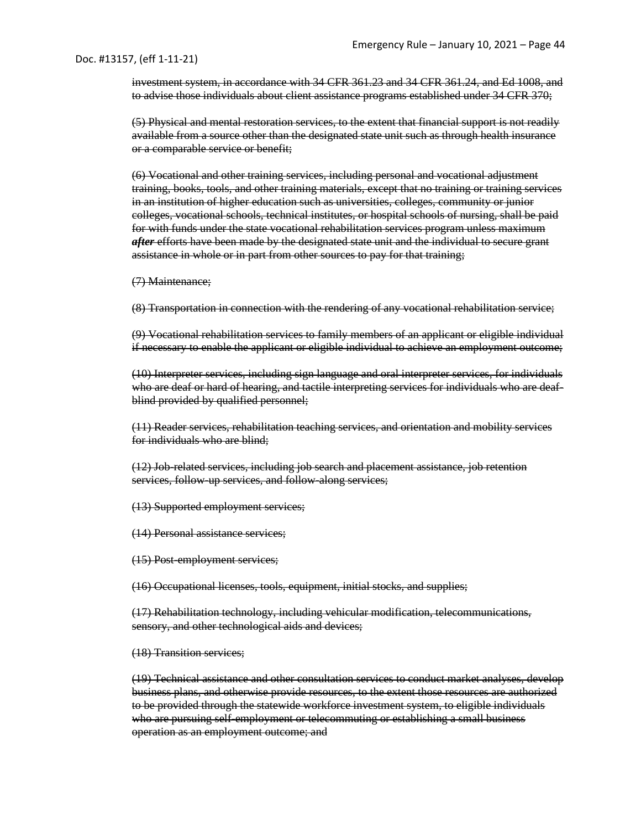investment system, in accordance with 34 CFR 361.23 and 34 CFR 361.24, and Ed 1008, and to advise those individuals about client assistance programs established under 34 CFR 370;

(5) Physical and mental restoration services, to the extent that financial support is not readily available from a source other than the designated state unit such as through health insurance or a comparable service or benefit;

(6) Vocational and other training services, including personal and vocational adjustment training, books, tools, and other training materials, except that no training or training services in an institution of higher education such as universities, colleges, community or junior colleges, vocational schools, technical institutes, or hospital schools of nursing, shall be paid for with funds under the state vocational rehabilitation services program unless maximum *after* efforts have been made by the designated state unit and the individual to secure grant assistance in whole or in part from other sources to pay for that training;

(7) Maintenance;

(8) Transportation in connection with the rendering of any vocational rehabilitation service;

(9) Vocational rehabilitation services to family members of an applicant or eligible individual if necessary to enable the applicant or eligible individual to achieve an employment outcome;

(10) Interpreter services, including sign language and oral interpreter services, for individuals who are deaf or hard of hearing, and tactile interpreting services for individuals who are deafblind provided by qualified personnel;

(11) Reader services, rehabilitation teaching services, and orientation and mobility services for individuals who are blind;

(12) Job-related services, including job search and placement assistance, job retention services, follow-up services, and follow-along services;

(13) Supported employment services;

(14) Personal assistance services;

(15) Post-employment services;

(16) Occupational licenses, tools, equipment, initial stocks, and supplies;

(17) Rehabilitation technology, including vehicular modification, telecommunications, sensory, and other technological aids and devices;

#### (18) Transition services;

(19) Technical assistance and other consultation services to conduct market analyses, develop business plans, and otherwise provide resources, to the extent those resources are authorized to be provided through the statewide workforce investment system, to eligible individuals who are pursuing self-employment or telecommuting or establishing a small business operation as an employment outcome; and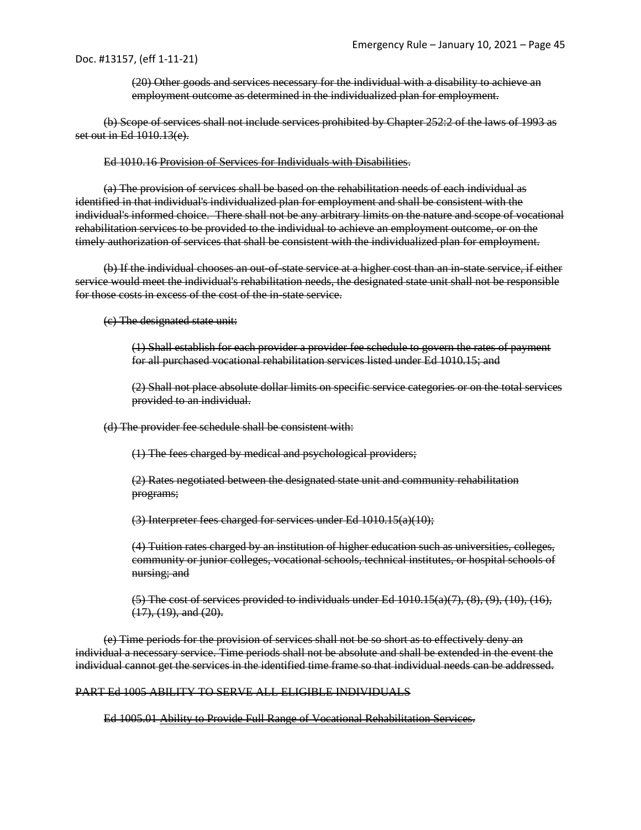(20) Other goods and services necessary for the individual with a disability to achieve an employment outcome as determined in the individualized plan for employment.

(b) Scope of services shall not include services prohibited by Chapter 252:2 of the laws of 1993 as set out in Ed 1010.13(e).

Ed 1010.16 Provision of Services for Individuals with Disabilities.

(a) The provision of services shall be based on the rehabilitation needs of each individual as identified in that individual's individualized plan for employment and shall be consistent with the individual's informed choice. There shall not be any arbitrary limits on the nature and scope of vocational rehabilitation services to be provided to the individual to achieve an employment outcome, or on the timely authorization of services that shall be consistent with the individualized plan for employment.

(b) If the individual chooses an out-of-state service at a higher cost than an in-state service, if either service would meet the individual's rehabilitation needs, the designated state unit shall not be responsible for those costs in excess of the cost of the in-state service.

(c) The designated state unit:

(1) Shall establish for each provider a provider fee schedule to govern the rates of payment for all purchased vocational rehabilitation services listed under Ed 1010.15; and

(2) Shall not place absolute dollar limits on specific service categories or on the total services provided to an individual.

(d) The provider fee schedule shall be consistent with:

(1) The fees charged by medical and psychological providers;

(2) Rates negotiated between the designated state unit and community rehabilitation programs;

(3) Interpreter fees charged for services under Ed 1010.15(a)(10);

(4) Tuition rates charged by an institution of higher education such as universities, colleges, community or junior colleges, vocational schools, technical institutes, or hospital schools of nursing; and

 $(5)$  The cost of services provided to individuals under Ed  $1010.15(a)(7)$ ,  $(8)$ ,  $(9)$ ,  $(10)$ ,  $(16)$ ,  $(17), (19),$  and  $(20).$ 

(e) Time periods for the provision of services shall not be so short as to effectively deny an individual a necessary service. Time periods shall not be absolute and shall be extended in the event the individual cannot get the services in the identified time frame so that individual needs can be addressed.

#### PART Ed 1005 ABILITY TO SERVE ALL ELIGIBLE INDIVIDUALS

Ed 1005.01 Ability to Provide Full Range of Vocational Rehabilitation Services.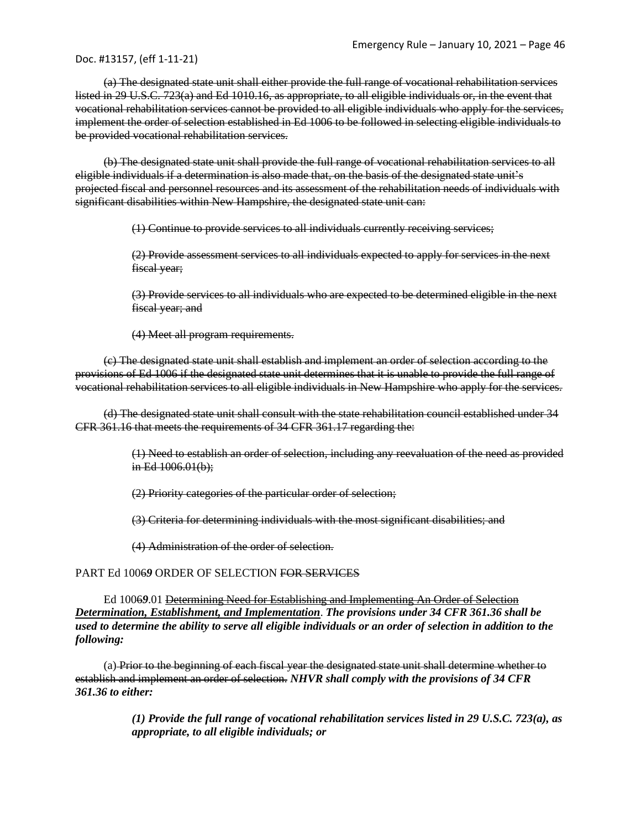(a) The designated state unit shall either provide the full range of vocational rehabilitation services listed in 29 U.S.C. 723(a) and Ed 1010.16, as appropriate, to all eligible individuals or, in the event that vocational rehabilitation services cannot be provided to all eligible individuals who apply for the services, implement the order of selection established in Ed 1006 to be followed in selecting eligible individuals to be provided vocational rehabilitation services.

(b) The designated state unit shall provide the full range of vocational rehabilitation services to all eligible individuals if a determination is also made that, on the basis of the designated state unit's projected fiscal and personnel resources and its assessment of the rehabilitation needs of individuals with significant disabilities within New Hampshire, the designated state unit can:

(1) Continue to provide services to all individuals currently receiving services;

(2) Provide assessment services to all individuals expected to apply for services in the next fiscal year;

(3) Provide services to all individuals who are expected to be determined eligible in the next fiscal year; and

(4) Meet all program requirements.

(c) The designated state unit shall establish and implement an order of selection according to the provisions of Ed 1006 if the designated state unit determines that it is unable to provide the full range of vocational rehabilitation services to all eligible individuals in New Hampshire who apply for the services.

(d) The designated state unit shall consult with the state rehabilitation council established under 34 CFR 361.16 that meets the requirements of 34 CFR 361.17 regarding the:

> (1) Need to establish an order of selection, including any reevaluation of the need as provided in Ed  $1006.01(b)$ ;

(2) Priority categories of the particular order of selection;

(3) Criteria for determining individuals with the most significant disabilities; and

(4) Administration of the order of selection.

#### PART Ed 1006*9* ORDER OF SELECTION FOR SERVICES

Ed 1006*9*.01 Determining Need for Establishing and Implementing An Order of Selection *Determination, Establishment, and Implementation*. *The provisions under 34 CFR 361.36 shall be used to determine the ability to serve all eligible individuals or an order of selection in addition to the following:*

(a) Prior to the beginning of each fiscal year the designated state unit shall determine whether to establish and implement an order of selection. *NHVR shall comply with the provisions of 34 CFR 361.36 to either:*

> *(1) Provide the full range of vocational rehabilitation services listed in 29 U.S.C. 723(a), as appropriate, to all eligible individuals; or*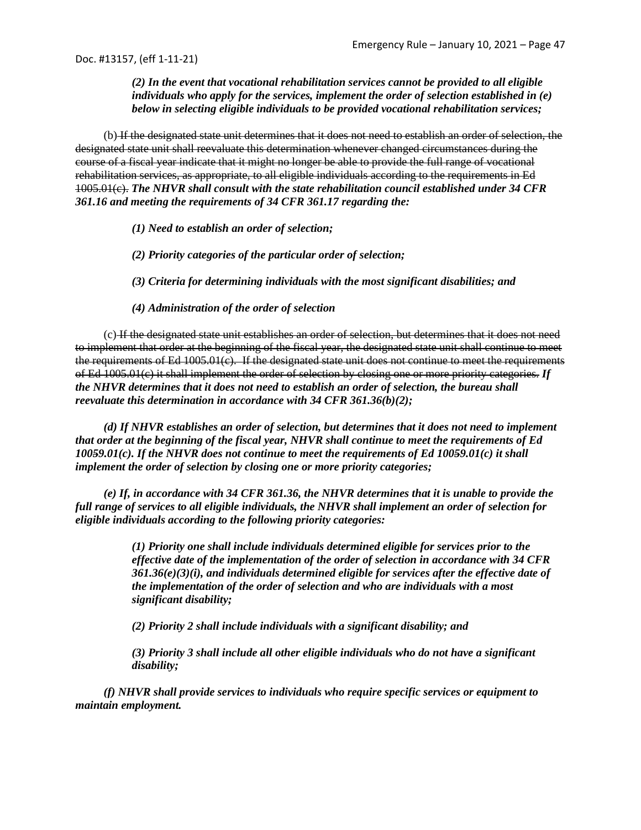*(2) In the event that vocational rehabilitation services cannot be provided to all eligible individuals who apply for the services, implement the order of selection established in (e) below in selecting eligible individuals to be provided vocational rehabilitation services;*

(b) If the designated state unit determines that it does not need to establish an order of selection, the designated state unit shall reevaluate this determination whenever changed circumstances during the course of a fiscal year indicate that it might no longer be able to provide the full range of vocational rehabilitation services, as appropriate, to all eligible individuals according to the requirements in Ed 1005.01(c). *The NHVR shall consult with the state rehabilitation council established under 34 CFR 361.16 and meeting the requirements of 34 CFR 361.17 regarding the:*

- *(1) Need to establish an order of selection;*
- *(2) Priority categories of the particular order of selection;*
- *(3) Criteria for determining individuals with the most significant disabilities; and*
- *(4) Administration of the order of selection*

(c) If the designated state unit establishes an order of selection, but determines that it does not need to implement that order at the beginning of the fiscal year, the designated state unit shall continue to meet the requirements of Ed 1005.01(c). If the designated state unit does not continue to meet the requirements of Ed 1005.01(c) it shall implement the order of selection by closing one or more priority categories. *If the NHVR determines that it does not need to establish an order of selection, the bureau shall reevaluate this determination in accordance with 34 CFR 361.36(b)(2);*

*(d) If NHVR establishes an order of selection, but determines that it does not need to implement that order at the beginning of the fiscal year, NHVR shall continue to meet the requirements of Ed 10059.01(c). If the NHVR does not continue to meet the requirements of Ed 10059.01(c) it shall implement the order of selection by closing one or more priority categories;*

*(e) If, in accordance with 34 CFR 361.36, the NHVR determines that it is unable to provide the full range of services to all eligible individuals, the NHVR shall implement an order of selection for eligible individuals according to the following priority categories:*

> *(1) Priority one shall include individuals determined eligible for services prior to the effective date of the implementation of the order of selection in accordance with 34 CFR 361.36(e)(3)(i), and individuals determined eligible for services after the effective date of the implementation of the order of selection and who are individuals with a most significant disability;*

*(2) Priority 2 shall include individuals with a significant disability; and*

*(3) Priority 3 shall include all other eligible individuals who do not have a significant disability;*

*(f) NHVR shall provide services to individuals who require specific services or equipment to maintain employment.*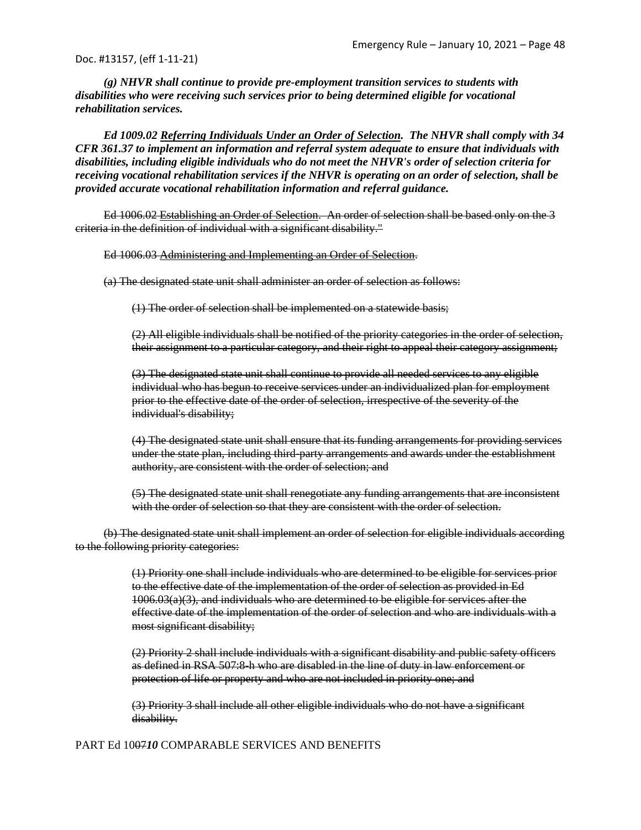*(g) NHVR shall continue to provide pre-employment transition services to students with disabilities who were receiving such services prior to being determined eligible for vocational rehabilitation services.*

*Ed 1009.02 Referring Individuals Under an Order of Selection. The NHVR shall comply with 34 CFR 361.37 to implement an information and referral system adequate to ensure that individuals with disabilities, including eligible individuals who do not meet the NHVR's order of selection criteria for receiving vocational rehabilitation services if the NHVR is operating on an order of selection, shall be provided accurate vocational rehabilitation information and referral guidance.*

Ed 1006.02 Establishing an Order of Selection. An order of selection shall be based only on the 3 criteria in the definition of individual with a significant disability."

Ed 1006.03 Administering and Implementing an Order of Selection.

(a) The designated state unit shall administer an order of selection as follows:

(1) The order of selection shall be implemented on a statewide basis;

(2) All eligible individuals shall be notified of the priority categories in the order of selection, their assignment to a particular category, and their right to appeal their category assignment;

(3) The designated state unit shall continue to provide all needed services to any eligible individual who has begun to receive services under an individualized plan for employment prior to the effective date of the order of selection, irrespective of the severity of the individual's disability;

(4) The designated state unit shall ensure that its funding arrangements for providing services under the state plan, including third-party arrangements and awards under the establishment authority, are consistent with the order of selection; and

(5) The designated state unit shall renegotiate any funding arrangements that are inconsistent with the order of selection so that they are consistent with the order of selection.

(b) The designated state unit shall implement an order of selection for eligible individuals according to the following priority categories:

> (1) Priority one shall include individuals who are determined to be eligible for services prior to the effective date of the implementation of the order of selection as provided in Ed 1006.03(a)(3), and individuals who are determined to be eligible for services after the effective date of the implementation of the order of selection and who are individuals with a most significant disability;

> (2) Priority 2 shall include individuals with a significant disability and public safety officers as defined in RSA 507:8-h who are disabled in the line of duty in law enforcement or protection of life or property and who are not included in priority one; and

(3) Priority 3 shall include all other eligible individuals who do not have a significant disability.

PART Ed 1007*10* COMPARABLE SERVICES AND BENEFITS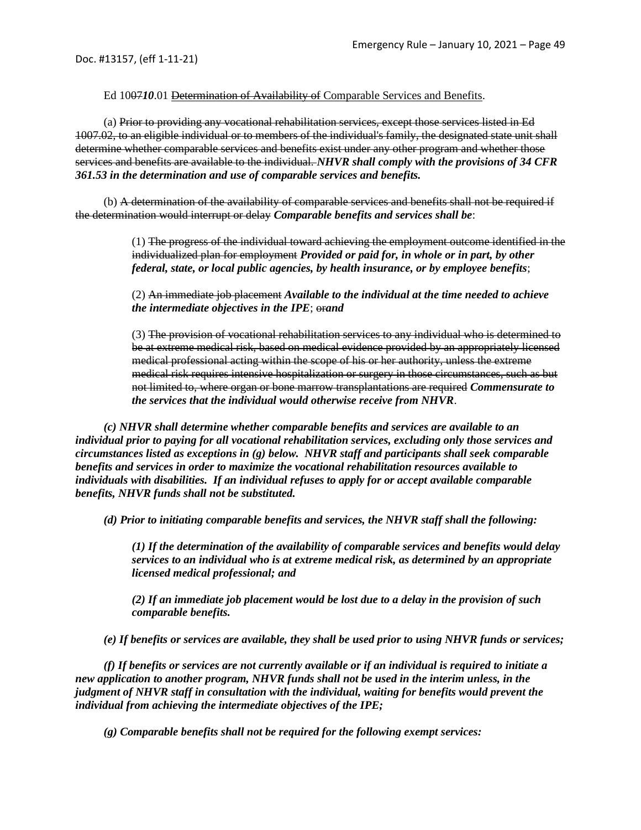Ed 1007*10*.01 Determination of Availability of Comparable Services and Benefits.

(a) Prior to providing any vocational rehabilitation services, except those services listed in Ed 1007.02, to an eligible individual or to members of the individual's family, the designated state unit shall determine whether comparable services and benefits exist under any other program and whether those services and benefits are available to the individual. *NHVR shall comply with the provisions of 34 CFR 361.53 in the determination and use of comparable services and benefits.*

(b) A determination of the availability of comparable services and benefits shall not be required if the determination would interrupt or delay *Comparable benefits and services shall be*:

> (1) The progress of the individual toward achieving the employment outcome identified in the individualized plan for employment *Provided or paid for, in whole or in part, by other federal, state, or local public agencies, by health insurance, or by employee benefits*;

(2) An immediate job placement *Available to the individual at the time needed to achieve the intermediate objectives in the IPE*; or*and*

(3) The provision of vocational rehabilitation services to any individual who is determined to be at extreme medical risk, based on medical evidence provided by an appropriately licensed medical professional acting within the scope of his or her authority, unless the extreme medical risk requires intensive hospitalization or surgery in those circumstances, such as but not limited to, where organ or bone marrow transplantations are required *Commensurate to the services that the individual would otherwise receive from NHVR*.

*(c) NHVR shall determine whether comparable benefits and services are available to an individual prior to paying for all vocational rehabilitation services, excluding only those services and circumstances listed as exceptions in (g) below. NHVR staff and participants shall seek comparable benefits and services in order to maximize the vocational rehabilitation resources available to individuals with disabilities. If an individual refuses to apply for or accept available comparable benefits, NHVR funds shall not be substituted.*

*(d) Prior to initiating comparable benefits and services, the NHVR staff shall the following:*

*(1) If the determination of the availability of comparable services and benefits would delay services to an individual who is at extreme medical risk, as determined by an appropriate licensed medical professional; and*

*(2) If an immediate job placement would be lost due to a delay in the provision of such comparable benefits.*

*(e) If benefits or services are available, they shall be used prior to using NHVR funds or services;*

*(f) If benefits or services are not currently available or if an individual is required to initiate a new application to another program, NHVR funds shall not be used in the interim unless, in the judgment of NHVR staff in consultation with the individual, waiting for benefits would prevent the individual from achieving the intermediate objectives of the IPE;*

*(g) Comparable benefits shall not be required for the following exempt services:*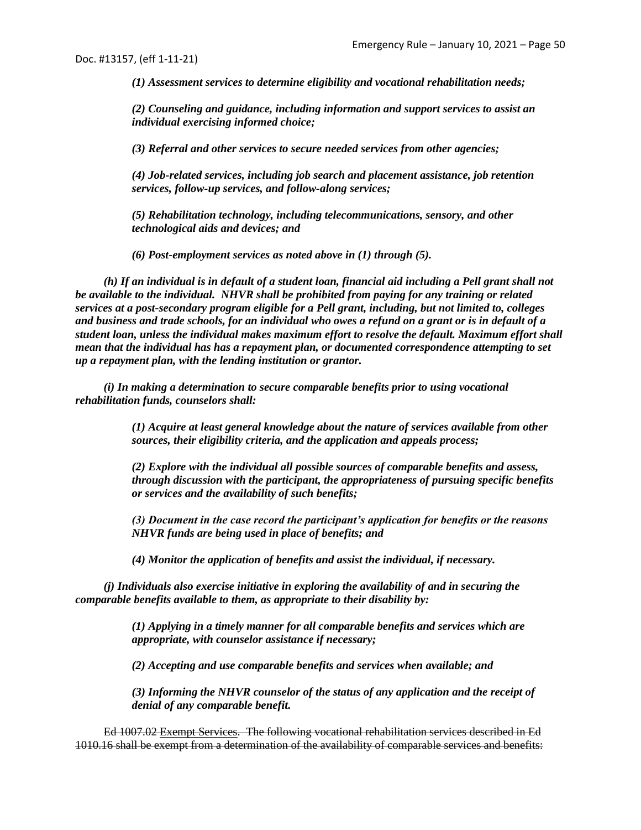*(1) Assessment services to determine eligibility and vocational rehabilitation needs;* 

*(2) Counseling and guidance, including information and support services to assist an individual exercising informed choice;*

*(3) Referral and other services to secure needed services from other agencies;*

*(4) Job-related services, including job search and placement assistance, job retention services, follow-up services, and follow-along services;*

*(5) Rehabilitation technology, including telecommunications, sensory, and other technological aids and devices; and*

*(6) Post-employment services as noted above in (1) through (5).*

*(h) If an individual is in default of a student loan, financial aid including a Pell grant shall not be available to the individual. NHVR shall be prohibited from paying for any training or related services at a post-secondary program eligible for a Pell grant, including, but not limited to, colleges and business and trade schools, for an individual who owes a refund on a grant or is in default of a student loan, unless the individual makes maximum effort to resolve the default. Maximum effort shall mean that the individual has has a repayment plan, or documented correspondence attempting to set up a repayment plan, with the lending institution or grantor.*

*(i) In making a determination to secure comparable benefits prior to using vocational rehabilitation funds, counselors shall:*

> *(1) Acquire at least general knowledge about the nature of services available from other sources, their eligibility criteria, and the application and appeals process;*

*(2) Explore with the individual all possible sources of comparable benefits and assess, through discussion with the participant, the appropriateness of pursuing specific benefits or services and the availability of such benefits;*

*(3) Document in the case record the participant's application for benefits or the reasons NHVR funds are being used in place of benefits; and*

*(4) Monitor the application of benefits and assist the individual, if necessary.*

*(j) Individuals also exercise initiative in exploring the availability of and in securing the comparable benefits available to them, as appropriate to their disability by:*

> *(1) Applying in a timely manner for all comparable benefits and services which are appropriate, with counselor assistance if necessary;*

*(2) Accepting and use comparable benefits and services when available; and*

*(3) Informing the NHVR counselor of the status of any application and the receipt of denial of any comparable benefit.*

Ed 1007.02 Exempt Services. The following vocational rehabilitation services described in Ed 1010.16 shall be exempt from a determination of the availability of comparable services and benefits: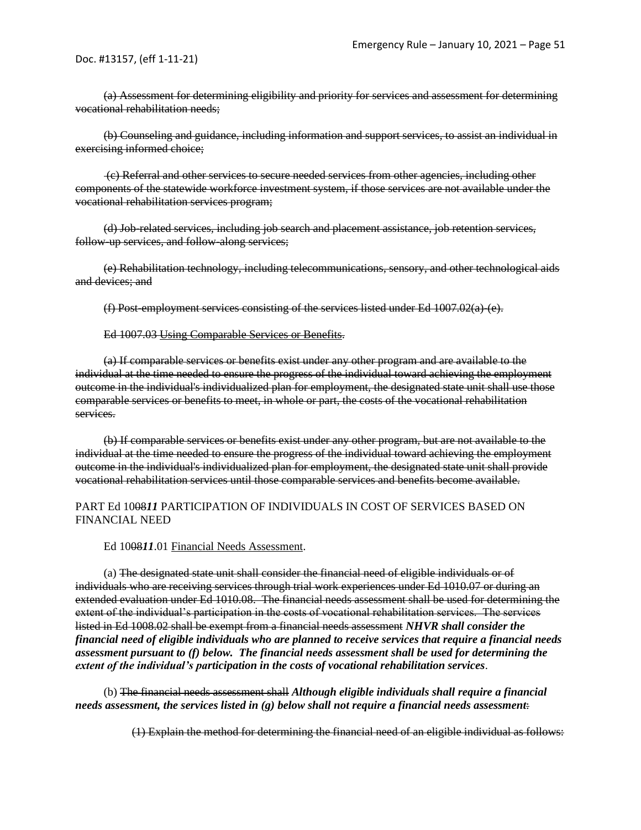(a) Assessment for determining eligibility and priority for services and assessment for determining vocational rehabilitation needs;

(b) Counseling and guidance, including information and support services, to assist an individual in exercising informed choice;

(c) Referral and other services to secure needed services from other agencies, including other components of the statewide workforce investment system, if those services are not available under the vocational rehabilitation services program;

(d) Job-related services, including job search and placement assistance, job retention services, follow-up services, and follow-along services;

(e) Rehabilitation technology, including telecommunications, sensory, and other technological aids and devices; and

(f) Post-employment services consisting of the services listed under Ed  $1007.02(a)$  (e).

# Ed 1007.03 Using Comparable Services or Benefits.

(a) If comparable services or benefits exist under any other program and are available to the individual at the time needed to ensure the progress of the individual toward achieving the employment outcome in the individual's individualized plan for employment, the designated state unit shall use those comparable services or benefits to meet, in whole or part, the costs of the vocational rehabilitation services.

(b) If comparable services or benefits exist under any other program, but are not available to the individual at the time needed to ensure the progress of the individual toward achieving the employment outcome in the individual's individualized plan for employment, the designated state unit shall provide vocational rehabilitation services until those comparable services and benefits become available.

# PART Ed 1008*11* PARTICIPATION OF INDIVIDUALS IN COST OF SERVICES BASED ON FINANCIAL NEED

#### Ed 1008*11*.01 Financial Needs Assessment.

(a) The designated state unit shall consider the financial need of eligible individuals or of individuals who are receiving services through trial work experiences under Ed 1010.07 or during an extended evaluation under Ed 1010.08. The financial needs assessment shall be used for determining the extent of the individual's participation in the costs of vocational rehabilitation services. The services listed in Ed 1008.02 shall be exempt from a financial needs assessment *NHVR shall consider the financial need of eligible individuals who are planned to receive services that require a financial needs assessment pursuant to (f) below. The financial needs assessment shall be used for determining the extent of the individual's participation in the costs of vocational rehabilitation services*.

(b) The financial needs assessment shall *Although eligible individuals shall require a financial needs assessment, the services listed in (g) below shall not require a financial needs assessment*:

(1) Explain the method for determining the financial need of an eligible individual as follows: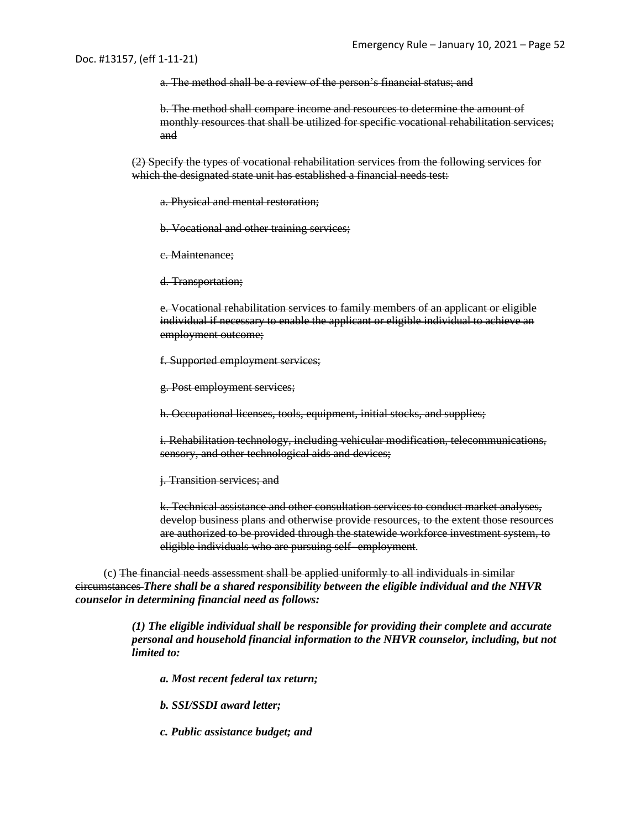a. The method shall be a review of the person's financial status; and

b. The method shall compare income and resources to determine the amount of monthly resources that shall be utilized for specific vocational rehabilitation services; and

(2) Specify the types of vocational rehabilitation services from the following services for which the designated state unit has established a financial needs test:

a. Physical and mental restoration;

b. Vocational and other training services;

c. Maintenance;

d. Transportation;

e. Vocational rehabilitation services to family members of an applicant or eligible individual if necessary to enable the applicant or eligible individual to achieve an employment outcome;

f. Supported employment services;

g. Post employment services;

h. Occupational licenses, tools, equipment, initial stocks, and supplies;

i. Rehabilitation technology, including vehicular modification, telecommunications, sensory, and other technological aids and devices;

j. Transition services; and

k. Technical assistance and other consultation services to conduct market analyses, develop business plans and otherwise provide resources, to the extent those resources are authorized to be provided through the statewide workforce investment system, to eligible individuals who are pursuing self- employment.

(c) The financial needs assessment shall be applied uniformly to all individuals in similar circumstances *There shall be a shared responsibility between the eligible individual and the NHVR counselor in determining financial need as follows:*

> *(1) The eligible individual shall be responsible for providing their complete and accurate personal and household financial information to the NHVR counselor, including, but not limited to:*

*a. Most recent federal tax return;*

*b. SSI/SSDI award letter;*

*c. Public assistance budget; and*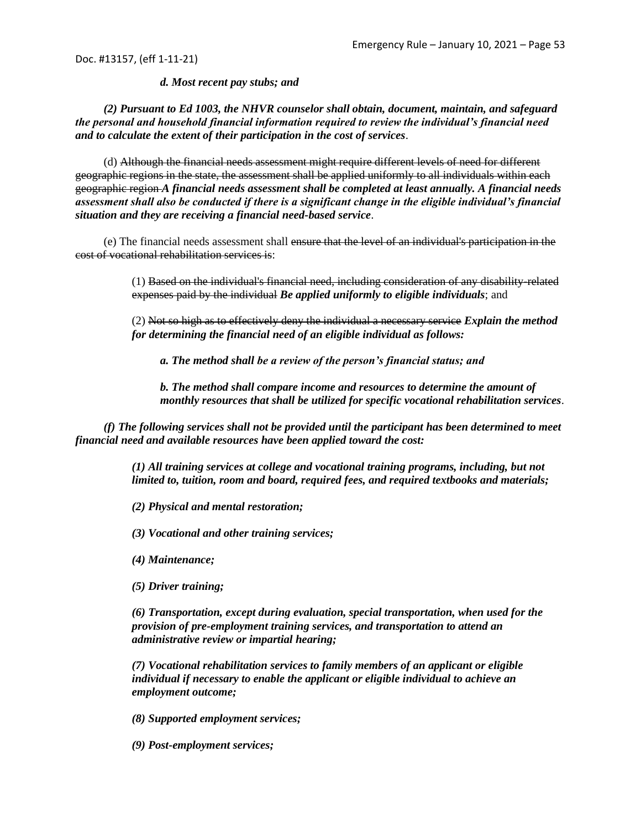*d. Most recent pay stubs; and*

*(2) Pursuant to Ed 1003, the NHVR counselor shall obtain, document, maintain, and safeguard the personal and household financial information required to review the individual's financial need and to calculate the extent of their participation in the cost of services*.

(d) Although the financial needs assessment might require different levels of need for different geographic regions in the state, the assessment shall be applied uniformly to all individuals within each geographic region *A financial needs assessment shall be completed at least annually. A financial needs assessment shall also be conducted if there is a significant change in the eligible individual's financial situation and they are receiving a financial need-based service*.

(e) The financial needs assessment shall ensure that the level of an individual's participation in the cost of vocational rehabilitation services is:

> (1) Based on the individual's financial need, including consideration of any disability-related expenses paid by the individual *Be applied uniformly to eligible individuals*; and

> (2) Not so high as to effectively deny the individual a necessary service *Explain the method for determining the financial need of an eligible individual as follows:*

*a. The method shall be a review of the person's financial status; and* 

*b. The method shall compare income and resources to determine the amount of monthly resources that shall be utilized for specific vocational rehabilitation services*.

*(f) The following services shall not be provided until the participant has been determined to meet financial need and available resources have been applied toward the cost:* 

> *(1) All training services at college and vocational training programs, including, but not limited to, tuition, room and board, required fees, and required textbooks and materials;*

*(2) Physical and mental restoration;*

*(3) Vocational and other training services;*

*(4) Maintenance;*

*(5) Driver training;*

*(6) Transportation, except during evaluation, special transportation, when used for the provision of pre-employment training services, and transportation to attend an administrative review or impartial hearing;*

*(7) Vocational rehabilitation services to family members of an applicant or eligible individual if necessary to enable the applicant or eligible individual to achieve an employment outcome;*

*(8) Supported employment services;*

*(9) Post-employment services;*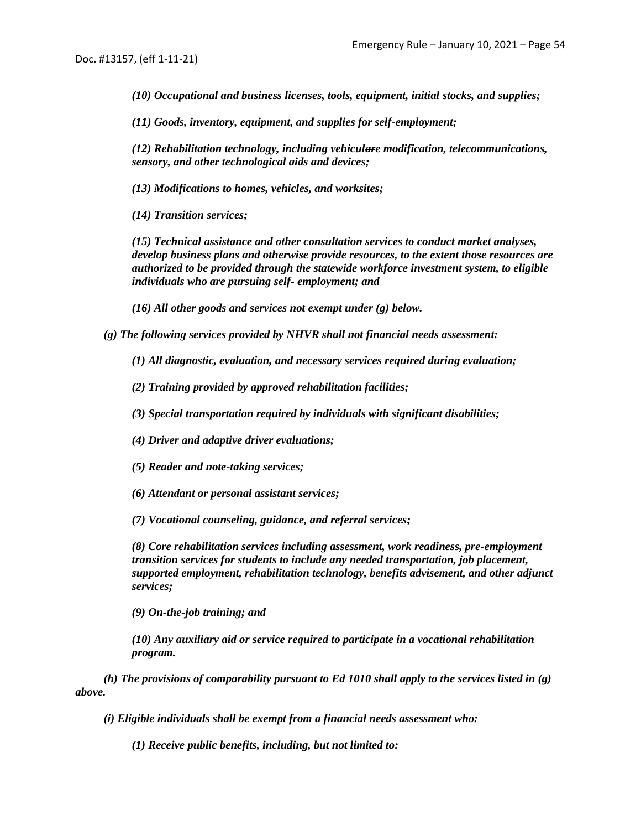*(10) Occupational and business licenses, tools, equipment, initial stocks, and supplies;*

*(11) Goods, inventory, equipment, and supplies for self-employment;*

*(12) Rehabilitation technology, including vehiculare modification, telecommunications, sensory, and other technological aids and devices;*

*(13) Modifications to homes, vehicles, and worksites;*

*(14) Transition services;* 

*(15) Technical assistance and other consultation services to conduct market analyses, develop business plans and otherwise provide resources, to the extent those resources are authorized to be provided through the statewide workforce investment system, to eligible individuals who are pursuing self- employment; and*

*(16) All other goods and services not exempt under (g) below.*

*(g) The following services provided by NHVR shall not financial needs assessment:*

*(1) All diagnostic, evaluation, and necessary services required during evaluation;*

*(2) Training provided by approved rehabilitation facilities;*

*(3) Special transportation required by individuals with significant disabilities;*

*(4) Driver and adaptive driver evaluations;*

*(5) Reader and note-taking services;*

*(6) Attendant or personal assistant services;*

*(7) Vocational counseling, guidance, and referral services;*

*(8) Core rehabilitation services including assessment, work readiness, pre-employment transition services for students to include any needed transportation, job placement, supported employment, rehabilitation technology, benefits advisement, and other adjunct services;*

*(9) On-the-job training; and*

*(10) Any auxiliary aid or service required to participate in a vocational rehabilitation program.*

*(h) The provisions of comparability pursuant to Ed 1010 shall apply to the services listed in (g) above.*

*(i) Eligible individuals shall be exempt from a financial needs assessment who:*

*(1) Receive public benefits, including, but not limited to:*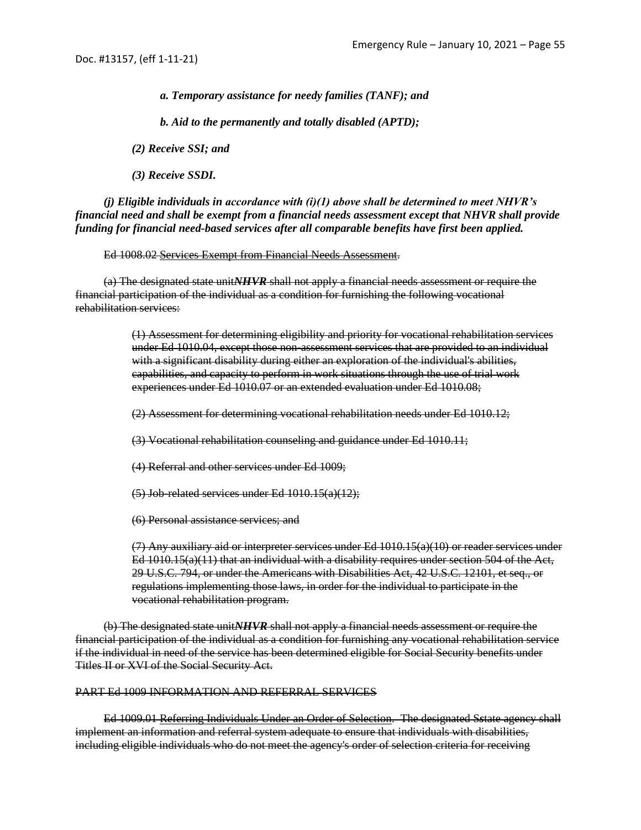*a. Temporary assistance for needy families (TANF); and*

*b. Aid to the permanently and totally disabled (APTD);* 

*(2) Receive SSI; and*

*(3) Receive SSDI.*

*(j) Eligible individuals in accordance with (i)(1) above shall be determined to meet NHVR's financial need and shall be exempt from a financial needs assessment except that NHVR shall provide funding for financial need-based services after all comparable benefits have first been applied.*

Ed 1008.02 Services Exempt from Financial Needs Assessment.

(a) The designated state unit*NHVR* shall not apply a financial needs assessment or require the financial participation of the individual as a condition for furnishing the following vocational rehabilitation services:

> (1) Assessment for determining eligibility and priority for vocational rehabilitation services under Ed 1010.04, except those non-assessment services that are provided to an individual with a significant disability during either an exploration of the individual's abilities, capabilities, and capacity to perform in work situations through the use of trial work experiences under Ed 1010.07 or an extended evaluation under Ed 1010.08;

(2) Assessment for determining vocational rehabilitation needs under Ed 1010.12;

(3) Vocational rehabilitation counseling and guidance under Ed 1010.11;

(4) Referral and other services under Ed 1009;

 $(5)$  Job-related services under Ed 1010.15(a)(12);

(6) Personal assistance services; and

(7) Any auxiliary aid or interpreter services under Ed 1010.15(a)(10) or reader services under Ed 1010.15(a)(11) that an individual with a disability requires under section 504 of the Act, 29 U.S.C. 794, or under the Americans with Disabilities Act, 42 U.S.C. 12101, et seq., or regulations implementing those laws, in order for the individual to participate in the vocational rehabilitation program.

(b) The designated state unit*NHVR* shall not apply a financial needs assessment or require the financial participation of the individual as a condition for furnishing any vocational rehabilitation service if the individual in need of the service has been determined eligible for Social Security benefits under Titles II or XVI of the Social Security Act.

#### PART Ed 1009 INFORMATION AND REFERRAL SERVICES

Ed 1009.01 Referring Individuals Under an Order of Selection. The designated S*s*tate agency shall implement an information and referral system adequate to ensure that individuals with disabilities, including eligible individuals who do not meet the agency's order of selection criteria for receiving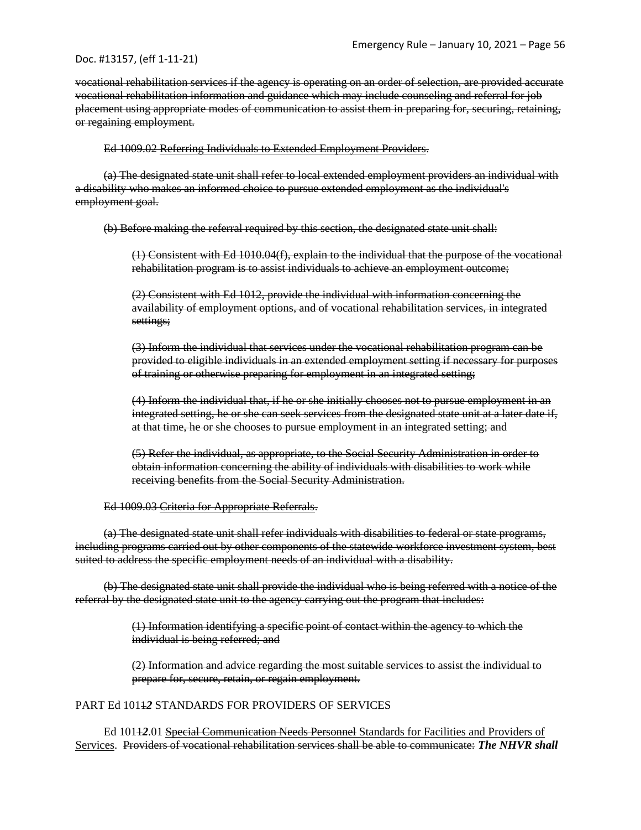vocational rehabilitation services if the agency is operating on an order of selection, are provided accurate vocational rehabilitation information and guidance which may include counseling and referral for job placement using appropriate modes of communication to assist them in preparing for, securing, retaining, or regaining employment.

#### Ed 1009.02 Referring Individuals to Extended Employment Providers.

(a) The designated state unit shall refer to local extended employment providers an individual with a disability who makes an informed choice to pursue extended employment as the individual's employment goal.

(b) Before making the referral required by this section, the designated state unit shall:

(1) Consistent with Ed 1010.04(f), explain to the individual that the purpose of the vocational rehabilitation program is to assist individuals to achieve an employment outcome;

(2) Consistent with Ed 1012, provide the individual with information concerning the availability of employment options, and of vocational rehabilitation services, in integrated settings;

(3) Inform the individual that services under the vocational rehabilitation program can be provided to eligible individuals in an extended employment setting if necessary for purposes of training or otherwise preparing for employment in an integrated setting;

(4) Inform the individual that, if he or she initially chooses not to pursue employment in an integrated setting, he or she can seek services from the designated state unit at a later date if, at that time, he or she chooses to pursue employment in an integrated setting; and

(5) Refer the individual, as appropriate, to the Social Security Administration in order to obtain information concerning the ability of individuals with disabilities to work while receiving benefits from the Social Security Administration.

#### Ed 1009.03 Criteria for Appropriate Referrals.

(a) The designated state unit shall refer individuals with disabilities to federal or state programs, including programs carried out by other components of the statewide workforce investment system, best suited to address the specific employment needs of an individual with a disability.

(b) The designated state unit shall provide the individual who is being referred with a notice of the referral by the designated state unit to the agency carrying out the program that includes:

> (1) Information identifying a specific point of contact within the agency to which the individual is being referred; and

(2) Information and advice regarding the most suitable services to assist the individual to prepare for, secure, retain, or regain employment.

### PART Ed 1011*2* STANDARDS FOR PROVIDERS OF SERVICES

Ed 10142.01 Special Communication Needs Personnel Standards for Facilities and Providers of Services. Providers of vocational rehabilitation services shall be able to communicate: *The NHVR shall*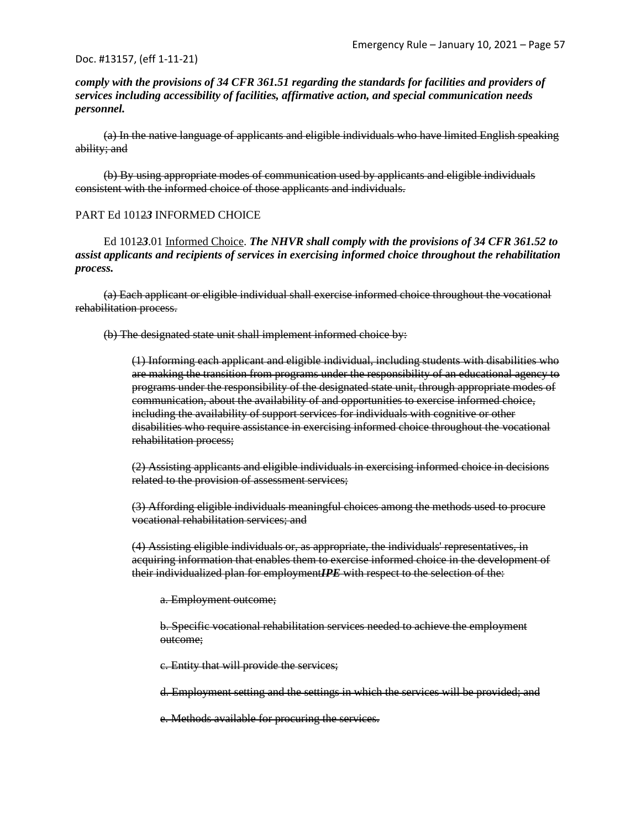*comply with the provisions of 34 CFR 361.51 regarding the standards for facilities and providers of services including accessibility of facilities, affirmative action, and special communication needs personnel.*

(a) In the native language of applicants and eligible individuals who have limited English speaking ability; and

(b) By using appropriate modes of communication used by applicants and eligible individuals consistent with the informed choice of those applicants and individuals.

### PART Ed 1012*3* INFORMED CHOICE

Ed 1012*3*.01 Informed Choice. *The NHVR shall comply with the provisions of 34 CFR 361.52 to assist applicants and recipients of services in exercising informed choice throughout the rehabilitation process.*

(a) Each applicant or eligible individual shall exercise informed choice throughout the vocational rehabilitation process.

(b) The designated state unit shall implement informed choice by:

(1) Informing each applicant and eligible individual, including students with disabilities who are making the transition from programs under the responsibility of an educational agency to programs under the responsibility of the designated state unit, through appropriate modes of communication, about the availability of and opportunities to exercise informed choice, including the availability of support services for individuals with cognitive or other disabilities who require assistance in exercising informed choice throughout the vocational rehabilitation process;

(2) Assisting applicants and eligible individuals in exercising informed choice in decisions related to the provision of assessment services;

(3) Affording eligible individuals meaningful choices among the methods used to procure vocational rehabilitation services; and

(4) Assisting eligible individuals or, as appropriate, the individuals' representatives, in acquiring information that enables them to exercise informed choice in the development of their individualized plan for employment*IPE* with respect to the selection of the:

a. Employment outcome;

b. Specific vocational rehabilitation services needed to achieve the employment outcome;

c. Entity that will provide the services;

d. Employment setting and the settings in which the services will be provided; and

e. Methods available for procuring the services.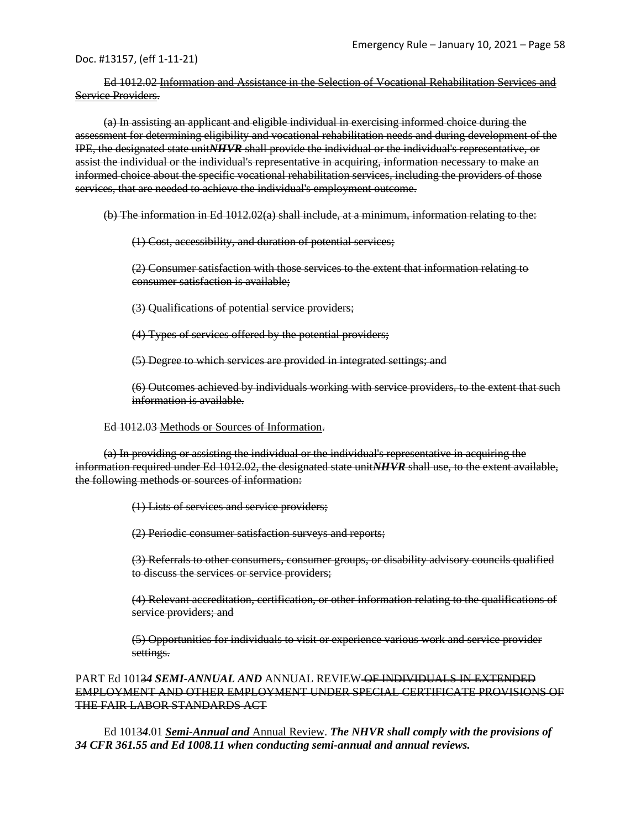Ed 1012.02 Information and Assistance in the Selection of Vocational Rehabilitation Services and Service Providers.

(a) In assisting an applicant and eligible individual in exercising informed choice during the assessment for determining eligibility and vocational rehabilitation needs and during development of the IPE, the designated state unit*NHVR* shall provide the individual or the individual's representative, or assist the individual or the individual's representative in acquiring, information necessary to make an informed choice about the specific vocational rehabilitation services, including the providers of those services, that are needed to achieve the individual's employment outcome.

(b) The information in Ed 1012.02(a) shall include, at a minimum, information relating to the:

(1) Cost, accessibility, and duration of potential services;

(2) Consumer satisfaction with those services to the extent that information relating to consumer satisfaction is available;

(3) Qualifications of potential service providers;

(4) Types of services offered by the potential providers;

(5) Degree to which services are provided in integrated settings; and

(6) Outcomes achieved by individuals working with service providers, to the extent that such information is available.

#### Ed 1012.03 Methods or Sources of Information.

(a) In providing or assisting the individual or the individual's representative in acquiring the information required under Ed 1012.02, the designated state unit*NHVR* shall use, to the extent available, the following methods or sources of information:

(1) Lists of services and service providers;

(2) Periodic consumer satisfaction surveys and reports;

(3) Referrals to other consumers, consumer groups, or disability advisory councils qualified to discuss the services or service providers;

(4) Relevant accreditation, certification, or other information relating to the qualifications of service providers; and

(5) Opportunities for individuals to visit or experience various work and service provider settings.

PART Ed 1013*4 SEMI-ANNUAL AND* ANNUAL REVIEW OF INDIVIDUALS IN EXTENDED EMPLOYMENT AND OTHER EMPLOYMENT UNDER SPECIAL CERTIFICATE PROVISIONS OF THE FAIR LABOR STANDARDS ACT

Ed 1013*4*.01 *Semi-Annual and* Annual Review. *The NHVR shall comply with the provisions of 34 CFR 361.55 and Ed 1008.11 when conducting semi-annual and annual reviews.*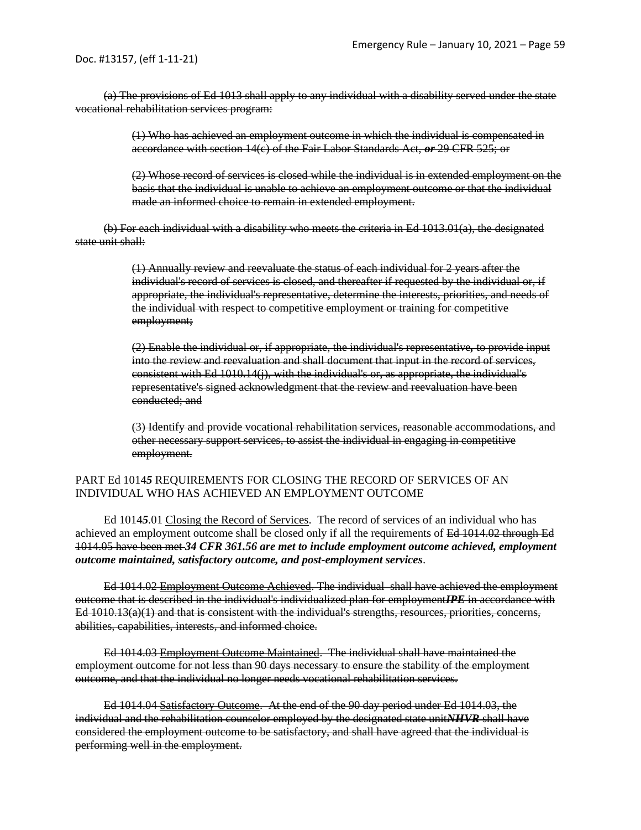(a) The provisions of Ed 1013 shall apply to any individual with a disability served under the state vocational rehabilitation services program:

> (1) Who has achieved an employment outcome in which the individual is compensated in accordance with section 14(c) of the Fair Labor Standards Act, *or* 29 CFR 525; or

(2) Whose record of services is closed while the individual is in extended employment on the basis that the individual is unable to achieve an employment outcome or that the individual made an informed choice to remain in extended employment.

(b) For each individual with a disability who meets the criteria in Ed 1013.01(a), the designated state unit shall:

> (1) Annually review and reevaluate the status of each individual for 2 years after the individual's record of services is closed, and thereafter if requested by the individual or, if appropriate, the individual's representative, determine the interests, priorities, and needs of the individual with respect to competitive employment or training for competitive employment;

> (2) Enable the individual or, if appropriate, the individual's representative*,* to provide input into the review and reevaluation and shall document that input in the record of services, consistent with Ed 1010.14(j), with the individual's or, as appropriate, the individual's representative's signed acknowledgment that the review and reevaluation have been conducted; and

(3) Identify and provide vocational rehabilitation services, reasonable accommodations, and other necessary support services, to assist the individual in engaging in competitive employment.

# PART Ed 1014*5* REQUIREMENTS FOR CLOSING THE RECORD OF SERVICES OF AN INDIVIDUAL WHO HAS ACHIEVED AN EMPLOYMENT OUTCOME

Ed 1014*5*.01 Closing the Record of Services. The record of services of an individual who has achieved an employment outcome shall be closed only if all the requirements of Ed 1014.02 through Ed 1014.05 have been met *34 CFR 361.56 are met to include employment outcome achieved, employment outcome maintained, satisfactory outcome, and post-employment services*.

Ed 1014.02 Employment Outcome Achieved. The individual shall have achieved the employment outcome that is described in the individual's individualized plan for employment*IPE* in accordance with  $Ed\ 1010.13(a)(1)$  and that is consistent with the individual's strengths, resources, priorities, concerns, abilities, capabilities, interests, and informed choice.

Ed 1014.03 Employment Outcome Maintained. The individual shall have maintained the employment outcome for not less than 90 days necessary to ensure the stability of the employment outcome, and that the individual no longer needs vocational rehabilitation services.

Ed 1014.04 Satisfactory Outcome. At the end of the 90 day period under Ed 1014.03, the individual and the rehabilitation counselor employed by the designated state unit*NHVR* shall have considered the employment outcome to be satisfactory, and shall have agreed that the individual is performing well in the employment.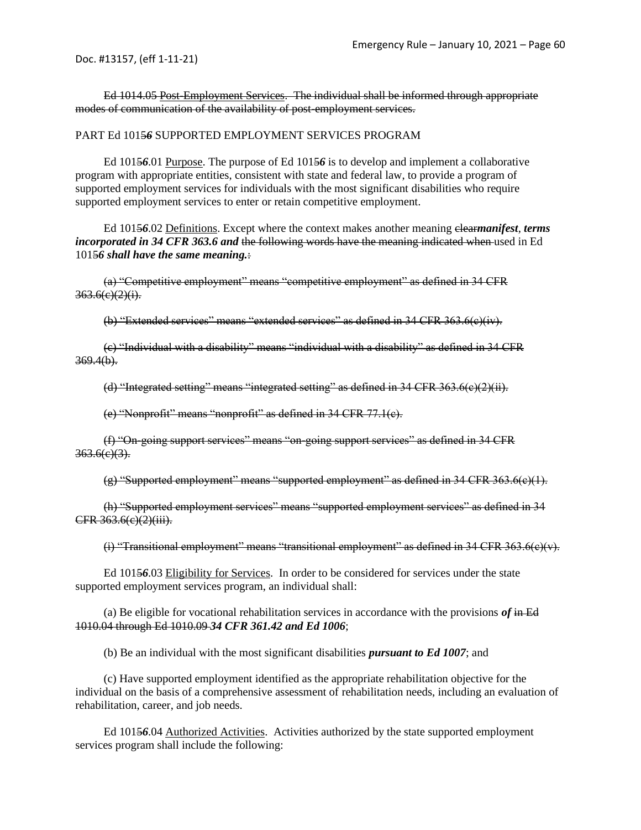Ed 1014.05 Post-Employment Services. The individual shall be informed through appropriate modes of communication of the availability of post-employment services.

# PART Ed 1015*6* SUPPORTED EMPLOYMENT SERVICES PROGRAM

Ed 1015*6*.01 Purpose. The purpose of Ed 1015*6* is to develop and implement a collaborative program with appropriate entities, consistent with state and federal law, to provide a program of supported employment services for individuals with the most significant disabilities who require supported employment services to enter or retain competitive employment.

Ed 10156.02 Definitions. Except where the context makes another meaning elearmanifest, *terms incorporated in 34 CFR 363.6 and the following words have the meaning indicated when used in Ed* 1015*6 shall have the same meaning.*:

(a) "Competitive employment" means "competitive employment" as defined in 34 CFR  $363.6(e)(2)(i)$ .

(b) "Extended services" means "extended services" as defined in 34 CFR 363.6(c)(iv).

(c) "Individual with a disability" means "individual with a disability" as defined in 34 CFR  $369.4(b)$ .

(d) "Integrated setting" means "integrated setting" as defined in 34 CFR  $363.6(e)(2)(ii)$ .

(e) "Nonprofit" means "nonprofit" as defined in 34 CFR 77.1(c).

(f) "On-going support services" means "on-going support services" as defined in 34 CFR  $363.6(e)(3)$ .

(g) "Supported employment" means "supported employment" as defined in 34 CFR 363.6(c)(1).

(h) "Supported employment services" means "supported employment services" as defined in 34 CFR 363.6(c)(2)(iii).

(i) "Transitional employment" means "transitional employment" as defined in 34 CFR 363.6(c)(v).

Ed 1015*6*.03 Eligibility for Services. In order to be considered for services under the state supported employment services program, an individual shall:

(a) Be eligible for vocational rehabilitation services in accordance with the provisions  $of$  in Ed 1010.04 through Ed 1010.09 *34 CFR 361.42 and Ed 1006*;

(b) Be an individual with the most significant disabilities *pursuant to Ed 1007*; and

(c) Have supported employment identified as the appropriate rehabilitation objective for the individual on the basis of a comprehensive assessment of rehabilitation needs, including an evaluation of rehabilitation, career, and job needs.

Ed 1015*6*.04 Authorized Activities. Activities authorized by the state supported employment services program shall include the following: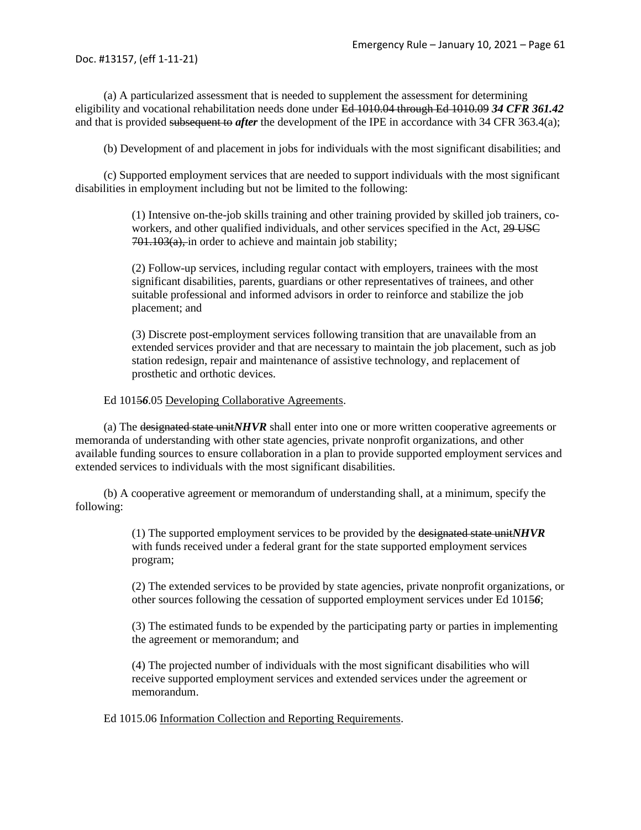(a) A particularized assessment that is needed to supplement the assessment for determining eligibility and vocational rehabilitation needs done under Ed 1010.04 through Ed 1010.09 *34 CFR 361.42*  and that is provided subsequent to *after* the development of the IPE in accordance with 34 CFR 363.4(a);

(b) Development of and placement in jobs for individuals with the most significant disabilities; and

(c) Supported employment services that are needed to support individuals with the most significant disabilities in employment including but not be limited to the following:

> (1) Intensive on-the-job skills training and other training provided by skilled job trainers, coworkers, and other qualified individuals, and other services specified in the Act, 29 USC 701.103(a), in order to achieve and maintain job stability;

(2) Follow-up services, including regular contact with employers, trainees with the most significant disabilities, parents, guardians or other representatives of trainees, and other suitable professional and informed advisors in order to reinforce and stabilize the job placement; and

(3) Discrete post-employment services following transition that are unavailable from an extended services provider and that are necessary to maintain the job placement, such as job station redesign, repair and maintenance of assistive technology, and replacement of prosthetic and orthotic devices.

Ed 1015*6*.05 Developing Collaborative Agreements.

(a) The designated state unit*NHVR* shall enter into one or more written cooperative agreements or memoranda of understanding with other state agencies, private nonprofit organizations, and other available funding sources to ensure collaboration in a plan to provide supported employment services and extended services to individuals with the most significant disabilities.

(b) A cooperative agreement or memorandum of understanding shall, at a minimum, specify the following:

> (1) The supported employment services to be provided by the designated state unit*NHVR* with funds received under a federal grant for the state supported employment services program;

(2) The extended services to be provided by state agencies, private nonprofit organizations, or other sources following the cessation of supported employment services under Ed 1015*6*;

(3) The estimated funds to be expended by the participating party or parties in implementing the agreement or memorandum; and

(4) The projected number of individuals with the most significant disabilities who will receive supported employment services and extended services under the agreement or memorandum.

Ed 1015.06 Information Collection and Reporting Requirements.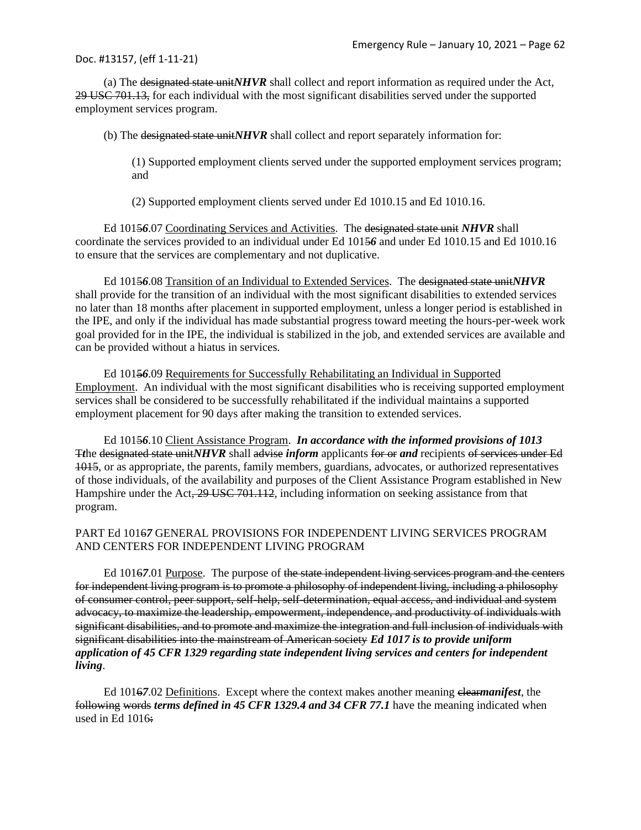(a) The designated state unit*NHVR* shall collect and report information as required under the Act, 29 USC 701.13, for each individual with the most significant disabilities served under the supported employment services program.

(b) The designated state unit*NHVR* shall collect and report separately information for:

(1) Supported employment clients served under the supported employment services program; and

(2) Supported employment clients served under Ed 1010.15 and Ed 1010.16.

Ed 1015*6*.07 Coordinating Services and Activities. The designated state unit *NHVR* shall coordinate the services provided to an individual under Ed 1015*6* and under Ed 1010.15 and Ed 1010.16 to ensure that the services are complementary and not duplicative.

Ed 1015*6*.08 Transition of an Individual to Extended Services. The designated state unit*NHVR* shall provide for the transition of an individual with the most significant disabilities to extended services no later than 18 months after placement in supported employment, unless a longer period is established in the IPE, and only if the individual has made substantial progress toward meeting the hours-per-week work goal provided for in the IPE, the individual is stabilized in the job, and extended services are available and can be provided without a hiatus in services.

Ed 1015*6*.09 Requirements for Successfully Rehabilitating an Individual in Supported Employment. An individual with the most significant disabilities who is receiving supported employment services shall be considered to be successfully rehabilitated if the individual maintains a supported employment placement for 90 days after making the transition to extended services.

Ed 1015*6*.10 Client Assistance Program. *In accordance with the informed provisions of 1013*  T*t*he designated state unit*NHVR* shall advise *inform* applicants for or *and* recipients of services under Ed 1015, or as appropriate, the parents, family members, guardians, advocates, or authorized representatives of those individuals, of the availability and purposes of the Client Assistance Program established in New Hampshire under the Act, 29 USC 701.112, including information on seeking assistance from that program.

# PART Ed 1016*7* GENERAL PROVISIONS FOR INDEPENDENT LIVING SERVICES PROGRAM AND CENTERS FOR INDEPENDENT LIVING PROGRAM

Ed 1016*7*.01 Purpose. The purpose of the state independent living services program and the centers for independent living program is to promote a philosophy of independent living, including a philosophy of consumer control, peer support, self-help, self-determination, equal access, and individual and system advocacy, to maximize the leadership, empowerment, independence, and productivity of individuals with significant disabilities, and to promote and maximize the integration and full inclusion of individuals with significant disabilities into the mainstream of American society *Ed 1017 is to provide uniform application of 45 CFR 1329 regarding state independent living services and centers for independent living*.

Ed 1016*7*.02 Definitions. Except where the context makes another meaning clear*manifest*, the following words *terms defined in 45 CFR 1329.4 and 34 CFR 77.1* have the meaning indicated when used in Ed 1016: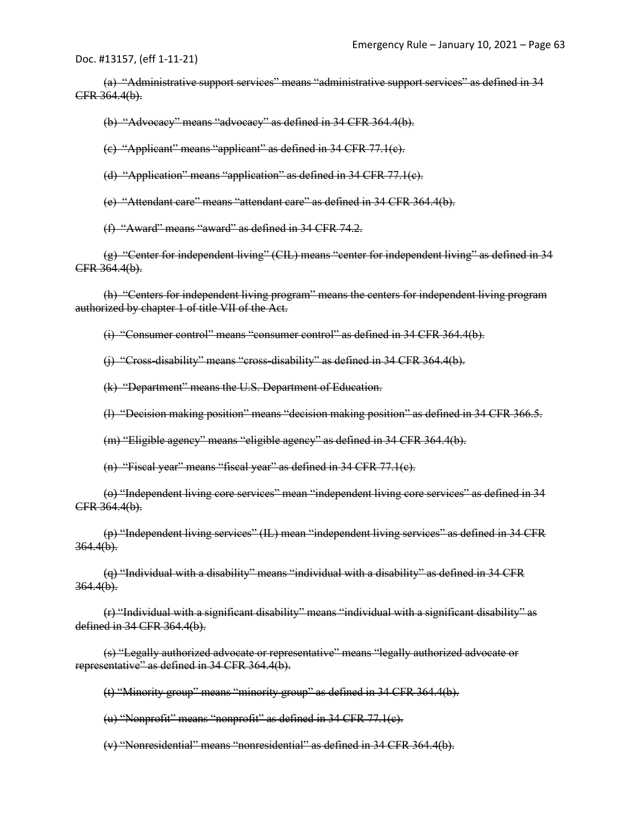(a) "Administrative support services" means "administrative support services" as defined in 34 CFR 364.4(b).

(b) "Advocacy" means "advocacy" as defined in 34 CFR 364.4(b).

(c) "Applicant" means "applicant" as defined in 34 CFR 77.1(c).

(d) "Application" means "application" as defined in 34 CFR 77.1(c).

(e) "Attendant care" means "attendant care" as defined in 34 CFR 364.4(b).

(f) "Award" means "award" as defined in 34 CFR 74.2.

(g) "Center for independent living" (CIL) means "center for independent living" as defined in 34 CFR 364.4(b).

(h) "Centers for independent living program" means the centers for independent living program authorized by chapter 1 of title VII of the Act.

(i) "Consumer control" means "consumer control" as defined in 34 CFR 364.4(b).

(j) "Cross-disability" means "cross-disability" as defined in 34 CFR 364.4(b).

(k) "Department" means the U.S. Department of Education.

(l) "Decision making position" means "decision making position" as defined in 34 CFR 366.5.

(m) "Eligible agency" means "eligible agency" as defined in 34 CFR 364.4(b).

(n) "Fiscal year" means "fiscal year" as defined in 34 CFR 77.1(c).

(o) "Independent living core services" mean "independent living core services" as defined in 34 CFR 364.4(b).

(p) "Independent living services" (IL) mean "independent living services" as defined in 34 CFR  $364.4(b)$ .

(q) "Individual with a disability" means "individual with a disability" as defined in 34 CFR  $364.4(b)$ .

(r) "Individual with a significant disability" means "individual with a significant disability" as defined in 34 CFR 364.4(b).

(s) "Legally authorized advocate or representative" means "legally authorized advocate or representative" as defined in 34 CFR 364.4(b).

(t) "Minority group" means "minority group" as defined in 34 CFR 364.4(b).

(u) "Nonprofit" means "nonprofit" as defined in 34 CFR 77.1(c).

(v) "Nonresidential" means "nonresidential" as defined in 34 CFR 364.4(b).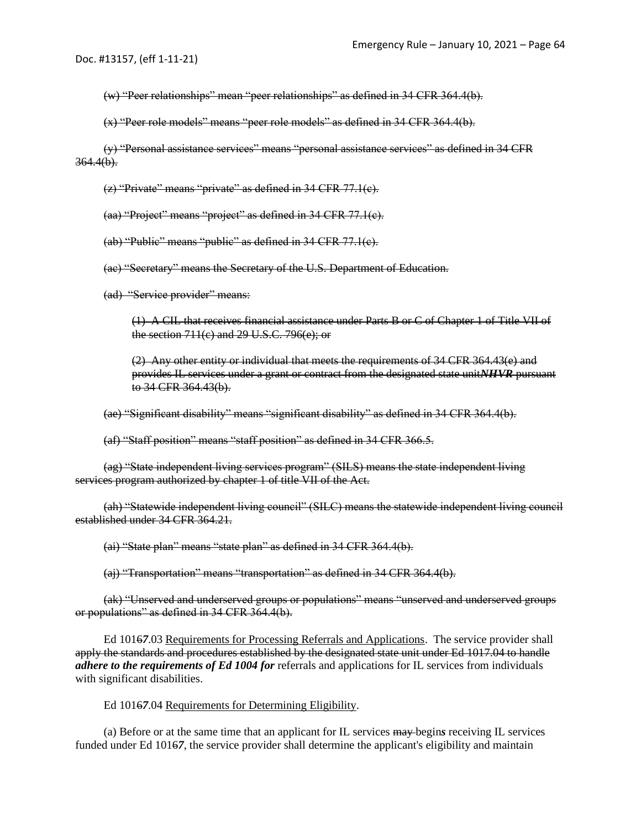(w) "Peer relationships" mean "peer relationships" as defined in 34 CFR 364.4(b).

(x) "Peer role models" means "peer role models" as defined in 34 CFR 364.4(b).

(y) "Personal assistance services" means "personal assistance services" as defined in 34 CFR  $364.4(b)$ .

(z) "Private" means "private" as defined in 34 CFR 77.1(c).

(aa) "Project" means "project" as defined in 34 CFR 77.1(c).

(ab) "Public" means "public" as defined in 34 CFR 77.1(c).

(ac) "Secretary" means the Secretary of the U.S. Department of Education.

(ad) "Service provider" means:

(1) A CIL that receives financial assistance under Parts B or C of Chapter 1 of Title VII of the section  $711(c)$  and  $29 U.S.C. 796(e)$ ; or

(2) Any other entity or individual that meets the requirements of 34 CFR 364.43(e) and provides IL services under a grant or contract from the designated state unit*NHVR* pursuant to 34 CFR 364.43(b).

(ae) "Significant disability" means "significant disability" as defined in 34 CFR 364.4(b).

(af) "Staff position" means "staff position" as defined in 34 CFR 366.5.

(ag) "State independent living services program" (SILS) means the state independent living services program authorized by chapter 1 of title VII of the Act.

(ah) "Statewide independent living council" (SILC) means the statewide independent living council established under 34 CFR 364.21.

(ai) "State plan" means "state plan" as defined in 34 CFR 364.4(b).

(aj) "Transportation" means "transportation" as defined in 34 CFR 364.4(b).

(ak) "Unserved and underserved groups or populations" means "unserved and underserved groups or populations" as defined in 34 CFR 364.4(b).

Ed 1016*7*.03 Requirements for Processing Referrals and Applications. The service provider shall apply the standards and procedures established by the designated state unit under Ed 1017.04 to handle *adhere to the requirements of Ed 1004 for* referrals and applications for IL services from individuals with significant disabilities.

Ed 1016*7*.04 Requirements for Determining Eligibility.

(a) Before or at the same time that an applicant for IL services may begin*s* receiving IL services funded under Ed 1016*7*, the service provider shall determine the applicant's eligibility and maintain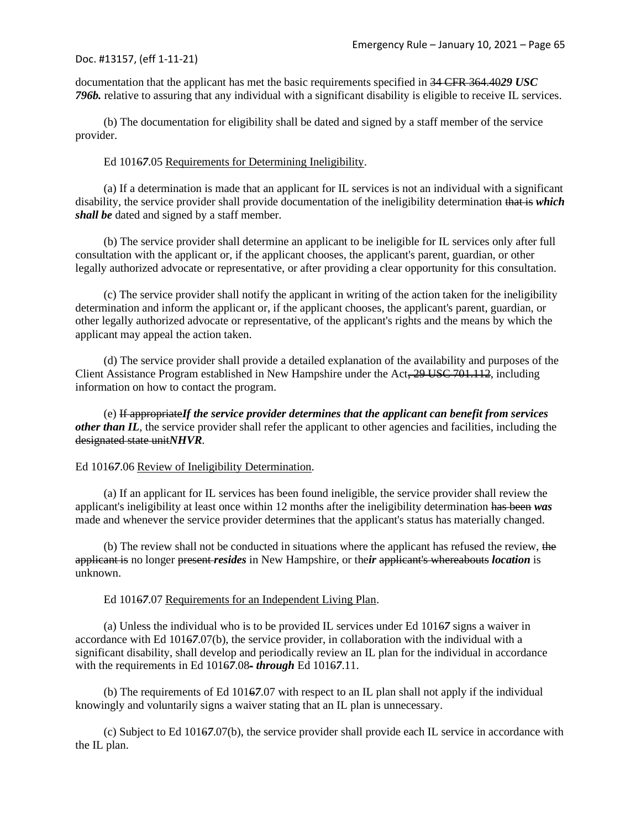documentation that the applicant has met the basic requirements specified in 34 CFR 364.40*29 USC 796b.* relative to assuring that any individual with a significant disability is eligible to receive IL services.

(b) The documentation for eligibility shall be dated and signed by a staff member of the service provider.

## Ed 1016*7*.05 Requirements for Determining Ineligibility.

(a) If a determination is made that an applicant for IL services is not an individual with a significant disability, the service provider shall provide documentation of the ineligibility determination that is *which shall be* dated and signed by a staff member.

(b) The service provider shall determine an applicant to be ineligible for IL services only after full consultation with the applicant or, if the applicant chooses, the applicant's parent, guardian, or other legally authorized advocate or representative, or after providing a clear opportunity for this consultation.

(c) The service provider shall notify the applicant in writing of the action taken for the ineligibility determination and inform the applicant or, if the applicant chooses, the applicant's parent, guardian, or other legally authorized advocate or representative, of the applicant's rights and the means by which the applicant may appeal the action taken.

(d) The service provider shall provide a detailed explanation of the availability and purposes of the Client Assistance Program established in New Hampshire under the Act, 29 USC 701.112, including information on how to contact the program.

(e) If appropriate*If the service provider determines that the applicant can benefit from services other than IL*, the service provider shall refer the applicant to other agencies and facilities, including the designated state unit*NHVR*.

### Ed 1016*7*.06 Review of Ineligibility Determination.

(a) If an applicant for IL services has been found ineligible, the service provider shall review the applicant's ineligibility at least once within 12 months after the ineligibility determination has been *was*  made and whenever the service provider determines that the applicant's status has materially changed.

(b) The review shall not be conducted in situations where the applicant has refused the review, the applicant is no longer present *resides* in New Hampshire, or the*ir* applicant's whereabouts *location* is unknown.

### Ed 1016*7*.07 Requirements for an Independent Living Plan.

(a) Unless the individual who is to be provided IL services under Ed 1016*7* signs a waiver in accordance with Ed 1016*7*.07(b), the service provider, in collaboration with the individual with a significant disability, shall develop and periodically review an IL plan for the individual in accordance with the requirements in Ed 1016*7*.08- *through* Ed 1016*7*.11.

(b) The requirements of Ed 1016*7*.07 with respect to an IL plan shall not apply if the individual knowingly and voluntarily signs a waiver stating that an IL plan is unnecessary.

(c) Subject to Ed 1016*7*.07(b), the service provider shall provide each IL service in accordance with the IL plan.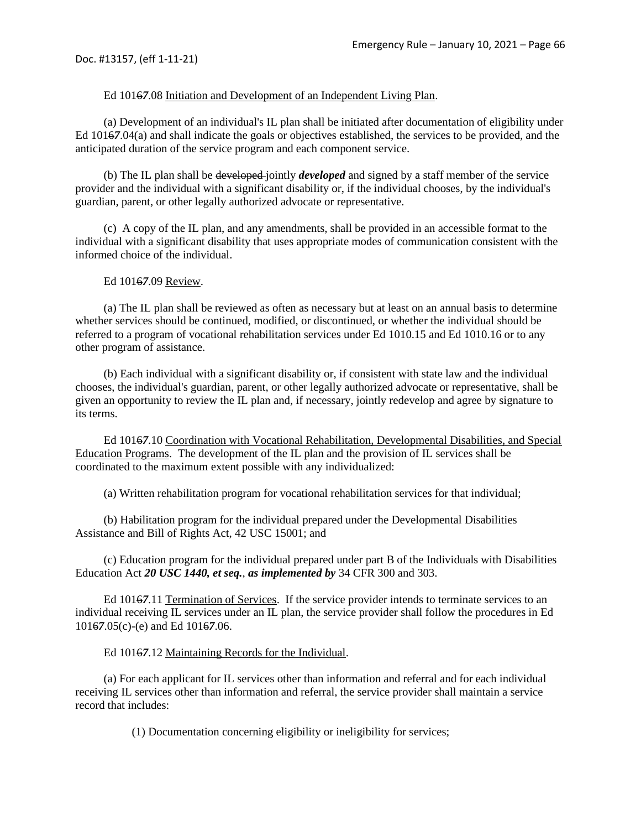# Ed 1016*7*.08 Initiation and Development of an Independent Living Plan.

(a) Development of an individual's IL plan shall be initiated after documentation of eligibility under Ed 1016*7*.04(a) and shall indicate the goals or objectives established, the services to be provided, and the anticipated duration of the service program and each component service.

(b) The IL plan shall be developed jointly *developed* and signed by a staff member of the service provider and the individual with a significant disability or, if the individual chooses, by the individual's guardian, parent, or other legally authorized advocate or representative.

(c) A copy of the IL plan, and any amendments, shall be provided in an accessible format to the individual with a significant disability that uses appropriate modes of communication consistent with the informed choice of the individual.

## Ed 1016*7*.09 Review.

(a) The IL plan shall be reviewed as often as necessary but at least on an annual basis to determine whether services should be continued, modified, or discontinued, or whether the individual should be referred to a program of vocational rehabilitation services under Ed 1010.15 and Ed 1010.16 or to any other program of assistance.

(b) Each individual with a significant disability or, if consistent with state law and the individual chooses, the individual's guardian, parent, or other legally authorized advocate or representative, shall be given an opportunity to review the IL plan and, if necessary, jointly redevelop and agree by signature to its terms.

Ed 1016*7*.10 Coordination with Vocational Rehabilitation, Developmental Disabilities, and Special Education Programs. The development of the IL plan and the provision of IL services shall be coordinated to the maximum extent possible with any individualized:

(a) Written rehabilitation program for vocational rehabilitation services for that individual;

(b) Habilitation program for the individual prepared under the Developmental Disabilities Assistance and Bill of Rights Act, 42 USC 15001; and

(c) Education program for the individual prepared under part B of the Individuals with Disabilities Education Act *20 USC 1440, et seq.*, *as implemented by* 34 CFR 300 and 303.

Ed 1016*7*.11 Termination of Services. If the service provider intends to terminate services to an individual receiving IL services under an IL plan, the service provider shall follow the procedures in Ed 1016*7*.05(c)-(e) and Ed 1016*7*.06.

Ed 1016*7*.12 Maintaining Records for the Individual.

(a) For each applicant for IL services other than information and referral and for each individual receiving IL services other than information and referral, the service provider shall maintain a service record that includes:

(1) Documentation concerning eligibility or ineligibility for services;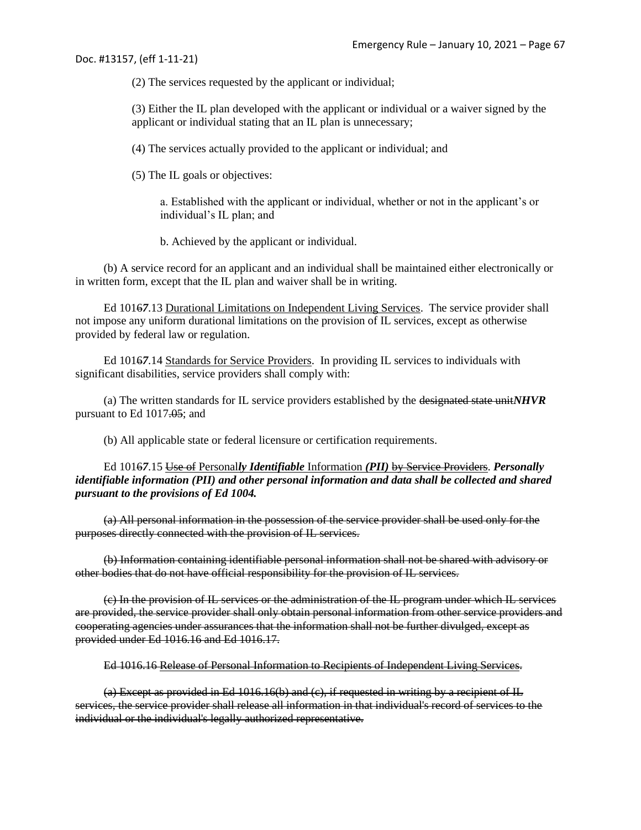(2) The services requested by the applicant or individual;

(3) Either the IL plan developed with the applicant or individual or a waiver signed by the applicant or individual stating that an IL plan is unnecessary;

(4) The services actually provided to the applicant or individual; and

(5) The IL goals or objectives:

a. Established with the applicant or individual, whether or not in the applicant's or individual's IL plan; and

b. Achieved by the applicant or individual.

(b) A service record for an applicant and an individual shall be maintained either electronically or in written form, except that the IL plan and waiver shall be in writing.

Ed 1016*7*.13 Durational Limitations on Independent Living Services. The service provider shall not impose any uniform durational limitations on the provision of IL services, except as otherwise provided by federal law or regulation.

Ed 1016*7*.14 Standards for Service Providers. In providing IL services to individuals with significant disabilities, service providers shall comply with:

(a) The written standards for IL service providers established by the designated state unit*NHVR* pursuant to Ed 1017.05; and

(b) All applicable state or federal licensure or certification requirements.

Ed 1016*7*.15 Use of Personal*ly Identifiable* Information *(PII)* by Service Providers. *Personally identifiable information (PII) and other personal information and data shall be collected and shared pursuant to the provisions of Ed 1004.*

(a) All personal information in the possession of the service provider shall be used only for the purposes directly connected with the provision of IL services.

(b) Information containing identifiable personal information shall not be shared with advisory or other bodies that do not have official responsibility for the provision of IL services.

(c) In the provision of IL services or the administration of the IL program under which IL services are provided, the service provider shall only obtain personal information from other service providers and cooperating agencies under assurances that the information shall not be further divulged, except as provided under Ed 1016.16 and Ed 1016.17.

#### Ed 1016.16 Release of Personal Information to Recipients of Independent Living Services.

(a) Except as provided in Ed 1016.16(b) and (c), if requested in writing by a recipient of  $II$ services, the service provider shall release all information in that individual's record of services to the individual or the individual's legally authorized representative.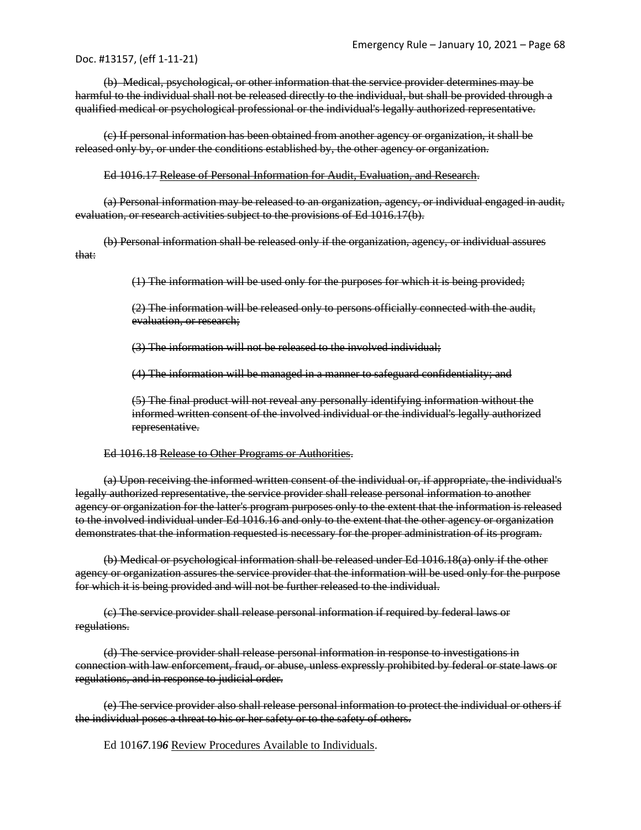(b) Medical, psychological, or other information that the service provider determines may be harmful to the individual shall not be released directly to the individual, but shall be provided through a qualified medical or psychological professional or the individual's legally authorized representative.

(c) If personal information has been obtained from another agency or organization, it shall be released only by, or under the conditions established by, the other agency or organization.

Ed 1016.17 Release of Personal Information for Audit, Evaluation, and Research.

(a) Personal information may be released to an organization, agency, or individual engaged in audit, evaluation, or research activities subject to the provisions of Ed 1016.17(b).

(b) Personal information shall be released only if the organization, agency, or individual assures that:

(1) The information will be used only for the purposes for which it is being provided;

(2) The information will be released only to persons officially connected with the audit, evaluation, or research;

(3) The information will not be released to the involved individual;

(4) The information will be managed in a manner to safeguard confidentiality; and

(5) The final product will not reveal any personally identifying information without the informed written consent of the involved individual or the individual's legally authorized representative.

Ed 1016.18 Release to Other Programs or Authorities.

(a) Upon receiving the informed written consent of the individual or, if appropriate, the individual's legally authorized representative, the service provider shall release personal information to another agency or organization for the latter's program purposes only to the extent that the information is released to the involved individual under Ed 1016.16 and only to the extent that the other agency or organization demonstrates that the information requested is necessary for the proper administration of its program.

(b) Medical or psychological information shall be released under Ed 1016.18(a) only if the other agency or organization assures the service provider that the information will be used only for the purpose for which it is being provided and will not be further released to the individual.

(c) The service provider shall release personal information if required by federal laws or regulations.

(d) The service provider shall release personal information in response to investigations in connection with law enforcement, fraud, or abuse, unless expressly prohibited by federal or state laws or regulations, and in response to judicial order.

(e) The service provider also shall release personal information to protect the individual or others if the individual poses a threat to his or her safety or to the safety of others.

Ed 1016*7*.19*6* Review Procedures Available to Individuals.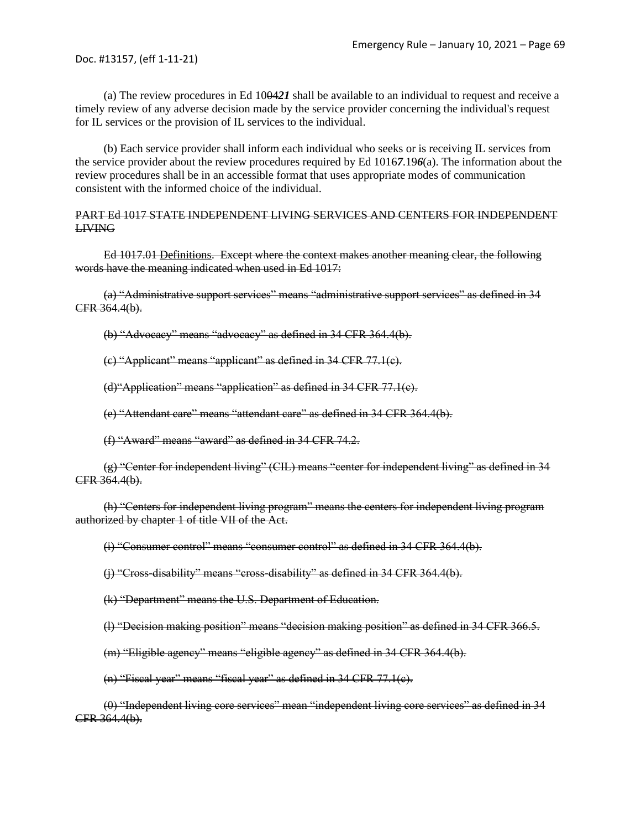(a) The review procedures in Ed 1004*21* shall be available to an individual to request and receive a timely review of any adverse decision made by the service provider concerning the individual's request for IL services or the provision of IL services to the individual.

(b) Each service provider shall inform each individual who seeks or is receiving IL services from the service provider about the review procedures required by Ed 1016*7*.19*6*(a). The information about the review procedures shall be in an accessible format that uses appropriate modes of communication consistent with the informed choice of the individual.

### PART Ed 1017 STATE INDEPENDENT LIVING SERVICES AND CENTERS FOR INDEPENDENT LIVING

Ed 1017.01 Definitions. Except where the context makes another meaning clear, the following words have the meaning indicated when used in Ed 1017:

(a) "Administrative support services" means "administrative support services" as defined in 34 CFR 364.4(b).

(b) "Advocacy" means "advocacy" as defined in 34 CFR 364.4(b).

(c) "Applicant" means "applicant" as defined in 34 CFR 77.1(c).

(d)"Application" means "application" as defined in 34 CFR 77.1(c).

(e) "Attendant care" means "attendant care" as defined in 34 CFR 364.4(b).

(f) "Award" means "award" as defined in 34 CFR 74.2.

(g) "Center for independent living" (CIL) means "center for independent living" as defined in 34 CFR 364.4(b).

(h) "Centers for independent living program" means the centers for independent living program authorized by chapter 1 of title VII of the Act.

(i) "Consumer control" means "consumer control" as defined in 34 CFR 364.4(b).

(j) "Cross-disability" means "cross-disability" as defined in 34 CFR 364.4(b).

(k) "Department" means the U.S. Department of Education.

(l) "Decision making position" means "decision making position" as defined in 34 CFR 366.5.

(m) "Eligible agency" means "eligible agency" as defined in 34 CFR 364.4(b).

(n) "Fiscal year" means "fiscal year" as defined in 34 CFR 77.1(c).

(0) "Independent living core services" mean "independent living core services" as defined in 34 CFR 364.4(b).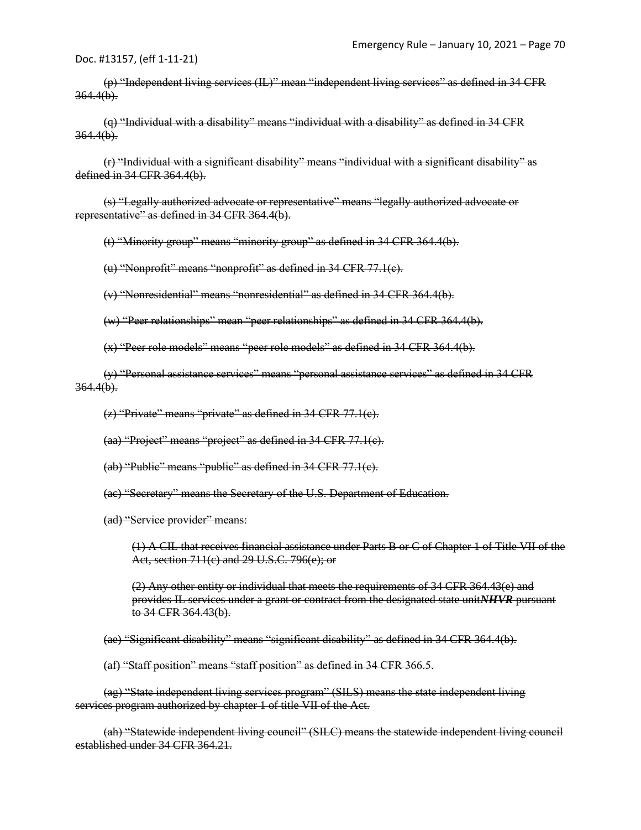(p) "Independent living services (IL)" mean "independent living services" as defined in 34 CFR  $364.4(b)$ .

(q) "Individual with a disability" means "individual with a disability" as defined in 34 CFR  $364.4(b)$ .

(r) "Individual with a significant disability" means "individual with a significant disability" as defined in 34 CFR 364.4(b).

(s) "Legally authorized advocate or representative" means "legally authorized advocate or representative" as defined in 34 CFR 364.4(b).

(t) "Minority group" means "minority group" as defined in 34 CFR 364.4(b).

(u) "Nonprofit" means "nonprofit" as defined in 34 CFR 77.1(c).

(v) "Nonresidential" means "nonresidential" as defined in 34 CFR 364.4(b).

(w) "Peer relationships" mean "peer relationships" as defined in 34 CFR 364.4(b).

(x) "Peer role models" means "peer role models" as defined in 34 CFR 364.4(b).

(y) "Personal assistance services" means "personal assistance services" as defined in 34 CFR  $364.4(b)$ .

(z) "Private" means "private" as defined in 34 CFR 77.1(c).

(aa) "Project" means "project" as defined in 34 CFR 77.1(c).

(ab) "Public" means "public" as defined in 34 CFR 77.1(c).

(ac) "Secretary" means the Secretary of the U.S. Department of Education.

(ad) "Service provider" means:

(1) A CIL that receives financial assistance under Parts B or C of Chapter 1 of Title VII of the Act, section 711(c) and 29 U.S.C. 796(e); or

(2) Any other entity or individual that meets the requirements of 34 CFR 364.43(e) and provides IL services under a grant or contract from the designated state unit*NHVR* pursuant to 34 CFR 364.43(b).

(ae) "Significant disability" means "significant disability" as defined in 34 CFR 364.4(b).

(af) "Staff position" means "staff position" as defined in 34 CFR 366.5.

(ag) "State independent living services program" (SILS) means the state independent living services program authorized by chapter 1 of title VII of the Act.

(ah) "Statewide independent living council" (SILC) means the statewide independent living council established under 34 CFR 364.21.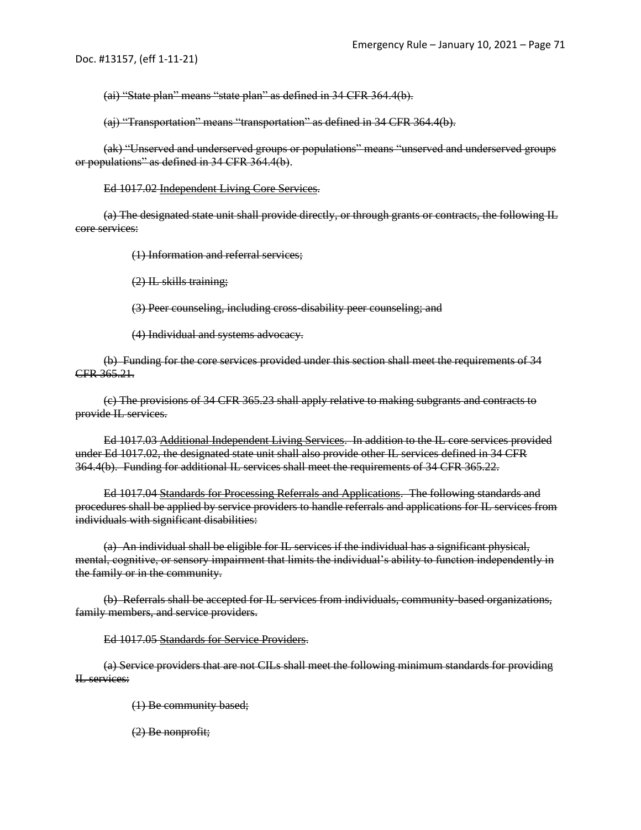(ai) "State plan" means "state plan" as defined in 34 CFR 364.4(b).

(aj) "Transportation" means "transportation" as defined in 34 CFR 364.4(b).

(ak) "Unserved and underserved groups or populations" means "unserved and underserved groups or populations" as defined in 34 CFR 364.4(b).

Ed 1017.02 Independent Living Core Services.

(a) The designated state unit shall provide directly, or through grants or contracts, the following IL core services:

(1) Information and referral services;

(2) IL skills training;

(3) Peer counseling, including cross-disability peer counseling; and

(4) Individual and systems advocacy.

(b) Funding for the core services provided under this section shall meet the requirements of 34 CFR 365.21.

(c) The provisions of 34 CFR 365.23 shall apply relative to making subgrants and contracts to provide IL services.

Ed 1017.03 Additional Independent Living Services. In addition to the IL core services provided under Ed 1017.02, the designated state unit shall also provide other IL services defined in 34 CFR 364.4(b). Funding for additional IL services shall meet the requirements of 34 CFR 365.22.

Ed 1017.04 Standards for Processing Referrals and Applications. The following standards and procedures shall be applied by service providers to handle referrals and applications for IL services from individuals with significant disabilities:

(a) An individual shall be eligible for IL services if the individual has a significant physical, mental, cognitive, or sensory impairment that limits the individual's ability to function independently in the family or in the community.

(b) Referrals shall be accepted for IL services from individuals, community-based organizations, family members, and service providers.

Ed 1017.05 Standards for Service Providers.

(a) Service providers that are not CILs shall meet the following minimum standards for providing IL services:

(1) Be community based;

(2) Be nonprofit;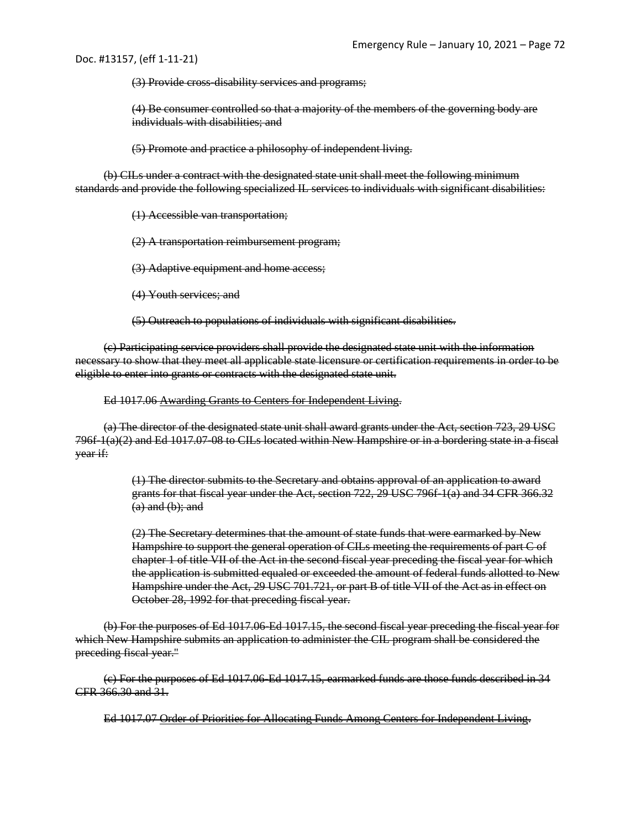(3) Provide cross-disability services and programs;

(4) Be consumer controlled so that a majority of the members of the governing body are individuals with disabilities; and

(5) Promote and practice a philosophy of independent living.

(b) CILs under a contract with the designated state unit shall meet the following minimum standards and provide the following specialized IL services to individuals with significant disabilities:

(1) Accessible van transportation;

(2) A transportation reimbursement program;

(3) Adaptive equipment and home access;

(4) Youth services; and

(5) Outreach to populations of individuals with significant disabilities.

(c) Participating service providers shall provide the designated state unit with the information necessary to show that they meet all applicable state licensure or certification requirements in order to be eligible to enter into grants or contracts with the designated state unit.

### Ed 1017.06 Awarding Grants to Centers for Independent Living.

(a) The director of the designated state unit shall award grants under the Act, section 723, 29 USC 796f-1(a)(2) and Ed 1017.07-08 to CILs located within New Hampshire or in a bordering state in a fiscal year if:

> (1) The director submits to the Secretary and obtains approval of an application to award grants for that fiscal year under the Act, section 722, 29 USC 796f-1(a) and 34 CFR 366.32  $(a)$  and  $(b)$ ; and

(2) The Secretary determines that the amount of state funds that were earmarked by New Hampshire to support the general operation of CILs meeting the requirements of part C of chapter 1 of title VII of the Act in the second fiscal year preceding the fiscal year for which the application is submitted equaled or exceeded the amount of federal funds allotted to New Hampshire under the Act, 29 USC 701.721, or part B of title VII of the Act as in effect on October 28, 1992 for that preceding fiscal year.

(b) For the purposes of Ed 1017.06-Ed 1017.15, the second fiscal year preceding the fiscal year for which New Hampshire submits an application to administer the CIL program shall be considered the preceding fiscal year.''

(c) For the purposes of Ed 1017.06-Ed 1017.15, earmarked funds are those funds described in 34 CFR 366.30 and 31.

Ed 1017.07 Order of Priorities for Allocating Funds Among Centers for Independent Living.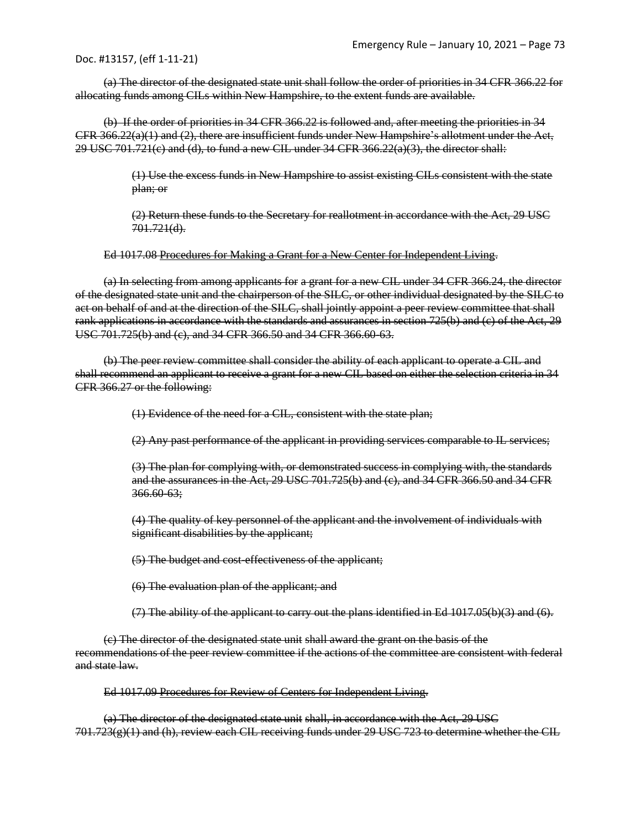(a) The director of the designated state unit shall follow the order of priorities in 34 CFR 366.22 for allocating funds among CILs within New Hampshire, to the extent funds are available.

(b) If the order of priorities in 34 CFR 366.22 is followed and, after meeting the priorities in 34  $CFR 366.22(a)(1)$  and  $(2)$ , there are insufficient funds under New Hampshire's allotment under the Act, 29 USC 701.721(c) and (d), to fund a new CIL under 34 CFR 366.22(a)(3), the director shall:

> (1) Use the excess funds in New Hampshire to assist existing CILs consistent with the state plan; or

> (2) Return these funds to the Secretary for reallotment in accordance with the Act, 29 USC 701.721(d).

Ed 1017.08 Procedures for Making a Grant for a New Center for Independent Living.

(a) In selecting from among applicants for a grant for a new CIL under 34 CFR 366.24, the director of the designated state unit and the chairperson of the SILC, or other individual designated by the SILC to act on behalf of and at the direction of the SILC, shall jointly appoint a peer review committee that shall rank applications in accordance with the standards and assurances in section 725(b) and (c) of the Act, 29 USC 701.725(b) and (c), and 34 CFR 366.50 and 34 CFR 366.60-63.

(b) The peer review committee shall consider the ability of each applicant to operate a CIL and shall recommend an applicant to receive a grant for a new CIL based on either the selection criteria in 34 CFR 366.27 or the following:

(1) Evidence of the need for a CIL, consistent with the state plan;

(2) Any past performance of the applicant in providing services comparable to IL services;

(3) The plan for complying with, or demonstrated success in complying with, the standards and the assurances in the Act, 29 USC 701.725(b) and (c), and 34 CFR 366.50 and 34 CFR 366.60-63;

(4) The quality of key personnel of the applicant and the involvement of individuals with significant disabilities by the applicant;

(5) The budget and cost-effectiveness of the applicant;

(6) The evaluation plan of the applicant; and

(7) The ability of the applicant to carry out the plans identified in Ed  $1017.05(b)(3)$  and (6).

(c) The director of the designated state unit shall award the grant on the basis of the recommendations of the peer review committee if the actions of the committee are consistent with federal and state law.

### Ed 1017.09 Procedures for Review of Centers for Independent Living.

(a) The director of the designated state unit shall, in accordance with the Act, 29 USC 701.723(g)(1) and (h), review each CIL receiving funds under 29 USC 723 to determine whether the CIL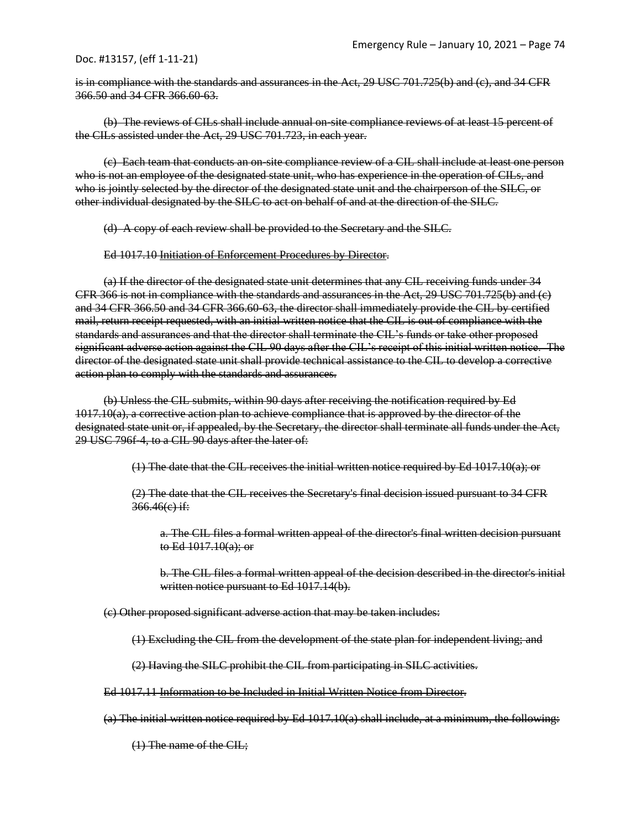is in compliance with the standards and assurances in the Act, 29 USC 701.725(b) and (c), and 34 CFR 366.50 and 34 CFR 366.60-63.

(b) The reviews of CILs shall include annual on-site compliance reviews of at least 15 percent of the CILs assisted under the Act, 29 USC 701.723, in each year.

(c) Each team that conducts an on-site compliance review of a CIL shall include at least one person who is not an employee of the designated state unit, who has experience in the operation of CILs, and who is jointly selected by the director of the designated state unit and the chairperson of the SILC, or other individual designated by the SILC to act on behalf of and at the direction of the SILC.

(d) A copy of each review shall be provided to the Secretary and the SILC.

#### Ed 1017.10 Initiation of Enforcement Procedures by Director.

(a) If the director of the designated state unit determines that any CIL receiving funds under 34 CFR 366 is not in compliance with the standards and assurances in the Act, 29 USC 701.725(b) and (c) and 34 CFR 366.50 and 34 CFR 366.60-63, the director shall immediately provide the CIL by certified mail, return receipt requested, with an initial written notice that the CIL is out of compliance with the standards and assurances and that the director shall terminate the CIL's funds or take other proposed significant adverse action against the CIL 90 days after the CIL's receipt of this initial written notice. The director of the designated state unit shall provide technical assistance to the CIL to develop a corrective action plan to comply with the standards and assurances.

(b) Unless the CIL submits, within 90 days after receiving the notification required by Ed 1017.10(a), a corrective action plan to achieve compliance that is approved by the director of the designated state unit or, if appealed, by the Secretary, the director shall terminate all funds under the Act, 29 USC 796f-4, to a CIL 90 days after the later of:

 $(1)$  The date that the CIL receives the initial written notice required by Ed 1017.10(a); or

(2) The date that the CIL receives the Secretary's final decision issued pursuant to 34 CFR  $366.46(e)$  if:

a. The CIL files a formal written appeal of the director's final written decision pursuant to Ed 1017.10(a); or

b. The CIL files a formal written appeal of the decision described in the director's initial written notice pursuant to Ed 1017.14(b).

(c) Other proposed significant adverse action that may be taken includes:

(1) Excluding the CIL from the development of the state plan for independent living; and

(2) Having the SILC prohibit the CIL from participating in SILC activities.

Ed 1017.11 Information to be Included in Initial Written Notice from Director.

(a) The initial written notice required by Ed  $1017.10(a)$  shall include, at a minimum, the following:

(1) The name of the CIL;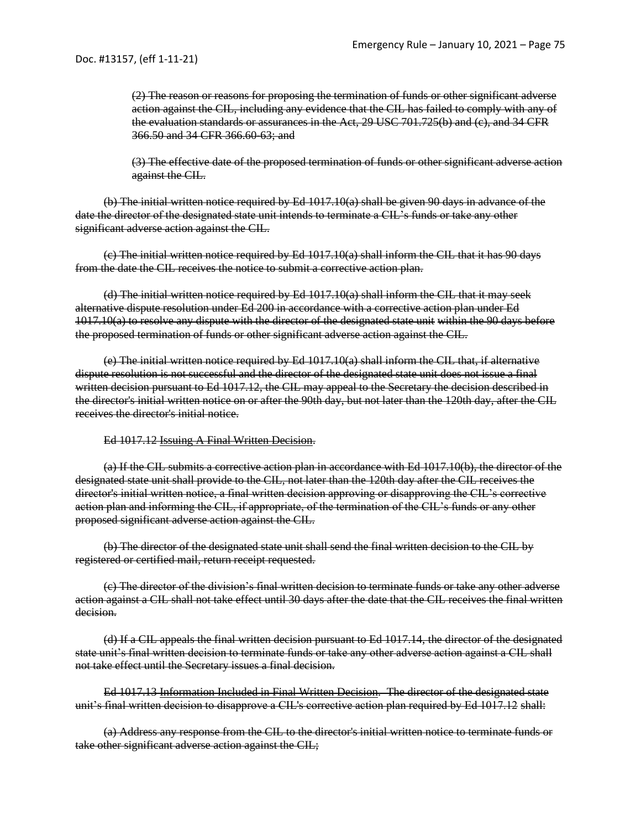(2) The reason or reasons for proposing the termination of funds or other significant adverse action against the CIL, including any evidence that the CIL has failed to comply with any of the evaluation standards or assurances in the Act,  $29$  USC 701.725(b) and (e), and 34 CFR 366.50 and 34 CFR 366.60-63; and

(3) The effective date of the proposed termination of funds or other significant adverse action against the CIL.

(b) The initial written notice required by Ed 1017.10(a) shall be given 90 days in advance of the date the director of the designated state unit intends to terminate a CIL's funds or take any other significant adverse action against the CIL.

(c) The initial written notice required by Ed 1017.10(a) shall inform the CIL that it has 90 days from the date the CIL receives the notice to submit a corrective action plan.

(d) The initial written notice required by Ed 1017.10(a) shall inform the CIL that it may seek alternative dispute resolution under Ed 200 in accordance with a corrective action plan under Ed 1017.10(a) to resolve any dispute with the director of the designated state unit within the 90 days before the proposed termination of funds or other significant adverse action against the CIL.

(e) The initial written notice required by Ed 1017.10(a) shall inform the CIL that, if alternative dispute resolution is not successful and the director of the designated state unit does not issue a final written decision pursuant to Ed 1017.12, the CIL may appeal to the Secretary the decision described in the director's initial written notice on or after the 90th day, but not later than the 120th day, after the CIL receives the director's initial notice.

#### Ed 1017.12 Issuing A Final Written Decision.

(a) If the CIL submits a corrective action plan in accordance with Ed 1017.10(b), the director of the designated state unit shall provide to the CIL, not later than the 120th day after the CIL receives the director's initial written notice, a final written decision approving or disapproving the CIL's corrective action plan and informing the CIL, if appropriate, of the termination of the CIL's funds or any other proposed significant adverse action against the CIL.

(b) The director of the designated state unit shall send the final written decision to the CIL by registered or certified mail, return receipt requested.

(c) The director of the division's final written decision to terminate funds or take any other adverse action against a CIL shall not take effect until 30 days after the date that the CIL receives the final written decision.

(d) If a CIL appeals the final written decision pursuant to Ed 1017.14, the director of the designated state unit's final written decision to terminate funds or take any other adverse action against a CIL shall not take effect until the Secretary issues a final decision.

Ed 1017.13 Information Included in Final Written Decision. The director of the designated state unit's final written decision to disapprove a CIL's corrective action plan required by Ed 1017.12 shall:

(a) Address any response from the CIL to the director's initial written notice to terminate funds or take other significant adverse action against the CIL;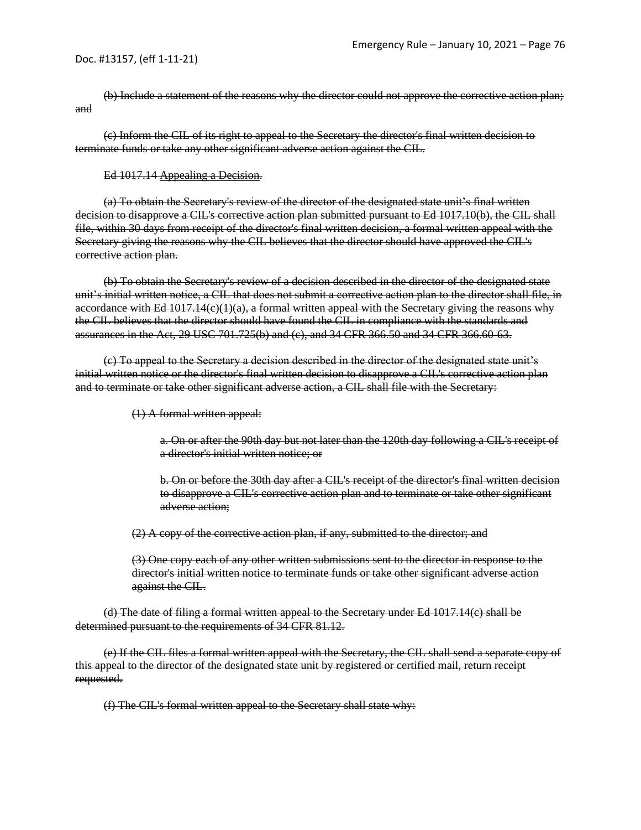(b) Include a statement of the reasons why the director could not approve the corrective action plan; and

(c) Inform the CIL of its right to appeal to the Secretary the director's final written decision to terminate funds or take any other significant adverse action against the CIL.

Ed 1017.14 Appealing a Decision.

(a) To obtain the Secretary's review of the director of the designated state unit's final written decision to disapprove a CIL's corrective action plan submitted pursuant to Ed 1017.10(b), the CIL shall file, within 30 days from receipt of the director's final written decision, a formal written appeal with the Secretary giving the reasons why the CIL believes that the director should have approved the CIL's corrective action plan.

(b) To obtain the Secretary's review of a decision described in the director of the designated state unit's initial written notice, a CIL that does not submit a corrective action plan to the director shall file, in accordance with Ed  $1017.14(c)(1)(a)$ , a formal written appeal with the Secretary giving the reasons why the CIL believes that the director should have found the CIL in compliance with the standards and assurances in the Act, 29 USC 701.725(b) and (c), and 34 CFR 366.50 and 34 CFR 366.60-63.

(c) To appeal to the Secretary a decision described in the director of the designated state unit's initial written notice or the director's final written decision to disapprove a CIL's corrective action plan and to terminate or take other significant adverse action, a CIL shall file with the Secretary:

(1) A formal written appeal:

a. On or after the 90th day but not later than the 120th day following a CIL's receipt of a director's initial written notice; or

b. On or before the 30th day after a CIL's receipt of the director's final written decision to disapprove a CIL's corrective action plan and to terminate or take other significant adverse action;

(2) A copy of the corrective action plan, if any, submitted to the director; and

(3) One copy each of any other written submissions sent to the director in response to the director's initial written notice to terminate funds or take other significant adverse action against the CIL.

(d) The date of filing a formal written appeal to the Secretary under Ed 1017.14(c) shall be determined pursuant to the requirements of 34 CFR 81.12.

(e) If the CIL files a formal written appeal with the Secretary, the CIL shall send a separate copy of this appeal to the director of the designated state unit by registered or certified mail, return receipt requested.

(f) The CIL's formal written appeal to the Secretary shall state why: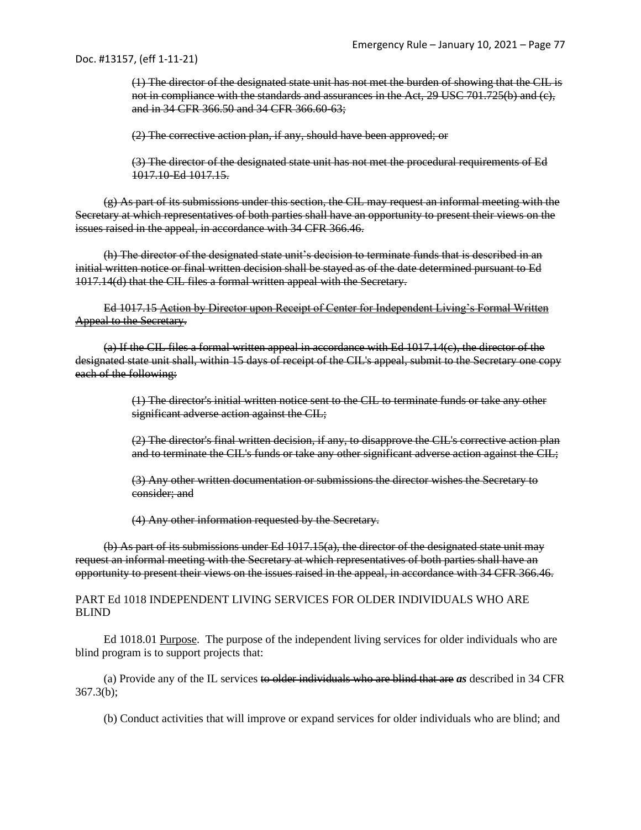(1) The director of the designated state unit has not met the burden of showing that the CIL is not in compliance with the standards and assurances in the Act, 29 USC 701.725(b) and (c), and in 34 CFR 366.50 and 34 CFR 366.60-63;

(2) The corrective action plan, if any, should have been approved; or

(3) The director of the designated state unit has not met the procedural requirements of Ed 1017.10-Ed 1017.15.

(g) As part of its submissions under this section, the CIL may request an informal meeting with the Secretary at which representatives of both parties shall have an opportunity to present their views on the issues raised in the appeal, in accordance with 34 CFR 366.46.

(h) The director of the designated state unit's decision to terminate funds that is described in an initial written notice or final written decision shall be stayed as of the date determined pursuant to Ed 1017.14(d) that the CIL files a formal written appeal with the Secretary.

Ed 1017.15 Action by Director upon Receipt of Center for Independent Living's Formal Written Appeal to the Secretary.

(a) If the CIL files a formal written appeal in accordance with Ed 1017.14(c), the director of the designated state unit shall, within 15 days of receipt of the CIL's appeal, submit to the Secretary one copy each of the following:

> (1) The director's initial written notice sent to the CIL to terminate funds or take any other significant adverse action against the CIL;

(2) The director's final written decision, if any, to disapprove the CIL's corrective action plan and to terminate the CIL's funds or take any other significant adverse action against the CIL;

(3) Any other written documentation or submissions the director wishes the Secretary to consider; and

(4) Any other information requested by the Secretary.

(b) As part of its submissions under Ed 1017.15(a), the director of the designated state unit may request an informal meeting with the Secretary at which representatives of both parties shall have an opportunity to present their views on the issues raised in the appeal, in accordance with 34 CFR 366.46.

## PART Ed 1018 INDEPENDENT LIVING SERVICES FOR OLDER INDIVIDUALS WHO ARE BLIND

Ed 1018.01 Purpose. The purpose of the independent living services for older individuals who are blind program is to support projects that:

(a) Provide any of the IL services to older individuals who are blind that are *as* described in 34 CFR 367.3(b);

(b) Conduct activities that will improve or expand services for older individuals who are blind; and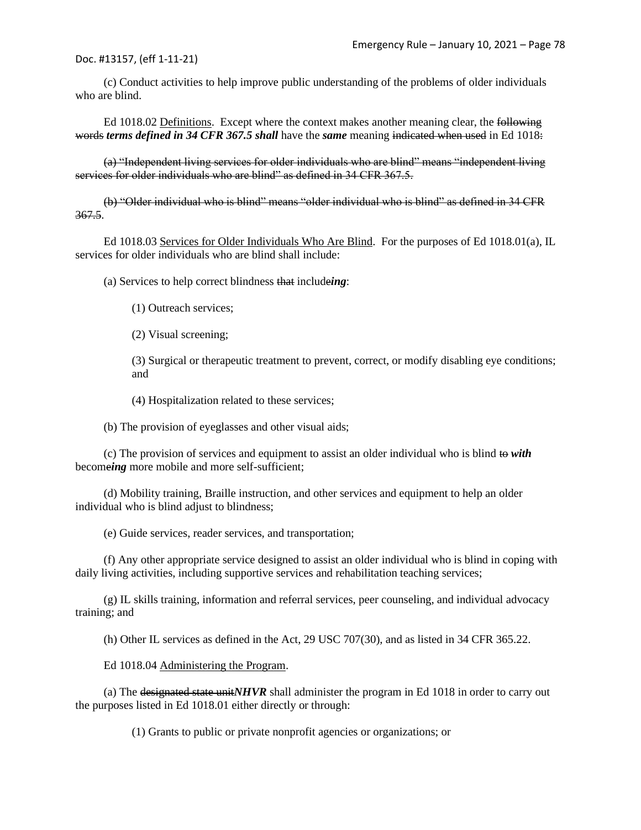(c) Conduct activities to help improve public understanding of the problems of older individuals who are blind.

Ed 1018.02 Definitions. Except where the context makes another meaning clear, the following words *terms defined in 34 CFR 367.5 shall* have the *same* meaning indicated when used in Ed 1018:

(a) "Independent living services for older individuals who are blind" means "independent living services for older individuals who are blind" as defined in 34 CFR 367.5.

(b) "Older individual who is blind" means "older individual who is blind" as defined in 34 CFR 367.5.

Ed 1018.03 Services for Older Individuals Who Are Blind. For the purposes of Ed 1018.01(a), IL services for older individuals who are blind shall include:

(a) Services to help correct blindness that include*ing*:

- (1) Outreach services;
- (2) Visual screening;

(3) Surgical or therapeutic treatment to prevent, correct, or modify disabling eye conditions; and

(4) Hospitalization related to these services;

(b) The provision of eyeglasses and other visual aids;

(c) The provision of services and equipment to assist an older individual who is blind to *with*  become*ing* more mobile and more self-sufficient;

(d) Mobility training, Braille instruction, and other services and equipment to help an older individual who is blind adjust to blindness;

(e) Guide services, reader services, and transportation;

(f) Any other appropriate service designed to assist an older individual who is blind in coping with daily living activities, including supportive services and rehabilitation teaching services;

(g) IL skills training, information and referral services, peer counseling, and individual advocacy training; and

(h) Other IL services as defined in the Act, 29 USC 707(30), and as listed in 34 CFR 365.22.

Ed 1018.04 Administering the Program.

(a) The designated state unit*NHVR* shall administer the program in Ed 1018 in order to carry out the purposes listed in Ed 1018.01 either directly or through:

(1) Grants to public or private nonprofit agencies or organizations; or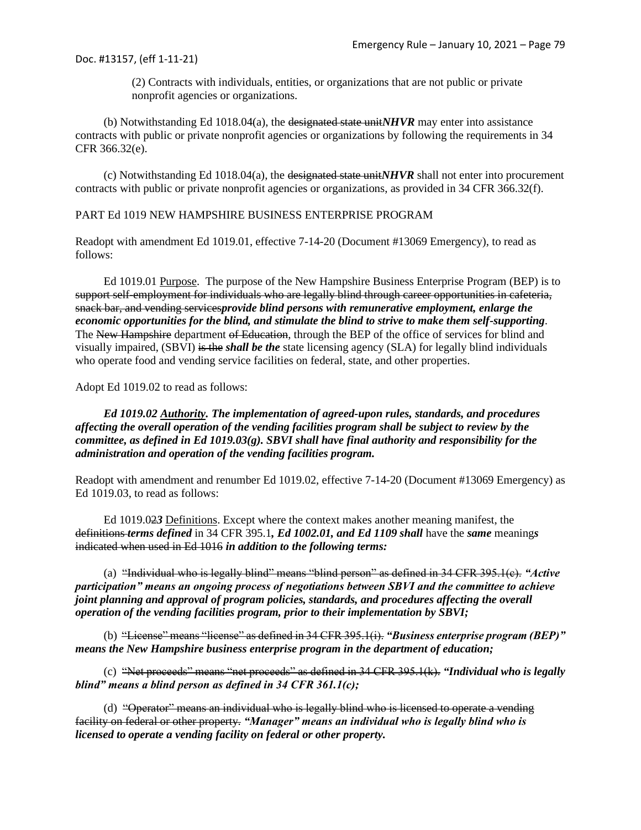(2) Contracts with individuals, entities, or organizations that are not public or private nonprofit agencies or organizations.

(b) Notwithstanding Ed 1018.04(a), the designated state unit*NHVR* may enter into assistance contracts with public or private nonprofit agencies or organizations by following the requirements in 34 CFR 366.32(e).

(c) Notwithstanding Ed 1018.04(a), the designated state unit*NHVR* shall not enter into procurement contracts with public or private nonprofit agencies or organizations, as provided in 34 CFR 366.32(f).

# PART Ed 1019 NEW HAMPSHIRE BUSINESS ENTERPRISE PROGRAM

Readopt with amendment Ed 1019.01, effective 7-14-20 (Document #13069 Emergency), to read as follows:

Ed 1019.01 Purpose. The purpose of the New Hampshire Business Enterprise Program (BEP) is to support self-employment for individuals who are legally blind through career opportunities in cafeteria, snack bar, and vending services*provide blind persons with remunerative employment, enlarge the economic opportunities for the blind, and stimulate the blind to strive to make them self-supporting*. The New Hampshire department of Education, through the BEP of the office of services for blind and visually impaired, (SBVI) is the *shall be the* state licensing agency (SLA) for legally blind individuals who operate food and vending service facilities on federal, state, and other properties.

Adopt Ed 1019.02 to read as follows:

*Ed 1019.02 Authority. The implementation of agreed-upon rules, standards, and procedures affecting the overall operation of the vending facilities program shall be subject to review by the committee, as defined in Ed 1019.03(g). SBVI shall have final authority and responsibility for the administration and operation of the vending facilities program.*

Readopt with amendment and renumber Ed 1019.02, effective 7-14-20 (Document #13069 Emergency) as Ed 1019.03, to read as follows:

Ed 1019.02*3* Definitions. Except where the context makes another meaning manifest, the definitions *terms defined* in 34 CFR 395.1*, Ed 1002.01, and Ed 1109 shall* have the *same* meaning*s* indicated when used in Ed 1016 *in addition to the following terms:*

(a) "Individual who is legally blind" means "blind person" as defined in 34 CFR 395.1(c). *"Active participation" means an ongoing process of negotiations between SBVI and the committee to achieve joint planning and approval of program policies, standards, and procedures affecting the overall operation of the vending facilities program, prior to their implementation by SBVI;*

(b) "License" means "license" as defined in 34 CFR 395.1(i). *"Business enterprise program (BEP)" means the New Hampshire business enterprise program in the department of education;*

(c) "Net proceeds" means "net proceeds" as defined in 34 CFR 395.1(k). *"Individual who is legally blind" means a blind person as defined in 34 CFR 361.1(c);*

(d) "Operator" means an individual who is legally blind who is licensed to operate a vending facility on federal or other property. *"Manager" means an individual who is legally blind who is licensed to operate a vending facility on federal or other property.*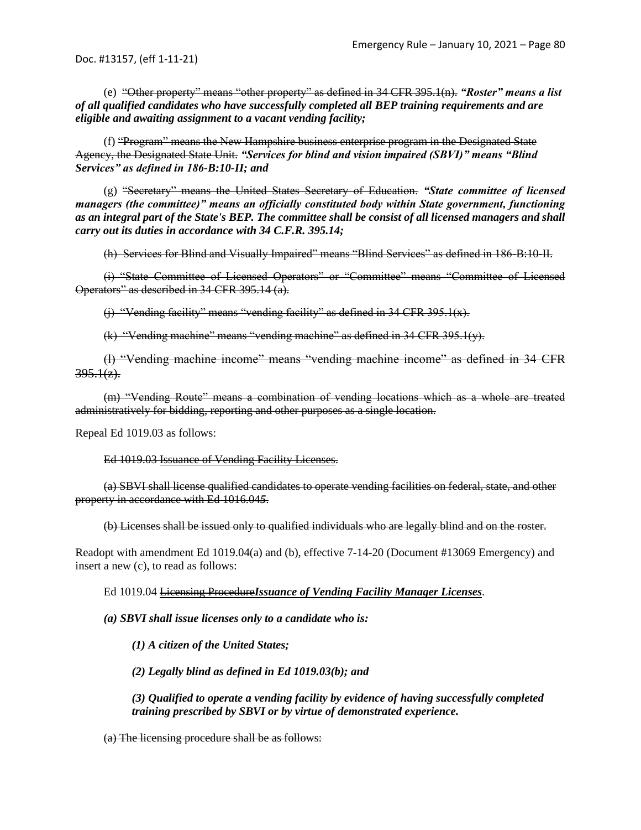(e) "Other property" means "other property" as defined in 34 CFR 395.1(n). *"Roster" means a list of all qualified candidates who have successfully completed all BEP training requirements and are eligible and awaiting assignment to a vacant vending facility;*

(f) "Program" means the New Hampshire business enterprise program in the Designated State Agency, the Designated State Unit. *"Services for blind and vision impaired (SBVI)" means "Blind Services" as defined in 186-B:10-II; and*

(g) "Secretary" means the United States Secretary of Education. *"State committee of licensed managers (the committee)" means an officially constituted body within State government, functioning as an integral part of the State's BEP. The committee shall be consist of all licensed managers and shall carry out its duties in accordance with 34 C.F.R. 395.14;*

(h) Services for Blind and Visually Impaired" means "Blind Services" as defined in 186-B:10-II.

(i) "State Committee of Licensed Operators" or "Committee" means "Committee of Licensed Operators" as described in 34 CFR 395.14 (a).

(j) "Vending facility" means "vending facility" as defined in 34 CFR 395.1(x).

(k) "Vending machine" means "vending machine" as defined in 34 CFR 395.1(y).

(l) "Vending machine income" means "vending machine income" as defined in 34 CFR  $395.1(z)$ .

(m) "Vending Route" means a combination of vending locations which as a whole are treated administratively for bidding, reporting and other purposes as a single location.

Repeal Ed 1019.03 as follows:

Ed 1019.03 Issuance of Vending Facility Licenses.

(a) SBVI shall license qualified candidates to operate vending facilities on federal, state, and other property in accordance with Ed 1016.04*5*.

(b) Licenses shall be issued only to qualified individuals who are legally blind and on the roster.

Readopt with amendment Ed 1019.04(a) and (b), effective 7-14-20 (Document #13069 Emergency) and insert a new (c), to read as follows:

Ed 1019.04 Licensing Procedure*Issuance of Vending Facility Manager Licenses*.

*(a) SBVI shall issue licenses only to a candidate who is:*

*(1) A citizen of the United States;*

*(2) Legally blind as defined in Ed 1019.03(b); and*

*(3) Qualified to operate a vending facility by evidence of having successfully completed training prescribed by SBVI or by virtue of demonstrated experience.*

(a) The licensing procedure shall be as follows: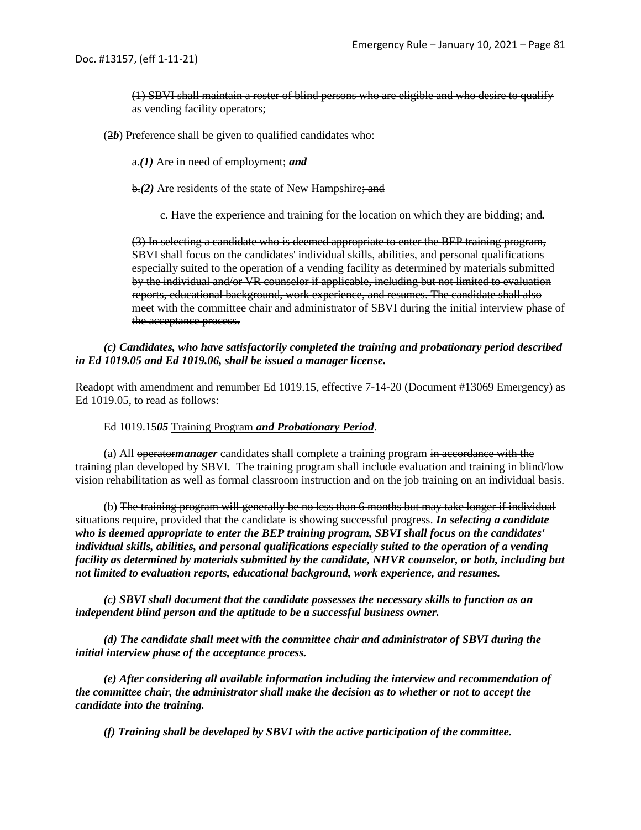(1) SBVI shall maintain a roster of blind persons who are eligible and who desire to qualify as vending facility operators;

(2*b*) Preference shall be given to qualified candidates who:

a.*(1)* Are in need of employment; *and*

b.*(2)* Are residents of the state of New Hampshire; and

c. Have the experience and training for the location on which they are bidding; and*.*

(3) In selecting a candidate who is deemed appropriate to enter the BEP training program, SBVI shall focus on the candidates' individual skills, abilities, and personal qualifications especially suited to the operation of a vending facility as determined by materials submitted by the individual and/or VR counselor if applicable, including but not limited to evaluation reports, educational background, work experience, and resumes. The candidate shall also meet with the committee chair and administrator of SBVI during the initial interview phase of the acceptance process.

*(c) Candidates, who have satisfactorily completed the training and probationary period described in Ed 1019.05 and Ed 1019.06, shall be issued a manager license.* 

Readopt with amendment and renumber Ed 1019.15, effective 7-14-20 (Document #13069 Emergency) as Ed 1019.05, to read as follows:

### Ed 1019.15*05* Training Program *and Probationary Period*.

(a) All operator*manager* candidates shall complete a training program in accordance with the training plan developed by SBVI. The training program shall include evaluation and training in blind/low vision rehabilitation as well as formal classroom instruction and on the job training on an individual basis.

(b) The training program will generally be no less than 6 months but may take longer if individual situations require, provided that the candidate is showing successful progress. *In selecting a candidate who is deemed appropriate to enter the BEP training program, SBVI shall focus on the candidates' individual skills, abilities, and personal qualifications especially suited to the operation of a vending facility as determined by materials submitted by the candidate, NHVR counselor, or both, including but not limited to evaluation reports, educational background, work experience, and resumes.* 

*(c) SBVI shall document that the candidate possesses the necessary skills to function as an independent blind person and the aptitude to be a successful business owner.*

*(d) The candidate shall meet with the committee chair and administrator of SBVI during the initial interview phase of the acceptance process.*

*(e) After considering all available information including the interview and recommendation of the committee chair, the administrator shall make the decision as to whether or not to accept the candidate into the training.*

*(f) Training shall be developed by SBVI with the active participation of the committee.*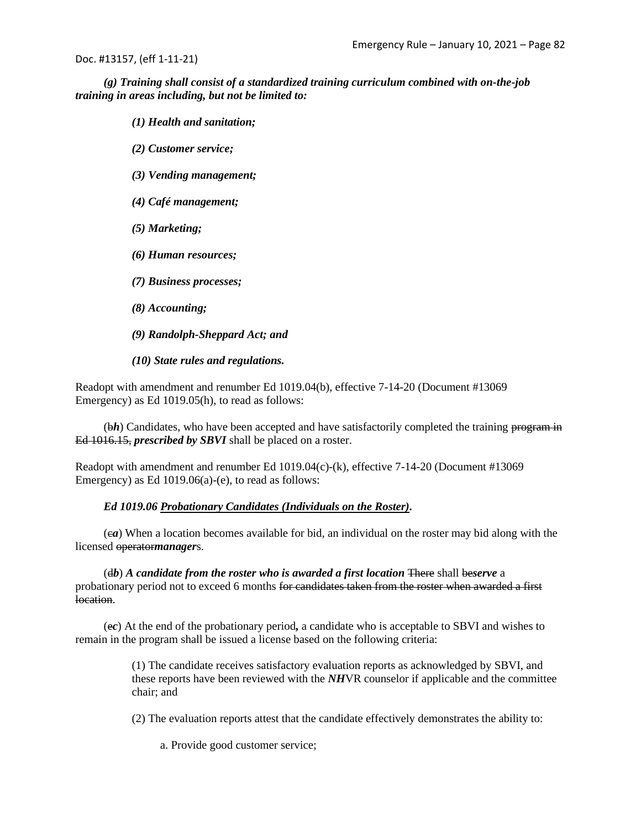*(g) Training shall consist of a standardized training curriculum combined with on-the-job training in areas including, but not be limited to:*

*(1) Health and sanitation;*

*(2) Customer service;*

*(3) Vending management;*

*(4) Café management;*

*(5) Marketing;*

*(6) Human resources;*

*(7) Business processes;*

*(8) Accounting;*

*(9) Randolph-Sheppard Act; and*

*(10) State rules and regulations.*

Readopt with amendment and renumber Ed 1019.04(b), effective 7-14-20 (Document #13069 Emergency) as Ed 1019.05(h), to read as follows:

(b*h*) Candidates, who have been accepted and have satisfactorily completed the training program in Ed 1016.15, *prescribed by SBVI* shall be placed on a roster.

Readopt with amendment and renumber Ed 1019.04(c)-(k), effective 7-14-20 (Document #13069 Emergency) as Ed 1019.06(a)-(e), to read as follows:

# *Ed 1019.06 Probationary Candidates (Individuals on the Roster).*

(c*a*) When a location becomes available for bid, an individual on the roster may bid along with the licensed operator*manager*s.

(db) *A candidate from the roster who is awarded a first location There shall beserve* a probationary period not to exceed 6 months for candidates taken from the roster when awarded a first location.

(e*c*) At the end of the probationary period*,* a candidate who is acceptable to SBVI and wishes to remain in the program shall be issued a license based on the following criteria:

> (1) The candidate receives satisfactory evaluation reports as acknowledged by SBVI, and these reports have been reviewed with the *NH*VR counselor if applicable and the committee chair; and

(2) The evaluation reports attest that the candidate effectively demonstrates the ability to:

a. Provide good customer service;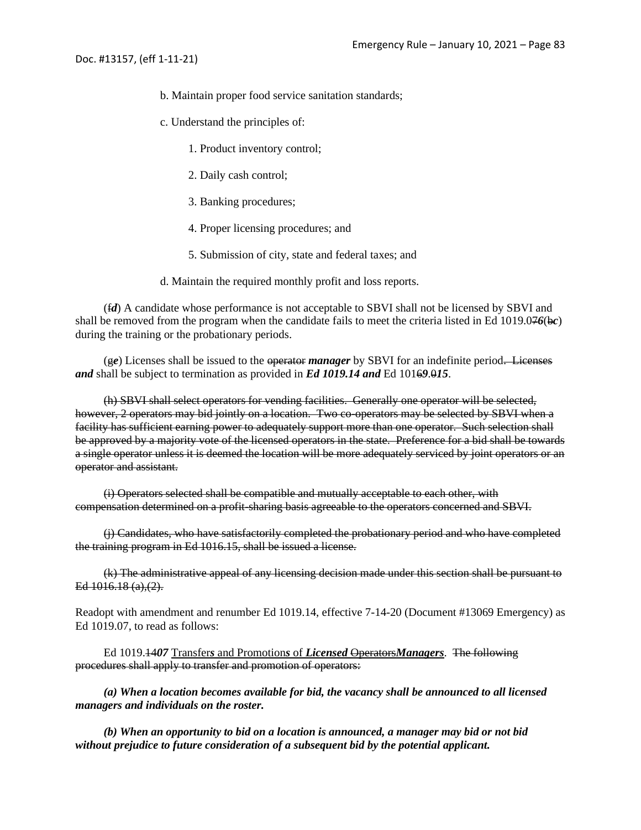- b. Maintain proper food service sanitation standards;
- c. Understand the principles of:
	- 1. Product inventory control;
	- 2. Daily cash control;
	- 3. Banking procedures;
	- 4. Proper licensing procedures; and
	- 5. Submission of city, state and federal taxes; and
- d. Maintain the required monthly profit and loss reports.

(f*d*) A candidate whose performance is not acceptable to SBVI shall not be licensed by SBVI and shall be removed from the program when the candidate fails to meet the criteria listed in Ed 1019.07*6*(b*c*) during the training or the probationary periods.

(g*e*) Licenses shall be issued to the operator *manager* by SBVI for an indefinite period. Licenses *and* shall be subject to termination as provided in *Ed 1019.14 and* Ed 1016*9*.0*15*.

(h) SBVI shall select operators for vending facilities. Generally one operator will be selected, however, 2 operators may bid jointly on a location. Two co-operators may be selected by SBVI when a facility has sufficient earning power to adequately support more than one operator. Such selection shall be approved by a majority vote of the licensed operators in the state. Preference for a bid shall be towards a single operator unless it is deemed the location will be more adequately serviced by joint operators or an operator and assistant.

(i) Operators selected shall be compatible and mutually acceptable to each other, with compensation determined on a profit-sharing basis agreeable to the operators concerned and SBVI.

(j) Candidates, who have satisfactorily completed the probationary period and who have completed the training program in Ed 1016.15, shall be issued a license.

(k) The administrative appeal of any licensing decision made under this section shall be pursuant to Ed 1016.18 (a), (2).

Readopt with amendment and renumber Ed 1019.14, effective 7-14-20 (Document #13069 Emergency) as Ed 1019.07, to read as follows:

Ed 1019.14*07* Transfer*s* and Promotion*s* of *Licensed* Operators*Managers*. The following procedures shall apply to transfer and promotion of operators:

*(a) When a location becomes available for bid, the vacancy shall be announced to all licensed managers and individuals on the roster.*

*(b) When an opportunity to bid on a location is announced, a manager may bid or not bid without prejudice to future consideration of a subsequent bid by the potential applicant.*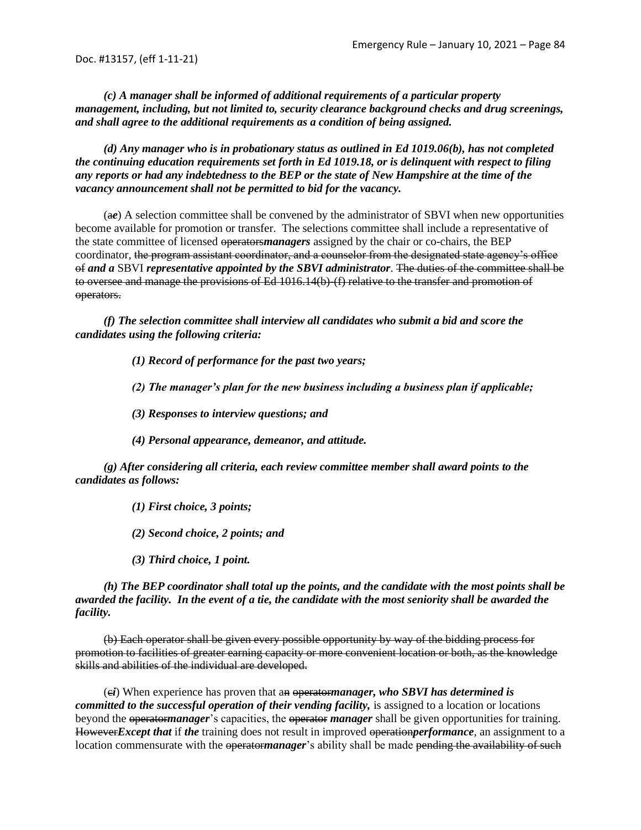*(c) A manager shall be informed of additional requirements of a particular property management, including, but not limited to, security clearance background checks and drug screenings, and shall agree to the additional requirements as a condition of being assigned.*

*(d) Any manager who is in probationary status as outlined in Ed 1019.06(b), has not completed the continuing education requirements set forth in Ed 1019.18, or is delinquent with respect to filing any reports or had any indebtedness to the BEP or the state of New Hampshire at the time of the vacancy announcement shall not be permitted to bid for the vacancy.*

(a*e*) A selection committee shall be convened by the administrator of SBVI when new opportunities become available for promotion or transfer. The selections committee shall include a representative of the state committee of licensed operators*managers* assigned by the chair or co-chairs, the BEP coordinator, the program assistant coordinator, and a counselor from the designated state agency's office of *and a* SBVI *representative appointed by the SBVI administrator*. The duties of the committee shall be to oversee and manage the provisions of Ed 1016.14(b)-(f) relative to the transfer and promotion of operators.

*(f) The selection committee shall interview all candidates who submit a bid and score the candidates using the following criteria:*

*(1) Record of performance for the past two years;*

*(2) The manager's plan for the new business including a business plan if applicable;*

- *(3) Responses to interview questions; and*
- *(4) Personal appearance, demeanor, and attitude.*

*(g) After considering all criteria, each review committee member shall award points to the candidates as follows:*

*(1) First choice, 3 points;*

- *(2) Second choice, 2 points; and*
- *(3) Third choice, 1 point.*

*(h) The BEP coordinator shall total up the points, and the candidate with the most points shall be awarded the facility. In the event of a tie, the candidate with the most seniority shall be awarded the facility.*

(b) Each operator shall be given every possible opportunity by way of the bidding process for promotion to facilities of greater earning capacity or more convenient location or both, as the knowledge skills and abilities of the individual are developed.

(c*i*) When experience has proven that an operator*manager, who SBVI has determined is committed to the successful operation of their vending facility,* is assigned to a location or locations beyond the operator*manager*'s capacities, the operator *manager* shall be given opportunities for training. However*Except that* if *the* training does not result in improved operation*performance*, an assignment to a location commensurate with the operatormanager's ability shall be made pending the availability of such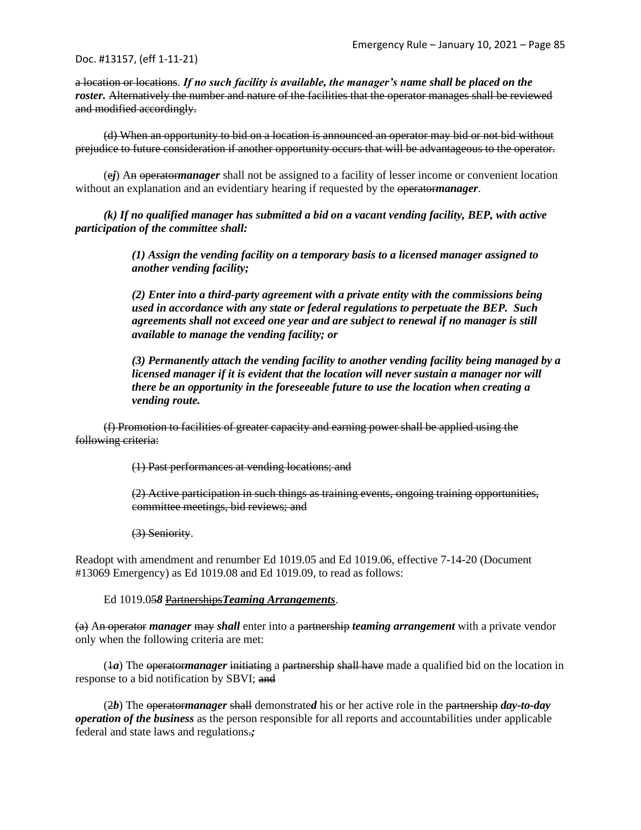a location or locations. *If no such facility is available, the manager's name shall be placed on the roster.* Alternatively the number and nature of the facilities that the operator manages shall be reviewed and modified accordingly.

(d) When an opportunity to bid on a location is announced an operator may bid or not bid without prejudice to future consideration if another opportunity occurs that will be advantageous to the operator.

(e*j*) An operator*manager* shall not be assigned to a facility of lesser income or convenient location without an explanation and an evidentiary hearing if requested by the operator*manager*.

*(k) If no qualified manager has submitted a bid on a vacant vending facility, BEP, with active participation of the committee shall:*

> *(1) Assign the vending facility on a temporary basis to a licensed manager assigned to another vending facility;*

*(2) Enter into a third-party agreement with a private entity with the commissions being used in accordance with any state or federal regulations to perpetuate the BEP. Such agreements shall not exceed one year and are subject to renewal if no manager is still available to manage the vending facility; or* 

*(3) Permanently attach the vending facility to another vending facility being managed by a licensed manager if it is evident that the location will never sustain a manager nor will there be an opportunity in the foreseeable future to use the location when creating a vending route.* 

(f) Promotion to facilities of greater capacity and earning power shall be applied using the following criteria:

(1) Past performances at vending locations; and

(2) Active participation in such things as training events, ongoing training opportunities, committee meetings, bid reviews; and

(3) Seniority.

Readopt with amendment and renumber Ed 1019.05 and Ed 1019.06, effective 7-14-20 (Document #13069 Emergency) as Ed 1019.08 and Ed 1019.09, to read as follows:

Ed 1019.05*8* Partnerships*Teaming Arrangements*.

(a) An operator *manager* may *shall* enter into a partnership *teaming arrangement* with a private vendor only when the following criteria are met:

(1*a*) The operator*manager* initiating a partnership shall have made a qualified bid on the location in response to a bid notification by SBVI; and

(2*b*) The operator*manager* shall demonstrate*d* his or her active role in the partnership *day-to-day operation of the business* as the person responsible for all reports and accountabilities under applicable federal and state laws and regulations.*;*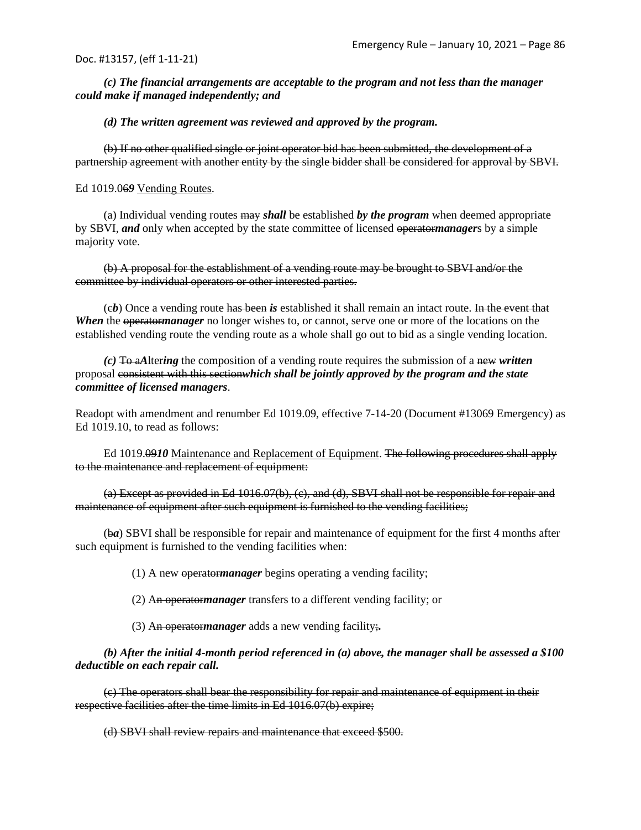*(c) The financial arrangements are acceptable to the program and not less than the manager could make if managed independently; and*

*(d) The written agreement was reviewed and approved by the program.*

(b) If no other qualified single or joint operator bid has been submitted, the development of a partnership agreement with another entity by the single bidder shall be considered for approval by SBVI.

### Ed 1019.06*9* Vending Routes.

(a) Individual vending routes may *shall* be established *by the program* when deemed appropriate by SBVI, *and* only when accepted by the state committee of licensed operator*manager*s by a simple majority vote.

(b) A proposal for the establishment of a vending route may be brought to SBVI and/or the committee by individual operators or other interested parties.

(c*b*) Once a vending route has been *is* established it shall remain an intact route. In the event that *When* the operator*manager* no longer wishes to, or cannot, serve one or more of the locations on the established vending route the vending route as a whole shall go out to bid as a single vending location.

*(c)* To a*A*lter*ing* the composition of a vending route requires the submission of a new *written*  proposal consistent with this section*which shall be jointly approved by the program and the state committee of licensed managers*.

Readopt with amendment and renumber Ed 1019.09, effective 7-14-20 (Document #13069 Emergency) as Ed 1019.10, to read as follows:

Ed 1019.09*10* Maintenance and Replacement of Equipment. The following procedures shall apply to the maintenance and replacement of equipment:

(a) Except as provided in Ed 1016.07(b), (c), and (d), SBVI shall not be responsible for repair and maintenance of equipment after such equipment is furnished to the vending facilities;

(b*a*) SBVI shall be responsible for repair and maintenance of equipment for the first 4 months after such equipment is furnished to the vending facilities when:

(1) A new operator*manager* begins operating a vending facility;

(2) An operator*manager* transfers to a different vending facility; or

(3) An operator*manager* adds a new vending facility;*.*

*(b) After the initial 4-month period referenced in (a) above, the manager shall be assessed a \$100 deductible on each repair call.*

(c) The operators shall bear the responsibility for repair and maintenance of equipment in their respective facilities after the time limits in Ed 1016.07(b) expire;

(d) SBVI shall review repairs and maintenance that exceed \$500.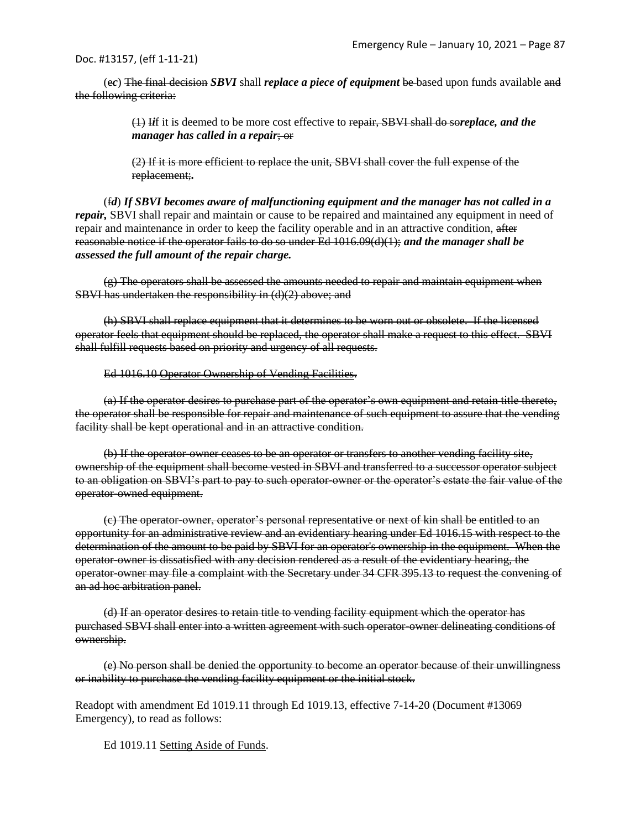(e*c*) The final decision *SBVI* shall *replace a piece of equipment* be based upon funds available and the following criteria:

> (1) I*i*f it is deemed to be more cost effective to repair, SBVI shall do so*replace, and the manager has called in a repair*; or

(2) If it is more efficient to replace the unit, SBVI shall cover the full expense of the replacement;*.*

(f*d*) *If SBVI becomes aware of malfunctioning equipment and the manager has not called in a repair*, SBVI shall repair and maintain or cause to be repaired and maintained any equipment in need of repair and maintenance in order to keep the facility operable and in an attractive condition, after reasonable notice if the operator fails to do so under Ed 1016.09(d)(1); *and the manager shall be assessed the full amount of the repair charge.*

(g) The operators shall be assessed the amounts needed to repair and maintain equipment when SBVI has undertaken the responsibility in (d)(2) above; and

(h) SBVI shall replace equipment that it determines to be worn out or obsolete. If the licensed operator feels that equipment should be replaced, the operator shall make a request to this effect. SBVI shall fulfill requests based on priority and urgency of all requests.

Ed 1016.10 Operator Ownership of Vending Facilities.

(a) If the operator desires to purchase part of the operator's own equipment and retain title thereto, the operator shall be responsible for repair and maintenance of such equipment to assure that the vending facility shall be kept operational and in an attractive condition.

(b) If the operator-owner ceases to be an operator or transfers to another vending facility site, ownership of the equipment shall become vested in SBVI and transferred to a successor operator subject to an obligation on SBVI's part to pay to such operator-owner or the operator's estate the fair value of the operator-owned equipment.

(c) The operator-owner, operator's personal representative or next of kin shall be entitled to an opportunity for an administrative review and an evidentiary hearing under Ed 1016.15 with respect to the determination of the amount to be paid by SBVI for an operator's ownership in the equipment. When the operator-owner is dissatisfied with any decision rendered as a result of the evidentiary hearing, the operator-owner may file a complaint with the Secretary under 34 CFR 395.13 to request the convening of an ad hoc arbitration panel.

(d) If an operator desires to retain title to vending facility equipment which the operator has purchased SBVI shall enter into a written agreement with such operator-owner delineating conditions of ownership.

(e) No person shall be denied the opportunity to become an operator because of their unwillingness or inability to purchase the vending facility equipment or the initial stock.

Readopt with amendment Ed 1019.11 through Ed 1019.13, effective 7-14-20 (Document #13069 Emergency), to read as follows:

Ed 1019.11 Setting Aside of Funds.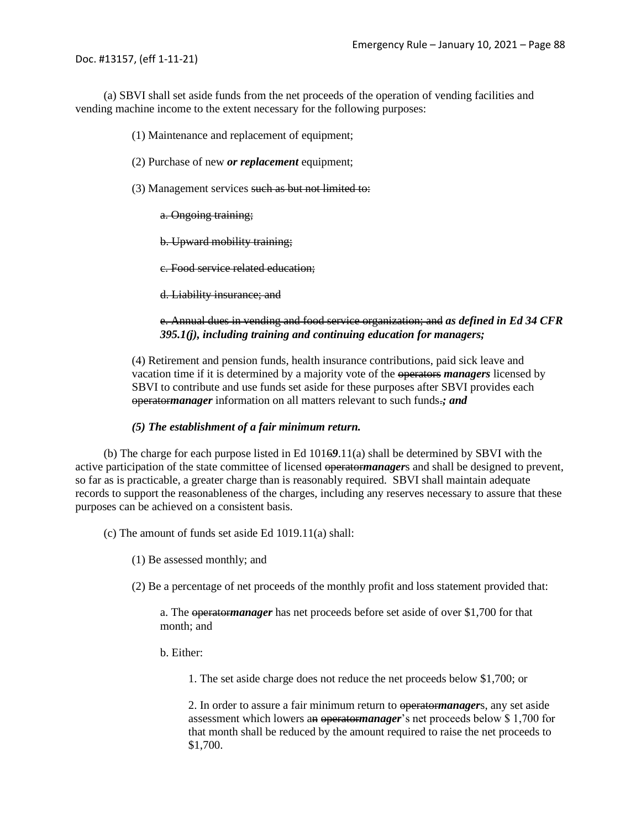(a) SBVI shall set aside funds from the net proceeds of the operation of vending facilities and vending machine income to the extent necessary for the following purposes:

(1) Maintenance and replacement of equipment;

- (2) Purchase of new *or replacement* equipment;
- (3) Management services such as but not limited to:

a. Ongoing training;

b. Upward mobility training;

c. Food service related education;

d. Liability insurance; and

### e. Annual dues in vending and food service organization; and *as defined in Ed 34 CFR 395.1(j), including training and continuing education for managers;*

(4) Retirement and pension funds, health insurance contributions, paid sick leave and vacation time if it is determined by a majority vote of the operators *managers* licensed by SBVI to contribute and use funds set aside for these purposes after SBVI provides each operator*manager* information on all matters relevant to such funds.*; and*

#### *(5) The establishment of a fair minimum return.*

(b) The charge for each purpose listed in Ed 1016*9*.11(a) shall be determined by SBVI with the active participation of the state committee of licensed operator*manager*s and shall be designed to prevent, so far as is practicable, a greater charge than is reasonably required. SBVI shall maintain adequate records to support the reasonableness of the charges, including any reserves necessary to assure that these purposes can be achieved on a consistent basis.

(c) The amount of funds set aside Ed 1019.11(a) shall:

- (1) Be assessed monthly; and
- (2) Be a percentage of net proceeds of the monthly profit and loss statement provided that:

a. The operator*manager* has net proceeds before set aside of over \$1,700 for that month; and

b. Either:

1. The set aside charge does not reduce the net proceeds below \$1,700; or

2. In order to assure a fair minimum return to operator*manager*s, any set aside assessment which lowers an operator*manager*'s net proceeds below \$ 1,700 for that month shall be reduced by the amount required to raise the net proceeds to \$1,700.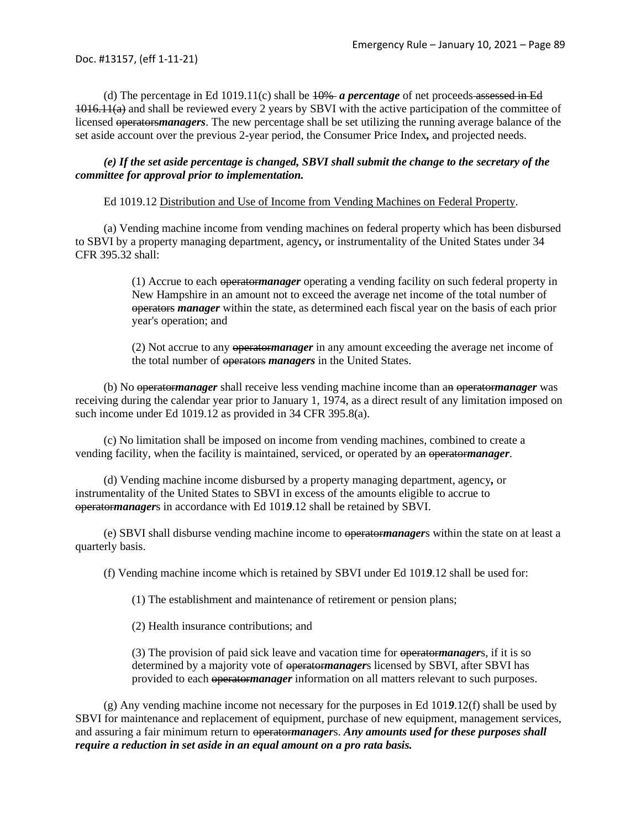(d) The percentage in Ed 1019.11(c) shall be 10% *a percentage* of net proceeds assessed in Ed 1016.11(a) and shall be reviewed every 2 years by SBVI with the active participation of the committee of licensed operators*managers*. The new percentage shall be set utilizing the running average balance of the set aside account over the previous 2-year period, the Consumer Price Index*,* and projected needs.

*(e) If the set aside percentage is changed, SBVI shall submit the change to the secretary of the committee for approval prior to implementation.*

Ed 1019.12 Distribution and Use of Income from Vending Machines on Federal Property.

(a) Vending machine income from vending machines on federal property which has been disbursed to SBVI by a property managing department, agency*,* or instrumentality of the United States under 34 CFR 395.32 shall:

> (1) Accrue to each operator*manager* operating a vending facility on such federal property in New Hampshire in an amount not to exceed the average net income of the total number of operators *manager* within the state, as determined each fiscal year on the basis of each prior year's operation; and

(2) Not accrue to any operator*manager* in any amount exceeding the average net income of the total number of operators *managers* in the United States.

(b) No operator*manager* shall receive less vending machine income than an operator*manager* was receiving during the calendar year prior to January 1, 1974, as a direct result of any limitation imposed on such income under Ed 1019.12 as provided in 34 CFR 395.8(a).

(c) No limitation shall be imposed on income from vending machines, combined to create a vending facility, when the facility is maintained, serviced, or operated by an operator*manager*.

(d) Vending machine income disbursed by a property managing department, agency*,* or instrumentality of the United States to SBVI in excess of the amounts eligible to accrue to operator*manager*s in accordance with Ed 101*9*.12 shall be retained by SBVI.

(e) SBVI shall disburse vending machine income to operator*manager*s within the state on at least a quarterly basis.

(f) Vending machine income which is retained by SBVI under Ed 101*9*.12 shall be used for:

(1) The establishment and maintenance of retirement or pension plans;

(2) Health insurance contributions; and

(3) The provision of paid sick leave and vacation time for operator*manager*s, if it is so determined by a majority vote of operator*manager*s licensed by SBVI, after SBVI has provided to each operator*manager* information on all matters relevant to such purposes.

(g) Any vending machine income not necessary for the purposes in Ed 101*9*.12(f) shall be used by SBVI for maintenance and replacement of equipment, purchase of new equipment, management services, and assuring a fair minimum return to operator*manager*s. *Any amounts used for these purposes shall require a reduction in set aside in an equal amount on a pro rata basis.*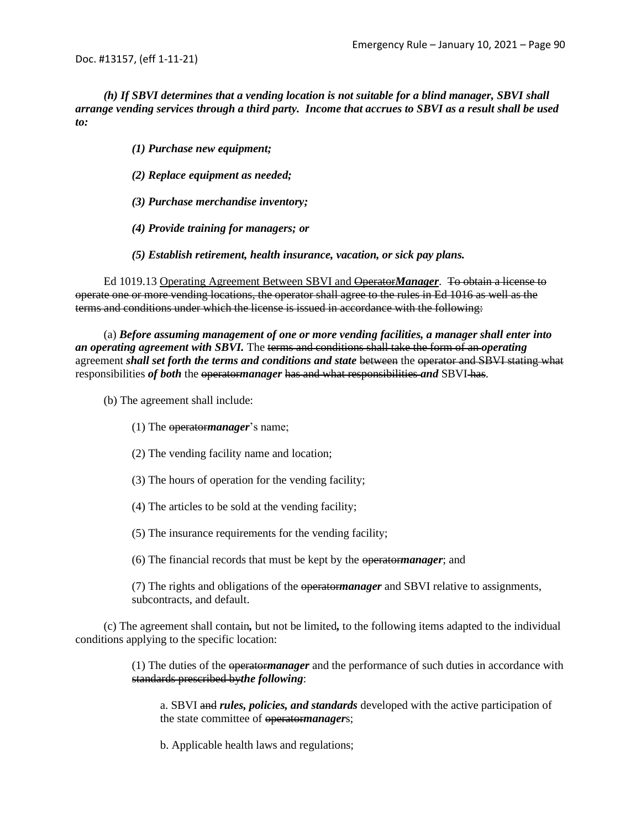*(h) If SBVI determines that a vending location is not suitable for a blind manager, SBVI shall arrange vending services through a third party. Income that accrues to SBVI as a result shall be used to:*

*(1) Purchase new equipment;*

*(2) Replace equipment as needed;*

- *(3) Purchase merchandise inventory;*
- *(4) Provide training for managers; or*

*(5) Establish retirement, health insurance, vacation, or sick pay plans.* 

Ed 1019.13 Operating Agreement Between SBVI and Operator*Manager*. To obtain a license to operate one or more vending locations, the operator shall agree to the rules in Ed 1016 as well as the terms and conditions under which the license is issued in accordance with the following:

(a) *Before assuming management of one or more vending facilities, a manager shall enter into an operating agreement with SBVI.* The terms and conditions shall take the form of an *operating*  agreement *shall set forth the terms and conditions and state* between the operator and SBVI stating what responsibilities *of both* the operator*manager* has and what responsibilities *and* SBVI has.

- (b) The agreement shall include:
	- (1) The operator*manager*'s name;
	- (2) The vending facility name and location;
	- (3) The hours of operation for the vending facility;
	- (4) The articles to be sold at the vending facility;
	- (5) The insurance requirements for the vending facility;
	- (6) The financial records that must be kept by the operator*manager*; and

(7) The rights and obligations of the operator*manager* and SBVI relative to assignments, subcontracts, and default.

(c) The agreement shall contain*,* but not be limited*,* to the following items adapted to the individual conditions applying to the specific location:

> (1) The duties of the operator*manager* and the performance of such duties in accordance with standards prescribed by*the following*:

a. SBVI and *rules, policies, and standards* developed with the active participation of the state committee of operator*manager*s;

b. Applicable health laws and regulations;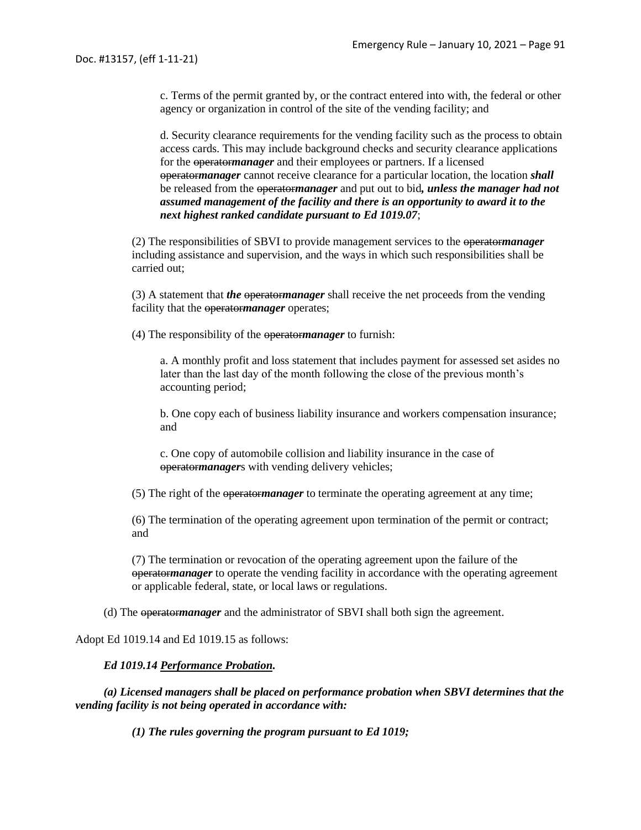c. Terms of the permit granted by, or the contract entered into with, the federal or other agency or organization in control of the site of the vending facility; and

d. Security clearance requirements for the vending facility such as the process to obtain access cards. This may include background checks and security clearance applications for the operator*manager* and their employees or partners. If a licensed operator*manager* cannot receive clearance for a particular location, the location *shall*  be released from the operator*manager* and put out to bid*, unless the manager had not assumed management of the facility and there is an opportunity to award it to the next highest ranked candidate pursuant to Ed 1019.07*;

(2) The responsibilities of SBVI to provide management services to the operator*manager* including assistance and supervision, and the ways in which such responsibilities shall be carried out;

(3) A statement that *the* operator*manager* shall receive the net proceeds from the vending facility that the operator*manager* operates;

(4) The responsibility of the operator*manager* to furnish:

a. A monthly profit and loss statement that includes payment for assessed set asides no later than the last day of the month following the close of the previous month's accounting period;

b. One copy each of business liability insurance and workers compensation insurance; and

c. One copy of automobile collision and liability insurance in the case of operator*manager*s with vending delivery vehicles;

(5) The right of the operator*manager* to terminate the operating agreement at any time;

(6) The termination of the operating agreement upon termination of the permit or contract; and

(7) The termination or revocation of the operating agreement upon the failure of the operator*manager* to operate the vending facility in accordance with the operating agreement or applicable federal, state, or local laws or regulations.

(d) The operator*manager* and the administrator of SBVI shall both sign the agreement.

Adopt Ed 1019.14 and Ed 1019.15 as follows:

### *Ed 1019.14 Performance Probation.*

*(a) Licensed managers shall be placed on performance probation when SBVI determines that the vending facility is not being operated in accordance with:*

*(1) The rules governing the program pursuant to Ed 1019;*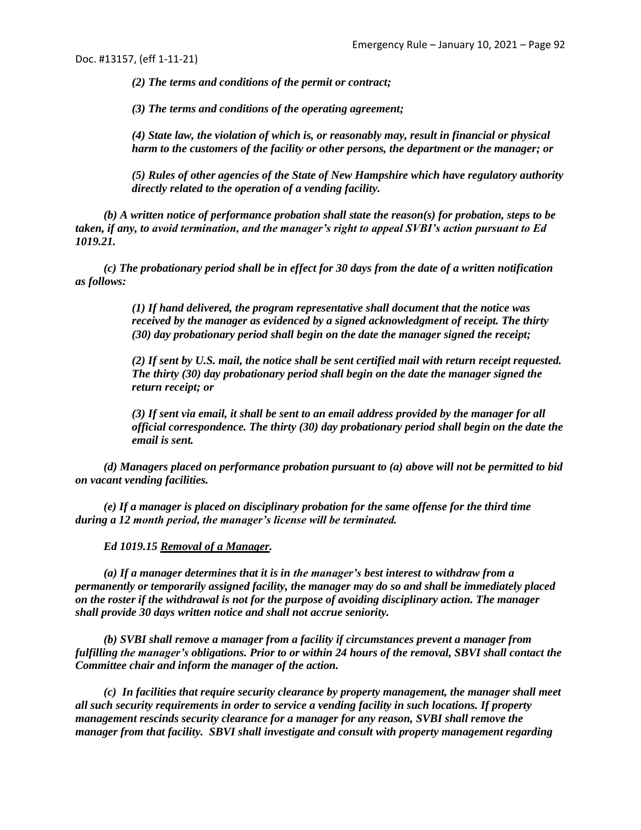*(2) The terms and conditions of the permit or contract;*

*(3) The terms and conditions of the operating agreement;*

*(4) State law, the violation of which is, or reasonably may, result in financial or physical harm to the customers of the facility or other persons, the department or the manager; or*

*(5) Rules of other agencies of the State of New Hampshire which have regulatory authority directly related to the operation of a vending facility.* 

*(b) A written notice of performance probation shall state the reason(s) for probation, steps to be taken, if any, to avoid termination, and the manager's right to appeal SVBI's action pursuant to Ed 1019.21.*

*(c) The probationary period shall be in effect for 30 days from the date of a written notification as follows:*

> *(1) If hand delivered, the program representative shall document that the notice was received by the manager as evidenced by a signed acknowledgment of receipt. The thirty (30) day probationary period shall begin on the date the manager signed the receipt;*

*(2) If sent by U.S. mail, the notice shall be sent certified mail with return receipt requested. The thirty (30) day probationary period shall begin on the date the manager signed the return receipt; or*

*(3) If sent via email, it shall be sent to an email address provided by the manager for all official correspondence. The thirty (30) day probationary period shall begin on the date the email is sent.*

*(d) Managers placed on performance probation pursuant to (a) above will not be permitted to bid on vacant vending facilities.*

*(e) If a manager is placed on disciplinary probation for the same offense for the third time during a 12 month period, the manager's license will be terminated.* 

*Ed 1019.15 Removal of a Manager.*

*(a) If a manager determines that it is in the manager's best interest to withdraw from a permanently or temporarily assigned facility, the manager may do so and shall be immediately placed on the roster if the withdrawal is not for the purpose of avoiding disciplinary action. The manager shall provide 30 days written notice and shall not accrue seniority.* 

*(b) SVBI shall remove a manager from a facility if circumstances prevent a manager from fulfilling the manager's obligations. Prior to or within 24 hours of the removal, SBVI shall contact the Committee chair and inform the manager of the action.* 

*(c) In facilities that require security clearance by property management, the manager shall meet all such security requirements in order to service a vending facility in such locations. If property management rescinds security clearance for a manager for any reason, SVBI shall remove the manager from that facility. SBVI shall investigate and consult with property management regarding*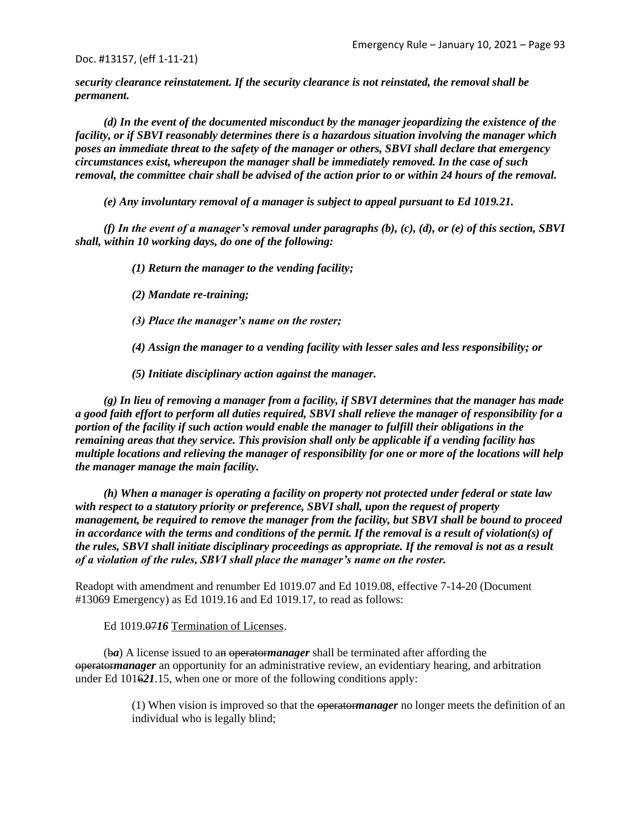*security clearance reinstatement. If the security clearance is not reinstated, the removal shall be permanent.* 

*(d) In the event of the documented misconduct by the manager jeopardizing the existence of the facility, or if SBVI reasonably determines there is a hazardous situation involving the manager which poses an immediate threat to the safety of the manager or others, SBVI shall declare that emergency circumstances exist, whereupon the manager shall be immediately removed. In the case of such removal, the committee chair shall be advised of the action prior to or within 24 hours of the removal.* 

*(e) Any involuntary removal of a manager is subject to appeal pursuant to Ed 1019.21.*

*(f) In the event of a manager's removal under paragraphs (b), (c), (d), or (e) of this section, SBVI shall, within 10 working days, do one of the following:* 

*(1) Return the manager to the vending facility;* 

- *(2) Mandate re-training;*
- *(3) Place the manager's name on the roster;*

*(4) Assign the manager to a vending facility with lesser sales and less responsibility; or*

*(5) Initiate disciplinary action against the manager.* 

*(g) In lieu of removing a manager from a facility, if SBVI determines that the manager has made a good faith effort to perform all duties required, SBVI shall relieve the manager of responsibility for a portion of the facility if such action would enable the manager to fulfill their obligations in the remaining areas that they service. This provision shall only be applicable if a vending facility has multiple locations and relieving the manager of responsibility for one or more of the locations will help the manager manage the main facility.* 

*(h) When a manager is operating a facility on property not protected under federal or state law with respect to a statutory priority or preference, SBVI shall, upon the request of property management, be required to remove the manager from the facility, but SBVI shall be bound to proceed in accordance with the terms and conditions of the permit. If the removal is a result of violation(s) of the rules, SBVI shall initiate disciplinary proceedings as appropriate. If the removal is not as a result of a violation of the rules, SBVI shall place the manager's name on the roster.*

Readopt with amendment and renumber Ed 1019.07 and Ed 1019.08, effective 7-14-20 (Document #13069 Emergency) as Ed 1019.16 and Ed 1019.17, to read as follows:

Ed 1019.07*16* Termination of Licenses.

(b*a*) A license issued to an operator*manager* shall be terminated after affording the operator*manager* an opportunity for an administrative review, an evidentiary hearing, and arbitration under Ed 1016*21*.15, when one or more of the following conditions apply:

> (1) When vision is improved so that the operator*manager* no longer meets the definition of an individual who is legally blind;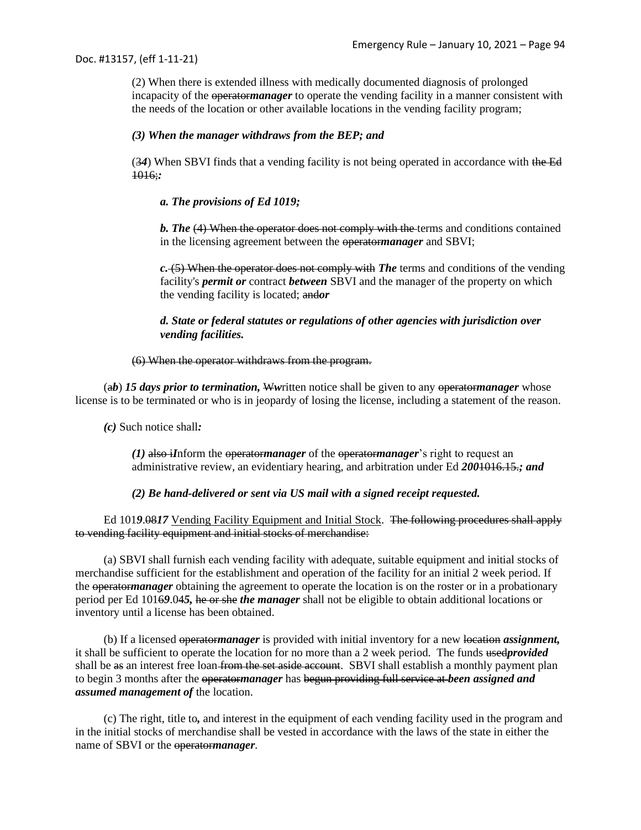(2) When there is extended illness with medically documented diagnosis of prolonged incapacity of the operator*manager* to operate the vending facility in a manner consistent with the needs of the location or other available locations in the vending facility program;

## *(3) When the manager withdraws from the BEP; and*

(3*4*) When SBVI finds that a vending facility is not being operated in accordance with the Ed 1016;*:*

*a. The provisions of Ed 1019;*

**b.** The (4) When the operator does not comply with the terms and conditions contained in the licensing agreement between the operator*manager* and SBVI;

*c.* (5) When the operator does not comply with *The* terms and conditions of the vending facility's *permit or* contract *between* SBVI and the manager of the property on which the vending facility is located; and*or*

*d. State or federal statutes or regulations of other agencies with jurisdiction over vending facilities.*

### (6) When the operator withdraws from the program.

(a*b*) *15 days prior to termination,* W*w*ritten notice shall be given to any operator*manager* whose license is to be terminated or who is in jeopardy of losing the license, including a statement of the reason.

*(c)* Such notice shall*:*

*(1)* also i*I*nform the operator*manager* of the operator*manager*'s right to request an administrative review, an evidentiary hearing, and arbitration under Ed *200*1016.15.*; and*

*(2) Be hand-delivered or sent via US mail with a signed receipt requested.*

Ed 101*9*.08*17* Vending Facility Equipment and Initial Stock. The following procedures shall apply to vending facility equipment and initial stocks of merchandise:

(a) SBVI shall furnish each vending facility with adequate, suitable equipment and initial stocks of merchandise sufficient for the establishment and operation of the facility for an initial 2 week period. If the operator*manager* obtaining the agreement to operate the location is on the roster or in a probationary period per Ed 1016*9*.04*5,* he or she *the manager* shall not be eligible to obtain additional locations or inventory until a license has been obtained.

(b) If a licensed operator*manager* is provided with initial inventory for a new location *assignment,*  it shall be sufficient to operate the location for no more than a 2 week period. The funds used*provided* shall be as an interest free loan-from the set aside account. SBVI shall establish a monthly payment plan to begin 3 months after the operator*manager* has begun providing full service at *been assigned and assumed management of* the location.

(c) The right, title to*,* and interest in the equipment of each vending facility used in the program and in the initial stocks of merchandise shall be vested in accordance with the laws of the state in either the name of SBVI or the operator*manager*.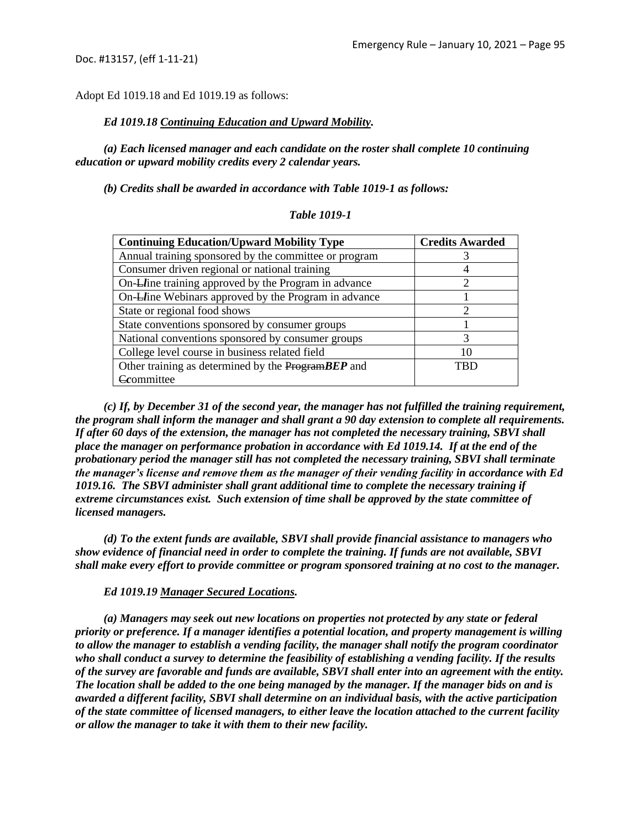### Adopt Ed 1019.18 and Ed 1019.19 as follows:

### *Ed 1019.18 Continuing Education and Upward Mobility.*

*(a) Each licensed manager and each candidate on the roster shall complete 10 continuing education or upward mobility credits every 2 calendar years.* 

### *(b) Credits shall be awarded in accordance with Table 1019-1 as follows:*

### *Table 1019-1*

| <b>Continuing Education/Upward Mobility Type</b>      | <b>Credits Awarded</b> |
|-------------------------------------------------------|------------------------|
| Annual training sponsored by the committee or program |                        |
| Consumer driven regional or national training         |                        |
| On-Line training approved by the Program in advance   |                        |
| On-Line Webinars approved by the Program in advance   |                        |
| State or regional food shows                          | 2                      |
| State conventions sponsored by consumer groups        |                        |
| National conventions sponsored by consumer groups     | 3                      |
| College level course in business related field        | 10                     |
| Other training as determined by the ProgramBEP and    | TRD                    |
| Committee                                             |                        |

*(c) If, by December 31 of the second year, the manager has not fulfilled the training requirement, the program shall inform the manager and shall grant a 90 day extension to complete all requirements. If after 60 days of the extension, the manager has not completed the necessary training, SBVI shall place the manager on performance probation in accordance with Ed 1019.14. If at the end of the probationary period the manager still has not completed the necessary training, SBVI shall terminate the manager's license and remove them as the manager of their vending facility in accordance with Ed 1019.16. The SBVI administer shall grant additional time to complete the necessary training if extreme circumstances exist. Such extension of time shall be approved by the state committee of licensed managers.* 

*(d) To the extent funds are available, SBVI shall provide financial assistance to managers who show evidence of financial need in order to complete the training. If funds are not available, SBVI shall make every effort to provide committee or program sponsored training at no cost to the manager.*

### *Ed 1019.19 Manager Secured Locations.*

*(a) Managers may seek out new locations on properties not protected by any state or federal priority or preference. If a manager identifies a potential location, and property management is willing to allow the manager to establish a vending facility, the manager shall notify the program coordinator who shall conduct a survey to determine the feasibility of establishing a vending facility. If the results of the survey are favorable and funds are available, SBVI shall enter into an agreement with the entity. The location shall be added to the one being managed by the manager. If the manager bids on and is awarded a different facility, SBVI shall determine on an individual basis, with the active participation of the state committee of licensed managers, to either leave the location attached to the current facility or allow the manager to take it with them to their new facility.*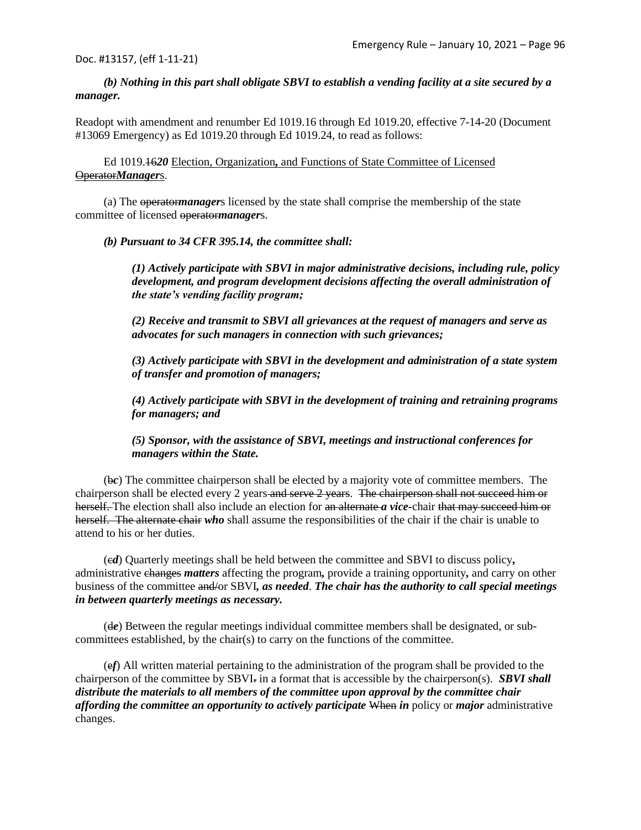*(b) Nothing in this part shall obligate SBVI to establish a vending facility at a site secured by a manager.* 

Readopt with amendment and renumber Ed 1019.16 through Ed 1019.20, effective 7-14-20 (Document #13069 Emergency) as Ed 1019.20 through Ed 1019.24, to read as follows:

Ed 1019.16*20* Election, Organization*,* and Functions of State Committee of Licensed Operator*Manager*s.

(a) The operator*manager*s licensed by the state shall comprise the membership of the state committee of licensed operator*manager*s.

### *(b) Pursuant to 34 CFR 395.14, the committee shall:*

*(1) Actively participate with SBVI in major administrative decisions, including rule, policy development, and program development decisions affecting the overall administration of the state's vending facility program;*

*(2) Receive and transmit to SBVI all grievances at the request of managers and serve as advocates for such managers in connection with such grievances;*

*(3) Actively participate with SBVI in the development and administration of a state system of transfer and promotion of managers;*

*(4) Actively participate with SBVI in the development of training and retraining programs for managers; and* 

*(5) Sponsor, with the assistance of SBVI, meetings and instructional conferences for managers within the State.*

(b*c*) The committee chairperson shall be elected by a majority vote of committee members. The chairperson shall be elected every 2 years and serve 2 years. The chairperson shall not succeed him or herself. The election shall also include an election for an alternate *a vice-*chair that may succeed him or herself. The alternate chair *who* shall assume the responsibilities of the chair if the chair is unable to attend to his or her duties.

(c*d*) Quarterly meetings shall be held between the committee and SBVI to discuss policy*,* administrative changes *matters* affecting the program*,* provide a training opportunity*,* and carry on other business of the committee and/or SBVI*, as needed*. *The chair has the authority to call special meetings in between quarterly meetings as necessary.*

(d*e*) Between the regular meetings individual committee members shall be designated, or subcommittees established, by the chair(s) to carry on the functions of the committee.

(e*f*) All written material pertaining to the administration of the program shall be provided to the chairperson of the committee by SBVI. in a format that is accessible by the chairperson(s). *SBVI shall distribute the materials to all members of the committee upon approval by the committee chair affording the committee an opportunity to actively participate* When *in* policy or *major* administrative changes.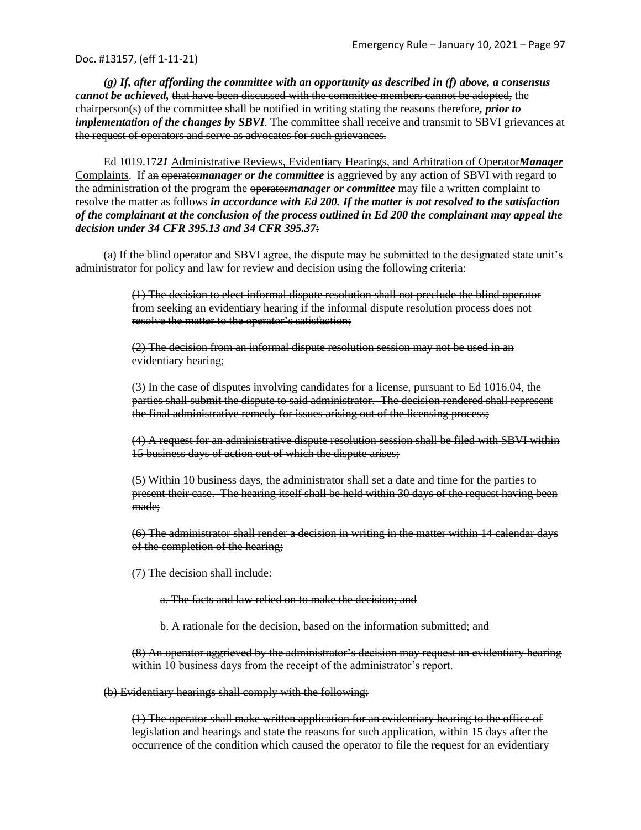*(g) If, after affording the committee with an opportunity as described in (f) above, a consensus cannot be achieved,* that have been discussed with the committee members cannot be adopted, the chairperson(s) of the committee shall be notified in writing stating the reasons therefore*, prior to implementation of the changes by SBVI*. The committee shall receive and transmit to SBVI grievances at the request of operators and serve as advocates for such grievances.

Ed 1019.17*21* Administrative Reviews, Evidentiary Hearings, and Arbitration of Operator*Manager* Complaints. If an operator*manager or the committee* is aggrieved by any action of SBVI with regard to the administration of the program the operator*manager or committee* may file a written complaint to resolve the matter as follows *in accordance with Ed 200. If the matter is not resolved to the satisfaction of the complainant at the conclusion of the process outlined in Ed 200 the complainant may appeal the decision under 34 CFR 395.13 and 34 CFR 395.37*:

(a) If the blind operator and SBVI agree, the dispute may be submitted to the designated state unit's administrator for policy and law for review and decision using the following criteria:

> (1) The decision to elect informal dispute resolution shall not preclude the blind operator from seeking an evidentiary hearing if the informal dispute resolution process does not resolve the matter to the operator's satisfaction;

(2) The decision from an informal dispute resolution session may not be used in an evidentiary hearing;

(3) In the case of disputes involving candidates for a license, pursuant to Ed 1016.04, the parties shall submit the dispute to said administrator. The decision rendered shall represent the final administrative remedy for issues arising out of the licensing process;

(4) A request for an administrative dispute resolution session shall be filed with SBVI within 15 business days of action out of which the dispute arises;

(5) Within 10 business days, the administrator shall set a date and time for the parties to present their case. The hearing itself shall be held within 30 days of the request having been made:

(6) The administrator shall render a decision in writing in the matter within 14 calendar days of the completion of the hearing;

(7) The decision shall include:

a. The facts and law relied on to make the decision; and

b. A rationale for the decision, based on the information submitted; and

(8) An operator aggrieved by the administrator's decision may request an evidentiary hearing within 10 business days from the receipt of the administrator's report.

(b) Evidentiary hearings shall comply with the following:

(1) The operator shall make written application for an evidentiary hearing to the office of legislation and hearings and state the reasons for such application, within 15 days after the occurrence of the condition which caused the operator to file the request for an evidentiary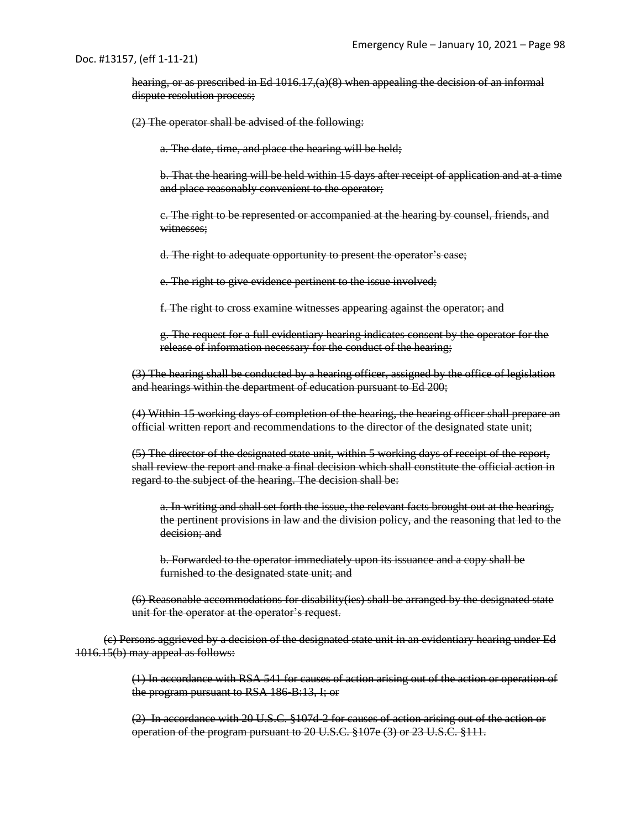hearing, or as prescribed in Ed 1016.17,(a)(8) when appealing the decision of an informal dispute resolution process;

(2) The operator shall be advised of the following:

a. The date, time, and place the hearing will be held;

b. That the hearing will be held within 15 days after receipt of application and at a time and place reasonably convenient to the operator;

c. The right to be represented or accompanied at the hearing by counsel, friends, and witnesses;

d. The right to adequate opportunity to present the operator's case;

e. The right to give evidence pertinent to the issue involved;

f. The right to cross examine witnesses appearing against the operator; and

g. The request for a full evidentiary hearing indicates consent by the operator for the release of information necessary for the conduct of the hearing;

(3) The hearing shall be conducted by a hearing officer, assigned by the office of legislation and hearings within the department of education pursuant to Ed 200;

(4) Within 15 working days of completion of the hearing, the hearing officer shall prepare an official written report and recommendations to the director of the designated state unit;

(5) The director of the designated state unit, within 5 working days of receipt of the report, shall review the report and make a final decision which shall constitute the official action in regard to the subject of the hearing. The decision shall be:

a. In writing and shall set forth the issue, the relevant facts brought out at the hearing, the pertinent provisions in law and the division policy, and the reasoning that led to the decision; and

b. Forwarded to the operator immediately upon its issuance and a copy shall be furnished to the designated state unit; and

(6) Reasonable accommodations for disability(ies) shall be arranged by the designated state unit for the operator at the operator's request.

(c) Persons aggrieved by a decision of the designated state unit in an evidentiary hearing under Ed 1016.15(b) may appeal as follows:

> (1) In accordance with RSA 541 for causes of action arising out of the action or operation of the program pursuant to RSA 186-B:13, I; or

(2) In accordance with 20 U.S.C. §107d-2 for causes of action arising out of the action or operation of the program pursuant to 20 U.S.C. §107e (3) or 23 U.S.C. §111.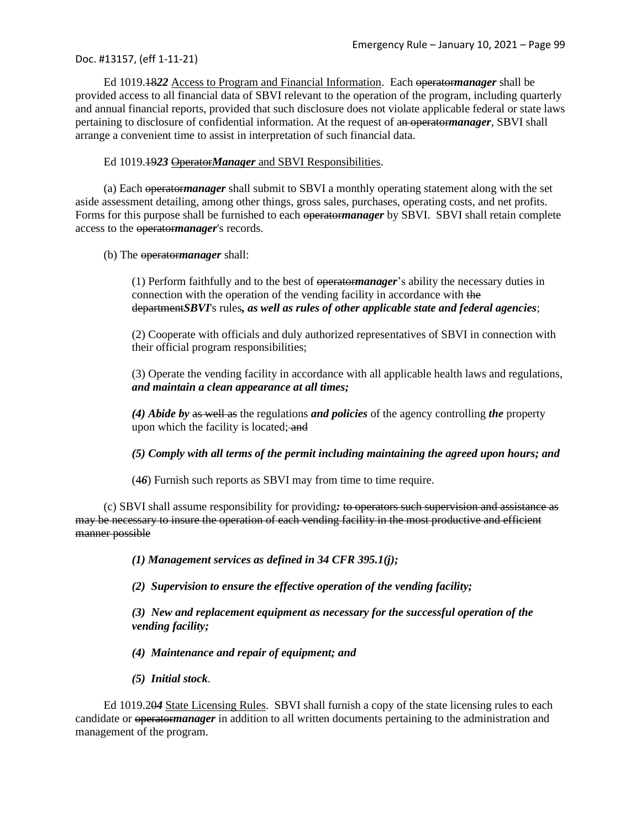Ed 1019.18*22* Access to Program and Financial Information. Each operator*manager* shall be provided access to all financial data of SBVI relevant to the operation of the program, including quarterly and annual financial reports, provided that such disclosure does not violate applicable federal or state laws pertaining to disclosure of confidential information. At the request of an operator*manager*, SBVI shall arrange a convenient time to assist in interpretation of such financial data.

## Ed 1019.19*23* Operator*Manager* and SBVI Responsibilities.

(a) Each operator*manager* shall submit to SBVI a monthly operating statement along with the set aside assessment detailing, among other things, gross sales, purchases, operating costs, and net profits. Forms for this purpose shall be furnished to each operator*manager* by SBVI. SBVI shall retain complete access to the operator*manager*'s records.

(b) The operator*manager* shall:

(1) Perform faithfully and to the best of operator*manager*'s ability the necessary duties in connection with the operation of the vending facility in accordance with the department*SBVI*'s rules*, as well as rules of other applicable state and federal agencies*;

(2) Cooperate with officials and duly authorized representatives of SBVI in connection with their official program responsibilities;

(3) Operate the vending facility in accordance with all applicable health laws and regulations, *and maintain a clean appearance at all times;*

*(4) Abide by* as well as the regulations *and policies* of the agency controlling *the* property upon which the facility is located; and

*(5) Comply with all terms of the permit including maintaining the agreed upon hours; and*

(4*6*) Furnish such reports as SBVI may from time to time require.

(c) SBVI shall assume responsibility for providing*:* to operators such supervision and assistance as may be necessary to insure the operation of each vending facility in the most productive and efficient manner possible

*(1) Management services as defined in 34 CFR 395.1(j);*

*(2) Supervision to ensure the effective operation of the vending facility;*

*(3) New and replacement equipment as necessary for the successful operation of the vending facility;*

*(4) Maintenance and repair of equipment; and*

*(5) Initial stock*.

Ed 1019.20*4* State Licensing Rules. SBVI shall furnish a copy of the state licensing rules to each candidate or operator*manager* in addition to all written documents pertaining to the administration and management of the program.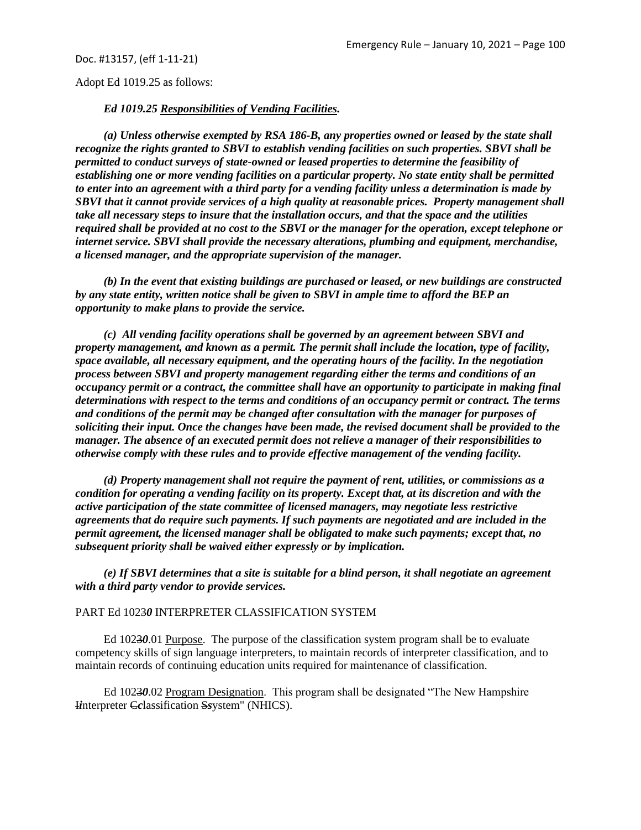Adopt Ed 1019.25 as follows:

### *Ed 1019.25 Responsibilities of Vending Facilities.*

*(a) Unless otherwise exempted by RSA 186-B, any properties owned or leased by the state shall recognize the rights granted to SBVI to establish vending facilities on such properties. SBVI shall be permitted to conduct surveys of state-owned or leased properties to determine the feasibility of establishing one or more vending facilities on a particular property. No state entity shall be permitted to enter into an agreement with a third party for a vending facility unless a determination is made by SBVI that it cannot provide services of a high quality at reasonable prices. Property management shall take all necessary steps to insure that the installation occurs, and that the space and the utilities required shall be provided at no cost to the SBVI or the manager for the operation, except telephone or internet service. SBVI shall provide the necessary alterations, plumbing and equipment, merchandise, a licensed manager, and the appropriate supervision of the manager.*

*(b) In the event that existing buildings are purchased or leased, or new buildings are constructed by any state entity, written notice shall be given to SBVI in ample time to afford the BEP an opportunity to make plans to provide the service.* 

*(c) All vending facility operations shall be governed by an agreement between SBVI and property management, and known as a permit. The permit shall include the location, type of facility, space available, all necessary equipment, and the operating hours of the facility. In the negotiation process between SBVI and property management regarding either the terms and conditions of an occupancy permit or a contract, the committee shall have an opportunity to participate in making final determinations with respect to the terms and conditions of an occupancy permit or contract. The terms and conditions of the permit may be changed after consultation with the manager for purposes of soliciting their input. Once the changes have been made, the revised document shall be provided to the manager. The absence of an executed permit does not relieve a manager of their responsibilities to otherwise comply with these rules and to provide effective management of the vending facility.* 

*(d) Property management shall not require the payment of rent, utilities, or commissions as a condition for operating a vending facility on its property. Except that, at its discretion and with the active participation of the state committee of licensed managers, may negotiate less restrictive agreements that do require such payments. If such payments are negotiated and are included in the permit agreement, the licensed manager shall be obligated to make such payments; except that, no subsequent priority shall be waived either expressly or by implication.*

*(e) If SBVI determines that a site is suitable for a blind person, it shall negotiate an agreement with a third party vendor to provide services.*

## PART Ed 1023*0* INTERPRETER CLASSIFICATION SYSTEM

Ed 1023*0*.01 Purpose. The purpose of the classification system program shall be to evaluate competency skills of sign language interpreters, to maintain records of interpreter classification, and to maintain records of continuing education units required for maintenance of classification.

Ed 1023*0*.02 Program Designation. This program shall be designated "The New Hampshire I*i*nterpreter C*c*lassification S*s*ystem" (NHICS).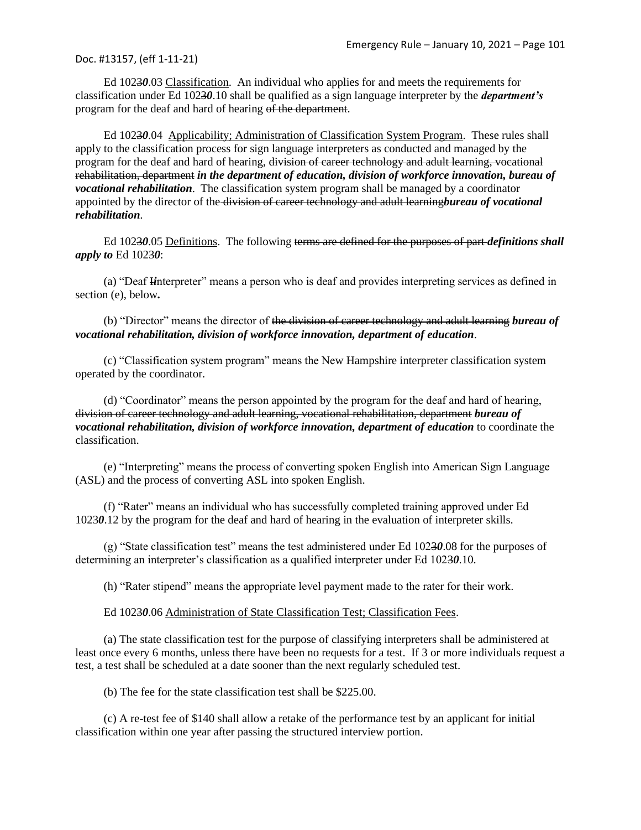Ed 1023*0*.03 Classification. An individual who applies for and meets the requirements for classification under Ed 1023*0*.10 shall be qualified as a sign language interpreter by the *department's*  program for the deaf and hard of hearing of the department.

Ed 1023*0*.04 Applicability; Administration of Classification System Program. These rules shall apply to the classification process for sign language interpreters as conducted and managed by the program for the deaf and hard of hearing, division of career technology and adult learning, vocational rehabilitation, department *in the department of education, division of workforce innovation, bureau of vocational rehabilitation*. The classification system program shall be managed by a coordinator appointed by the director of the division of career technology and adult learning*bureau of vocational rehabilitation*.

Ed 1023*0*.05 Definitions. The following terms are defined for the purposes of part *definitions shall apply to* Ed 1023*0*:

(a) "Deaf I*i*nterpreter" means a person who is deaf and provides interpreting services as defined in section (e), below*.*

(b) "Director" means the director of the division of career technology and adult learning *bureau of vocational rehabilitation, division of workforce innovation, department of education*.

(c) "Classification system program" means the New Hampshire interpreter classification system operated by the coordinator.

(d) "Coordinator" means the person appointed by the program for the deaf and hard of hearing, division of career technology and adult learning, vocational rehabilitation, department *bureau of vocational rehabilitation, division of workforce innovation, department of education* to coordinate the classification.

(e) "Interpreting" means the process of converting spoken English into American Sign Language (ASL) and the process of converting ASL into spoken English.

(f) "Rater" means an individual who has successfully completed training approved under Ed 1023*0*.12 by the program for the deaf and hard of hearing in the evaluation of interpreter skills.

(g) "State classification test" means the test administered under Ed 1023*0*.08 for the purposes of determining an interpreter's classification as a qualified interpreter under Ed 1023*0*.10.

(h) "Rater stipend" means the appropriate level payment made to the rater for their work.

Ed 1023*0*.06 Administration of State Classification Test; Classification Fees.

(a) The state classification test for the purpose of classifying interpreters shall be administered at least once every 6 months, unless there have been no requests for a test. If 3 or more individuals request a test, a test shall be scheduled at a date sooner than the next regularly scheduled test.

(b) The fee for the state classification test shall be \$225.00.

(c) A re-test fee of \$140 shall allow a retake of the performance test by an applicant for initial classification within one year after passing the structured interview portion.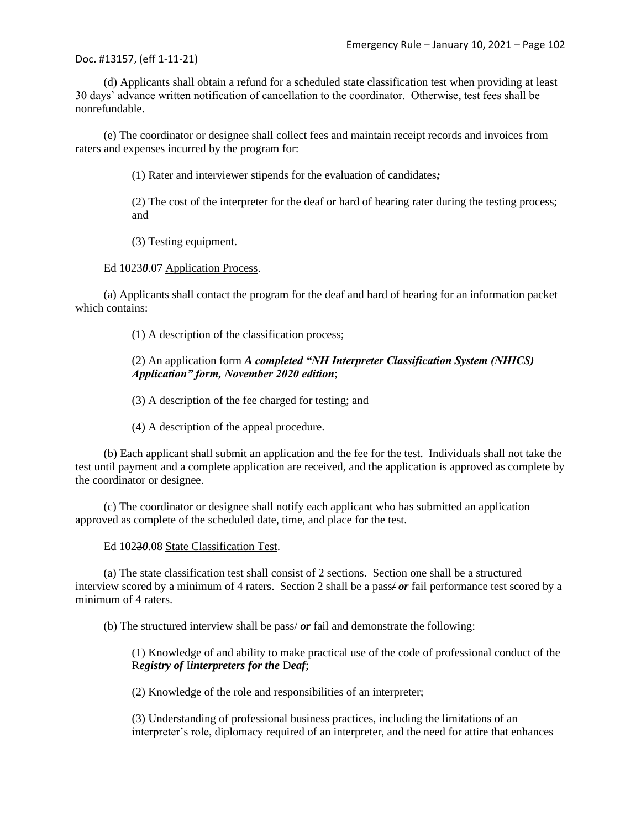(d) Applicants shall obtain a refund for a scheduled state classification test when providing at least 30 days' advance written notification of cancellation to the coordinator. Otherwise, test fees shall be nonrefundable.

(e) The coordinator or designee shall collect fees and maintain receipt records and invoices from raters and expenses incurred by the program for:

(1) Rater and interviewer stipends for the evaluation of candidates*;*

(2) The cost of the interpreter for the deaf or hard of hearing rater during the testing process; and

(3) Testing equipment.

Ed 1023*0*.07 Application Process.

(a) Applicants shall contact the program for the deaf and hard of hearing for an information packet which contains:

(1) A description of the classification process;

# (2) An application form *A completed "NH Interpreter Classification System (NHICS) Application" form, November 2020 edition*;

(3) A description of the fee charged for testing; and

(4) A description of the appeal procedure.

(b) Each applicant shall submit an application and the fee for the test. Individuals shall not take the test until payment and a complete application are received, and the application is approved as complete by the coordinator or designee.

(c) The coordinator or designee shall notify each applicant who has submitted an application approved as complete of the scheduled date, time, and place for the test.

Ed 1023*0*.08 State Classification Test.

(a) The state classification test shall consist of 2 sections. Section one shall be a structured interview scored by a minimum of 4 raters. Section 2 shall be a pass/ *or* fail performance test scored by a minimum of 4 raters.

(b) The structured interview shall be pass/ *or* fail and demonstrate the following:

(1) Knowledge of and ability to make practical use of the code of professional conduct of the R*egistry of* I*interpreters for the* D*eaf*;

(2) Knowledge of the role and responsibilities of an interpreter;

(3) Understanding of professional business practices, including the limitations of an interpreter's role, diplomacy required of an interpreter, and the need for attire that enhances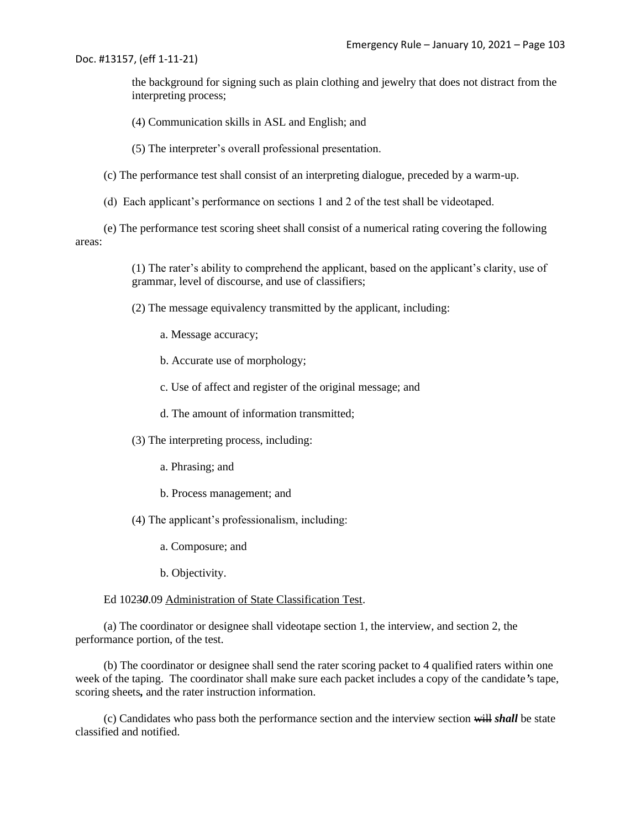the background for signing such as plain clothing and jewelry that does not distract from the interpreting process;

(4) Communication skills in ASL and English; and

(5) The interpreter's overall professional presentation.

(c) The performance test shall consist of an interpreting dialogue, preceded by a warm-up.

(d) Each applicant's performance on sections 1 and 2 of the test shall be videotaped.

(e) The performance test scoring sheet shall consist of a numerical rating covering the following areas:

> (1) The rater's ability to comprehend the applicant, based on the applicant's clarity, use of grammar, level of discourse, and use of classifiers;

(2) The message equivalency transmitted by the applicant, including:

- a. Message accuracy;
- b. Accurate use of morphology;

c. Use of affect and register of the original message; and

d. The amount of information transmitted;

(3) The interpreting process, including:

- a. Phrasing; and
- b. Process management; and
- (4) The applicant's professionalism, including:
	- a. Composure; and
	- b. Objectivity.

Ed 1023*0*.09 Administration of State Classification Test.

(a) The coordinator or designee shall videotape section 1, the interview, and section 2, the performance portion, of the test.

(b) The coordinator or designee shall send the rater scoring packet to 4 qualified raters within one week of the taping. The coordinator shall make sure each packet includes a copy of the candidate*'*s tape, scoring sheets*,* and the rater instruction information.

(c) Candidates who pass both the performance section and the interview section will *shall* be state classified and notified.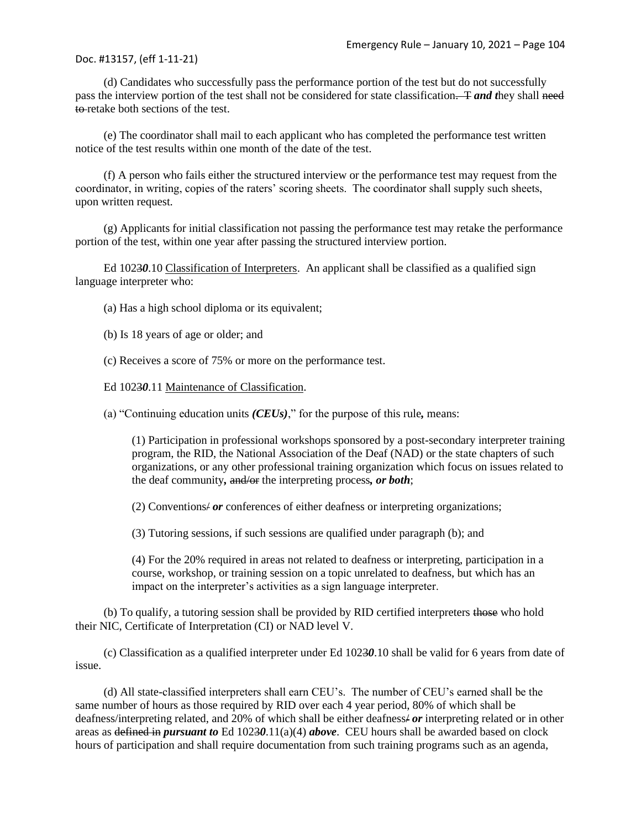(d) Candidates who successfully pass the performance portion of the test but do not successfully pass the interview portion of the test shall not be considered for state classification. T *and t*hey shall need to retake both sections of the test.

(e) The coordinator shall mail to each applicant who has completed the performance test written notice of the test results within one month of the date of the test.

(f) A person who fails either the structured interview or the performance test may request from the coordinator, in writing, copies of the raters' scoring sheets. The coordinator shall supply such sheets, upon written request.

(g) Applicants for initial classification not passing the performance test may retake the performance portion of the test, within one year after passing the structured interview portion.

Ed 10230.10 Classification of Interpreters. An applicant shall be classified as a qualified sign language interpreter who:

- (a) Has a high school diploma or its equivalent;
- (b) Is 18 years of age or older; and
- (c) Receives a score of 75% or more on the performance test.

Ed 1023*0*.11 Maintenance of Classification.

(a) "Continuing education units *(CEUs)*," for the purpose of this rule*,* means:

(1) Participation in professional workshops sponsored by a post-secondary interpreter training program, the RID, the National Association of the Deaf (NAD) or the state chapters of such organizations, or any other professional training organization which focus on issues related to the deaf community*,* and/or the interpreting process*, or both*;

(2) Conventions/ *or* conferences of either deafness or interpreting organizations;

(3) Tutoring sessions, if such sessions are qualified under paragraph (b); and

(4) For the 20% required in areas not related to deafness or interpreting, participation in a course, workshop, or training session on a topic unrelated to deafness, but which has an impact on the interpreter's activities as a sign language interpreter.

(b) To qualify, a tutoring session shall be provided by RID certified interpreters those who hold their NIC, Certificate of Interpretation (CI) or NAD level V.

(c) Classification as a qualified interpreter under Ed 1023*0*.10 shall be valid for 6 years from date of issue.

(d) All state-classified interpreters shall earn CEU's. The number of CEU's earned shall be the same number of hours as those required by RID over each 4 year period, 80% of which shall be deafness/interpreting related, and 20% of which shall be either deafness/ *or* interpreting related or in other areas as defined in *pursuant to* Ed 1023*0*.11(a)(4) *above*. CEU hours shall be awarded based on clock hours of participation and shall require documentation from such training programs such as an agenda,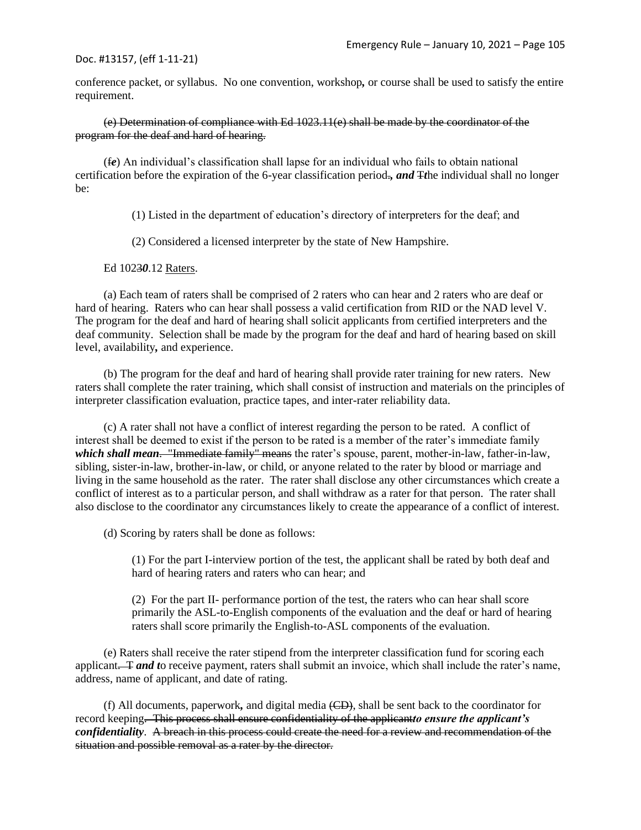conference packet, or syllabus. No one convention, workshop*,* or course shall be used to satisfy the entire requirement.

# (e) Determination of compliance with Ed 1023.11(e) shall be made by the coordinator of the program for the deaf and hard of hearing.

(f*e*) An individual's classification shall lapse for an individual who fails to obtain national certification before the expiration of the 6-year classification period.*, and* T*t*he individual shall no longer be:

(1) Listed in the department of education's directory of interpreters for the deaf; and

(2) Considered a licensed interpreter by the state of New Hampshire.

## Ed 1023*0*.12 Raters.

(a) Each team of raters shall be comprised of 2 raters who can hear and 2 raters who are deaf or hard of hearing. Raters who can hear shall possess a valid certification from RID or the NAD level V. The program for the deaf and hard of hearing shall solicit applicants from certified interpreters and the deaf community. Selection shall be made by the program for the deaf and hard of hearing based on skill level, availability*,* and experience.

(b) The program for the deaf and hard of hearing shall provide rater training for new raters. New raters shall complete the rater training, which shall consist of instruction and materials on the principles of interpreter classification evaluation, practice tapes, and inter-rater reliability data.

(c) A rater shall not have a conflict of interest regarding the person to be rated. A conflict of interest shall be deemed to exist if the person to be rated is a member of the rater's immediate family *which shall mean*. "Immediate family" means the rater's spouse, parent, mother-in-law, father-in-law, sibling, sister-in-law, brother-in-law, or child, or anyone related to the rater by blood or marriage and living in the same household as the rater. The rater shall disclose any other circumstances which create a conflict of interest as to a particular person, and shall withdraw as a rater for that person. The rater shall also disclose to the coordinator any circumstances likely to create the appearance of a conflict of interest.

(d) Scoring by raters shall be done as follows:

(1) For the part I-interview portion of the test, the applicant shall be rated by both deaf and hard of hearing raters and raters who can hear; and

(2) For the part II- performance portion of the test, the raters who can hear shall score primarily the ASL-to-English components of the evaluation and the deaf or hard of hearing raters shall score primarily the English-to-ASL components of the evaluation.

(e) Raters shall receive the rater stipend from the interpreter classification fund for scoring each applicant. T *and t*o receive payment, raters shall submit an invoice, which shall include the rater's name, address, name of applicant, and date of rating.

(f) All documents, paperwork*,* and digital media (CD), shall be sent back to the coordinator for record keeping. This process shall ensure confidentiality of the applicant*to ensure the applicant's confidentiality*. A breach in this process could create the need for a review and recommendation of the situation and possible removal as a rater by the director.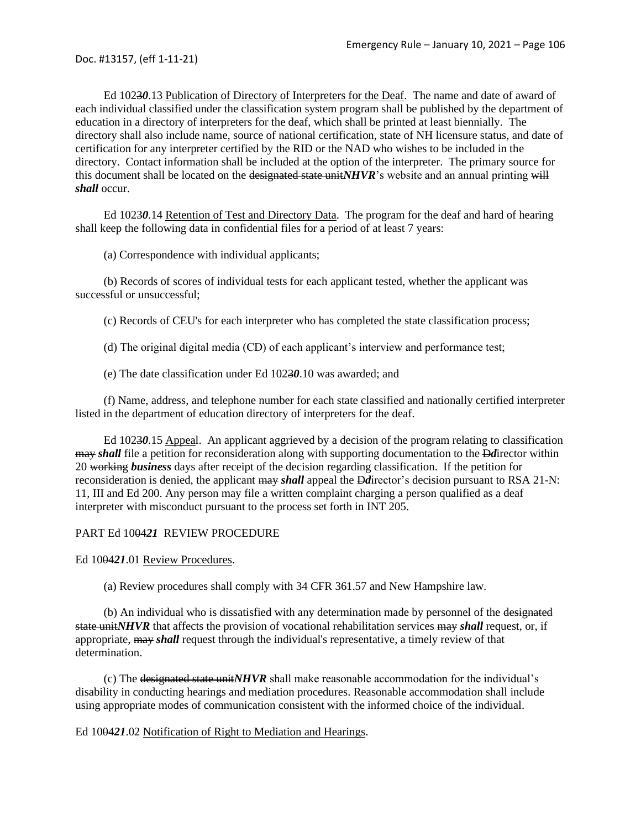Ed 1023*0*.13 Publication of Directory of Interpreters for the Deaf. The name and date of award of each individual classified under the classification system program shall be published by the department of education in a directory of interpreters for the deaf, which shall be printed at least biennially. The directory shall also include name, source of national certification, state of NH licensure status, and date of certification for any interpreter certified by the RID or the NAD who wishes to be included in the directory. Contact information shall be included at the option of the interpreter. The primary source for this document shall be located on the designated state unit*NHVR*'s website and an annual printing will *shall* occur.

Ed 1023*0*.14 Retention of Test and Directory Data. The program for the deaf and hard of hearing shall keep the following data in confidential files for a period of at least 7 years:

(a) Correspondence with individual applicants;

(b) Records of scores of individual tests for each applicant tested, whether the applicant was successful or unsuccessful;

(c) Records of CEU's for each interpreter who has completed the state classification process;

(d) The original digital media (CD) of each applicant's interview and performance test;

(e) The date classification under Ed 1023*0*.10 was awarded; and

(f) Name, address, and telephone number for each state classified and nationally certified interpreter listed in the department of education directory of interpreters for the deaf.

Ed 1023*0*.15 Appeal. An applicant aggrieved by a decision of the program relating to classification may *shall* file a petition for reconsideration along with supporting documentation to the D*d*irector within 20 working *business* days after receipt of the decision regarding classification. If the petition for reconsideration is denied, the applicant may *shall* appeal the D*d*irector's decision pursuant to RSA 21-N: 11, III and Ed 200. Any person may file a written complaint charging a person qualified as a deaf interpreter with misconduct pursuant to the process set forth in INT 205.

# PART Ed 1004*21* REVIEW PROCEDURE

# Ed 1004*21*.01 Review Procedures.

(a) Review procedures shall comply with 34 CFR 361.57 and New Hampshire law.

(b) An individual who is dissatisfied with any determination made by personnel of the designated state unit*NHVR* that affects the provision of vocational rehabilitation services may *shall* request, or, if appropriate, may *shall* request through the individual's representative, a timely review of that determination.

(c) The designated state unit*NHVR* shall make reasonable accommodation for the individual's disability in conducting hearings and mediation procedures. Reasonable accommodation shall include using appropriate modes of communication consistent with the informed choice of the individual.

# Ed 1004*21*.02 Notification of Right to Mediation and Hearings.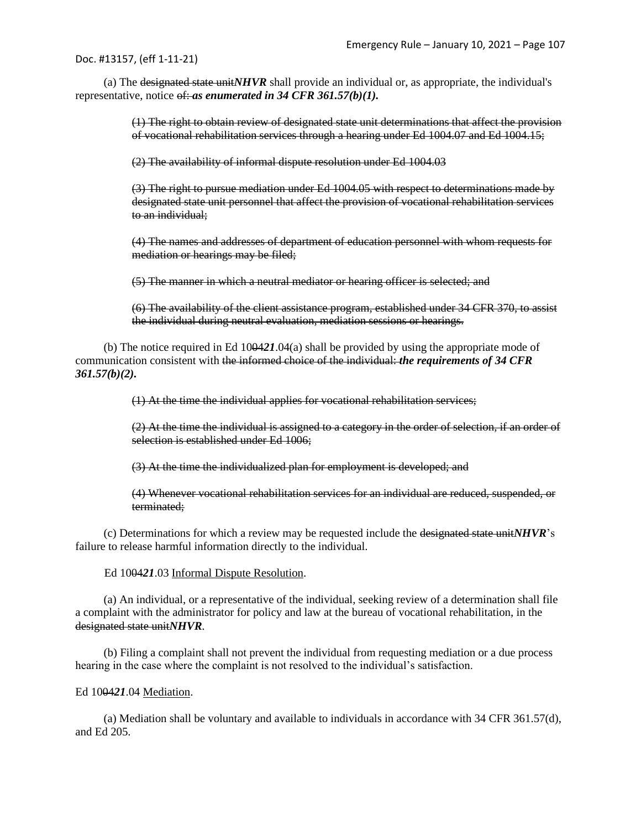(a) The designated state unit*NHVR* shall provide an individual or, as appropriate, the individual's representative, notice of: *as enumerated in 34 CFR 361.57(b)(1)*.

> (1) The right to obtain review of designated state unit determinations that affect the provision of vocational rehabilitation services through a hearing under Ed 1004.07 and Ed 1004.15;

(2) The availability of informal dispute resolution under Ed 1004.03

(3) The right to pursue mediation under Ed 1004.05 with respect to determinations made by designated state unit personnel that affect the provision of vocational rehabilitation services to an individual;

(4) The names and addresses of department of education personnel with whom requests for mediation or hearings may be filed;

(5) The manner in which a neutral mediator or hearing officer is selected; and

(6) The availability of the client assistance program, established under 34 CFR 370, to assist the individual during neutral evaluation, mediation sessions or hearings.

(b) The notice required in Ed 1004*21*.04(a) shall be provided by using the appropriate mode of communication consistent with the informed choice of the individual: *the requirements of 34 CFR 361.57(b)(2).*

(1) At the time the individual applies for vocational rehabilitation services;

(2) At the time the individual is assigned to a category in the order of selection, if an order of selection is established under Ed 1006;

(3) At the time the individualized plan for employment is developed; and

(4) Whenever vocational rehabilitation services for an individual are reduced, suspended, or terminated;

(c) Determinations for which a review may be requested include the designated state unit*NHVR*'s failure to release harmful information directly to the individual.

Ed 1004*21*.03 Informal Dispute Resolution.

(a) An individual, or a representative of the individual, seeking review of a determination shall file a complaint with the administrator for policy and law at the bureau of vocational rehabilitation, in the designated state unit*NHVR*.

(b) Filing a complaint shall not prevent the individual from requesting mediation or a due process hearing in the case where the complaint is not resolved to the individual's satisfaction.

## Ed 1004*21*.04 Mediation.

(a) Mediation shall be voluntary and available to individuals in accordance with 34 CFR 361.57(d), and Ed 205.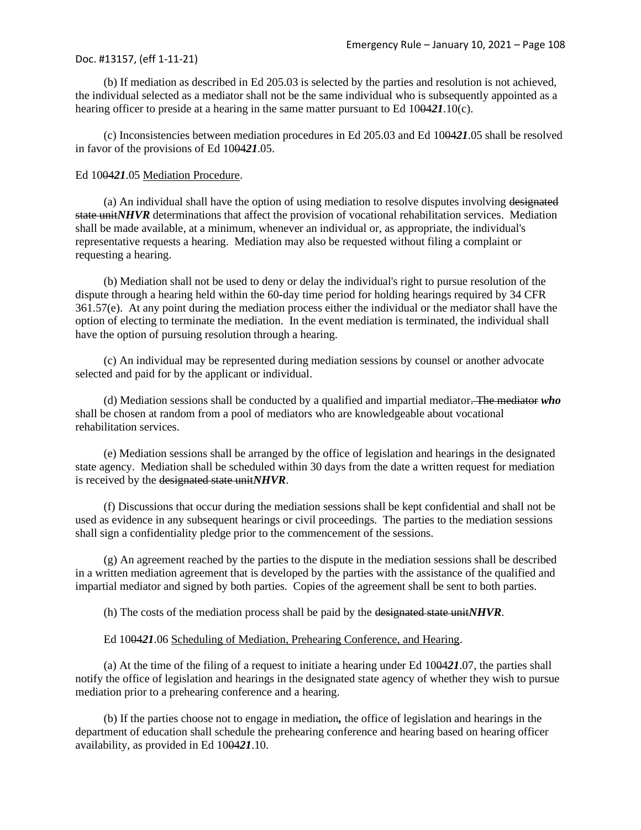(b) If mediation as described in Ed 205.03 is selected by the parties and resolution is not achieved, the individual selected as a mediator shall not be the same individual who is subsequently appointed as a hearing officer to preside at a hearing in the same matter pursuant to Ed 1004*21*.10(c).

(c) Inconsistencies between mediation procedures in Ed 205.03 and Ed 1004*21*.05 shall be resolved in favor of the provisions of Ed 1004*21*.05.

### Ed 1004*21*.05 Mediation Procedure.

(a) An individual shall have the option of using mediation to resolve disputes involving designated state unit*NHVR* determinations that affect the provision of vocational rehabilitation services. Mediation shall be made available, at a minimum, whenever an individual or, as appropriate, the individual's representative requests a hearing. Mediation may also be requested without filing a complaint or requesting a hearing.

(b) Mediation shall not be used to deny or delay the individual's right to pursue resolution of the dispute through a hearing held within the 60*-*day time period for holding hearings required by 34 CFR  $361.57(e)$ . At any point during the mediation process either the individual or the mediator shall have the option of electing to terminate the mediation. In the event mediation is terminated, the individual shall have the option of pursuing resolution through a hearing.

(c) An individual may be represented during mediation sessions by counsel or another advocate selected and paid for by the applicant or individual.

(d) Mediation sessions shall be conducted by a qualified and impartial mediator. The mediator *who*  shall be chosen at random from a pool of mediators who are knowledgeable about vocational rehabilitation services.

(e) Mediation sessions shall be arranged by the office of legislation and hearings in the designated state agency. Mediation shall be scheduled within 30 days from the date a written request for mediation is received by the designated state unit*NHVR*.

(f) Discussions that occur during the mediation sessions shall be kept confidential and shall not be used as evidence in any subsequent hearings or civil proceedings. The parties to the mediation sessions shall sign a confidentiality pledge prior to the commencement of the sessions.

(g) An agreement reached by the parties to the dispute in the mediation sessions shall be described in a written mediation agreement that is developed by the parties with the assistance of the qualified and impartial mediator and signed by both parties. Copies of the agreement shall be sent to both parties.

(h) The costs of the mediation process shall be paid by the designated state unit*NHVR*.

## Ed 1004*21*.06 Scheduling of Mediation, Prehearing Conference, and Hearing.

(a) At the time of the filing of a request to initiate a hearing under Ed 1004*21*.07, the parties shall notify the office of legislation and hearings in the designated state agency of whether they wish to pursue mediation prior to a prehearing conference and a hearing.

(b) If the parties choose not to engage in mediation*,* the office of legislation and hearings in the department of education shall schedule the prehearing conference and hearing based on hearing officer availability, as provided in Ed 1004*21*.10.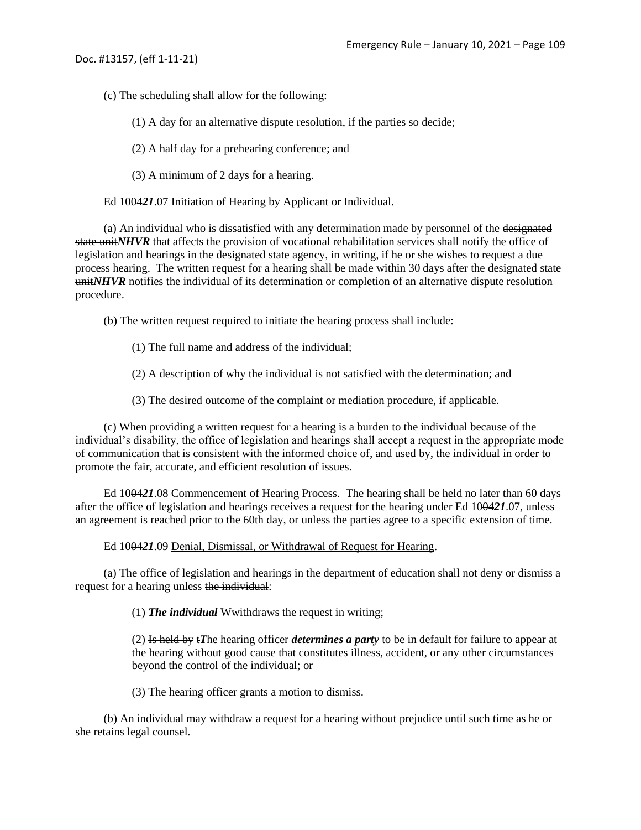(c) The scheduling shall allow for the following:

(1) A day for an alternative dispute resolution, if the parties so decide;

(2) A half day for a prehearing conference; and

(3) A minimum of 2 days for a hearing.

Ed 1004*21*.07 Initiation of Hearing by Applicant or Individual.

(a) An individual who is dissatisfied with any determination made by personnel of the designated state unit*NHVR* that affects the provision of vocational rehabilitation services shall notify the office of legislation and hearings in the designated state agency, in writing, if he or she wishes to request a due process hearing. The written request for a hearing shall be made within 30 days after the designated state unit*NHVR* notifies the individual of its determination or completion of an alternative dispute resolution procedure.

(b) The written request required to initiate the hearing process shall include:

(1) The full name and address of the individual;

(2) A description of why the individual is not satisfied with the determination; and

(3) The desired outcome of the complaint or mediation procedure, if applicable.

(c) When providing a written request for a hearing is a burden to the individual because of the individual's disability, the office of legislation and hearings shall accept a request in the appropriate mode of communication that is consistent with the informed choice of, and used by, the individual in order to promote the fair, accurate, and efficient resolution of issues.

Ed 1004*21*.08 Commencement of Hearing Process. The hearing shall be held no later than 60 days after the office of legislation and hearings receives a request for the hearing under Ed 1004*21*.07, unless an agreement is reached prior to the 60th day, or unless the parties agree to a specific extension of time.

Ed 1004*21*.09 Denial, Dismissal, or Withdrawal of Request for Hearing.

(a) The office of legislation and hearings in the department of education shall not deny or dismiss a request for a hearing unless the individual:

(1) *The individual* Wwithdraws the request in writing;

(2) Is held by t*T*he hearing officer *determines a party* to be in default for failure to appear at the hearing without good cause that constitutes illness, accident, or any other circumstances beyond the control of the individual; or

(3) The hearing officer grants a motion to dismiss.

(b) An individual may withdraw a request for a hearing without prejudice until such time as he or she retains legal counsel.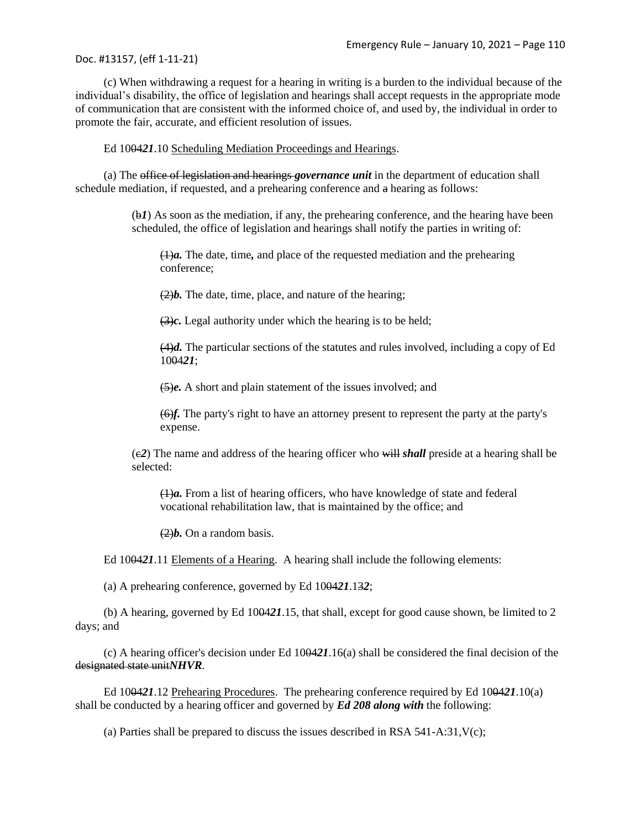(c) When withdrawing a request for a hearing in writing is a burden to the individual because of the individual's disability, the office of legislation and hearings shall accept requests in the appropriate mode of communication that are consistent with the informed choice of, and used by, the individual in order to promote the fair, accurate, and efficient resolution of issues.

Ed 1004*21*.10 Scheduling Mediation Proceedings and Hearings.

(a) The office of legislation and hearings *governance unit* in the department of education shall schedule mediation, if requested, and a prehearing conference and a hearing as follows:

> (b*1*) As soon as the mediation, if any, the prehearing conference, and the hearing have been scheduled, the office of legislation and hearings shall notify the parties in writing of:

(1)*a.* The date, time*,* and place of the requested mediation and the prehearing conference;

(2)*b.* The date, time, place, and nature of the hearing;

(3)*c.* Legal authority under which the hearing is to be held;

(4)*d.* The particular sections of the statutes and rules involved, including a copy of Ed 1004*21*;

(5)*e.* A short and plain statement of the issues involved; and

(6)*f.* The party's right to have an attorney present to represent the party at the party's expense.

(c*2*) The name and address of the hearing officer who will *shall* preside at a hearing shall be selected:

 $(1)$ *a*. From a list of hearing officers, who have knowledge of state and federal vocational rehabilitation law, that is maintained by the office; and

(2)*b.* On a random basis.

Ed 1004*21*.11 Elements of a Hearing. A hearing shall include the following elements:

(a) A prehearing conference, governed by Ed 1004*21*.13*2*;

(b) A hearing, governed by Ed 1004*21*.15, that shall, except for good cause shown, be limited to 2 days; and

(c) A hearing officer's decision under Ed 1004*21*.16(a) shall be considered the final decision of the designated state unit*NHVR*.

Ed 1004*21*.12 Prehearing Procedures. The prehearing conference required by Ed 1004*21*.10(a) shall be conducted by a hearing officer and governed by *Ed 208 along with* the following:

(a) Parties shall be prepared to discuss the issues described in RSA 541-A:31,V(c);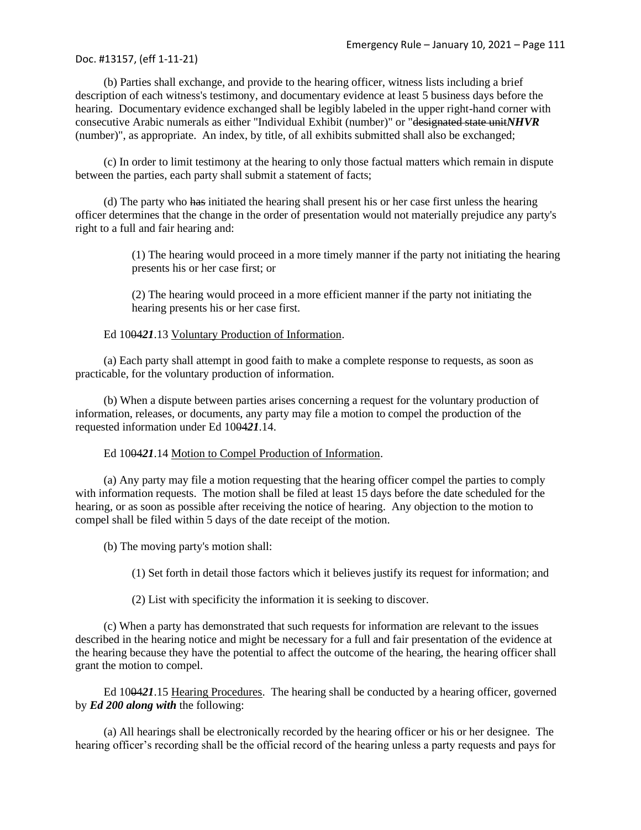(b) Parties shall exchange, and provide to the hearing officer, witness lists including a brief description of each witness's testimony, and documentary evidence at least 5 business days before the hearing. Documentary evidence exchanged shall be legibly labeled in the upper right-hand corner with consecutive Arabic numerals as either "Individual Exhibit (number)" or "designated state unit*NHVR* (number)", as appropriate. An index, by title, of all exhibits submitted shall also be exchanged;

(c) In order to limit testimony at the hearing to only those factual matters which remain in dispute between the parties, each party shall submit a statement of facts;

(d) The party who has initiated the hearing shall present his or her case first unless the hearing officer determines that the change in the order of presentation would not materially prejudice any party's right to a full and fair hearing and:

> (1) The hearing would proceed in a more timely manner if the party not initiating the hearing presents his or her case first; or

(2) The hearing would proceed in a more efficient manner if the party not initiating the hearing presents his or her case first.

Ed 1004*21*.13 Voluntary Production of Information.

(a) Each party shall attempt in good faith to make a complete response to requests, as soon as practicable, for the voluntary production of information.

(b) When a dispute between parties arises concerning a request for the voluntary production of information, releases, or documents, any party may file a motion to compel the production of the requested information under Ed 1004*21*.14.

Ed 1004*21*.14 Motion to Compel Production of Information.

(a) Any party may file a motion requesting that the hearing officer compel the parties to comply with information requests. The motion shall be filed at least 15 days before the date scheduled for the hearing, or as soon as possible after receiving the notice of hearing. Any objection to the motion to compel shall be filed within 5 days of the date receipt of the motion.

(b) The moving party's motion shall:

(1) Set forth in detail those factors which it believes justify its request for information; and

(2) List with specificity the information it is seeking to discover.

(c) When a party has demonstrated that such requests for information are relevant to the issues described in the hearing notice and might be necessary for a full and fair presentation of the evidence at the hearing because they have the potential to affect the outcome of the hearing, the hearing officer shall grant the motion to compel.

Ed 1004*21*.15 Hearing Procedures. The hearing shall be conducted by a hearing officer, governed by *Ed 200 along with* the following:

(a) All hearings shall be electronically recorded by the hearing officer or his or her designee. The hearing officer's recording shall be the official record of the hearing unless a party requests and pays for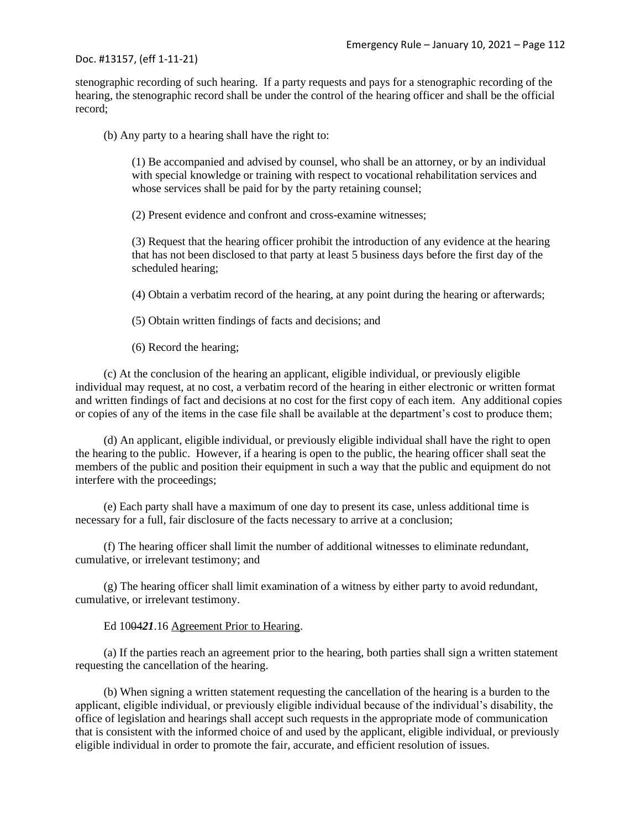stenographic recording of such hearing. If a party requests and pays for a stenographic recording of the hearing, the stenographic record shall be under the control of the hearing officer and shall be the official record;

(b) Any party to a hearing shall have the right to:

(1) Be accompanied and advised by counsel, who shall be an attorney, or by an individual with special knowledge or training with respect to vocational rehabilitation services and whose services shall be paid for by the party retaining counsel;

(2) Present evidence and confront and cross-examine witnesses;

(3) Request that the hearing officer prohibit the introduction of any evidence at the hearing that has not been disclosed to that party at least 5 business days before the first day of the scheduled hearing;

(4) Obtain a verbatim record of the hearing, at any point during the hearing or afterwards;

(5) Obtain written findings of facts and decisions; and

(6) Record the hearing;

(c) At the conclusion of the hearing an applicant, eligible individual, or previously eligible individual may request, at no cost, a verbatim record of the hearing in either electronic or written format and written findings of fact and decisions at no cost for the first copy of each item. Any additional copies or copies of any of the items in the case file shall be available at the department's cost to produce them;

(d) An applicant, eligible individual, or previously eligible individual shall have the right to open the hearing to the public. However, if a hearing is open to the public, the hearing officer shall seat the members of the public and position their equipment in such a way that the public and equipment do not interfere with the proceedings;

(e) Each party shall have a maximum of one day to present its case, unless additional time is necessary for a full, fair disclosure of the facts necessary to arrive at a conclusion;

(f) The hearing officer shall limit the number of additional witnesses to eliminate redundant, cumulative, or irrelevant testimony; and

(g) The hearing officer shall limit examination of a witness by either party to avoid redundant, cumulative, or irrelevant testimony.

#### Ed 1004*21*.16 Agreement Prior to Hearing.

(a) If the parties reach an agreement prior to the hearing, both parties shall sign a written statement requesting the cancellation of the hearing.

(b) When signing a written statement requesting the cancellation of the hearing is a burden to the applicant, eligible individual, or previously eligible individual because of the individual's disability, the office of legislation and hearings shall accept such requests in the appropriate mode of communication that is consistent with the informed choice of and used by the applicant, eligible individual, or previously eligible individual in order to promote the fair, accurate, and efficient resolution of issues.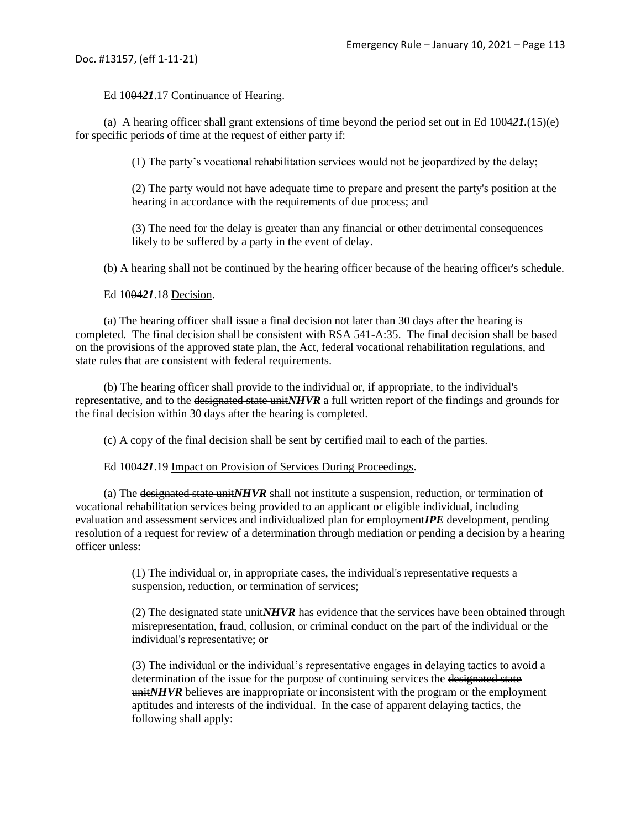# Ed 1004*21*.17 Continuance of Hearing.

(a) A hearing officer shall grant extensions of time beyond the period set out in Ed 1004*21.*(15)(e) for specific periods of time at the request of either party if:

(1) The party's vocational rehabilitation services would not be jeopardized by the delay;

(2) The party would not have adequate time to prepare and present the party's position at the hearing in accordance with the requirements of due process; and

(3) The need for the delay is greater than any financial or other detrimental consequences likely to be suffered by a party in the event of delay.

(b) A hearing shall not be continued by the hearing officer because of the hearing officer's schedule.

Ed 1004*21*.18 Decision.

(a) The hearing officer shall issue a final decision not later than 30 days after the hearing is completed. The final decision shall be consistent with RSA 541-A:35. The final decision shall be based on the provisions of the approved state plan, the Act, federal vocational rehabilitation regulations, and state rules that are consistent with federal requirements.

(b) The hearing officer shall provide to the individual or, if appropriate, to the individual's representative, and to the designated state unit*NHVR* a full written report of the findings and grounds for the final decision within 30 days after the hearing is completed.

(c) A copy of the final decision shall be sent by certified mail to each of the parties.

Ed 1004*21*.19 Impact on Provision of Services During Proceedings.

(a) The designated state unit*NHVR* shall not institute a suspension, reduction, or termination of vocational rehabilitation services being provided to an applicant or eligible individual, including evaluation and assessment services and individualized plan for employment*IPE* development, pending resolution of a request for review of a determination through mediation or pending a decision by a hearing officer unless:

> (1) The individual or, in appropriate cases, the individual's representative requests a suspension, reduction, or termination of services;

(2) The designated state unit*NHVR* has evidence that the services have been obtained through misrepresentation, fraud, collusion, or criminal conduct on the part of the individual or the individual's representative; or

(3) The individual or the individual's representative engages in delaying tactics to avoid a determination of the issue for the purpose of continuing services the designated state unit*NHVR* believes are inappropriate or inconsistent with the program or the employment aptitudes and interests of the individual. In the case of apparent delaying tactics, the following shall apply: